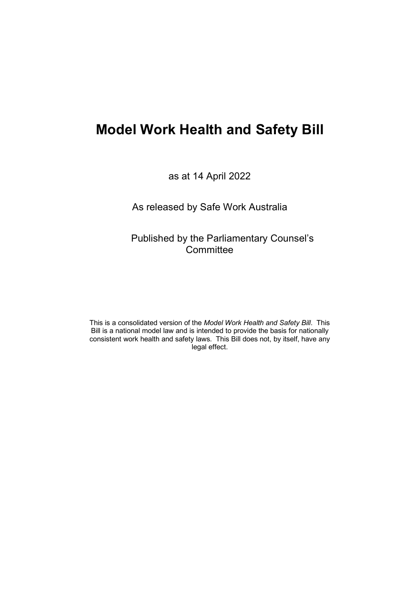as at 14 April 2022

As released by Safe Work Australia

Published by the Parliamentary Counsel's **Committee** 

This is a consolidated version of the *Model Work Health and Safety Bill*. This Bill is a national model law and is intended to provide the basis for nationally consistent work health and safety laws. This Bill does not, by itself, have any legal effect.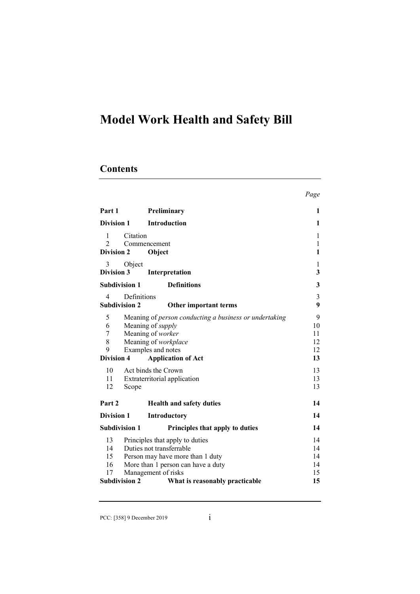# **Contents**

|                             |                                                         | Page         |
|-----------------------------|---------------------------------------------------------|--------------|
| Part 1                      | Preliminary                                             | 1            |
| Division 1                  | <b>Introduction</b>                                     | 1            |
| 1                           | Citation                                                | 1            |
| $\mathcal{D}_{\mathcal{L}}$ | Commencement                                            | $\mathbf{1}$ |
| <b>Division 2</b>           | Object                                                  | 1            |
| 3                           | Object                                                  | 1            |
| <b>Division 3</b>           | Interpretation                                          | 3            |
|                             | <b>Subdivision 1</b><br><b>Definitions</b>              | 3            |
| 4                           | Definitions                                             | 3            |
|                             | <b>Subdivision 2</b><br>Other important terms           | 9            |
| 5                           | Meaning of person conducting a business or undertaking  | 9            |
| 6                           | Meaning of <i>supply</i>                                | 10           |
| $\overline{7}$              | Meaning of worker                                       | 11           |
| 8                           | Meaning of workplace                                    | 12           |
| 9                           | Examples and notes                                      | 12           |
| <b>Division 4</b>           | <b>Application of Act</b>                               | 13           |
| 10                          | Act binds the Crown                                     | 13           |
| 11                          | Extraterritorial application                            | 13           |
| 12                          | Scope                                                   | 13           |
| Part 2                      | <b>Health and safety duties</b>                         | 14           |
| Division 1                  | <b>Introductory</b>                                     | 14           |
|                             |                                                         |              |
|                             | <b>Subdivision 1</b><br>Principles that apply to duties | 14           |
| 13                          | Principles that apply to duties                         | 14           |
| 14                          | Duties not transferrable                                | 14           |
| 15                          | Person may have more than 1 duty                        | 14           |
| 16                          | More than 1 person can have a duty                      | 14           |
| 17                          | Management of risks                                     | 15           |
|                             | <b>Subdivision 2</b><br>What is reasonably practicable  | 15           |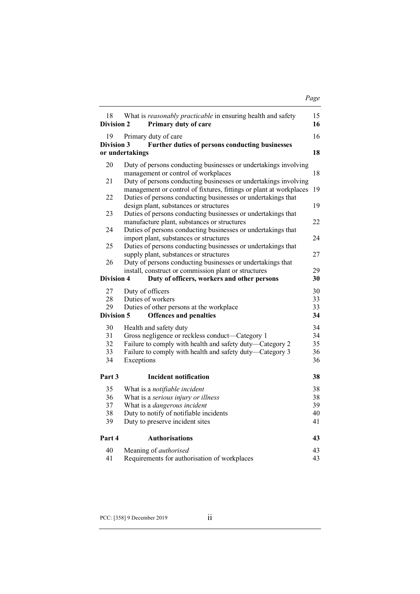|--|

| 18<br>Division 2  | What is reasonably practicable in ensuring health and safety<br>Primary duty of care                                                                                        | 15<br>16 |
|-------------------|-----------------------------------------------------------------------------------------------------------------------------------------------------------------------------|----------|
| 19                | Primary duty of care                                                                                                                                                        | 16       |
| Division 3        | Further duties of persons conducting businesses                                                                                                                             |          |
|                   | or undertakings                                                                                                                                                             | 18       |
| 20                | Duty of persons conducting businesses or undertakings involving<br>management or control of workplaces                                                                      | 18       |
| 21                | Duty of persons conducting businesses or undertakings involving<br>management or control of fixtures, fittings or plant at workplaces                                       | 19       |
| 22                | Duties of persons conducting businesses or undertakings that<br>design plant, substances or structures                                                                      | 19       |
| 23<br>24          | Duties of persons conducting businesses or undertakings that<br>manufacture plant, substances or structures<br>Duties of persons conducting businesses or undertakings that | 22       |
|                   | import plant, substances or structures                                                                                                                                      | 24       |
| 25                | Duties of persons conducting businesses or undertakings that<br>supply plant, substances or structures                                                                      | 27       |
| 26                | Duty of persons conducting businesses or undertakings that<br>install, construct or commission plant or structures                                                          | 29       |
| <b>Division 4</b> | Duty of officers, workers and other persons                                                                                                                                 | 30       |
| 27                | Duty of officers                                                                                                                                                            | 30       |
| 28                | Duties of workers                                                                                                                                                           | 33       |
| 29                | Duties of other persons at the workplace                                                                                                                                    | 33       |
| Division 5        | <b>Offences and penalties</b>                                                                                                                                               | 34       |
| 30                | Health and safety duty                                                                                                                                                      | 34       |
| 31                | Gross negligence or reckless conduct—Category 1                                                                                                                             | 34       |
| 32                | Failure to comply with health and safety duty-Category 2                                                                                                                    | 35       |
| 33                | Failure to comply with health and safety duty—Category 3                                                                                                                    | 36       |
| 34                | Exceptions                                                                                                                                                                  | 36       |
| Part 3            | <b>Incident notification</b>                                                                                                                                                | 38       |
| 35                | What is a notifiable incident                                                                                                                                               | 38       |
| 36                | What is a serious injury or illness                                                                                                                                         | 38       |
| 37                | What is a <i>dangerous incident</i>                                                                                                                                         | 39       |
| 38                | Duty to notify of notifiable incidents                                                                                                                                      | 40       |
| 39                | Duty to preserve incident sites                                                                                                                                             | 41       |
| Part 4            | <b>Authorisations</b>                                                                                                                                                       | 43       |
| 40                | Meaning of <i>authorised</i>                                                                                                                                                | 43       |
| 41                | Requirements for authorisation of workplaces                                                                                                                                | 43       |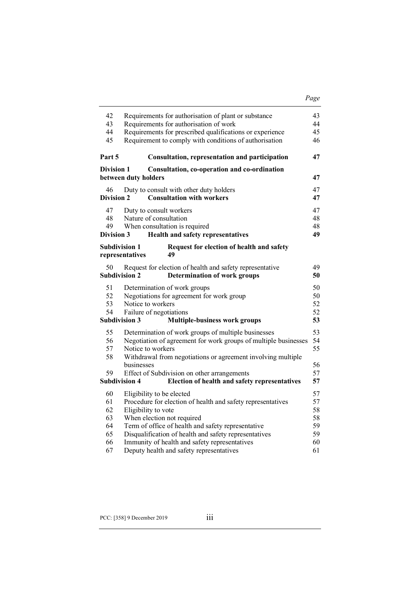| 42<br>43                      | Requirements for authorisation of plant or substance                                                        | 43<br>44 |  |
|-------------------------------|-------------------------------------------------------------------------------------------------------------|----------|--|
| 44                            | Requirements for authorisation of work<br>Requirements for prescribed qualifications or experience          |          |  |
| 45                            | Requirement to comply with conditions of authorisation                                                      | 45<br>46 |  |
|                               |                                                                                                             |          |  |
| Part 5                        | Consultation, representation and participation                                                              | 47       |  |
| <b>Division 1</b>             | Consultation, co-operation and co-ordination                                                                |          |  |
|                               | between duty holders                                                                                        | 47       |  |
| 46                            | Duty to consult with other duty holders                                                                     | 47       |  |
| <b>Division 2</b>             | <b>Consultation with workers</b>                                                                            | 47       |  |
| 47                            | Duty to consult workers                                                                                     | 47       |  |
| 48                            | Nature of consultation                                                                                      | 48       |  |
| 49                            | When consultation is required                                                                               | 48       |  |
| Division 3                    | Health and safety representatives                                                                           | 49       |  |
| <b>Subdivision 1</b>          | Request for election of health and safety                                                                   |          |  |
|                               | representatives<br>49                                                                                       |          |  |
| 50                            | Request for election of health and safety representative                                                    | 49       |  |
| <b>Subdivision 2</b>          | <b>Determination of work groups</b>                                                                         | 50       |  |
| 51                            | Determination of work groups                                                                                | 50       |  |
| 52                            | Negotiations for agreement for work group                                                                   | 50       |  |
| 53                            | Notice to workers                                                                                           |          |  |
| 54<br>Failure of negotiations |                                                                                                             | 52       |  |
| <b>Subdivision 3</b>          | <b>Multiple-business work groups</b>                                                                        | 53       |  |
| 55                            | Determination of work groups of multiple businesses                                                         | 53       |  |
| 56                            | Negotiation of agreement for work groups of multiple businesses                                             | 54       |  |
| 57                            | 55<br>Notice to workers                                                                                     |          |  |
| 58                            | Withdrawal from negotiations or agreement involving multiple                                                |          |  |
|                               | businesses                                                                                                  | 56       |  |
| 59                            | Effect of Subdivision on other arrangements                                                                 | 57       |  |
| <b>Subdivision 4</b>          | Election of health and safety representatives                                                               | 57       |  |
| 60                            | Eligibility to be elected                                                                                   | 57       |  |
| 61                            | Procedure for election of health and safety representatives                                                 | 57       |  |
| 62                            | Eligibility to vote                                                                                         | 58       |  |
| 63                            | When election not required                                                                                  | 58       |  |
| 64<br>65                      | Term of office of health and safety representative<br>Disqualification of health and safety representatives | 59<br>59 |  |
| 66                            | Immunity of health and safety representatives                                                               | 60       |  |
| 67                            | Deputy health and safety representatives                                                                    | 61       |  |
|                               |                                                                                                             |          |  |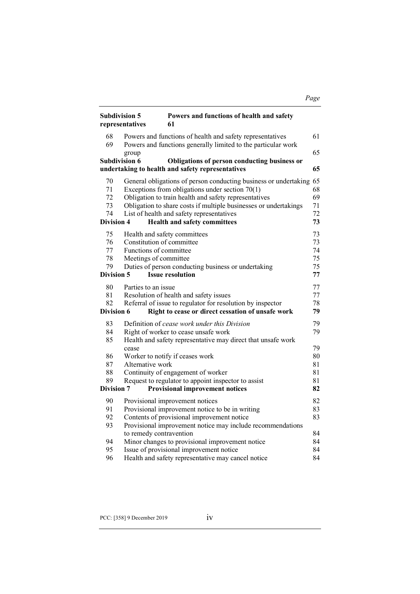# *Page*

| <b>Subdivision 5</b><br>representatives  |                                                                              | Powers and functions of health and safety<br>61                                                                                                                                                                                                                                                    |                                  |
|------------------------------------------|------------------------------------------------------------------------------|----------------------------------------------------------------------------------------------------------------------------------------------------------------------------------------------------------------------------------------------------------------------------------------------------|----------------------------------|
| 68<br>69                                 |                                                                              | Powers and functions of health and safety representatives<br>Powers and functions generally limited to the particular work                                                                                                                                                                         | 61                               |
|                                          | group                                                                        |                                                                                                                                                                                                                                                                                                    | 65                               |
|                                          | <b>Subdivision 6</b>                                                         | Obligations of person conducting business or<br>undertaking to health and safety representatives                                                                                                                                                                                                   | 65                               |
| 70<br>71<br>72<br>73<br>74               |                                                                              | General obligations of person conducting business or undertaking 65<br>Exceptions from obligations under section $70(1)$<br>Obligation to train health and safety representatives<br>Obligation to share costs if multiple businesses or undertakings<br>List of health and safety representatives | 68<br>69<br>71<br>72             |
| Division 4                               |                                                                              | <b>Health and safety committees</b>                                                                                                                                                                                                                                                                | 73                               |
| 75<br>76<br>77<br>78<br>79<br>Division 5 | Constitution of committee<br>Functions of committee<br>Meetings of committee | Health and safety committees<br>Duties of person conducting business or undertaking<br><b>Issue resolution</b>                                                                                                                                                                                     | 73<br>73<br>74<br>75<br>75<br>77 |
| 80                                       | Parties to an issue                                                          |                                                                                                                                                                                                                                                                                                    | 77                               |
| 81                                       |                                                                              | Resolution of health and safety issues                                                                                                                                                                                                                                                             | 77                               |
| 82<br>Division 6                         |                                                                              | Referral of issue to regulator for resolution by inspector<br>Right to cease or direct cessation of unsafe work                                                                                                                                                                                    | 78<br>79                         |
|                                          |                                                                              |                                                                                                                                                                                                                                                                                                    |                                  |
| 83<br>84                                 |                                                                              | Definition of cease work under this Division<br>Right of worker to cease unsafe work                                                                                                                                                                                                               | 79<br>79                         |
| 85                                       | cease                                                                        | Health and safety representative may direct that unsafe work                                                                                                                                                                                                                                       | 79                               |
| 86                                       |                                                                              | Worker to notify if ceases work                                                                                                                                                                                                                                                                    | 80                               |
| 87                                       | Alternative work                                                             |                                                                                                                                                                                                                                                                                                    | 81                               |
| 88                                       |                                                                              | Continuity of engagement of worker                                                                                                                                                                                                                                                                 | 81                               |
| 89                                       |                                                                              | Request to regulator to appoint inspector to assist                                                                                                                                                                                                                                                | 81                               |
| <b>Division 7</b>                        |                                                                              | <b>Provisional improvement notices</b>                                                                                                                                                                                                                                                             | 82                               |
| 90                                       |                                                                              | Provisional improvement notices                                                                                                                                                                                                                                                                    | 82                               |
| 91                                       |                                                                              | Provisional improvement notice to be in writing                                                                                                                                                                                                                                                    | 83                               |
| 92                                       |                                                                              | Contents of provisional improvement notice                                                                                                                                                                                                                                                         | 83                               |
| 93                                       | to remedy contravention                                                      | Provisional improvement notice may include recommendations                                                                                                                                                                                                                                         | 84                               |
| 94                                       |                                                                              | Minor changes to provisional improvement notice                                                                                                                                                                                                                                                    | 84                               |
| 95                                       |                                                                              | Issue of provisional improvement notice                                                                                                                                                                                                                                                            | 84                               |
| 96                                       |                                                                              | Health and safety representative may cancel notice                                                                                                                                                                                                                                                 | 84                               |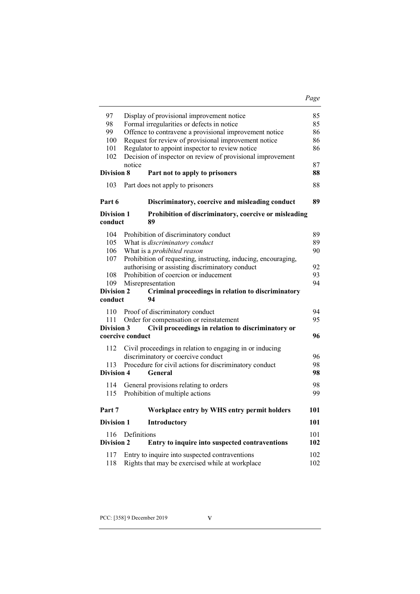#### *Page*

| 97                    | Display of provisional improvement notice                              | 85  |
|-----------------------|------------------------------------------------------------------------|-----|
| 98                    | Formal irregularities or defects in notice                             | 85  |
| 99                    | Offence to contravene a provisional improvement notice                 |     |
| 100                   | Request for review of provisional improvement notice                   |     |
| 101                   | Regulator to appoint inspector to review notice                        |     |
| 102                   | Decision of inspector on review of provisional improvement             |     |
|                       | notice                                                                 | 87  |
| Division 8            | Part not to apply to prisoners                                         | 88  |
| 103                   | Part does not apply to prisoners                                       | 88  |
| Part 6                | Discriminatory, coercive and misleading conduct                        | 89  |
| <b>Division 1</b>     | Prohibition of discriminatory, coercive or misleading                  |     |
| conduct               | 89                                                                     |     |
| 104                   | Prohibition of discriminatory conduct                                  | 89  |
| 105                   | What is discriminatory conduct                                         | 89  |
| 106                   | What is a <i>prohibited reason</i>                                     | 90  |
| 107                   | Prohibition of requesting, instructing, inducing, encouraging,         |     |
|                       | authorising or assisting discriminatory conduct                        | 92  |
| 108                   | Prohibition of coercion or inducement                                  | 93  |
| 109                   | Misrepresentation                                                      | 94  |
|                       |                                                                        |     |
|                       |                                                                        |     |
| Division 2<br>conduct | Criminal proceedings in relation to discriminatory<br>94               |     |
|                       |                                                                        |     |
| 110                   | Proof of discriminatory conduct                                        | 94  |
| 111                   | Order for compensation or reinstatement                                | 95  |
| Division 3            | Civil proceedings in relation to discriminatory or<br>coercive conduct | 96  |
|                       |                                                                        |     |
| 112                   | Civil proceedings in relation to engaging in or inducing               |     |
|                       | discriminatory or coercive conduct                                     | 96  |
| 113                   | Procedure for civil actions for discriminatory conduct                 | 98  |
| Division 4            | General                                                                | 98  |
| 114                   | General provisions relating to orders                                  | 98  |
| 115                   | Prohibition of multiple actions                                        | 99  |
| Part 7                | Workplace entry by WHS entry permit holders                            | 101 |
| <b>Division 1</b>     | <b>Introductory</b>                                                    | 101 |
| 116                   | Definitions                                                            | 101 |
| <b>Division 2</b>     | Entry to inquire into suspected contraventions                         | 102 |
| 117                   | Entry to inquire into suspected contraventions                         | 102 |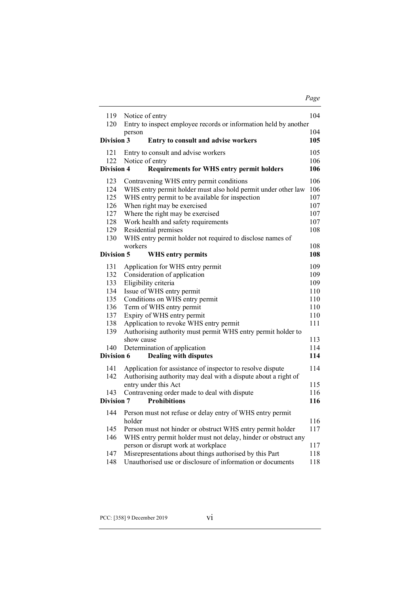| 119               | Notice of entry                                                      | 104 |  |
|-------------------|----------------------------------------------------------------------|-----|--|
| 120               | Entry to inspect employee records or information held by another     |     |  |
|                   | person                                                               | 104 |  |
| <b>Division 3</b> | Entry to consult and advise workers                                  | 105 |  |
| 121               | Entry to consult and advise workers                                  | 105 |  |
| 122               | Notice of entry                                                      | 106 |  |
| <b>Division 4</b> | <b>Requirements for WHS entry permit holders</b>                     | 106 |  |
| 123               | Contravening WHS entry permit conditions                             | 106 |  |
| 124               | WHS entry permit holder must also hold permit under other law        | 106 |  |
| 125               | WHS entry permit to be available for inspection                      | 107 |  |
| 126               | When right may be exercised                                          | 107 |  |
| 127               | Where the right may be exercised                                     | 107 |  |
| 128               | Work health and safety requirements                                  | 107 |  |
| 129               | Residential premises                                                 | 108 |  |
| 130               | WHS entry permit holder not required to disclose names of            |     |  |
|                   | workers                                                              | 108 |  |
| Division 5        | <b>WHS entry permits</b>                                             | 108 |  |
| 131               |                                                                      | 109 |  |
| 132               | Application for WHS entry permit                                     | 109 |  |
| 133               | Consideration of application                                         | 109 |  |
| 134               | Eligibility criteria                                                 | 110 |  |
| 135               | Issue of WHS entry permit<br>Conditions on WHS entry permit          | 110 |  |
| 136               | Term of WHS entry permit                                             | 110 |  |
| 137               |                                                                      | 110 |  |
| 138               | Expiry of WHS entry permit<br>Application to revoke WHS entry permit | 111 |  |
| 139               | Authorising authority must permit WHS entry permit holder to         |     |  |
|                   | show cause                                                           | 113 |  |
| 140               | Determination of application                                         | 114 |  |
| Division 6        | <b>Dealing with disputes</b>                                         | 114 |  |
|                   |                                                                      |     |  |
| 141               | Application for assistance of inspector to resolve dispute           | 114 |  |
| 142               | Authorising authority may deal with a dispute about a right of       |     |  |
|                   | entry under this Act                                                 | 115 |  |
| 143               | Contravening order made to deal with dispute                         | 116 |  |
| Division 7        | <b>Prohibitions</b>                                                  | 116 |  |
| 144               | Person must not refuse or delay entry of WHS entry permit            |     |  |
|                   | holder                                                               | 116 |  |
| 145               | Person must not hinder or obstruct WHS entry permit holder           | 117 |  |
| 146               | WHS entry permit holder must not delay, hinder or obstruct any       |     |  |
|                   | person or disrupt work at workplace                                  | 117 |  |
| 147               | Misrepresentations about things authorised by this Part              | 118 |  |
| 148               | Unauthorised use or disclosure of information or documents           | 118 |  |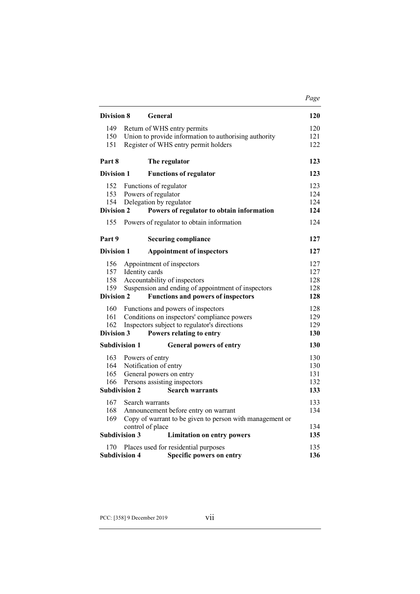| Division 8                                                                                                                                                                                       | General                                                                                                                                                                        | 120                             |
|--------------------------------------------------------------------------------------------------------------------------------------------------------------------------------------------------|--------------------------------------------------------------------------------------------------------------------------------------------------------------------------------|---------------------------------|
| 149<br>150<br>151                                                                                                                                                                                | Return of WHS entry permits<br>Union to provide information to authorising authority<br>Register of WHS entry permit holders                                                   |                                 |
| Part 8                                                                                                                                                                                           | The regulator                                                                                                                                                                  | 123                             |
| <b>Division 1</b>                                                                                                                                                                                | <b>Functions of regulator</b>                                                                                                                                                  | 123                             |
| 152<br>153<br>154<br><b>Division 2</b>                                                                                                                                                           | Functions of regulator<br>Powers of regulator<br>Delegation by regulator<br>Powers of regulator to obtain information                                                          | 123<br>124<br>124<br>124        |
| 155                                                                                                                                                                                              | Powers of regulator to obtain information                                                                                                                                      | 124                             |
| Part 9                                                                                                                                                                                           | <b>Securing compliance</b>                                                                                                                                                     | 127                             |
| <b>Division 1</b><br><b>Appointment of inspectors</b>                                                                                                                                            |                                                                                                                                                                                | 127                             |
| 156<br>157<br>158<br>159<br><b>Division 2</b>                                                                                                                                                    | Appointment of inspectors<br>Identity cards<br>Accountability of inspectors<br>Suspension and ending of appointment of inspectors<br><b>Functions and powers of inspectors</b> | 127<br>127<br>128<br>128<br>128 |
| 160<br>Functions and powers of inspectors<br>161<br>Conditions on inspectors' compliance powers<br>162<br>Inspectors subject to regulator's directions<br>Division 3<br>Powers relating to entry |                                                                                                                                                                                | 128<br>129<br>129<br>130        |
|                                                                                                                                                                                                  | <b>Subdivision 1</b><br><b>General powers of entry</b>                                                                                                                         | 130                             |
| 163<br>164<br>165<br>166                                                                                                                                                                         | Powers of entry<br>Notification of entry<br>General powers on entry<br>Persons assisting inspectors<br><b>Subdivision 2</b><br><b>Search warrants</b>                          | 130<br>130<br>131<br>132<br>133 |
| 167<br>168<br>169                                                                                                                                                                                | Search warrants<br>Announcement before entry on warrant<br>Copy of warrant to be given to person with management or                                                            |                                 |
|                                                                                                                                                                                                  | control of place                                                                                                                                                               |                                 |
|                                                                                                                                                                                                  | <b>Subdivision 3</b><br><b>Limitation on entry powers</b>                                                                                                                      | 135                             |
| 170                                                                                                                                                                                              | Places used for residential purposes<br><b>Subdivision 4</b><br>Specific powers on entry                                                                                       | 135<br>136                      |

*Page*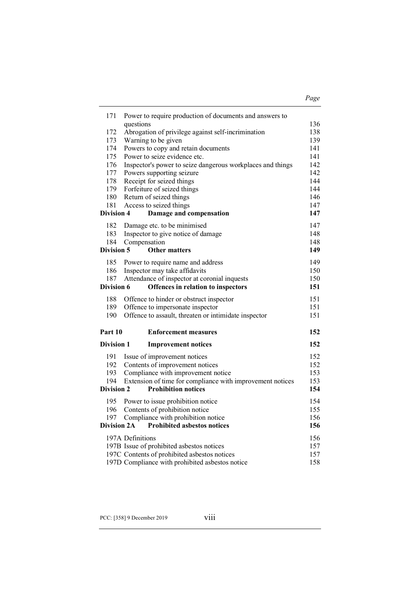## *Page*

| 171                | Power to require production of documents and answers to             |            |  |
|--------------------|---------------------------------------------------------------------|------------|--|
|                    | questions                                                           | 136        |  |
| 172                | Abrogation of privilege against self-incrimination                  | 138        |  |
| 173                | Warning to be given                                                 | 139        |  |
| 174<br>175         | Powers to copy and retain documents<br>Power to seize evidence etc. | 141<br>141 |  |
| 176                | Inspector's power to seize dangerous workplaces and things          | 142        |  |
| 177                | Powers supporting seizure                                           | 142        |  |
| 178                | Receipt for seized things                                           | 144        |  |
| 179                |                                                                     | 144        |  |
| 180                | Forfeiture of seized things<br>Return of seized things              |            |  |
| 181                | Access to seized things                                             | 146<br>147 |  |
| <b>Division 4</b>  | Damage and compensation                                             | 147        |  |
|                    |                                                                     |            |  |
| 182                | Damage etc. to be minimised                                         | 147        |  |
| 183                | Inspector to give notice of damage                                  | 148        |  |
| 184                | Compensation                                                        | 148        |  |
| Division 5         | <b>Other matters</b>                                                | 149        |  |
| 185                | Power to require name and address                                   | 149        |  |
| 186                | Inspector may take affidavits                                       | 150        |  |
| 187                | Attendance of inspector at coronial inquests                        | 150        |  |
| Division 6         | Offences in relation to inspectors                                  | 151        |  |
| 188                | Offence to hinder or obstruct inspector                             | 151        |  |
| 189                | Offence to impersonate inspector                                    | 151        |  |
| 190                | Offence to assault, threaten or intimidate inspector                | 151        |  |
| Part 10            | <b>Enforcement measures</b>                                         | 152        |  |
|                    |                                                                     |            |  |
| <b>Division 1</b>  | <b>Improvement notices</b>                                          | 152        |  |
| 191                | Issue of improvement notices                                        | 152        |  |
| 192                | Contents of improvement notices                                     | 152        |  |
| 193                | Compliance with improvement notice                                  | 153        |  |
| 194                | Extension of time for compliance with improvement notices           | 153        |  |
| <b>Division 2</b>  | <b>Prohibition notices</b>                                          | 154        |  |
| 195                | Power to issue prohibition notice                                   | 154        |  |
| 196                | Contents of prohibition notice                                      | 155        |  |
| 197                | Compliance with prohibition notice                                  | 156        |  |
| <b>Division 2A</b> | <b>Prohibited asbestos notices</b>                                  | 156        |  |
|                    |                                                                     |            |  |
|                    | 197A Definitions                                                    | 156<br>157 |  |
|                    | 197B Issue of prohibited asbestos notices                           | 157        |  |
|                    | 197C Contents of prohibited asbestos notices                        | 158        |  |
|                    | 197D Compliance with prohibited asbestos notice                     |            |  |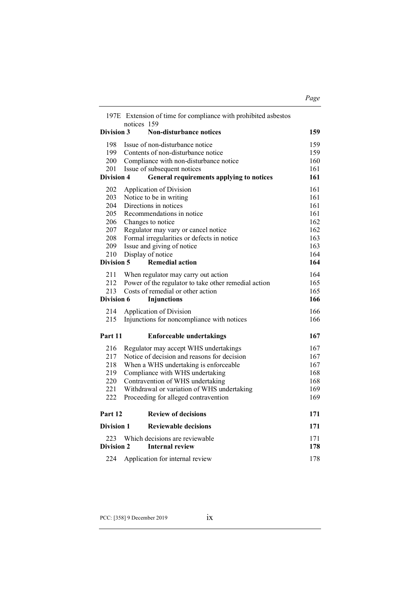|                   | 197E Extension of time for compliance with prohibited asbestos<br>notices 159 |     |
|-------------------|-------------------------------------------------------------------------------|-----|
| Division 3        | <b>Non-disturbance notices</b>                                                | 159 |
| 198               | Issue of non-disturbance notice                                               | 159 |
| 199               | Contents of non-disturbance notice                                            | 159 |
| 200               | Compliance with non-disturbance notice                                        | 160 |
| 201               | Issue of subsequent notices                                                   | 161 |
| Division 4        | General requirements applying to notices                                      | 161 |
| 202               | Application of Division                                                       | 161 |
| 203               | Notice to be in writing                                                       | 161 |
| 204               | Directions in notices                                                         | 161 |
| 205               | Recommendations in notice                                                     | 161 |
| 206               | Changes to notice                                                             | 162 |
| 207               | Regulator may vary or cancel notice                                           | 162 |
| 208               | Formal irregularities or defects in notice                                    | 163 |
| 209               | Issue and giving of notice                                                    | 163 |
| 210               | Display of notice                                                             | 164 |
| <b>Division 5</b> | <b>Remedial action</b>                                                        | 164 |
| 211               | When regulator may carry out action                                           | 164 |
| 212               | Power of the regulator to take other remedial action                          | 165 |
| 213               | Costs of remedial or other action                                             | 165 |
| <b>Division 6</b> | <b>Injunctions</b>                                                            | 166 |
| 214               | Application of Division                                                       | 166 |
| 215               | Injunctions for noncompliance with notices                                    | 166 |
| Part 11           | <b>Enforceable undertakings</b>                                               | 167 |
| 216               | Regulator may accept WHS undertakings                                         | 167 |
| 217               | Notice of decision and reasons for decision                                   | 167 |
| 218               | When a WHS undertaking is enforceable                                         | 167 |
| 219               | Compliance with WHS undertaking                                               | 168 |
| 220               | Contravention of WHS undertaking                                              | 168 |
| 221               | Withdrawal or variation of WHS undertaking                                    | 169 |
| 222               | Proceeding for alleged contravention                                          | 169 |
| Part 12           | <b>Review of decisions</b>                                                    | 171 |
| Division 1        | <b>Reviewable decisions</b>                                                   | 171 |
| 223               | Which decisions are reviewable                                                | 171 |
| Division 2        | <b>Internal review</b>                                                        | 178 |
|                   |                                                                               |     |

224 Application for internal review 178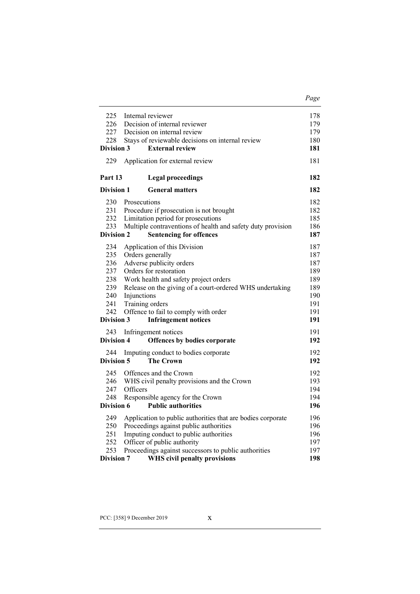| 225                                                                              | Internal reviewer                                                                                                                                                                                                                                                                                                    | 178                                                                |
|----------------------------------------------------------------------------------|----------------------------------------------------------------------------------------------------------------------------------------------------------------------------------------------------------------------------------------------------------------------------------------------------------------------|--------------------------------------------------------------------|
| 226                                                                              | Decision of internal reviewer                                                                                                                                                                                                                                                                                        | 179                                                                |
| 227                                                                              | Decision on internal review                                                                                                                                                                                                                                                                                          | 179                                                                |
| 228                                                                              | Stays of reviewable decisions on internal review                                                                                                                                                                                                                                                                     | 180                                                                |
| <b>Division 3</b>                                                                | <b>External review</b>                                                                                                                                                                                                                                                                                               | 181                                                                |
| 229                                                                              | Application for external review                                                                                                                                                                                                                                                                                      | 181                                                                |
| Part 13                                                                          | <b>Legal proceedings</b>                                                                                                                                                                                                                                                                                             | 182                                                                |
| <b>Division 1</b>                                                                | <b>General matters</b>                                                                                                                                                                                                                                                                                               | 182                                                                |
| 230<br>231<br>232<br>233<br><b>Division 2</b>                                    | Prosecutions<br>Procedure if prosecution is not brought<br>Limitation period for prosecutions<br>Multiple contraventions of health and safety duty provision<br><b>Sentencing for offences</b>                                                                                                                       | 182<br>182<br>185<br>186<br>187                                    |
| 234<br>235<br>236<br>237<br>238<br>239<br>240<br>241<br>242<br><b>Division 3</b> | Application of this Division<br>Orders generally<br>Adverse publicity orders<br>Orders for restoration<br>Work health and safety project orders<br>Release on the giving of a court-ordered WHS undertaking<br>Injunctions<br>Training orders<br>Offence to fail to comply with order<br><b>Infringement notices</b> | 187<br>187<br>187<br>189<br>189<br>189<br>190<br>191<br>191<br>191 |
|                                                                                  |                                                                                                                                                                                                                                                                                                                      |                                                                    |
| 243<br><b>Division 4</b>                                                         | Infringement notices<br>Offences by bodies corporate                                                                                                                                                                                                                                                                 | 191<br>192                                                         |
|                                                                                  |                                                                                                                                                                                                                                                                                                                      |                                                                    |
| 244<br>Division 5                                                                | Imputing conduct to bodies corporate<br><b>The Crown</b>                                                                                                                                                                                                                                                             | 192<br>192                                                         |
| 245<br>246<br>247<br>248<br>Division 6                                           | Offences and the Crown<br>WHS civil penalty provisions and the Crown<br>Officers<br>Responsible agency for the Crown<br><b>Public authorities</b>                                                                                                                                                                    | 192<br>193<br>194<br>194<br>196                                    |
| 249<br>250<br>251<br>252<br>253<br><b>Division 7</b>                             | Application to public authorities that are bodies corporate<br>Proceedings against public authorities<br>Imputing conduct to public authorities<br>Officer of public authority<br>Proceedings against successors to public authorities<br>WHS civil penalty provisions                                               | 196<br>196<br>196<br>197<br>197<br>198                             |

*Page*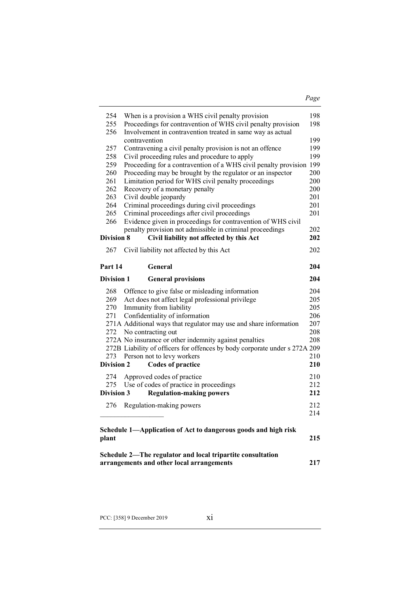|--|--|

| 254<br>255                      | When is a provision a WHS civil penalty provision<br>Proceedings for contravention of WHS civil penalty provision                                                                                                                                           | 198<br>198                      |
|---------------------------------|-------------------------------------------------------------------------------------------------------------------------------------------------------------------------------------------------------------------------------------------------------------|---------------------------------|
| 256<br>257                      | Involvement in contravention treated in same way as actual<br>contravention<br>Contravening a civil penalty provision is not an offence                                                                                                                     | 199<br>199                      |
| 258                             | Civil proceeding rules and procedure to apply                                                                                                                                                                                                               | 199                             |
| 259                             | Proceeding for a contravention of a WHS civil penalty provision 199                                                                                                                                                                                         |                                 |
| 260                             | Proceeding may be brought by the regulator or an inspector                                                                                                                                                                                                  | 200                             |
| 261                             | Limitation period for WHS civil penalty proceedings                                                                                                                                                                                                         | 200                             |
| 262                             | Recovery of a monetary penalty                                                                                                                                                                                                                              | 200                             |
| 263                             | Civil double jeopardy                                                                                                                                                                                                                                       | 201                             |
| 264                             | Criminal proceedings during civil proceedings                                                                                                                                                                                                               | 201                             |
| 265<br>266                      | Criminal proceedings after civil proceedings                                                                                                                                                                                                                | 201                             |
|                                 | Evidence given in proceedings for contravention of WHS civil<br>penalty provision not admissible in criminal proceedings                                                                                                                                    | 202                             |
| <b>Division 8</b>               | Civil liability not affected by this Act                                                                                                                                                                                                                    | 202                             |
| 267                             | Civil liability not affected by this Act                                                                                                                                                                                                                    | 202                             |
| Part 14                         | General                                                                                                                                                                                                                                                     | 204                             |
| Division 1                      | <b>General provisions</b>                                                                                                                                                                                                                                   | 204                             |
| 268<br>269<br>270<br>271        | Offence to give false or misleading information<br>Act does not affect legal professional privilege<br>Immunity from liability<br>Confidentiality of information<br>271A Additional ways that regulator may use and share information<br>No contracting out | 204<br>205<br>205<br>206<br>207 |
| 272<br>273<br><b>Division 2</b> | 272A No insurance or other indemnity against penalties<br>272B Liability of officers for offences by body corporate under s 272A 209<br>Person not to levy workers<br><b>Codes of practice</b>                                                              | 208<br>208<br>210<br>210        |
| 274                             | Approved codes of practice                                                                                                                                                                                                                                  |                                 |
| 275                             | Use of codes of practice in proceedings                                                                                                                                                                                                                     | 210<br>212                      |
| Division 3                      | <b>Regulation-making powers</b>                                                                                                                                                                                                                             | 212                             |
| 276                             | Regulation-making powers                                                                                                                                                                                                                                    | 214                             |
| plant                           | Schedule 1-Application of Act to dangerous goods and high risk                                                                                                                                                                                              | 212<br>215                      |

**arrangements and other local arrangements 217**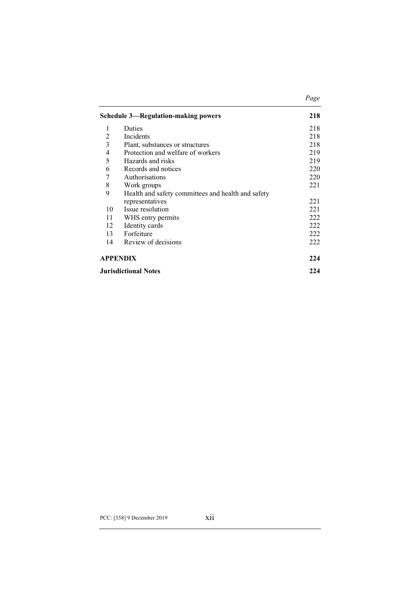|           | <b>Schedule 3—Regulation-making powers</b>         | 218 |
|-----------|----------------------------------------------------|-----|
| 1         | Duties                                             | 218 |
| 2         | Incidents                                          | 218 |
| 3         | Plant, substances or structures                    | 218 |
| 4         | Protection and welfare of workers                  | 219 |
| 5         | Hazards and risks                                  | 219 |
| 6         | Records and notices                                | 220 |
| 7         | Authorisations                                     | 220 |
| $\,$ $\,$ | Work groups                                        | 221 |
| 9         | Health and safety committees and health and safety |     |
|           | representatives                                    | 221 |
| 10        | Issue resolution                                   | 221 |
| 11        | WHS entry permits                                  | 222 |
| 12        | Identity cards                                     | 222 |
| 13        | Forfeiture                                         | 222 |
| 14        | Review of decisions                                | 222 |
|           | <b>APPENDIX</b>                                    | 224 |
|           | <b>Jurisdictional Notes</b>                        | 224 |

*Page*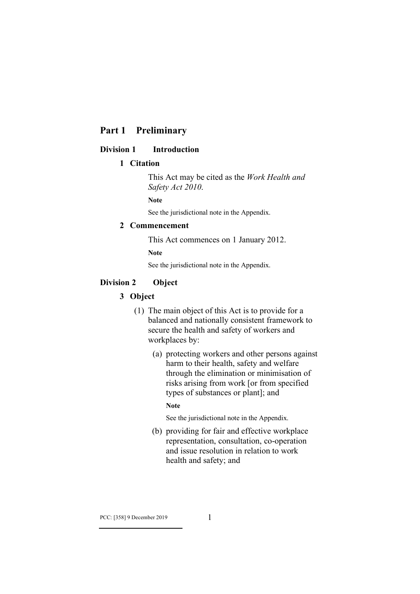# **Part 1 Preliminary**

#### **Division 1 Introduction**

## **1 Citation**

This Act may be cited as the *Work Health and Safety Act 2010*.

**Note**

See the jurisdictional note in the Appendix.

#### **2 Commencement**

This Act commences on 1 January 2012.

**Note**

See the jurisdictional note in the Appendix.

## **Division 2 Object**

## **3 Object**

- (1) The main object of this Act is to provide for a balanced and nationally consistent framework to secure the health and safety of workers and workplaces by:
	- (a) protecting workers and other persons against harm to their health, safety and welfare through the elimination or minimisation of risks arising from work [or from specified types of substances or plant]; and

#### **Note**

See the jurisdictional note in the Appendix.

(b) providing for fair and effective workplace representation, consultation, co-operation and issue resolution in relation to work health and safety; and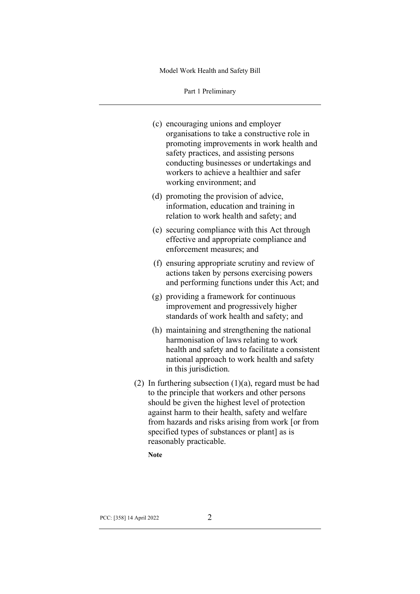Part 1 Preliminary

|  | (c) encouraging unions and employer<br>organisations to take a constructive role in<br>promoting improvements in work health and<br>safety practices, and assisting persons<br>conducting businesses or undertakings and<br>workers to achieve a healthier and safer<br>working environment; and                                                      |
|--|-------------------------------------------------------------------------------------------------------------------------------------------------------------------------------------------------------------------------------------------------------------------------------------------------------------------------------------------------------|
|  | (d) promoting the provision of advice,<br>information, education and training in<br>relation to work health and safety; and                                                                                                                                                                                                                           |
|  | (e) securing compliance with this Act through<br>effective and appropriate compliance and<br>enforcement measures; and                                                                                                                                                                                                                                |
|  | (f) ensuring appropriate scrutiny and review of<br>actions taken by persons exercising powers<br>and performing functions under this Act; and                                                                                                                                                                                                         |
|  | (g) providing a framework for continuous<br>improvement and progressively higher<br>standards of work health and safety; and                                                                                                                                                                                                                          |
|  | (h) maintaining and strengthening the national<br>harmonisation of laws relating to work<br>health and safety and to facilitate a consistent<br>national approach to work health and safety<br>in this jurisdiction.                                                                                                                                  |
|  | (2) In furthering subsection $(1)(a)$ , regard must be had<br>to the principle that workers and other persons<br>should be given the highest level of protection<br>against harm to their health, safety and welfare<br>from hazards and risks arising from work [or from<br>specified types of substances or plant] as is<br>reasonably practicable. |

**Note**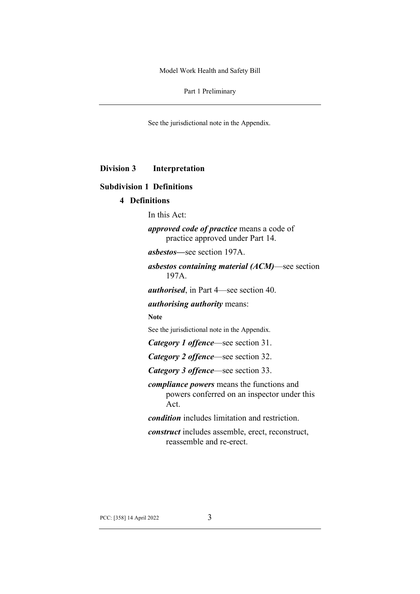Part 1 Preliminary

See the jurisdictional note in the Appendix.

**Division 3 Interpretation**

## **Subdivision 1 Definitions**

# **4 Definitions**

In this Act:

*approved code of practice* means a code of practice approved under Part 14.

*asbestos—*see section 197A.

*asbestos containing material (ACM)*—see section 197A.

*authorised*, in Part 4—see section 40.

*authorising authority* means:

#### **Note**

See the jurisdictional note in the Appendix.

*Category 1 offence*—see section 31.

*Category 2 offence*—see section 32.

*Category 3 offence*—see section 33.

*compliance powers* means the functions and powers conferred on an inspector under this Act.

*condition* includes limitation and restriction.

*construct* includes assemble, erect, reconstruct, reassemble and re-erect.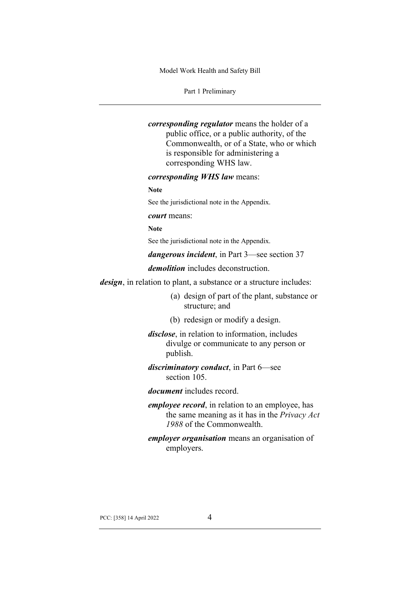Part 1 Preliminary

*corresponding regulator* means the holder of a public office, or a public authority, of the Commonwealth, or of a State, who or which is responsible for administering a corresponding WHS law.

*corresponding WHS law* means:

**Note**

See the jurisdictional note in the Appendix.

#### *court* means:

**Note**

See the jurisdictional note in the Appendix.

*dangerous incident*, in Part 3—see section 37

*demolition* includes deconstruction.

*design*, in relation to plant, a substance or a structure includes:

- (a) design of part of the plant, substance or structure; and
- (b) redesign or modify a design.

*disclose*, in relation to information, includes divulge or communicate to any person or publish.

*discriminatory conduct*, in Part 6—see section 105.

*document* includes record.

*employee record*, in relation to an employee, has the same meaning as it has in the *Privacy Act 1988* of the Commonwealth.

*employer organisation* means an organisation of employers.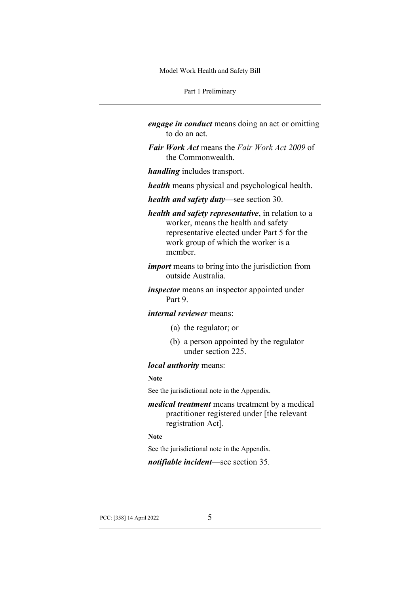Part 1 Preliminary

- *engage in conduct* means doing an act or omitting to do an act.
- *Fair Work Act* means the *Fair Work Act 2009* of the Commonwealth.
- *handling* includes transport.
- *health* means physical and psychological health.
- *health and safety duty*—see section 30.
- *health and safety representative*, in relation to a worker, means the health and safety representative elected under Part 5 for the work group of which the worker is a member.
- *import* means to bring into the jurisdiction from outside Australia.
- *inspector* means an inspector appointed under Part 9.

## *internal reviewer* means:

- (a) the regulator; or
- (b) a person appointed by the regulator under section 225.

## *local authority* means:

#### **Note**

See the jurisdictional note in the Appendix.

*medical treatment* means treatment by a medical practitioner registered under [the relevant registration Act].

#### **Note**

See the jurisdictional note in the Appendix.

#### *notifiable incident*—see section 35.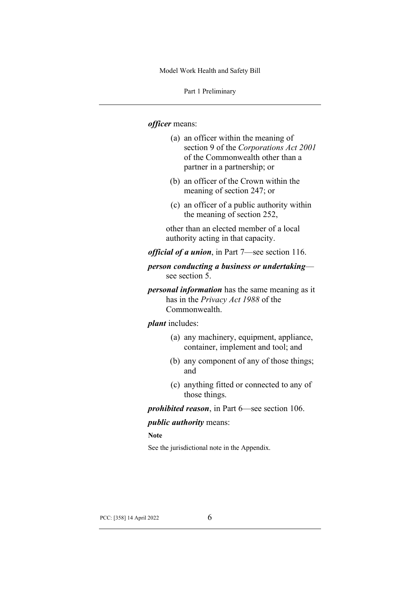Part 1 Preliminary

#### *officer* means:

- (a) an officer within the meaning of section 9 of the *Corporations Act 2001* of the Commonwealth other than a partner in a partnership; or
- (b) an officer of the Crown within the meaning of section 247; or
- (c) an officer of a public authority within the meaning of section 252,

other than an elected member of a local authority acting in that capacity.

*official of a union*, in Part 7—see section 116.

*person conducting a business or undertaking* see section 5.

*personal information* has the same meaning as it has in the *Privacy Act 1988* of the Commonwealth.

#### *plant* includes:

- (a) any machinery, equipment, appliance, container, implement and tool; and
- (b) any component of any of those things; and
- (c) anything fitted or connected to any of those things.

*prohibited reason*, in Part 6—see section 106.

#### *public authority* means:

**Note**

See the jurisdictional note in the Appendix.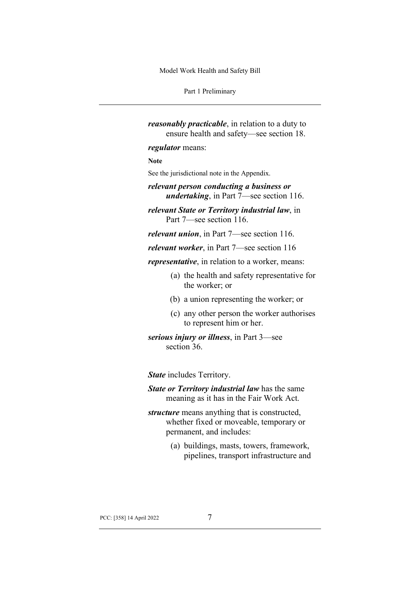Part 1 Preliminary

*reasonably practicable*, in relation to a duty to ensure health and safety—see section 18. *regulator* means: **Note** See the jurisdictional note in the Appendix. *relevant person conducting a business or undertaking*, in Part 7—see section 116.

*relevant State or Territory industrial law*, in Part 7—see section 116.

*relevant union*, in Part 7—see section 116.

*relevant worker*, in Part 7—see section 116

*representative*, in relation to a worker, means:

- (a) the health and safety representative for the worker; or
- (b) a union representing the worker; or
- (c) any other person the worker authorises to represent him or her.

*serious injury or illness*, in Part 3—see section 36.

*State* includes Territory.

*State or Territory industrial law* has the same meaning as it has in the Fair Work Act.

- *structure* means anything that is constructed, whether fixed or moveable, temporary or permanent, and includes:
	- (a) buildings, masts, towers, framework, pipelines, transport infrastructure and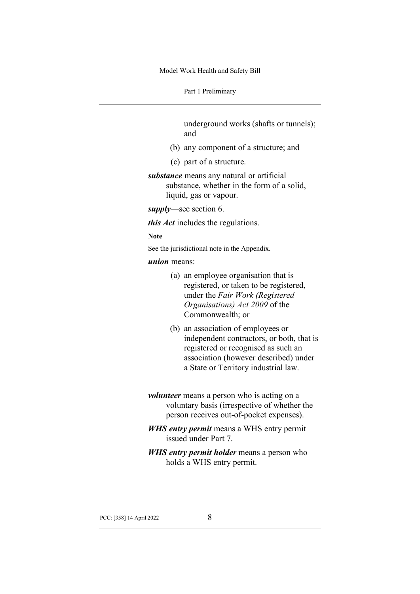Part 1 Preliminary

underground works (shafts or tunnels); and

- (b) any component of a structure; and
- (c) part of a structure.
- *substance* means any natural or artificial substance, whether in the form of a solid, liquid, gas or vapour.

*supply*—see section 6.

*this Act* includes the regulations.

**Note**

See the jurisdictional note in the Appendix.

#### *union* means:

- (a) an employee organisation that is registered, or taken to be registered, under the *Fair Work (Registered Organisations) Act 2009* of the Commonwealth; or
- (b) an association of employees or independent contractors, or both, that is registered or recognised as such an association (however described) under a State or Territory industrial law.
- *volunteer* means a person who is acting on a voluntary basis (irrespective of whether the person receives out-of-pocket expenses).
- *WHS entry permit* means a WHS entry permit issued under Part 7.
- *WHS entry permit holder* means a person who holds a WHS entry permit.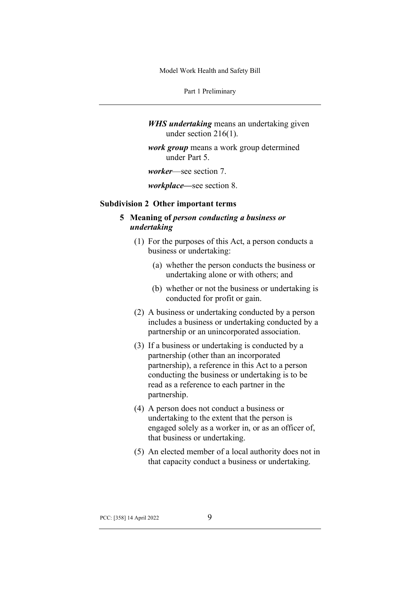Part 1 Preliminary

*WHS undertaking* means an undertaking given under section 216(1).

*work group* means a work group determined under Part 5.

*worker*—see section 7.

*workplace—*see section 8.

#### **Subdivision 2 Other important terms**

# **5 Meaning of** *person conducting a business or undertaking*

- (1) For the purposes of this Act, a person conducts a business or undertaking:
	- (a) whether the person conducts the business or undertaking alone or with others; and
	- (b) whether or not the business or undertaking is conducted for profit or gain.
- (2) A business or undertaking conducted by a person includes a business or undertaking conducted by a partnership or an unincorporated association.
- (3) If a business or undertaking is conducted by a partnership (other than an incorporated partnership), a reference in this Act to a person conducting the business or undertaking is to be read as a reference to each partner in the partnership.
- (4) A person does not conduct a business or undertaking to the extent that the person is engaged solely as a worker in, or as an officer of, that business or undertaking.
- (5) An elected member of a local authority does not in that capacity conduct a business or undertaking.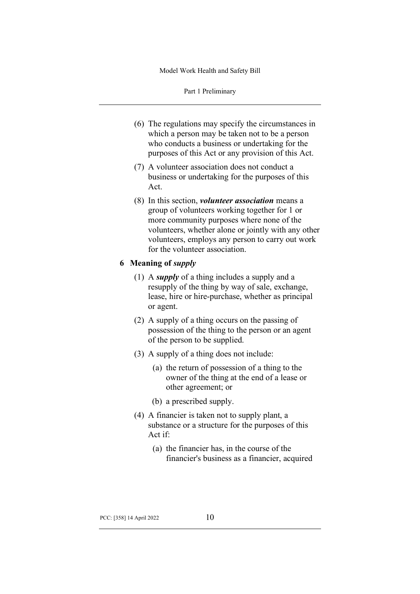Part 1 Preliminary

- (6) The regulations may specify the circumstances in which a person may be taken not to be a person who conducts a business or undertaking for the purposes of this Act or any provision of this Act.
- (7) A volunteer association does not conduct a business or undertaking for the purposes of this Act.
- (8) In this section, *volunteer association* means a group of volunteers working together for 1 or more community purposes where none of the volunteers, whether alone or jointly with any other volunteers, employs any person to carry out work for the volunteer association.

## **6 Meaning of** *supply*

- (1) A *supply* of a thing includes a supply and a resupply of the thing by way of sale, exchange, lease, hire or hire-purchase, whether as principal or agent.
- (2) A supply of a thing occurs on the passing of possession of the thing to the person or an agent of the person to be supplied.
- (3) A supply of a thing does not include:
	- (a) the return of possession of a thing to the owner of the thing at the end of a lease or other agreement; or
	- (b) a prescribed supply.
- (4) A financier is taken not to supply plant, a substance or a structure for the purposes of this Act if:
	- (a) the financier has, in the course of the financier's business as a financier, acquired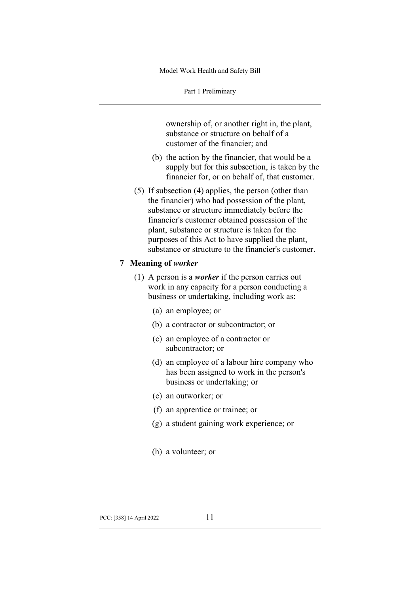Part 1 Preliminary

ownership of, or another right in, the plant, substance or structure on behalf of a customer of the financier; and

- (b) the action by the financier, that would be a supply but for this subsection, is taken by the financier for, or on behalf of, that customer.
- (5) If subsection (4) applies, the person (other than the financier) who had possession of the plant, substance or structure immediately before the financier's customer obtained possession of the plant, substance or structure is taken for the purposes of this Act to have supplied the plant, substance or structure to the financier's customer.

#### **7 Meaning of** *worker*

- (1) A person is a *worker* if the person carries out work in any capacity for a person conducting a business or undertaking, including work as:
	- (a) an employee; or
	- (b) a contractor or subcontractor; or
	- (c) an employee of a contractor or subcontractor; or
	- (d) an employee of a labour hire company who has been assigned to work in the person's business or undertaking; or
	- (e) an outworker; or
	- (f) an apprentice or trainee; or
	- (g) a student gaining work experience; or
	- (h) a volunteer; or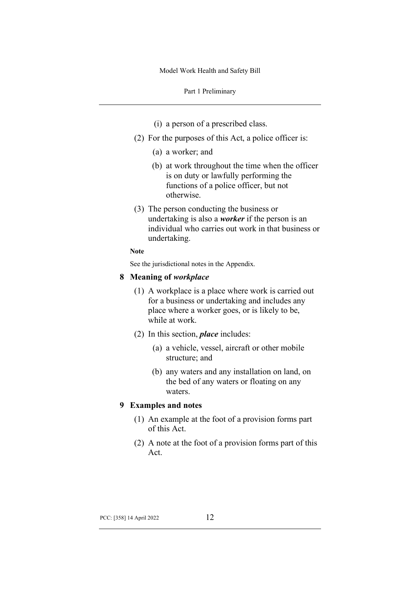Part 1 Preliminary

- (i) a person of a prescribed class.
- (2) For the purposes of this Act, a police officer is:
	- (a) a worker; and
	- (b) at work throughout the time when the officer is on duty or lawfully performing the functions of a police officer, but not otherwise.
- (3) The person conducting the business or undertaking is also a *worker* if the person is an individual who carries out work in that business or undertaking.
- **Note**

See the jurisdictional notes in the Appendix.

#### **8 Meaning of** *workplace*

- (1) A workplace is a place where work is carried out for a business or undertaking and includes any place where a worker goes, or is likely to be, while at work.
- (2) In this section, *place* includes:
	- (a) a vehicle, vessel, aircraft or other mobile structure; and
	- (b) any waters and any installation on land, on the bed of any waters or floating on any waters.

## **9 Examples and notes**

- (1) An example at the foot of a provision forms part of this Act.
- (2) A note at the foot of a provision forms part of this Act.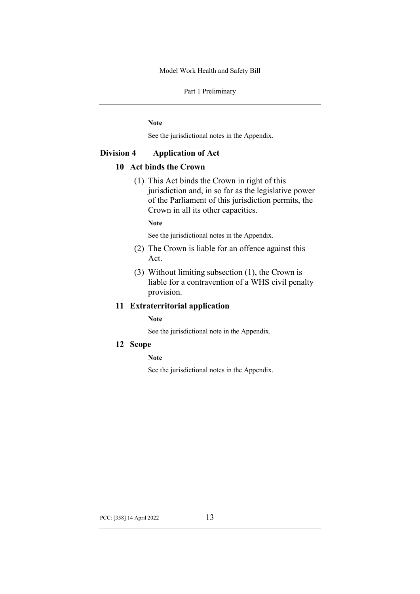Part 1 Preliminary

**Note**

See the jurisdictional notes in the Appendix.

## **Division 4 Application of Act**

## **10 Act binds the Crown**

(1) This Act binds the Crown in right of this jurisdiction and, in so far as the legislative power of the Parliament of this jurisdiction permits, the Crown in all its other capacities.

**Note**

See the jurisdictional notes in the Appendix.

- (2) The Crown is liable for an offence against this Act.
- (3) Without limiting subsection (1), the Crown is liable for a contravention of a WHS civil penalty provision.

## **11 Extraterritorial application**

**Note**

See the jurisdictional note in the Appendix.

**12 Scope**

#### **Note**

See the jurisdictional notes in the Appendix.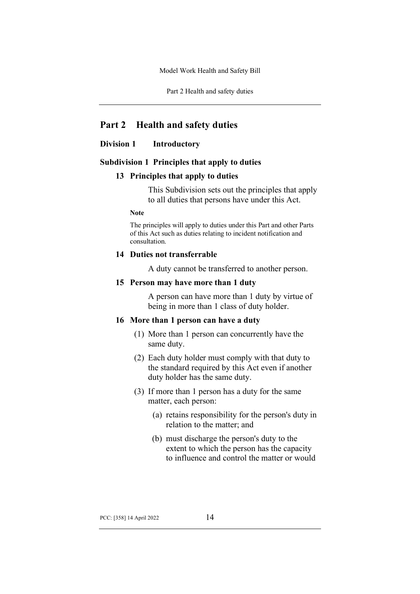Part 2 Health and safety duties

# **Part 2 Health and safety duties**

## **Division 1 Introductory**

#### **Subdivision 1 Principles that apply to duties**

#### **13 Principles that apply to duties**

This Subdivision sets out the principles that apply to all duties that persons have under this Act.

#### **Note**

The principles will apply to duties under this Part and other Parts of this Act such as duties relating to incident notification and consultation.

#### **14 Duties not transferrable**

A duty cannot be transferred to another person.

#### **15 Person may have more than 1 duty**

A person can have more than 1 duty by virtue of being in more than 1 class of duty holder.

## **16 More than 1 person can have a duty**

- (1) More than 1 person can concurrently have the same duty.
- (2) Each duty holder must comply with that duty to the standard required by this Act even if another duty holder has the same duty.
- (3) If more than 1 person has a duty for the same matter, each person:
	- (a) retains responsibility for the person's duty in relation to the matter; and
	- (b) must discharge the person's duty to the extent to which the person has the capacity to influence and control the matter or would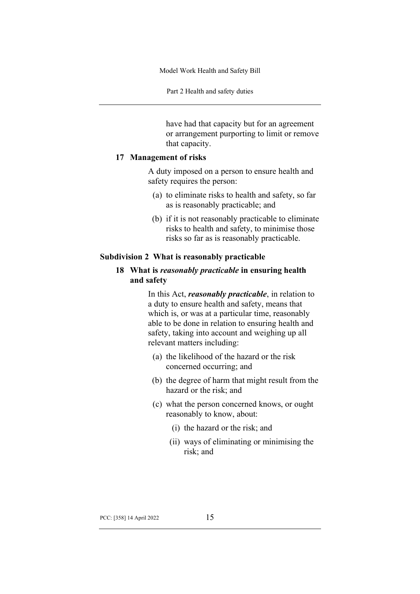Part 2 Health and safety duties

have had that capacity but for an agreement or arrangement purporting to limit or remove that capacity.

#### **17 Management of risks**

A duty imposed on a person to ensure health and safety requires the person:

- (a) to eliminate risks to health and safety, so far as is reasonably practicable; and
- (b) if it is not reasonably practicable to eliminate risks to health and safety, to minimise those risks so far as is reasonably practicable.

#### **Subdivision 2 What is reasonably practicable**

## **18 What is** *reasonably practicable* **in ensuring health and safety**

In this Act, *reasonably practicable*, in relation to a duty to ensure health and safety, means that which is, or was at a particular time, reasonably able to be done in relation to ensuring health and safety, taking into account and weighing up all relevant matters including:

- (a) the likelihood of the hazard or the risk concerned occurring; and
- (b) the degree of harm that might result from the hazard or the risk; and
- (c) what the person concerned knows, or ought reasonably to know, about:
	- (i) the hazard or the risk; and
	- (ii) ways of eliminating or minimising the risk; and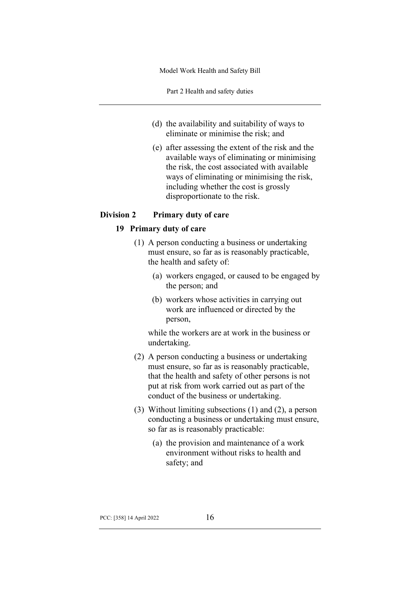Part 2 Health and safety duties

- (d) the availability and suitability of ways to eliminate or minimise the risk; and
- (e) after assessing the extent of the risk and the available ways of eliminating or minimising the risk, the cost associated with available ways of eliminating or minimising the risk, including whether the cost is grossly disproportionate to the risk.

## **Division 2 Primary duty of care**

## **19 Primary duty of care**

- (1) A person conducting a business or undertaking must ensure, so far as is reasonably practicable, the health and safety of:
	- (a) workers engaged, or caused to be engaged by the person; and
	- (b) workers whose activities in carrying out work are influenced or directed by the person,

while the workers are at work in the business or undertaking.

- (2) A person conducting a business or undertaking must ensure, so far as is reasonably practicable, that the health and safety of other persons is not put at risk from work carried out as part of the conduct of the business or undertaking.
- (3) Without limiting subsections (1) and (2), a person conducting a business or undertaking must ensure, so far as is reasonably practicable:
	- (a) the provision and maintenance of a work environment without risks to health and safety; and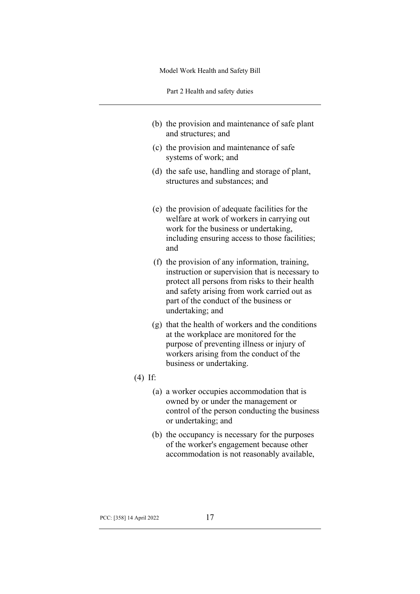Part 2 Health and safety duties

- (b) the provision and maintenance of safe plant and structures; and
- (c) the provision and maintenance of safe systems of work; and
- (d) the safe use, handling and storage of plant, structures and substances; and
- (e) the provision of adequate facilities for the welfare at work of workers in carrying out work for the business or undertaking, including ensuring access to those facilities; and
- (f) the provision of any information, training, instruction or supervision that is necessary to protect all persons from risks to their health and safety arising from work carried out as part of the conduct of the business or undertaking; and
- (g) that the health of workers and the conditions at the workplace are monitored for the purpose of preventing illness or injury of workers arising from the conduct of the business or undertaking.

## (4) If:

- (a) a worker occupies accommodation that is owned by or under the management or control of the person conducting the business or undertaking; and
- (b) the occupancy is necessary for the purposes of the worker's engagement because other accommodation is not reasonably available,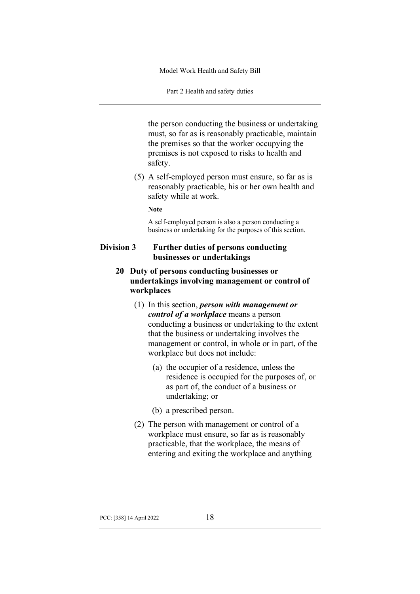Part 2 Health and safety duties

the person conducting the business or undertaking must, so far as is reasonably practicable, maintain the premises so that the worker occupying the premises is not exposed to risks to health and safety.

(5) A self-employed person must ensure, so far as is reasonably practicable, his or her own health and safety while at work.

**Note**

A self-employed person is also a person conducting a business or undertaking for the purposes of this section.

## **Division 3 Further duties of persons conducting businesses or undertakings**

- **20 Duty of persons conducting businesses or undertakings involving management or control of workplaces**
	- (1) In this section, *person with management or control of a workplace* means a person conducting a business or undertaking to the extent that the business or undertaking involves the management or control, in whole or in part, of the workplace but does not include:
		- (a) the occupier of a residence, unless the residence is occupied for the purposes of, or as part of, the conduct of a business or undertaking; or
		- (b) a prescribed person.
	- (2) The person with management or control of a workplace must ensure, so far as is reasonably practicable, that the workplace, the means of entering and exiting the workplace and anything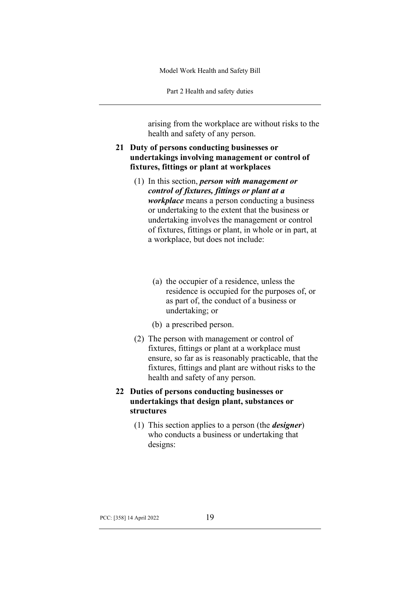Part 2 Health and safety duties

arising from the workplace are without risks to the health and safety of any person.

- **21 Duty of persons conducting businesses or undertakings involving management or control of fixtures, fittings or plant at workplaces**
	- (1) In this section, *person with management or control of fixtures, fittings or plant at a workplace* means a person conducting a business or undertaking to the extent that the business or undertaking involves the management or control of fixtures, fittings or plant, in whole or in part, at a workplace, but does not include:
		- (a) the occupier of a residence, unless the residence is occupied for the purposes of, or as part of, the conduct of a business or undertaking; or
		- (b) a prescribed person.
	- (2) The person with management or control of fixtures, fittings or plant at a workplace must ensure, so far as is reasonably practicable, that the fixtures, fittings and plant are without risks to the health and safety of any person.

# **22 Duties of persons conducting businesses or undertakings that design plant, substances or structures**

(1) This section applies to a person (the *designer*) who conducts a business or undertaking that designs: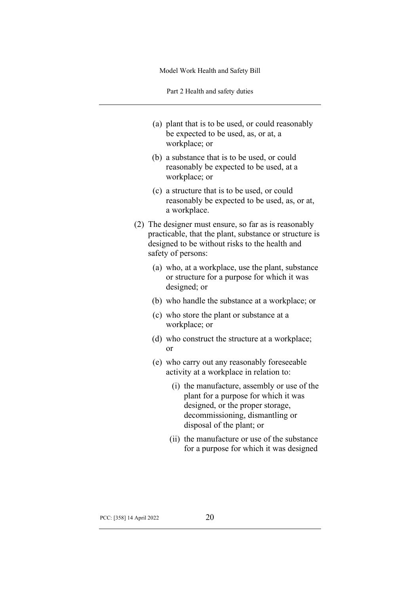Part 2 Health and safety duties

- (a) plant that is to be used, or could reasonably be expected to be used, as, or at, a workplace; or
- (b) a substance that is to be used, or could reasonably be expected to be used, at a workplace; or
- (c) a structure that is to be used, or could reasonably be expected to be used, as, or at, a workplace.
- (2) The designer must ensure, so far as is reasonably practicable, that the plant, substance or structure is designed to be without risks to the health and safety of persons:
	- (a) who, at a workplace, use the plant, substance or structure for a purpose for which it was designed; or
	- (b) who handle the substance at a workplace; or
	- (c) who store the plant or substance at a workplace; or
	- (d) who construct the structure at a workplace; or
	- (e) who carry out any reasonably foreseeable activity at a workplace in relation to:
		- (i) the manufacture, assembly or use of the plant for a purpose for which it was designed, or the proper storage, decommissioning, dismantling or disposal of the plant; or
		- (ii) the manufacture or use of the substance for a purpose for which it was designed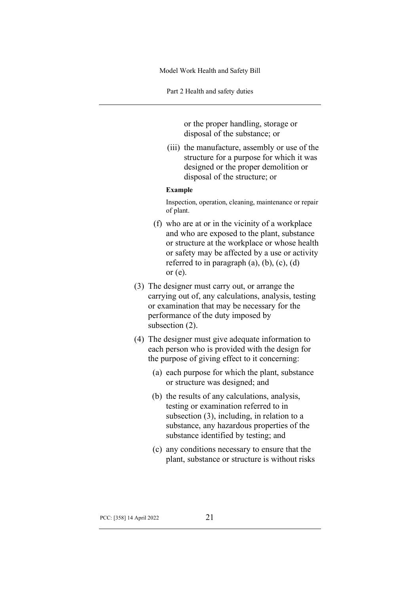Part 2 Health and safety duties

or the proper handling, storage or disposal of the substance; or

(iii) the manufacture, assembly or use of the structure for a purpose for which it was designed or the proper demolition or disposal of the structure; or

#### **Example**

Inspection, operation, cleaning, maintenance or repair of plant.

- (f) who are at or in the vicinity of a workplace and who are exposed to the plant, substance or structure at the workplace or whose health or safety may be affected by a use or activity referred to in paragraph  $(a)$ ,  $(b)$ ,  $(c)$ ,  $(d)$ or (e).
- (3) The designer must carry out, or arrange the carrying out of, any calculations, analysis, testing or examination that may be necessary for the performance of the duty imposed by subsection (2).
- (4) The designer must give adequate information to each person who is provided with the design for the purpose of giving effect to it concerning:
	- (a) each purpose for which the plant, substance or structure was designed; and
	- (b) the results of any calculations, analysis, testing or examination referred to in subsection (3), including, in relation to a substance, any hazardous properties of the substance identified by testing; and
	- (c) any conditions necessary to ensure that the plant, substance or structure is without risks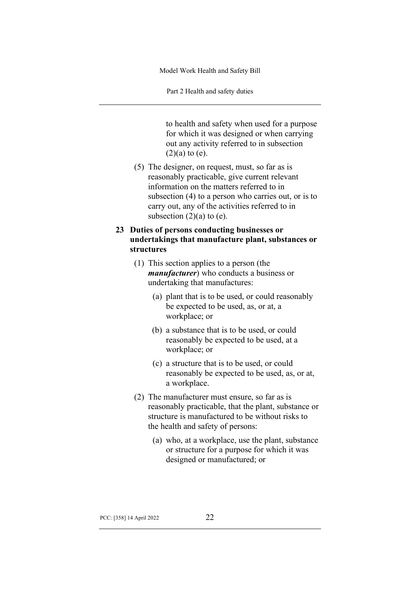Part 2 Health and safety duties

to health and safety when used for a purpose for which it was designed or when carrying out any activity referred to in subsection  $(2)(a)$  to  $(e)$ .

(5) The designer, on request, must, so far as is reasonably practicable, give current relevant information on the matters referred to in subsection (4) to a person who carries out, or is to carry out, any of the activities referred to in subsection  $(2)(a)$  to  $(e)$ .

## **23 Duties of persons conducting businesses or undertakings that manufacture plant, substances or structures**

- (1) This section applies to a person (the *manufacturer*) who conducts a business or undertaking that manufactures:
	- (a) plant that is to be used, or could reasonably be expected to be used, as, or at, a workplace; or
	- (b) a substance that is to be used, or could reasonably be expected to be used, at a workplace; or
	- (c) a structure that is to be used, or could reasonably be expected to be used, as, or at, a workplace.
- (2) The manufacturer must ensure, so far as is reasonably practicable, that the plant, substance or structure is manufactured to be without risks to the health and safety of persons:
	- (a) who, at a workplace, use the plant, substance or structure for a purpose for which it was designed or manufactured; or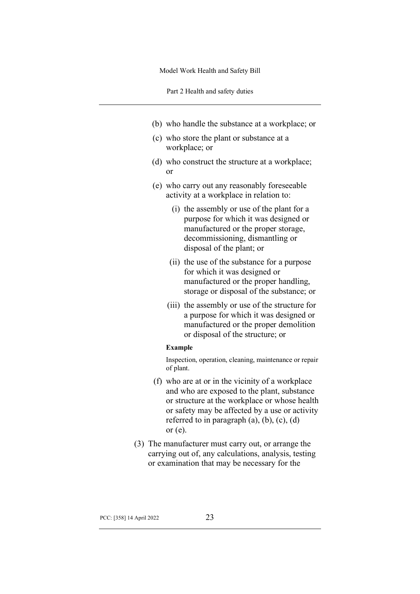Part 2 Health and safety duties

- (b) who handle the substance at a workplace; or
- (c) who store the plant or substance at a workplace; or
- (d) who construct the structure at a workplace; or
- (e) who carry out any reasonably foreseeable activity at a workplace in relation to:
	- (i) the assembly or use of the plant for a purpose for which it was designed or manufactured or the proper storage, decommissioning, dismantling or disposal of the plant; or
	- (ii) the use of the substance for a purpose for which it was designed or manufactured or the proper handling, storage or disposal of the substance; or
	- (iii) the assembly or use of the structure for a purpose for which it was designed or manufactured or the proper demolition or disposal of the structure; or

#### **Example**

Inspection, operation, cleaning, maintenance or repair of plant.

- (f) who are at or in the vicinity of a workplace and who are exposed to the plant, substance or structure at the workplace or whose health or safety may be affected by a use or activity referred to in paragraph  $(a)$ ,  $(b)$ ,  $(c)$ ,  $(d)$ or (e).
- (3) The manufacturer must carry out, or arrange the carrying out of, any calculations, analysis, testing or examination that may be necessary for the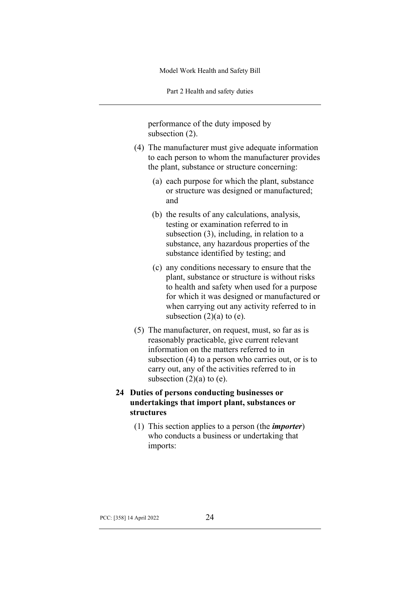Part 2 Health and safety duties

performance of the duty imposed by subsection (2).

- (4) The manufacturer must give adequate information to each person to whom the manufacturer provides the plant, substance or structure concerning:
	- (a) each purpose for which the plant, substance or structure was designed or manufactured; and
	- (b) the results of any calculations, analysis, testing or examination referred to in subsection (3), including, in relation to a substance, any hazardous properties of the substance identified by testing; and
	- (c) any conditions necessary to ensure that the plant, substance or structure is without risks to health and safety when used for a purpose for which it was designed or manufactured or when carrying out any activity referred to in subsection  $(2)(a)$  to  $(e)$ .
- (5) The manufacturer, on request, must, so far as is reasonably practicable, give current relevant information on the matters referred to in subsection (4) to a person who carries out, or is to carry out, any of the activities referred to in subsection  $(2)(a)$  to  $(e)$ .

# **24 Duties of persons conducting businesses or undertakings that import plant, substances or structures**

(1) This section applies to a person (the *importer*) who conducts a business or undertaking that imports: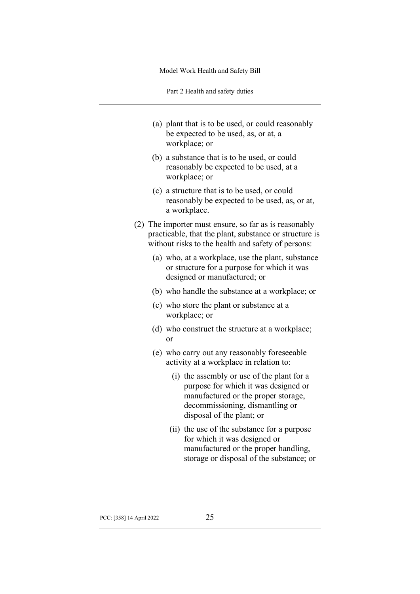Part 2 Health and safety duties

- (a) plant that is to be used, or could reasonably be expected to be used, as, or at, a workplace; or
- (b) a substance that is to be used, or could reasonably be expected to be used, at a workplace; or
- (c) a structure that is to be used, or could reasonably be expected to be used, as, or at, a workplace.
- (2) The importer must ensure, so far as is reasonably practicable, that the plant, substance or structure is without risks to the health and safety of persons:
	- (a) who, at a workplace, use the plant, substance or structure for a purpose for which it was designed or manufactured; or
	- (b) who handle the substance at a workplace; or
	- (c) who store the plant or substance at a workplace; or
	- (d) who construct the structure at a workplace; or
	- (e) who carry out any reasonably foreseeable activity at a workplace in relation to:
		- (i) the assembly or use of the plant for a purpose for which it was designed or manufactured or the proper storage, decommissioning, dismantling or disposal of the plant; or
		- (ii) the use of the substance for a purpose for which it was designed or manufactured or the proper handling, storage or disposal of the substance; or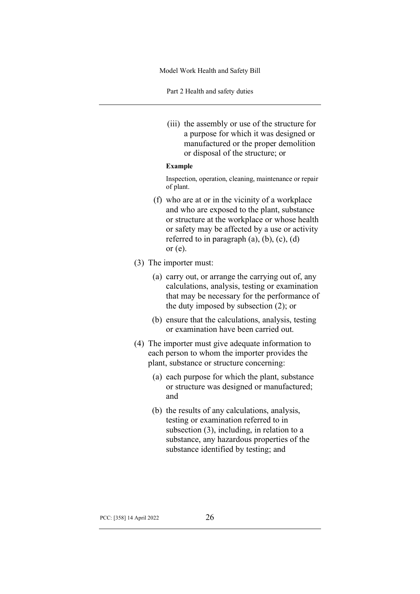Part 2 Health and safety duties

(iii) the assembly or use of the structure for a purpose for which it was designed or manufactured or the proper demolition or disposal of the structure; or

#### **Example**

Inspection, operation, cleaning, maintenance or repair of plant.

- (f) who are at or in the vicinity of a workplace and who are exposed to the plant, substance or structure at the workplace or whose health or safety may be affected by a use or activity referred to in paragraph  $(a)$ ,  $(b)$ ,  $(c)$ ,  $(d)$ or (e).
- (3) The importer must:
	- (a) carry out, or arrange the carrying out of, any calculations, analysis, testing or examination that may be necessary for the performance of the duty imposed by subsection (2); or
	- (b) ensure that the calculations, analysis, testing or examination have been carried out.
- (4) The importer must give adequate information to each person to whom the importer provides the plant, substance or structure concerning:
	- (a) each purpose for which the plant, substance or structure was designed or manufactured; and
	- (b) the results of any calculations, analysis, testing or examination referred to in subsection (3), including, in relation to a substance, any hazardous properties of the substance identified by testing; and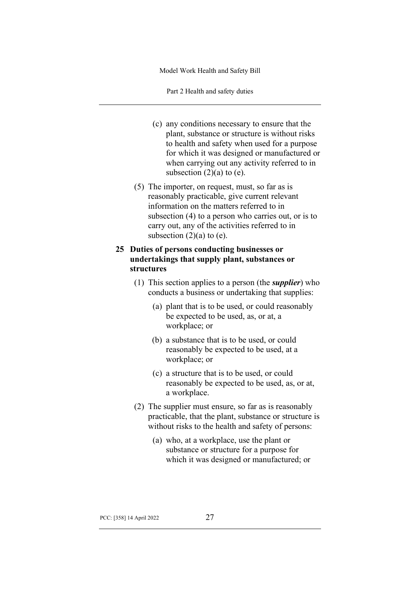Part 2 Health and safety duties

- (c) any conditions necessary to ensure that the plant, substance or structure is without risks to health and safety when used for a purpose for which it was designed or manufactured or when carrying out any activity referred to in subsection  $(2)(a)$  to  $(e)$ .
- (5) The importer, on request, must, so far as is reasonably practicable, give current relevant information on the matters referred to in subsection (4) to a person who carries out, or is to carry out, any of the activities referred to in subsection  $(2)(a)$  to  $(e)$ .

# **25 Duties of persons conducting businesses or undertakings that supply plant, substances or structures**

- (1) This section applies to a person (the *supplier*) who conducts a business or undertaking that supplies:
	- (a) plant that is to be used, or could reasonably be expected to be used, as, or at, a workplace; or
	- (b) a substance that is to be used, or could reasonably be expected to be used, at a workplace; or
	- (c) a structure that is to be used, or could reasonably be expected to be used, as, or at, a workplace.
- (2) The supplier must ensure, so far as is reasonably practicable, that the plant, substance or structure is without risks to the health and safety of persons:
	- (a) who, at a workplace, use the plant or substance or structure for a purpose for which it was designed or manufactured; or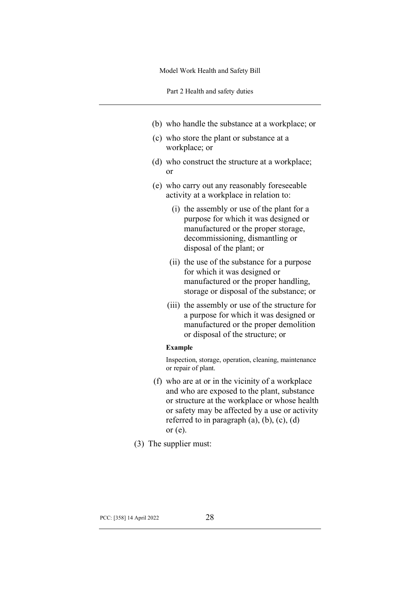Part 2 Health and safety duties

- (b) who handle the substance at a workplace; or
- (c) who store the plant or substance at a workplace; or
- (d) who construct the structure at a workplace; or
- (e) who carry out any reasonably foreseeable activity at a workplace in relation to:
	- (i) the assembly or use of the plant for a purpose for which it was designed or manufactured or the proper storage, decommissioning, dismantling or disposal of the plant; or
	- (ii) the use of the substance for a purpose for which it was designed or manufactured or the proper handling, storage or disposal of the substance; or
	- (iii) the assembly or use of the structure for a purpose for which it was designed or manufactured or the proper demolition or disposal of the structure; or

#### **Example**

Inspection, storage, operation, cleaning, maintenance or repair of plant.

- (f) who are at or in the vicinity of a workplace and who are exposed to the plant, substance or structure at the workplace or whose health or safety may be affected by a use or activity referred to in paragraph  $(a)$ ,  $(b)$ ,  $(c)$ ,  $(d)$ or (e).
- (3) The supplier must: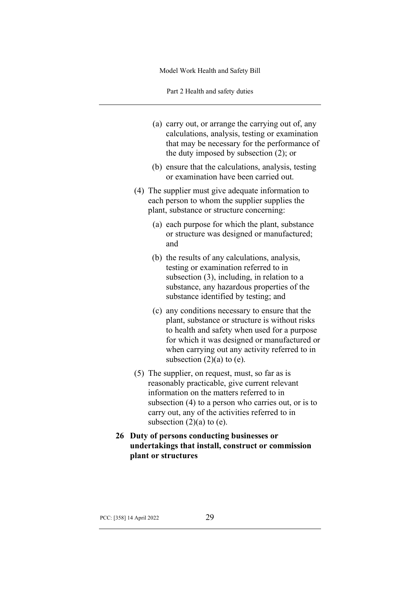Part 2 Health and safety duties

- (a) carry out, or arrange the carrying out of, any calculations, analysis, testing or examination that may be necessary for the performance of the duty imposed by subsection (2); or
- (b) ensure that the calculations, analysis, testing or examination have been carried out.
- (4) The supplier must give adequate information to each person to whom the supplier supplies the plant, substance or structure concerning:
	- (a) each purpose for which the plant, substance or structure was designed or manufactured; and
	- (b) the results of any calculations, analysis, testing or examination referred to in subsection (3), including, in relation to a substance, any hazardous properties of the substance identified by testing; and
	- (c) any conditions necessary to ensure that the plant, substance or structure is without risks to health and safety when used for a purpose for which it was designed or manufactured or when carrying out any activity referred to in subsection  $(2)(a)$  to  $(e)$ .
- (5) The supplier, on request, must, so far as is reasonably practicable, give current relevant information on the matters referred to in subsection (4) to a person who carries out, or is to carry out, any of the activities referred to in subsection  $(2)(a)$  to  $(e)$ .
- **26 Duty of persons conducting businesses or undertakings that install, construct or commission plant or structures**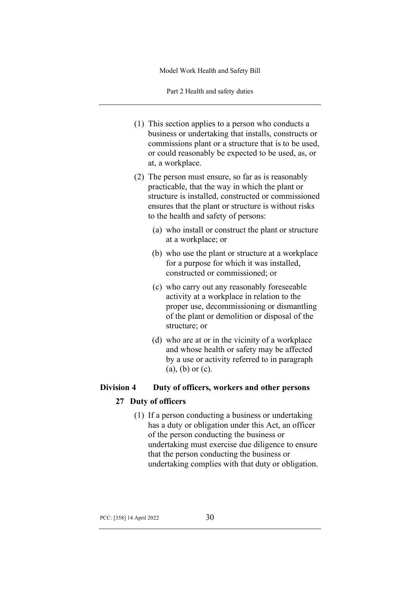Part 2 Health and safety duties

- (1) This section applies to a person who conducts a business or undertaking that installs, constructs or commissions plant or a structure that is to be used, or could reasonably be expected to be used, as, or at, a workplace.
- (2) The person must ensure, so far as is reasonably practicable, that the way in which the plant or structure is installed, constructed or commissioned ensures that the plant or structure is without risks to the health and safety of persons:
	- (a) who install or construct the plant or structure at a workplace; or
	- (b) who use the plant or structure at a workplace for a purpose for which it was installed, constructed or commissioned; or
	- (c) who carry out any reasonably foreseeable activity at a workplace in relation to the proper use, decommissioning or dismantling of the plant or demolition or disposal of the structure; or
	- (d) who are at or in the vicinity of a workplace and whose health or safety may be affected by a use or activity referred to in paragraph (a), (b) or (c).

# **Division 4 Duty of officers, workers and other persons**

# **27 Duty of officers**

(1) If a person conducting a business or undertaking has a duty or obligation under this Act, an officer of the person conducting the business or undertaking must exercise due diligence to ensure that the person conducting the business or undertaking complies with that duty or obligation.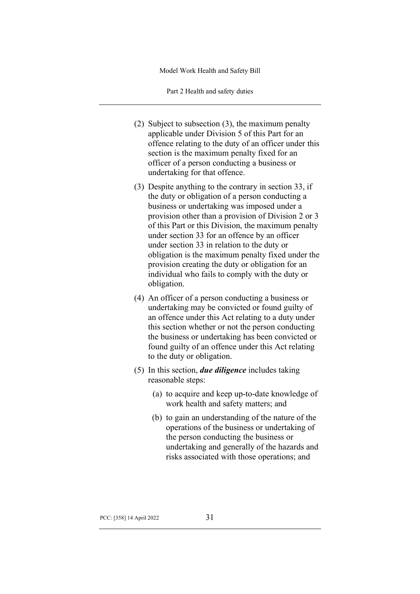Part 2 Health and safety duties

- (2) Subject to subsection (3), the maximum penalty applicable under Division 5 of this Part for an offence relating to the duty of an officer under this section is the maximum penalty fixed for an officer of a person conducting a business or undertaking for that offence.
- (3) Despite anything to the contrary in section 33, if the duty or obligation of a person conducting a business or undertaking was imposed under a provision other than a provision of Division 2 or 3 of this Part or this Division, the maximum penalty under section 33 for an offence by an officer under section 33 in relation to the duty or obligation is the maximum penalty fixed under the provision creating the duty or obligation for an individual who fails to comply with the duty or obligation.
- (4) An officer of a person conducting a business or undertaking may be convicted or found guilty of an offence under this Act relating to a duty under this section whether or not the person conducting the business or undertaking has been convicted or found guilty of an offence under this Act relating to the duty or obligation.
- (5) In this section, *due diligence* includes taking reasonable steps:
	- (a) to acquire and keep up-to-date knowledge of work health and safety matters; and
	- (b) to gain an understanding of the nature of the operations of the business or undertaking of the person conducting the business or undertaking and generally of the hazards and risks associated with those operations; and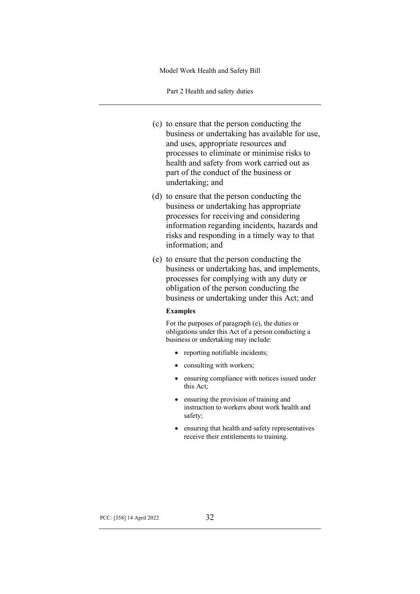Part 2 Health and safety duties

- (c) to ensure that the person conducting the business or undertaking has available for use, and uses, appropriate resources and processes to eliminate or minimise risks to health and safety from work carried out as part of the conduct of the business or undertaking; and
- (d) to ensure that the person conducting the business or undertaking has appropriate processes for receiving and considering information regarding incidents, hazards and risks and responding in a timely way to that information; and
- (e) to ensure that the person conducting the business or undertaking has, and implements, processes for complying with any duty or obligation of the person conducting the business or undertaking under this Act; and

#### **Examples**

For the purposes of paragraph (e), the duties or obligations under this Act of a person conducting a business or undertaking may include:

- reporting notifiable incidents;
- consulting with workers;
- ensuring compliance with notices issued under this Act;
- ensuring the provision of training and instruction to workers about work health and safety;
- ensuring that health and safety representatives receive their entitlements to training.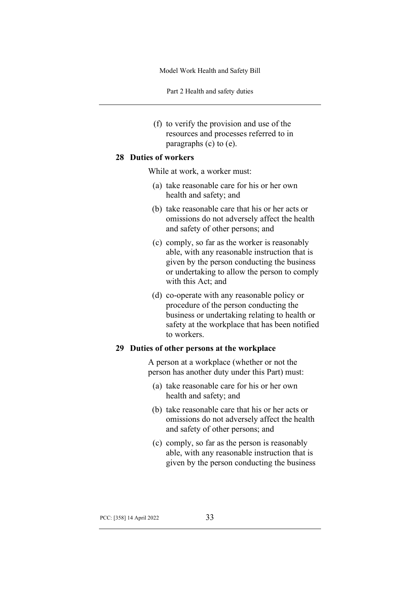Part 2 Health and safety duties

(f) to verify the provision and use of the resources and processes referred to in paragraphs (c) to (e).

### **28 Duties of workers**

While at work, a worker must:

- (a) take reasonable care for his or her own health and safety; and
- (b) take reasonable care that his or her acts or omissions do not adversely affect the health and safety of other persons; and
- (c) comply, so far as the worker is reasonably able, with any reasonable instruction that is given by the person conducting the business or undertaking to allow the person to comply with this Act; and
- (d) co-operate with any reasonable policy or procedure of the person conducting the business or undertaking relating to health or safety at the workplace that has been notified to workers.

# **29 Duties of other persons at the workplace**

A person at a workplace (whether or not the person has another duty under this Part) must:

- (a) take reasonable care for his or her own health and safety; and
- (b) take reasonable care that his or her acts or omissions do not adversely affect the health and safety of other persons; and
- (c) comply, so far as the person is reasonably able, with any reasonable instruction that is given by the person conducting the business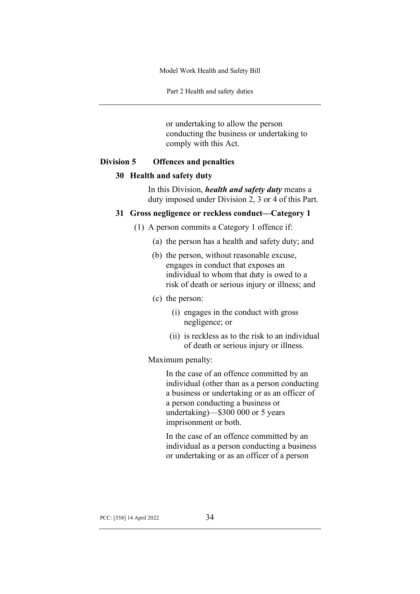Part 2 Health and safety duties

or undertaking to allow the person conducting the business or undertaking to comply with this Act.

### **Division 5 Offences and penalties**

# **30 Health and safety duty**

In this Division, *health and safety duty* means a duty imposed under Division 2, 3 or 4 of this Part.

# **31 Gross negligence or reckless conduct—Category 1**

- (1) A person commits a Category 1 offence if:
	- (a) the person has a health and safety duty; and
	- (b) the person, without reasonable excuse, engages in conduct that exposes an individual to whom that duty is owed to a risk of death or serious injury or illness; and
	- (c) the person:
		- (i) engages in the conduct with gross negligence; or
		- (ii) is reckless as to the risk to an individual of death or serious injury or illness.

# Maximum penalty:

In the case of an offence committed by an individual (other than as a person conducting a business or undertaking or as an officer of a person conducting a business or undertaking)—\$300 000 or 5 years imprisonment or both.

In the case of an offence committed by an individual as a person conducting a business or undertaking or as an officer of a person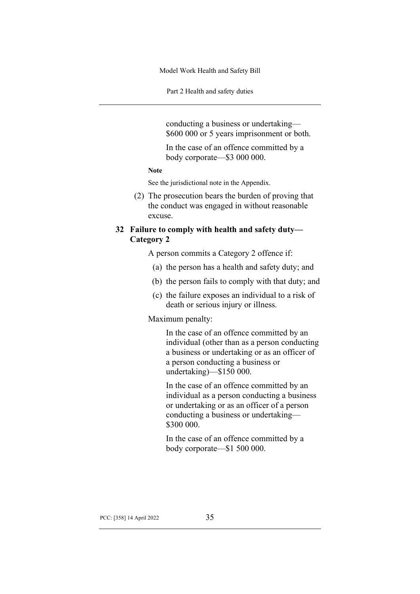Part 2 Health and safety duties

conducting a business or undertaking— \$600 000 or 5 years imprisonment or both.

In the case of an offence committed by a body corporate—\$3 000 000.

# **Note**

See the jurisdictional note in the Appendix.

(2) The prosecution bears the burden of proving that the conduct was engaged in without reasonable excuse.

# **32 Failure to comply with health and safety duty— Category 2**

A person commits a Category 2 offence if:

- (a) the person has a health and safety duty; and
- (b) the person fails to comply with that duty; and
- (c) the failure exposes an individual to a risk of death or serious injury or illness.

#### Maximum penalty:

In the case of an offence committed by an individual (other than as a person conducting a business or undertaking or as an officer of a person conducting a business or undertaking)—\$150 000.

In the case of an offence committed by an individual as a person conducting a business or undertaking or as an officer of a person conducting a business or undertaking— \$300 000.

In the case of an offence committed by a body corporate—\$1 500 000.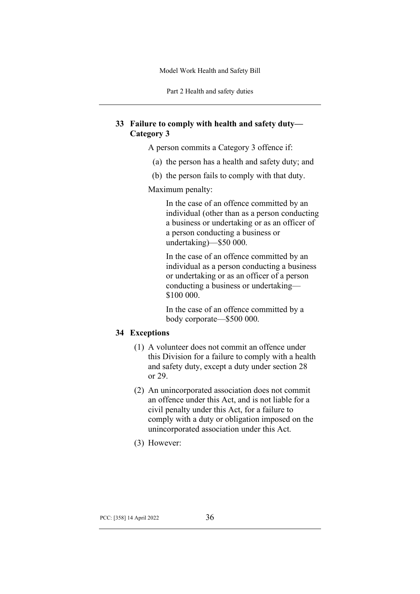Part 2 Health and safety duties

# **33 Failure to comply with health and safety duty— Category 3**

A person commits a Category 3 offence if:

- (a) the person has a health and safety duty; and
- (b) the person fails to comply with that duty.

Maximum penalty:

In the case of an offence committed by an individual (other than as a person conducting a business or undertaking or as an officer of a person conducting a business or undertaking)—\$50 000.

In the case of an offence committed by an individual as a person conducting a business or undertaking or as an officer of a person conducting a business or undertaking— \$100 000.

In the case of an offence committed by a body corporate—\$500 000.

# **34 Exceptions**

- (1) A volunteer does not commit an offence under this Division for a failure to comply with a health and safety duty, except a duty under section 28 or 29.
- (2) An unincorporated association does not commit an offence under this Act, and is not liable for a civil penalty under this Act, for a failure to comply with a duty or obligation imposed on the unincorporated association under this Act.
- (3) However: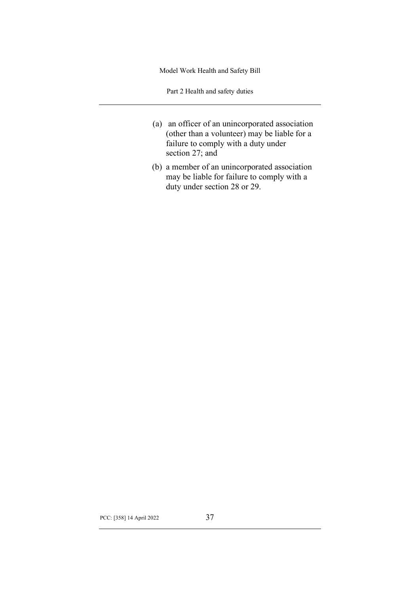Part 2 Health and safety duties

- (a) an officer of an unincorporated association (other than a volunteer) may be liable for a failure to comply with a duty under section 27; and
- (b) a member of an unincorporated association may be liable for failure to comply with a duty under section 28 or 29.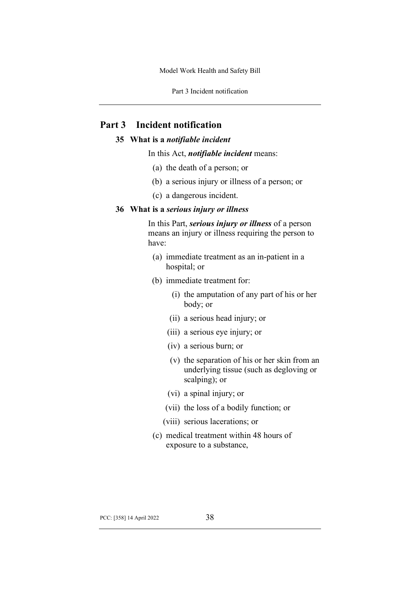Part 3 Incident notification

# **Part 3 Incident notification**

# **35 What is a** *notifiable incident*

In this Act, *notifiable incident* means:

- (a) the death of a person; or
- (b) a serious injury or illness of a person; or
- (c) a dangerous incident.

### **36 What is a** *serious injury or illness*

In this Part, *serious injury or illness* of a person means an injury or illness requiring the person to have:

- (a) immediate treatment as an in-patient in a hospital; or
- (b) immediate treatment for:
	- (i) the amputation of any part of his or her body; or
	- (ii) a serious head injury; or
	- (iii) a serious eye injury; or
	- (iv) a serious burn; or
	- (v) the separation of his or her skin from an underlying tissue (such as degloving or scalping); or
	- (vi) a spinal injury; or
	- (vii) the loss of a bodily function; or
	- (viii) serious lacerations; or
- (c) medical treatment within 48 hours of exposure to a substance,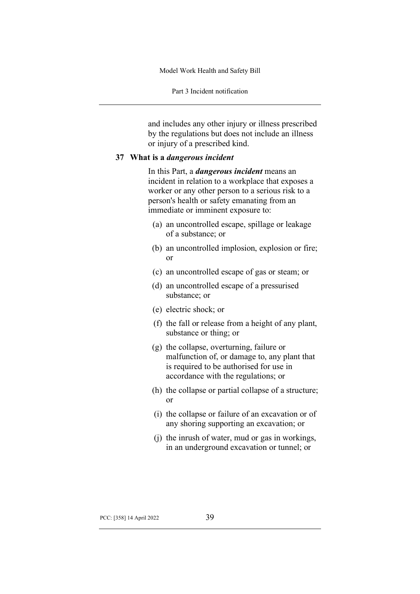Part 3 Incident notification

and includes any other injury or illness prescribed by the regulations but does not include an illness or injury of a prescribed kind.

#### **37 What is a** *dangerous incident*

In this Part, a *dangerous incident* means an incident in relation to a workplace that exposes a worker or any other person to a serious risk to a person's health or safety emanating from an immediate or imminent exposure to:

- (a) an uncontrolled escape, spillage or leakage of a substance; or
- (b) an uncontrolled implosion, explosion or fire; or
- (c) an uncontrolled escape of gas or steam; or
- (d) an uncontrolled escape of a pressurised substance; or
- (e) electric shock; or
- (f) the fall or release from a height of any plant, substance or thing; or
- (g) the collapse, overturning, failure or malfunction of, or damage to, any plant that is required to be authorised for use in accordance with the regulations; or
- (h) the collapse or partial collapse of a structure; or
- (i) the collapse or failure of an excavation or of any shoring supporting an excavation; or
- (j) the inrush of water, mud or gas in workings, in an underground excavation or tunnel; or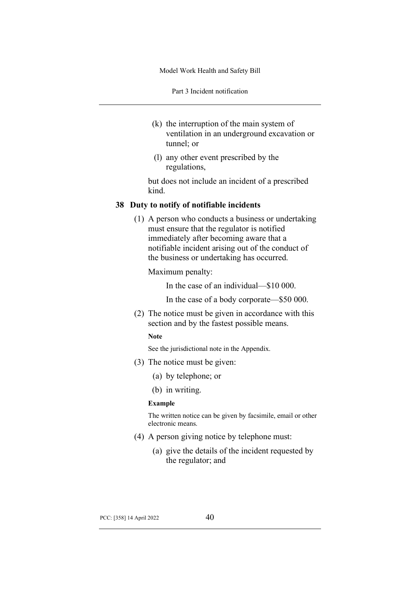Part 3 Incident notification

- (k) the interruption of the main system of ventilation in an underground excavation or tunnel; or
- (l) any other event prescribed by the regulations,

but does not include an incident of a prescribed kind.

### **38 Duty to notify of notifiable incidents**

(1) A person who conducts a business or undertaking must ensure that the regulator is notified immediately after becoming aware that a notifiable incident arising out of the conduct of the business or undertaking has occurred.

Maximum penalty:

In the case of an individual—\$10 000.

In the case of a body corporate—\$50 000.

(2) The notice must be given in accordance with this section and by the fastest possible means.

#### **Note**

See the jurisdictional note in the Appendix.

- (3) The notice must be given:
	- (a) by telephone; or
	- (b) in writing.

#### **Example**

The written notice can be given by facsimile, email or other electronic means.

- (4) A person giving notice by telephone must:
	- (a) give the details of the incident requested by the regulator; and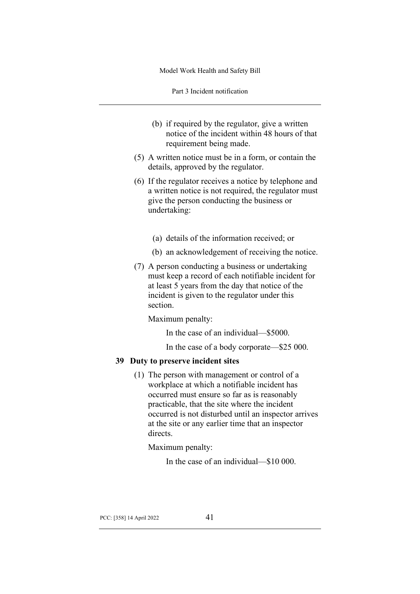Part 3 Incident notification

- (b) if required by the regulator, give a written notice of the incident within 48 hours of that requirement being made.
- (5) A written notice must be in a form, or contain the details, approved by the regulator.
- (6) If the regulator receives a notice by telephone and a written notice is not required, the regulator must give the person conducting the business or undertaking:
	- (a) details of the information received; or
	- (b) an acknowledgement of receiving the notice.
- (7) A person conducting a business or undertaking must keep a record of each notifiable incident for at least 5 years from the day that notice of the incident is given to the regulator under this section.

Maximum penalty:

In the case of an individual—\$5000.

In the case of a body corporate—\$25 000.

# **39 Duty to preserve incident sites**

(1) The person with management or control of a workplace at which a notifiable incident has occurred must ensure so far as is reasonably practicable, that the site where the incident occurred is not disturbed until an inspector arrives at the site or any earlier time that an inspector directs.

Maximum penalty:

In the case of an individual—\$10 000.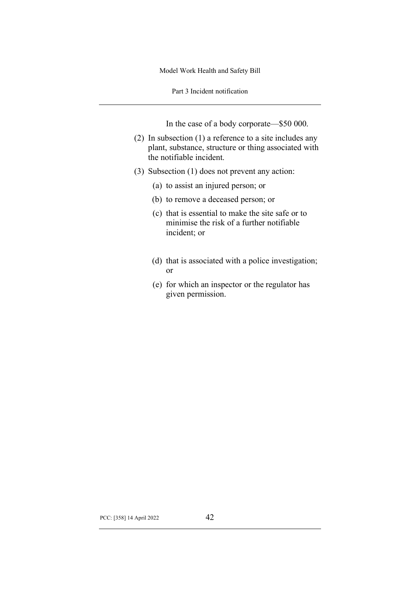Part 3 Incident notification

In the case of a body corporate—\$50 000.

- (2) In subsection (1) a reference to a site includes any plant, substance, structure or thing associated with the notifiable incident.
- (3) Subsection (1) does not prevent any action:
	- (a) to assist an injured person; or
	- (b) to remove a deceased person; or
	- (c) that is essential to make the site safe or to minimise the risk of a further notifiable incident; or
	- (d) that is associated with a police investigation; or
	- (e) for which an inspector or the regulator has given permission.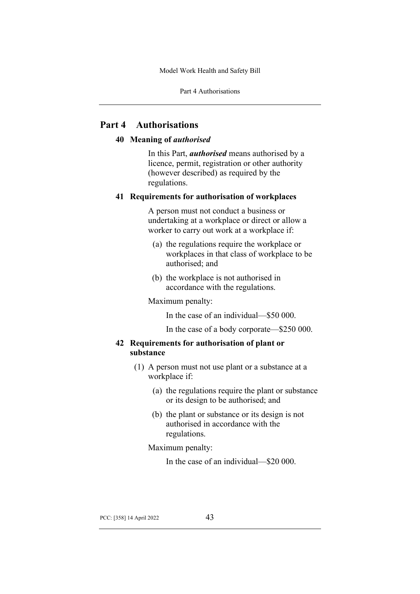Part 4 Authorisations

# **Part 4 Authorisations**

# **40 Meaning of** *authorised*

In this Part, *authorised* means authorised by a licence, permit, registration or other authority (however described) as required by the regulations.

# **41 Requirements for authorisation of workplaces**

A person must not conduct a business or undertaking at a workplace or direct or allow a worker to carry out work at a workplace if:

- (a) the regulations require the workplace or workplaces in that class of workplace to be authorised; and
- (b) the workplace is not authorised in accordance with the regulations.

Maximum penalty:

In the case of an individual—\$50 000.

In the case of a body corporate—\$250 000.

# **42 Requirements for authorisation of plant or substance**

- (1) A person must not use plant or a substance at a workplace if:
	- (a) the regulations require the plant or substance or its design to be authorised; and
	- (b) the plant or substance or its design is not authorised in accordance with the regulations.

Maximum penalty:

In the case of an individual—\$20 000.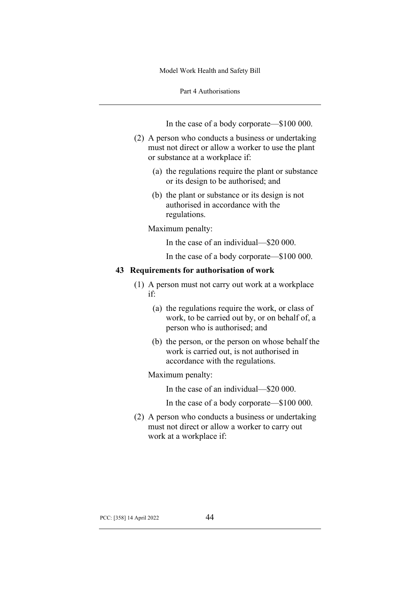Part 4 Authorisations

In the case of a body corporate—\$100 000.

- (2) A person who conducts a business or undertaking must not direct or allow a worker to use the plant or substance at a workplace if:
	- (a) the regulations require the plant or substance or its design to be authorised; and
	- (b) the plant or substance or its design is not authorised in accordance with the regulations.

Maximum penalty:

In the case of an individual—\$20 000.

In the case of a body corporate—\$100 000.

### **43 Requirements for authorisation of work**

- (1) A person must not carry out work at a workplace if:
	- (a) the regulations require the work, or class of work, to be carried out by, or on behalf of, a person who is authorised; and
	- (b) the person, or the person on whose behalf the work is carried out, is not authorised in accordance with the regulations.

Maximum penalty:

In the case of an individual—\$20 000.

In the case of a body corporate—\$100 000.

(2) A person who conducts a business or undertaking must not direct or allow a worker to carry out work at a workplace if: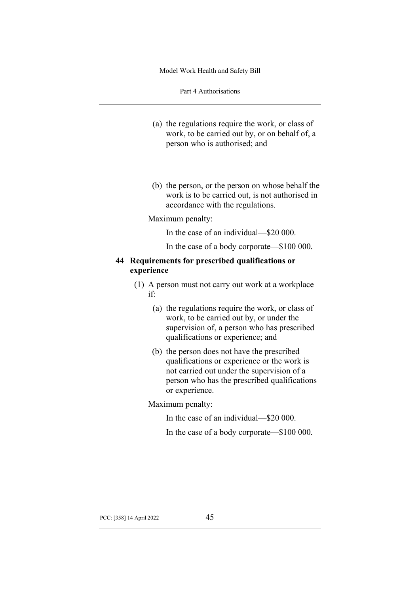Part 4 Authorisations

- (a) the regulations require the work, or class of work, to be carried out by, or on behalf of, a person who is authorised; and
- (b) the person, or the person on whose behalf the work is to be carried out, is not authorised in accordance with the regulations.

#### Maximum penalty:

In the case of an individual—\$20 000.

In the case of a body corporate—\$100 000.

# **44 Requirements for prescribed qualifications or experience**

- (1) A person must not carry out work at a workplace if:
	- (a) the regulations require the work, or class of work, to be carried out by, or under the supervision of, a person who has prescribed qualifications or experience; and
	- (b) the person does not have the prescribed qualifications or experience or the work is not carried out under the supervision of a person who has the prescribed qualifications or experience.

Maximum penalty:

In the case of an individual—\$20 000.

In the case of a body corporate—\$100 000.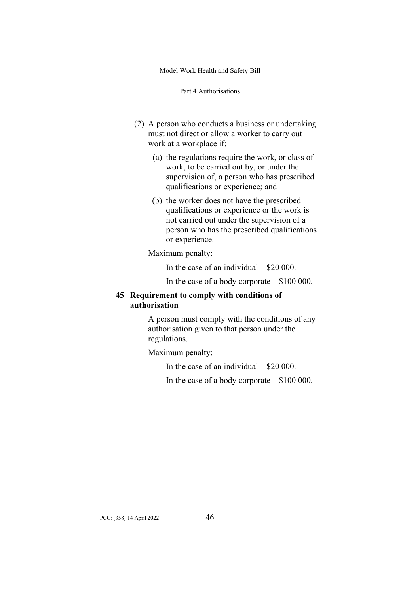Part 4 Authorisations

- (2) A person who conducts a business or undertaking must not direct or allow a worker to carry out work at a workplace if:
	- (a) the regulations require the work, or class of work, to be carried out by, or under the supervision of, a person who has prescribed qualifications or experience; and
	- (b) the worker does not have the prescribed qualifications or experience or the work is not carried out under the supervision of a person who has the prescribed qualifications or experience.

Maximum penalty:

In the case of an individual—\$20 000.

In the case of a body corporate—\$100 000.

# **45 Requirement to comply with conditions of authorisation**

A person must comply with the conditions of any authorisation given to that person under the regulations.

Maximum penalty:

In the case of an individual—\$20 000.

In the case of a body corporate—\$100 000.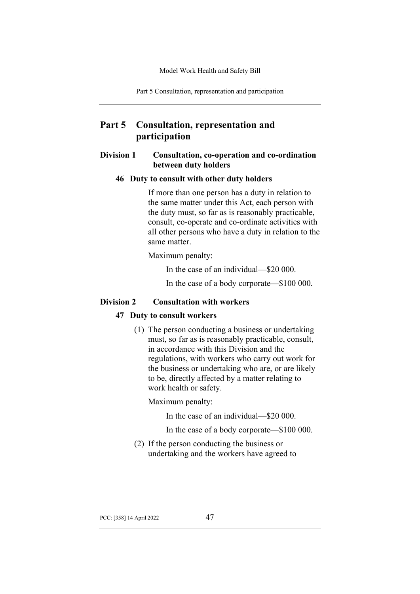Part 5 Consultation, representation and participation

# **Part 5 Consultation, representation and participation**

# **Division 1 Consultation, co-operation and co-ordination between duty holders**

#### **46 Duty to consult with other duty holders**

If more than one person has a duty in relation to the same matter under this Act, each person with the duty must, so far as is reasonably practicable, consult, co-operate and co-ordinate activities with all other persons who have a duty in relation to the same matter.

Maximum penalty:

In the case of an individual—\$20 000.

In the case of a body corporate—\$100 000.

### **Division 2 Consultation with workers**

### **47 Duty to consult workers**

(1) The person conducting a business or undertaking must, so far as is reasonably practicable, consult, in accordance with this Division and the regulations, with workers who carry out work for the business or undertaking who are, or are likely to be, directly affected by a matter relating to work health or safety.

Maximum penalty:

In the case of an individual—\$20 000.

In the case of a body corporate—\$100 000.

(2) If the person conducting the business or undertaking and the workers have agreed to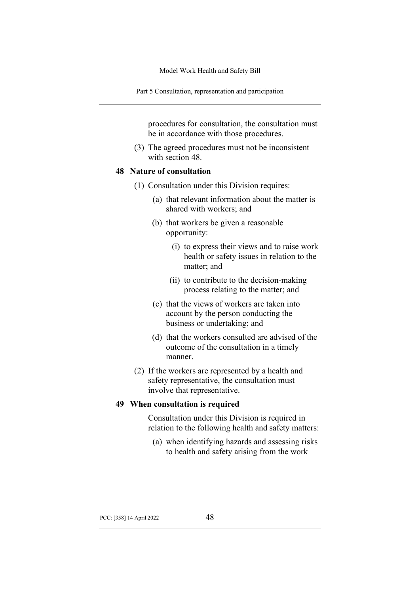Part 5 Consultation, representation and participation

procedures for consultation, the consultation must be in accordance with those procedures.

(3) The agreed procedures must not be inconsistent with section 48.

# **48 Nature of consultation**

- (1) Consultation under this Division requires:
	- (a) that relevant information about the matter is shared with workers; and
	- (b) that workers be given a reasonable opportunity:
		- (i) to express their views and to raise work health or safety issues in relation to the matter; and
		- (ii) to contribute to the decision-making process relating to the matter; and
	- (c) that the views of workers are taken into account by the person conducting the business or undertaking; and
	- (d) that the workers consulted are advised of the outcome of the consultation in a timely manner.
- (2) If the workers are represented by a health and safety representative, the consultation must involve that representative.

#### **49 When consultation is required**

Consultation under this Division is required in relation to the following health and safety matters:

(a) when identifying hazards and assessing risks to health and safety arising from the work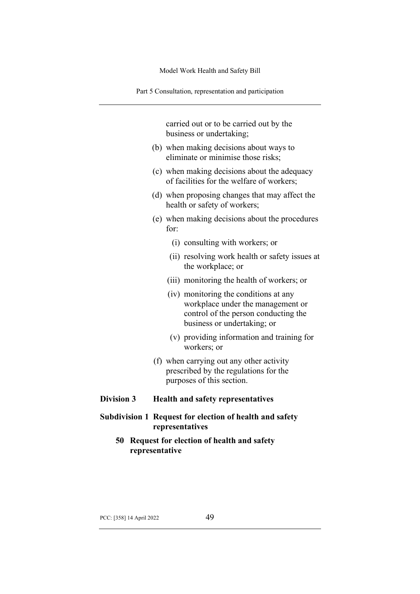Part 5 Consultation, representation and participation

carried out or to be carried out by the business or undertaking;

- (b) when making decisions about ways to eliminate or minimise those risks;
- (c) when making decisions about the adequacy of facilities for the welfare of workers;
- (d) when proposing changes that may affect the health or safety of workers;
- (e) when making decisions about the procedures for:
	- (i) consulting with workers; or
	- (ii) resolving work health or safety issues at the workplace; or
	- (iii) monitoring the health of workers; or
	- (iv) monitoring the conditions at any workplace under the management or control of the person conducting the business or undertaking; or
	- (v) providing information and training for workers; or
- (f) when carrying out any other activity prescribed by the regulations for the purposes of this section.

# **Division 3 Health and safety representatives**

- **Subdivision 1 Request for election of health and safety representatives**
	- **50 Request for election of health and safety representative**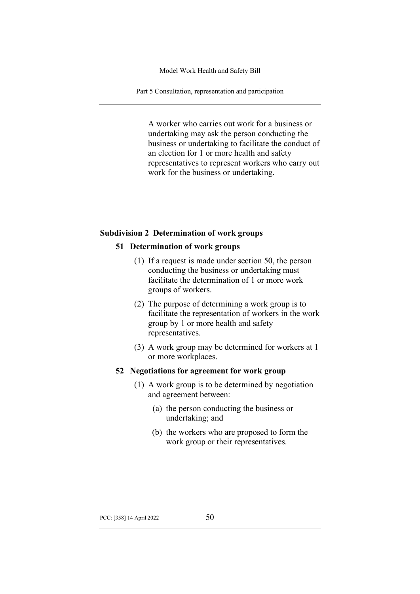Part 5 Consultation, representation and participation

A worker who carries out work for a business or undertaking may ask the person conducting the business or undertaking to facilitate the conduct of an election for 1 or more health and safety representatives to represent workers who carry out work for the business or undertaking.

#### **Subdivision 2 Determination of work groups**

# **51 Determination of work groups**

- (1) If a request is made under section 50, the person conducting the business or undertaking must facilitate the determination of 1 or more work groups of workers.
- (2) The purpose of determining a work group is to facilitate the representation of workers in the work group by 1 or more health and safety representatives.
- (3) A work group may be determined for workers at 1 or more workplaces.

### **52 Negotiations for agreement for work group**

- (1) A work group is to be determined by negotiation and agreement between:
	- (a) the person conducting the business or undertaking; and
	- (b) the workers who are proposed to form the work group or their representatives.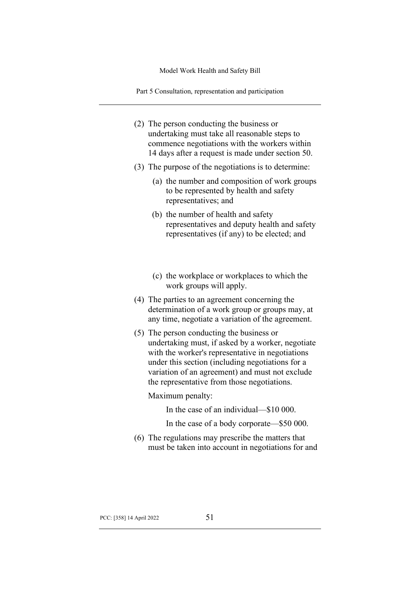Part 5 Consultation, representation and participation

- (2) The person conducting the business or undertaking must take all reasonable steps to commence negotiations with the workers within 14 days after a request is made under section 50.
- (3) The purpose of the negotiations is to determine:
	- (a) the number and composition of work groups to be represented by health and safety representatives; and
	- (b) the number of health and safety representatives and deputy health and safety representatives (if any) to be elected; and
	- (c) the workplace or workplaces to which the work groups will apply.
- (4) The parties to an agreement concerning the determination of a work group or groups may, at any time, negotiate a variation of the agreement.
- (5) The person conducting the business or undertaking must, if asked by a worker, negotiate with the worker's representative in negotiations under this section (including negotiations for a variation of an agreement) and must not exclude the representative from those negotiations.

Maximum penalty:

In the case of an individual—\$10 000.

- In the case of a body corporate—\$50 000.
- (6) The regulations may prescribe the matters that must be taken into account in negotiations for and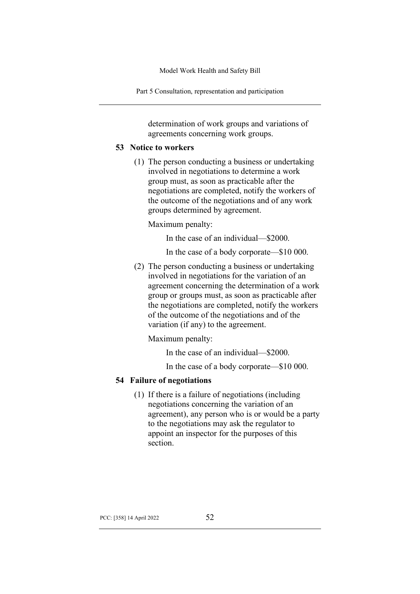Part 5 Consultation, representation and participation

determination of work groups and variations of agreements concerning work groups.

## **53 Notice to workers**

(1) The person conducting a business or undertaking involved in negotiations to determine a work group must, as soon as practicable after the negotiations are completed, notify the workers of the outcome of the negotiations and of any work groups determined by agreement.

Maximum penalty:

In the case of an individual—\$2000.

In the case of a body corporate—\$10 000.

(2) The person conducting a business or undertaking involved in negotiations for the variation of an agreement concerning the determination of a work group or groups must, as soon as practicable after the negotiations are completed, notify the workers of the outcome of the negotiations and of the variation (if any) to the agreement.

Maximum penalty:

In the case of an individual—\$2000.

In the case of a body corporate—\$10 000.

### **54 Failure of negotiations**

(1) If there is a failure of negotiations (including negotiations concerning the variation of an agreement), any person who is or would be a party to the negotiations may ask the regulator to appoint an inspector for the purposes of this section.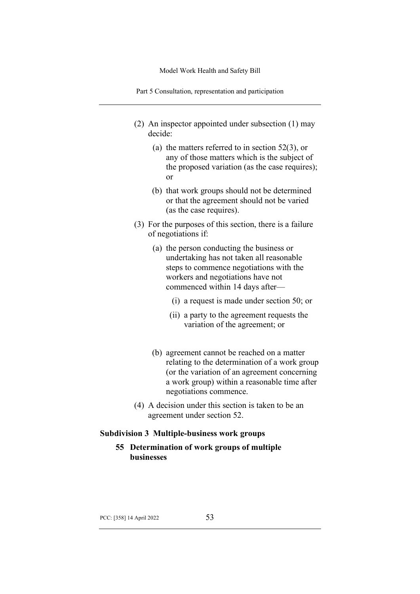Part 5 Consultation, representation and participation

- (2) An inspector appointed under subsection (1) may decide:
	- (a) the matters referred to in section 52(3), or any of those matters which is the subject of the proposed variation (as the case requires); or
	- (b) that work groups should not be determined or that the agreement should not be varied (as the case requires).
- (3) For the purposes of this section, there is a failure of negotiations if:
	- (a) the person conducting the business or undertaking has not taken all reasonable steps to commence negotiations with the workers and negotiations have not commenced within 14 days after—
		- (i) a request is made under section 50; or
		- (ii) a party to the agreement requests the variation of the agreement; or
	- (b) agreement cannot be reached on a matter relating to the determination of a work group (or the variation of an agreement concerning a work group) within a reasonable time after negotiations commence.
- (4) A decision under this section is taken to be an agreement under section 52.

### **Subdivision 3 Multiple-business work groups**

**55 Determination of work groups of multiple businesses**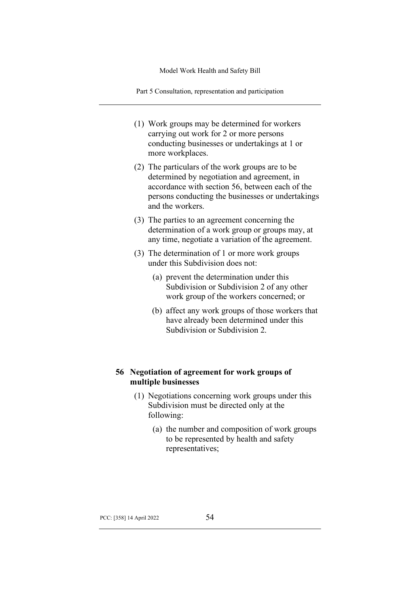Part 5 Consultation, representation and participation

- (1) Work groups may be determined for workers carrying out work for 2 or more persons conducting businesses or undertakings at 1 or more workplaces.
- (2) The particulars of the work groups are to be determined by negotiation and agreement, in accordance with section 56, between each of the persons conducting the businesses or undertakings and the workers.
- (3) The parties to an agreement concerning the determination of a work group or groups may, at any time, negotiate a variation of the agreement.
- (3) The determination of 1 or more work groups under this Subdivision does not:
	- (a) prevent the determination under this Subdivision or Subdivision 2 of any other work group of the workers concerned; or
	- (b) affect any work groups of those workers that have already been determined under this Subdivision or Subdivision 2.

# **56 Negotiation of agreement for work groups of multiple businesses**

- (1) Negotiations concerning work groups under this Subdivision must be directed only at the following:
	- (a) the number and composition of work groups to be represented by health and safety representatives;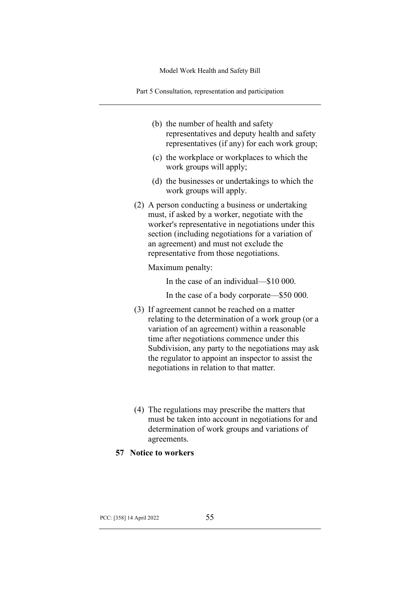Part 5 Consultation, representation and participation

- (b) the number of health and safety representatives and deputy health and safety representatives (if any) for each work group;
- (c) the workplace or workplaces to which the work groups will apply;
- (d) the businesses or undertakings to which the work groups will apply.
- (2) A person conducting a business or undertaking must, if asked by a worker, negotiate with the worker's representative in negotiations under this section (including negotiations for a variation of an agreement) and must not exclude the representative from those negotiations.

Maximum penalty:

In the case of an individual—\$10 000.

In the case of a body corporate—\$50 000.

- (3) If agreement cannot be reached on a matter relating to the determination of a work group (or a variation of an agreement) within a reasonable time after negotiations commence under this Subdivision, any party to the negotiations may ask the regulator to appoint an inspector to assist the negotiations in relation to that matter.
- (4) The regulations may prescribe the matters that must be taken into account in negotiations for and determination of work groups and variations of agreements.
- **57 Notice to workers**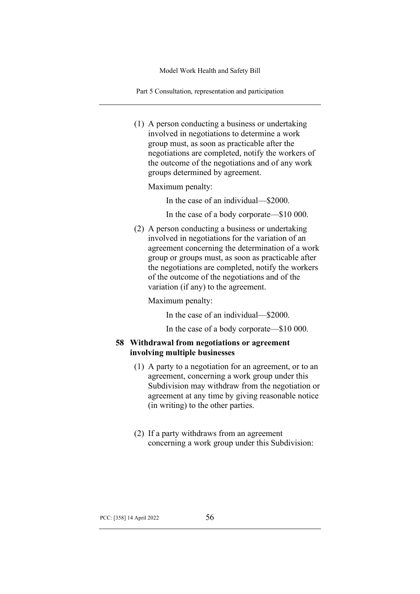Part 5 Consultation, representation and participation

(1) A person conducting a business or undertaking involved in negotiations to determine a work group must, as soon as practicable after the negotiations are completed, notify the workers of the outcome of the negotiations and of any work groups determined by agreement.

Maximum penalty:

In the case of an individual—\$2000.

In the case of a body corporate—\$10 000.

(2) A person conducting a business or undertaking involved in negotiations for the variation of an agreement concerning the determination of a work group or groups must, as soon as practicable after the negotiations are completed, notify the workers of the outcome of the negotiations and of the variation (if any) to the agreement.

Maximum penalty:

In the case of an individual—\$2000.

In the case of a body corporate—\$10 000.

# **58 Withdrawal from negotiations or agreement involving multiple businesses**

- (1) A party to a negotiation for an agreement, or to an agreement, concerning a work group under this Subdivision may withdraw from the negotiation or agreement at any time by giving reasonable notice (in writing) to the other parties.
- (2) If a party withdraws from an agreement concerning a work group under this Subdivision: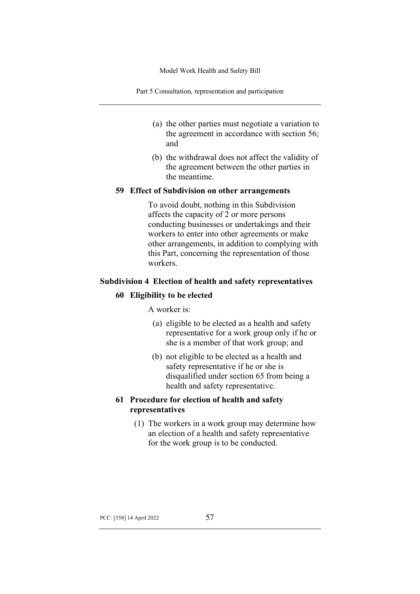Part 5 Consultation, representation and participation

- (a) the other parties must negotiate a variation to the agreement in accordance with section 56; and
- (b) the withdrawal does not affect the validity of the agreement between the other parties in the meantime.

### **59 Effect of Subdivision on other arrangements**

To avoid doubt, nothing in this Subdivision affects the capacity of 2 or more persons conducting businesses or undertakings and their workers to enter into other agreements or make other arrangements, in addition to complying with this Part, concerning the representation of those workers.

# **Subdivision 4 Election of health and safety representatives**

### **60 Eligibility to be elected**

A worker is:

- (a) eligible to be elected as a health and safety representative for a work group only if he or she is a member of that work group; and
- (b) not eligible to be elected as a health and safety representative if he or she is disqualified under section 65 from being a health and safety representative.

# **61 Procedure for election of health and safety representatives**

(1) The workers in a work group may determine how an election of a health and safety representative for the work group is to be conducted.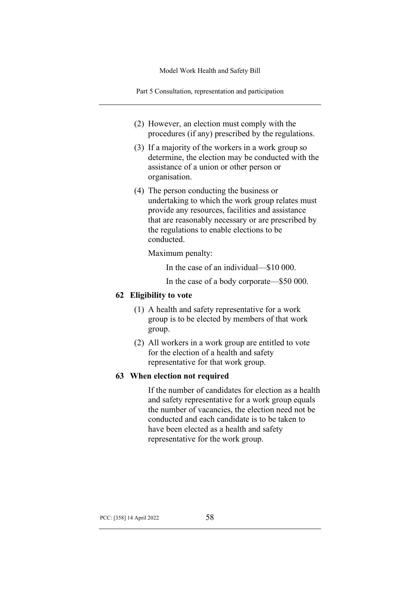Part 5 Consultation, representation and participation

- (2) However, an election must comply with the procedures (if any) prescribed by the regulations.
- (3) If a majority of the workers in a work group so determine, the election may be conducted with the assistance of a union or other person or organisation.
- (4) The person conducting the business or undertaking to which the work group relates must provide any resources, facilities and assistance that are reasonably necessary or are prescribed by the regulations to enable elections to be conducted.

Maximum penalty:

In the case of an individual—\$10 000.

In the case of a body corporate—\$50 000.

# **62 Eligibility to vote**

- (1) A health and safety representative for a work group is to be elected by members of that work group.
- (2) All workers in a work group are entitled to vote for the election of a health and safety representative for that work group.

# **63 When election not required**

If the number of candidates for election as a health and safety representative for a work group equals the number of vacancies, the election need not be conducted and each candidate is to be taken to have been elected as a health and safety representative for the work group.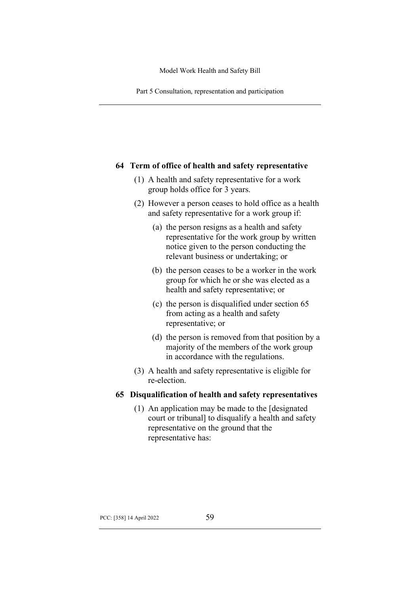Part 5 Consultation, representation and participation

### **64 Term of office of health and safety representative**

- (1) A health and safety representative for a work group holds office for 3 years.
- (2) However a person ceases to hold office as a health and safety representative for a work group if:
	- (a) the person resigns as a health and safety representative for the work group by written notice given to the person conducting the relevant business or undertaking; or
	- (b) the person ceases to be a worker in the work group for which he or she was elected as a health and safety representative; or
	- (c) the person is disqualified under section 65 from acting as a health and safety representative; or
	- (d) the person is removed from that position by a majority of the members of the work group in accordance with the regulations.
- (3) A health and safety representative is eligible for re-election.

# **65 Disqualification of health and safety representatives**

(1) An application may be made to the [designated court or tribunal] to disqualify a health and safety representative on the ground that the representative has: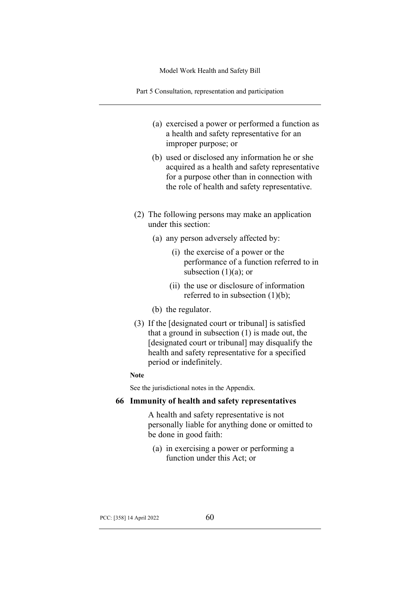Part 5 Consultation, representation and participation

- (a) exercised a power or performed a function as a health and safety representative for an improper purpose; or
- (b) used or disclosed any information he or she acquired as a health and safety representative for a purpose other than in connection with the role of health and safety representative.
- (2) The following persons may make an application under this section:
	- (a) any person adversely affected by:
		- (i) the exercise of a power or the performance of a function referred to in subsection  $(1)(a)$ ; or
		- (ii) the use or disclosure of information referred to in subsection  $(1)(b)$ ;
	- (b) the regulator.
- (3) If the [designated court or tribunal] is satisfied that a ground in subsection (1) is made out, the [designated court or tribunal] may disqualify the health and safety representative for a specified period or indefinitely.

#### **Note**

See the jurisdictional notes in the Appendix.

### **66 Immunity of health and safety representatives**

A health and safety representative is not personally liable for anything done or omitted to be done in good faith:

(a) in exercising a power or performing a function under this Act; or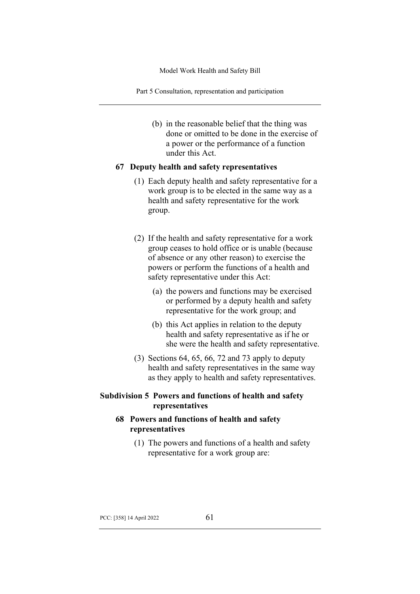Part 5 Consultation, representation and participation

(b) in the reasonable belief that the thing was done or omitted to be done in the exercise of a power or the performance of a function under this Act.

#### **67 Deputy health and safety representatives**

- (1) Each deputy health and safety representative for a work group is to be elected in the same way as a health and safety representative for the work group.
- (2) If the health and safety representative for a work group ceases to hold office or is unable (because of absence or any other reason) to exercise the powers or perform the functions of a health and safety representative under this Act:
	- (a) the powers and functions may be exercised or performed by a deputy health and safety representative for the work group; and
	- (b) this Act applies in relation to the deputy health and safety representative as if he or she were the health and safety representative.
- (3) Sections 64, 65, 66, 72 and 73 apply to deputy health and safety representatives in the same way as they apply to health and safety representatives.

### **Subdivision 5 Powers and functions of health and safety representatives**

### **68 Powers and functions of health and safety representatives**

(1) The powers and functions of a health and safety representative for a work group are: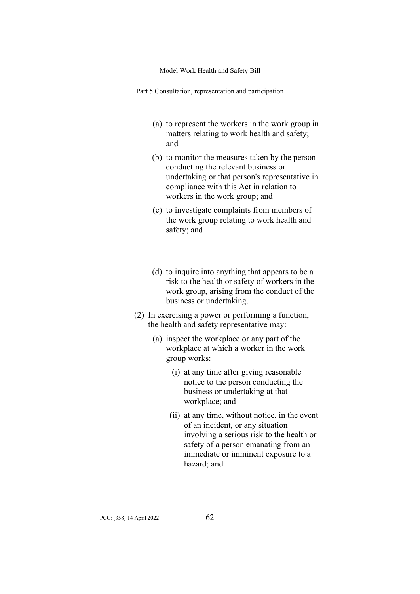Part 5 Consultation, representation and participation

- (a) to represent the workers in the work group in matters relating to work health and safety; and
- (b) to monitor the measures taken by the person conducting the relevant business or undertaking or that person's representative in compliance with this Act in relation to workers in the work group; and
- (c) to investigate complaints from members of the work group relating to work health and safety; and
- (d) to inquire into anything that appears to be a risk to the health or safety of workers in the work group, arising from the conduct of the business or undertaking.
- (2) In exercising a power or performing a function, the health and safety representative may:
	- (a) inspect the workplace or any part of the workplace at which a worker in the work group works:
		- (i) at any time after giving reasonable notice to the person conducting the business or undertaking at that workplace; and
		- (ii) at any time, without notice, in the event of an incident, or any situation involving a serious risk to the health or safety of a person emanating from an immediate or imminent exposure to a hazard; and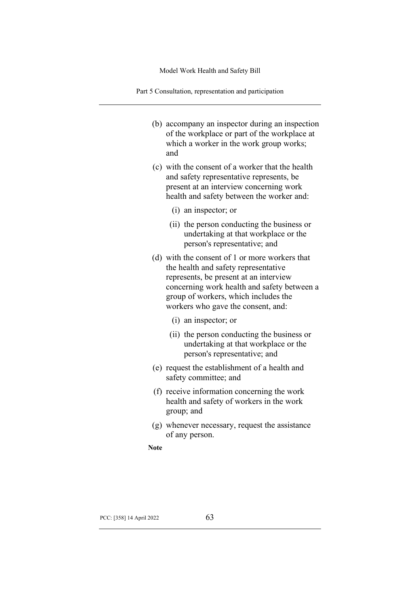Part 5 Consultation, representation and participation

- (b) accompany an inspector during an inspection of the workplace or part of the workplace at which a worker in the work group works; and
- (c) with the consent of a worker that the health and safety representative represents, be present at an interview concerning work health and safety between the worker and:
	- (i) an inspector; or
	- (ii) the person conducting the business or undertaking at that workplace or the person's representative; and
- (d) with the consent of 1 or more workers that the health and safety representative represents, be present at an interview concerning work health and safety between a group of workers, which includes the workers who gave the consent, and:
	- (i) an inspector; or
	- (ii) the person conducting the business or undertaking at that workplace or the person's representative; and
- (e) request the establishment of a health and safety committee; and
- (f) receive information concerning the work health and safety of workers in the work group; and
- (g) whenever necessary, request the assistance of any person.

**Note**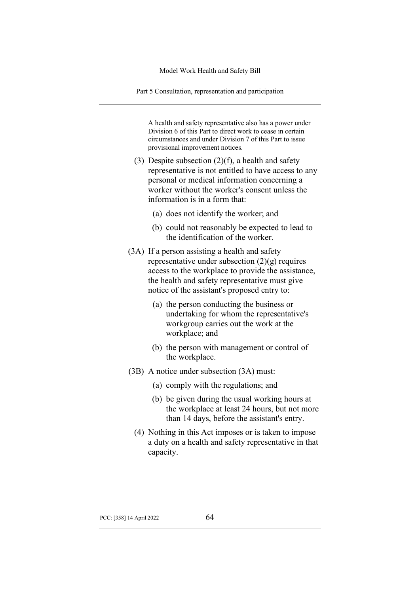Part 5 Consultation, representation and participation

A health and safety representative also has a power under Division 6 of this Part to direct work to cease in certain circumstances and under Division 7 of this Part to issue provisional improvement notices.

- (3) Despite subsection  $(2)(f)$ , a health and safety representative is not entitled to have access to any personal or medical information concerning a worker without the worker's consent unless the information is in a form that:
	- (a) does not identify the worker; and
	- (b) could not reasonably be expected to lead to the identification of the worker.
- (3A) If a person assisting a health and safety representative under subsection  $(2)(g)$  requires access to the workplace to provide the assistance, the health and safety representative must give notice of the assistant's proposed entry to:
	- (a) the person conducting the business or undertaking for whom the representative's workgroup carries out the work at the workplace; and
	- (b) the person with management or control of the workplace.
- (3B) A notice under subsection (3A) must:
	- (a) comply with the regulations; and
	- (b) be given during the usual working hours at the workplace at least 24 hours, but not more than 14 days, before the assistant's entry.
	- (4) Nothing in this Act imposes or is taken to impose a duty on a health and safety representative in that capacity.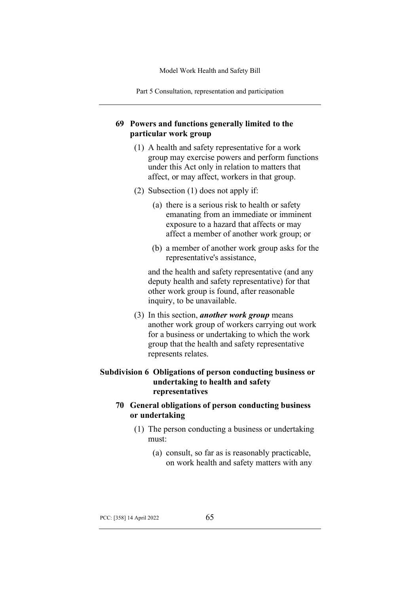Part 5 Consultation, representation and participation

### **69 Powers and functions generally limited to the particular work group**

- (1) A health and safety representative for a work group may exercise powers and perform functions under this Act only in relation to matters that affect, or may affect, workers in that group.
- (2) Subsection (1) does not apply if:
	- (a) there is a serious risk to health or safety emanating from an immediate or imminent exposure to a hazard that affects or may affect a member of another work group; or
	- (b) a member of another work group asks for the representative's assistance,

and the health and safety representative (and any deputy health and safety representative) for that other work group is found, after reasonable inquiry, to be unavailable.

(3) In this section, *another work group* means another work group of workers carrying out work for a business or undertaking to which the work group that the health and safety representative represents relates.

## **Subdivision 6 Obligations of person conducting business or undertaking to health and safety representatives**

### **70 General obligations of person conducting business or undertaking**

- (1) The person conducting a business or undertaking must:
	- (a) consult, so far as is reasonably practicable, on work health and safety matters with any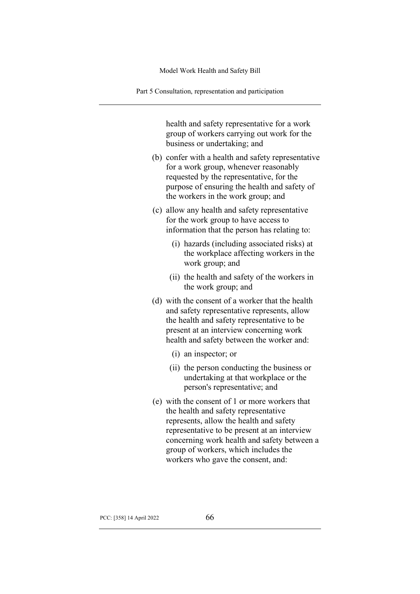Part 5 Consultation, representation and participation

health and safety representative for a work group of workers carrying out work for the business or undertaking; and

- (b) confer with a health and safety representative for a work group, whenever reasonably requested by the representative, for the purpose of ensuring the health and safety of the workers in the work group; and
- (c) allow any health and safety representative for the work group to have access to information that the person has relating to:
	- (i) hazards (including associated risks) at the workplace affecting workers in the work group; and
	- (ii) the health and safety of the workers in the work group; and
- (d) with the consent of a worker that the health and safety representative represents, allow the health and safety representative to be present at an interview concerning work health and safety between the worker and:
	- (i) an inspector; or
	- (ii) the person conducting the business or undertaking at that workplace or the person's representative; and
- (e) with the consent of 1 or more workers that the health and safety representative represents, allow the health and safety representative to be present at an interview concerning work health and safety between a group of workers, which includes the workers who gave the consent, and: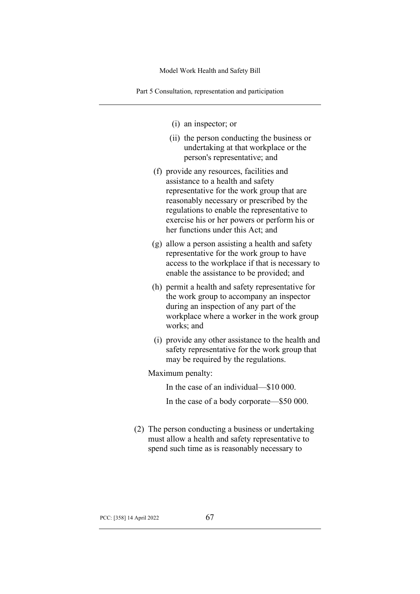Part 5 Consultation, representation and participation

- (i) an inspector; or
- (ii) the person conducting the business or undertaking at that workplace or the person's representative; and
- (f) provide any resources, facilities and assistance to a health and safety representative for the work group that are reasonably necessary or prescribed by the regulations to enable the representative to exercise his or her powers or perform his or her functions under this Act; and
- (g) allow a person assisting a health and safety representative for the work group to have access to the workplace if that is necessary to enable the assistance to be provided; and
- (h) permit a health and safety representative for the work group to accompany an inspector during an inspection of any part of the workplace where a worker in the work group works; and
- (i) provide any other assistance to the health and safety representative for the work group that may be required by the regulations.

Maximum penalty:

In the case of an individual—\$10 000.

In the case of a body corporate—\$50 000.

(2) The person conducting a business or undertaking must allow a health and safety representative to spend such time as is reasonably necessary to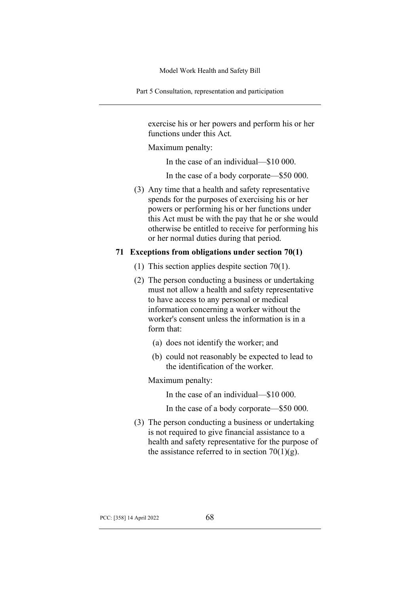Part 5 Consultation, representation and participation

exercise his or her powers and perform his or her functions under this Act.

Maximum penalty:

In the case of an individual—\$10 000.

In the case of a body corporate—\$50 000.

(3) Any time that a health and safety representative spends for the purposes of exercising his or her powers or performing his or her functions under this Act must be with the pay that he or she would otherwise be entitled to receive for performing his or her normal duties during that period.

### **71 Exceptions from obligations under section 70(1)**

- (1) This section applies despite section 70(1).
- (2) The person conducting a business or undertaking must not allow a health and safety representative to have access to any personal or medical information concerning a worker without the worker's consent unless the information is in a form that:
	- (a) does not identify the worker; and
	- (b) could not reasonably be expected to lead to the identification of the worker.

Maximum penalty:

In the case of an individual—\$10 000.

In the case of a body corporate—\$50 000.

(3) The person conducting a business or undertaking is not required to give financial assistance to a health and safety representative for the purpose of the assistance referred to in section  $70(1)(g)$ .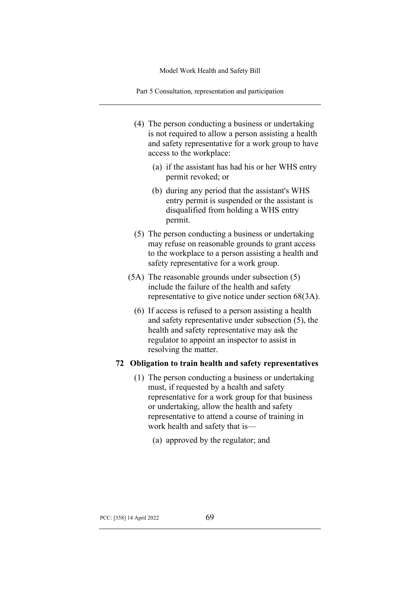Part 5 Consultation, representation and participation

- (4) The person conducting a business or undertaking is not required to allow a person assisting a health and safety representative for a work group to have access to the workplace:
	- (a) if the assistant has had his or her WHS entry permit revoked; or
	- (b) during any period that the assistant's WHS entry permit is suspended or the assistant is disqualified from holding a WHS entry permit.
- (5) The person conducting a business or undertaking may refuse on reasonable grounds to grant access to the workplace to a person assisting a health and safety representative for a work group.
- (5A) The reasonable grounds under subsection (5) include the failure of the health and safety representative to give notice under section 68(3A).
	- (6) If access is refused to a person assisting a health and safety representative under subsection (5), the health and safety representative may ask the regulator to appoint an inspector to assist in resolving the matter.

### **72 Obligation to train health and safety representatives**

- (1) The person conducting a business or undertaking must, if requested by a health and safety representative for a work group for that business or undertaking, allow the health and safety representative to attend a course of training in work health and safety that is—
	- (a) approved by the regulator; and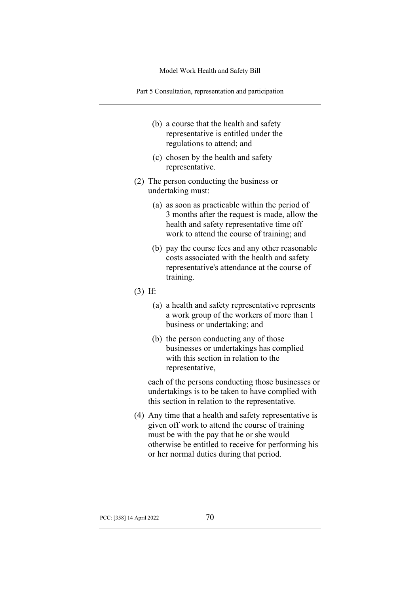Part 5 Consultation, representation and participation

- (b) a course that the health and safety representative is entitled under the regulations to attend; and
- (c) chosen by the health and safety representative.
- (2) The person conducting the business or undertaking must:
	- (a) as soon as practicable within the period of 3 months after the request is made, allow the health and safety representative time off work to attend the course of training; and
	- (b) pay the course fees and any other reasonable costs associated with the health and safety representative's attendance at the course of training.
- (3) If:
	- (a) a health and safety representative represents a work group of the workers of more than 1 business or undertaking; and
	- (b) the person conducting any of those businesses or undertakings has complied with this section in relation to the representative,

each of the persons conducting those businesses or undertakings is to be taken to have complied with this section in relation to the representative.

(4) Any time that a health and safety representative is given off work to attend the course of training must be with the pay that he or she would otherwise be entitled to receive for performing his or her normal duties during that period.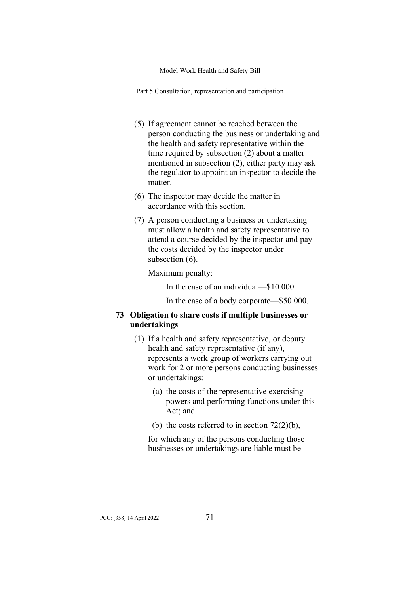Part 5 Consultation, representation and participation

- (5) If agreement cannot be reached between the person conducting the business or undertaking and the health and safety representative within the time required by subsection (2) about a matter mentioned in subsection (2), either party may ask the regulator to appoint an inspector to decide the matter.
- (6) The inspector may decide the matter in accordance with this section.
- (7) A person conducting a business or undertaking must allow a health and safety representative to attend a course decided by the inspector and pay the costs decided by the inspector under subsection (6).

Maximum penalty:

In the case of an individual—\$10 000.

In the case of a body corporate—\$50 000.

### **73 Obligation to share costs if multiple businesses or undertakings**

- (1) If a health and safety representative, or deputy health and safety representative (if any), represents a work group of workers carrying out work for 2 or more persons conducting businesses or undertakings:
	- (a) the costs of the representative exercising powers and performing functions under this Act; and
	- (b) the costs referred to in section  $72(2)(b)$ ,

for which any of the persons conducting those businesses or undertakings are liable must be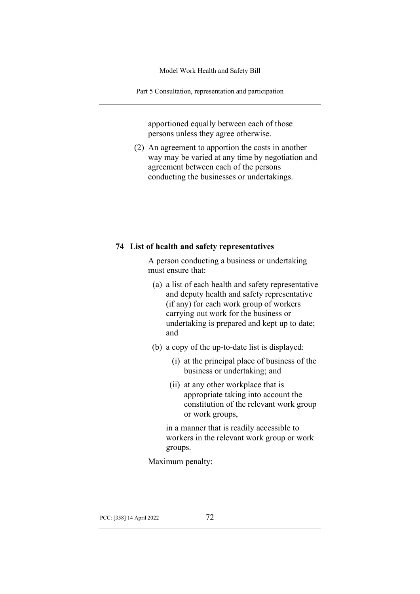Part 5 Consultation, representation and participation

apportioned equally between each of those persons unless they agree otherwise.

(2) An agreement to apportion the costs in another way may be varied at any time by negotiation and agreement between each of the persons conducting the businesses or undertakings.

### **74 List of health and safety representatives**

A person conducting a business or undertaking must ensure that:

- (a) a list of each health and safety representative and deputy health and safety representative (if any) for each work group of workers carrying out work for the business or undertaking is prepared and kept up to date; and
- (b) a copy of the up-to-date list is displayed:
	- (i) at the principal place of business of the business or undertaking; and
	- (ii) at any other workplace that is appropriate taking into account the constitution of the relevant work group or work groups,

in a manner that is readily accessible to workers in the relevant work group or work groups.

Maximum penalty: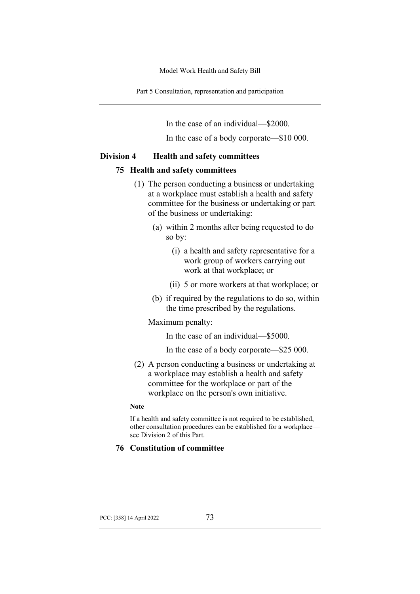Part 5 Consultation, representation and participation

In the case of an individual—\$2000.

In the case of a body corporate—\$10 000.

#### **Division 4 Health and safety committees**

#### **75 Health and safety committees**

- (1) The person conducting a business or undertaking at a workplace must establish a health and safety committee for the business or undertaking or part of the business or undertaking:
	- (a) within 2 months after being requested to do so by:
		- (i) a health and safety representative for a work group of workers carrying out work at that workplace; or
		- (ii) 5 or more workers at that workplace; or
	- (b) if required by the regulations to do so, within the time prescribed by the regulations.

#### Maximum penalty:

In the case of an individual—\$5000.

In the case of a body corporate—\$25 000.

(2) A person conducting a business or undertaking at a workplace may establish a health and safety committee for the workplace or part of the workplace on the person's own initiative.

#### **Note**

If a health and safety committee is not required to be established, other consultation procedures can be established for a workplace see Division 2 of this Part.

#### **76 Constitution of committee**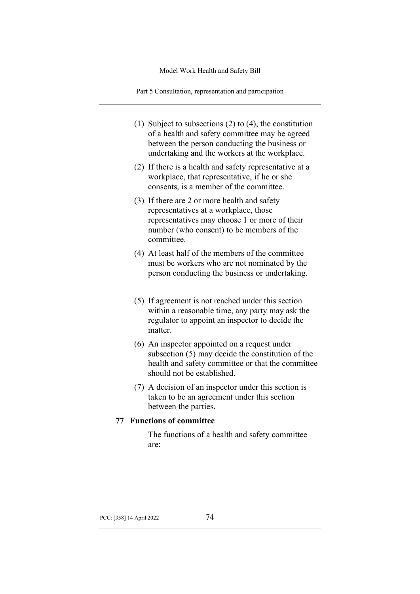Part 5 Consultation, representation and participation

- (1) Subject to subsections (2) to (4), the constitution of a health and safety committee may be agreed between the person conducting the business or undertaking and the workers at the workplace.
- (2) If there is a health and safety representative at a workplace, that representative, if he or she consents, is a member of the committee.
- (3) If there are 2 or more health and safety representatives at a workplace, those representatives may choose 1 or more of their number (who consent) to be members of the committee.
- (4) At least half of the members of the committee must be workers who are not nominated by the person conducting the business or undertaking.
- (5) If agreement is not reached under this section within a reasonable time, any party may ask the regulator to appoint an inspector to decide the matter.
- (6) An inspector appointed on a request under subsection (5) may decide the constitution of the health and safety committee or that the committee should not be established.
- (7) A decision of an inspector under this section is taken to be an agreement under this section between the parties.

### **77 Functions of committee**

The functions of a health and safety committee are: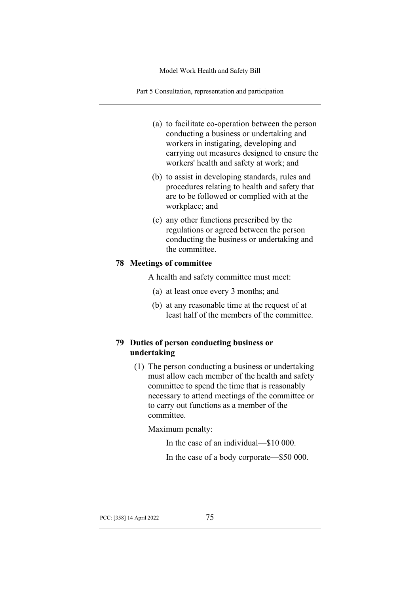Part 5 Consultation, representation and participation

- (a) to facilitate co-operation between the person conducting a business or undertaking and workers in instigating, developing and carrying out measures designed to ensure the workers' health and safety at work; and
- (b) to assist in developing standards, rules and procedures relating to health and safety that are to be followed or complied with at the workplace; and
- (c) any other functions prescribed by the regulations or agreed between the person conducting the business or undertaking and the committee.

### **78 Meetings of committee**

A health and safety committee must meet:

- (a) at least once every 3 months; and
- (b) at any reasonable time at the request of at least half of the members of the committee.

# **79 Duties of person conducting business or undertaking**

(1) The person conducting a business or undertaking must allow each member of the health and safety committee to spend the time that is reasonably necessary to attend meetings of the committee or to carry out functions as a member of the committee.

Maximum penalty:

In the case of an individual—\$10 000.

In the case of a body corporate—\$50 000.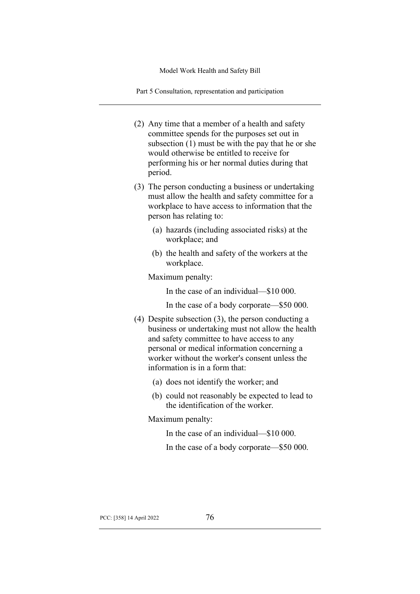Part 5 Consultation, representation and participation

- (2) Any time that a member of a health and safety committee spends for the purposes set out in subsection (1) must be with the pay that he or she would otherwise be entitled to receive for performing his or her normal duties during that period.
- (3) The person conducting a business or undertaking must allow the health and safety committee for a workplace to have access to information that the person has relating to:
	- (a) hazards (including associated risks) at the workplace; and
	- (b) the health and safety of the workers at the workplace.

Maximum penalty:

In the case of an individual—\$10 000.

In the case of a body corporate—\$50 000.

- (4) Despite subsection (3), the person conducting a business or undertaking must not allow the health and safety committee to have access to any personal or medical information concerning a worker without the worker's consent unless the information is in a form that:
	- (a) does not identify the worker; and
	- (b) could not reasonably be expected to lead to the identification of the worker.

Maximum penalty:

In the case of an individual—\$10 000.

In the case of a body corporate—\$50 000.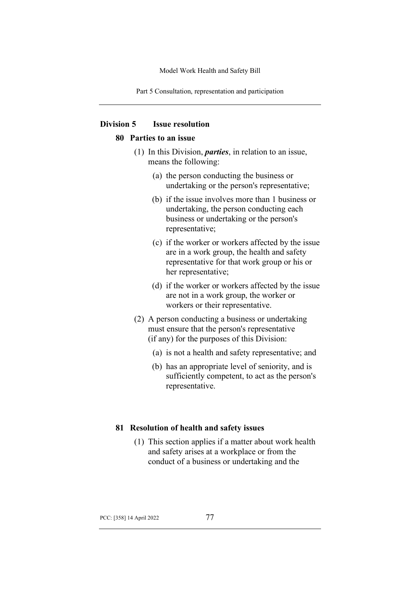Part 5 Consultation, representation and participation

### **Division 5 Issue resolution**

### **80 Parties to an issue**

- (1) In this Division, *parties*, in relation to an issue, means the following:
	- (a) the person conducting the business or undertaking or the person's representative;
	- (b) if the issue involves more than 1 business or undertaking, the person conducting each business or undertaking or the person's representative;
	- (c) if the worker or workers affected by the issue are in a work group, the health and safety representative for that work group or his or her representative;
	- (d) if the worker or workers affected by the issue are not in a work group, the worker or workers or their representative.
- (2) A person conducting a business or undertaking must ensure that the person's representative (if any) for the purposes of this Division:
	- (a) is not a health and safety representative; and
	- (b) has an appropriate level of seniority, and is sufficiently competent, to act as the person's representative.

#### **81 Resolution of health and safety issues**

(1) This section applies if a matter about work health and safety arises at a workplace or from the conduct of a business or undertaking and the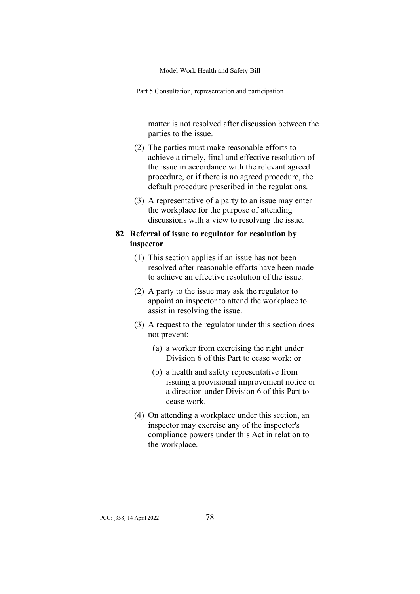Part 5 Consultation, representation and participation

matter is not resolved after discussion between the parties to the issue.

- (2) The parties must make reasonable efforts to achieve a timely, final and effective resolution of the issue in accordance with the relevant agreed procedure, or if there is no agreed procedure, the default procedure prescribed in the regulations.
- (3) A representative of a party to an issue may enter the workplace for the purpose of attending discussions with a view to resolving the issue.

### **82 Referral of issue to regulator for resolution by inspector**

- (1) This section applies if an issue has not been resolved after reasonable efforts have been made to achieve an effective resolution of the issue.
- (2) A party to the issue may ask the regulator to appoint an inspector to attend the workplace to assist in resolving the issue.
- (3) A request to the regulator under this section does not prevent:
	- (a) a worker from exercising the right under Division 6 of this Part to cease work; or
	- (b) a health and safety representative from issuing a provisional improvement notice or a direction under Division 6 of this Part to cease work.
- (4) On attending a workplace under this section, an inspector may exercise any of the inspector's compliance powers under this Act in relation to the workplace.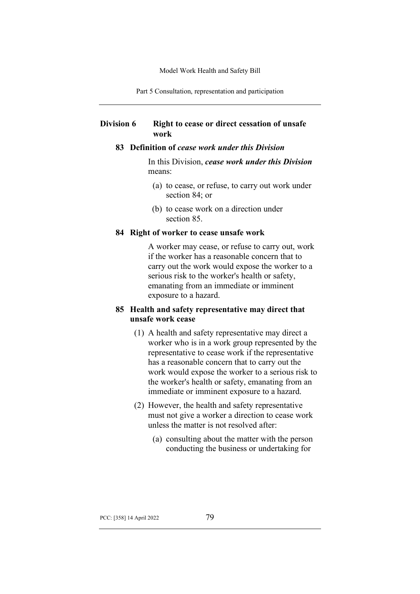Part 5 Consultation, representation and participation

### **Division 6 Right to cease or direct cessation of unsafe work**

### **83 Definition of** *cease work under this Division*

In this Division, *cease work under this Division* means:

- (a) to cease, or refuse, to carry out work under section 84; or
- (b) to cease work on a direction under section 85.

#### **84 Right of worker to cease unsafe work**

A worker may cease, or refuse to carry out, work if the worker has a reasonable concern that to carry out the work would expose the worker to a serious risk to the worker's health or safety, emanating from an immediate or imminent exposure to a hazard.

### **85 Health and safety representative may direct that unsafe work cease**

- (1) A health and safety representative may direct a worker who is in a work group represented by the representative to cease work if the representative has a reasonable concern that to carry out the work would expose the worker to a serious risk to the worker's health or safety, emanating from an immediate or imminent exposure to a hazard.
- (2) However, the health and safety representative must not give a worker a direction to cease work unless the matter is not resolved after:
	- (a) consulting about the matter with the person conducting the business or undertaking for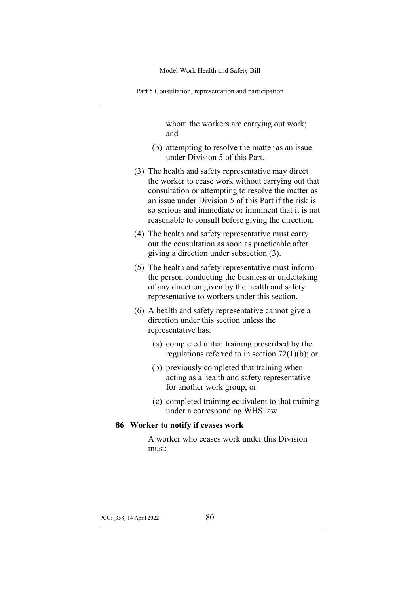Part 5 Consultation, representation and participation

whom the workers are carrying out work; and

- (b) attempting to resolve the matter as an issue under Division 5 of this Part.
- (3) The health and safety representative may direct the worker to cease work without carrying out that consultation or attempting to resolve the matter as an issue under Division 5 of this Part if the risk is so serious and immediate or imminent that it is not reasonable to consult before giving the direction.
- (4) The health and safety representative must carry out the consultation as soon as practicable after giving a direction under subsection (3).
- (5) The health and safety representative must inform the person conducting the business or undertaking of any direction given by the health and safety representative to workers under this section.
- (6) A health and safety representative cannot give a direction under this section unless the representative has:
	- (a) completed initial training prescribed by the regulations referred to in section 72(1)(b); or
	- (b) previously completed that training when acting as a health and safety representative for another work group; or
	- (c) completed training equivalent to that training under a corresponding WHS law.

#### **86 Worker to notify if ceases work**

A worker who ceases work under this Division must: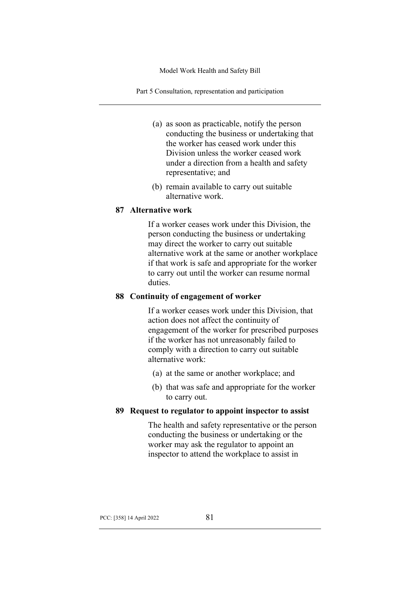Part 5 Consultation, representation and participation

- (a) as soon as practicable, notify the person conducting the business or undertaking that the worker has ceased work under this Division unless the worker ceased work under a direction from a health and safety representative; and
- (b) remain available to carry out suitable alternative work.

### **87 Alternative work**

If a worker ceases work under this Division, the person conducting the business or undertaking may direct the worker to carry out suitable alternative work at the same or another workplace if that work is safe and appropriate for the worker to carry out until the worker can resume normal duties.

### **88 Continuity of engagement of worker**

If a worker ceases work under this Division, that action does not affect the continuity of engagement of the worker for prescribed purposes if the worker has not unreasonably failed to comply with a direction to carry out suitable alternative work:

- (a) at the same or another workplace; and
- (b) that was safe and appropriate for the worker to carry out.

### **89 Request to regulator to appoint inspector to assist**

The health and safety representative or the person conducting the business or undertaking or the worker may ask the regulator to appoint an inspector to attend the workplace to assist in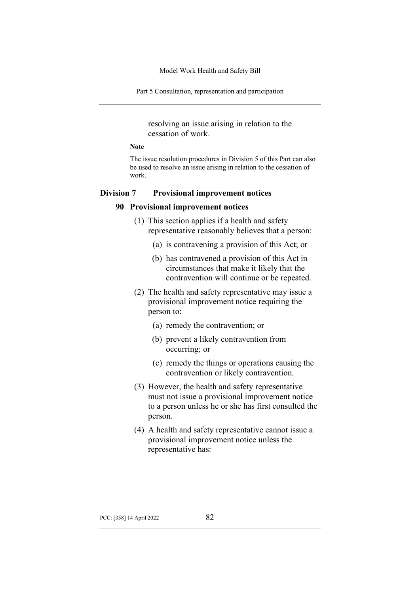Part 5 Consultation, representation and participation

resolving an issue arising in relation to the cessation of work.

### **Note**

The issue resolution procedures in Division 5 of this Part can also be used to resolve an issue arising in relation to the cessation of work.

#### **Division 7 Provisional improvement notices**

#### **90 Provisional improvement notices**

- (1) This section applies if a health and safety representative reasonably believes that a person:
	- (a) is contravening a provision of this Act; or
	- (b) has contravened a provision of this Act in circumstances that make it likely that the contravention will continue or be repeated.
- (2) The health and safety representative may issue a provisional improvement notice requiring the person to:
	- (a) remedy the contravention; or
	- (b) prevent a likely contravention from occurring; or
	- (c) remedy the things or operations causing the contravention or likely contravention.
- (3) However, the health and safety representative must not issue a provisional improvement notice to a person unless he or she has first consulted the person.
- (4) A health and safety representative cannot issue a provisional improvement notice unless the representative has: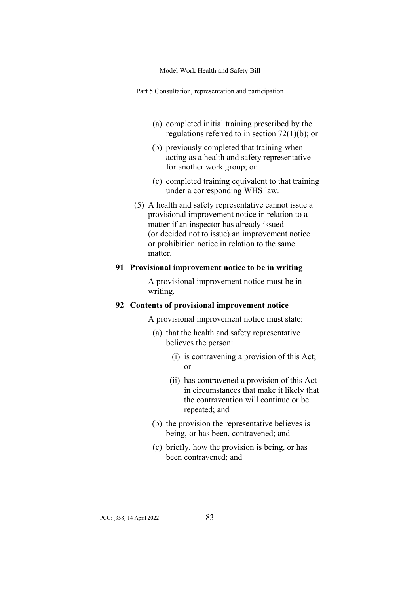Part 5 Consultation, representation and participation

- (a) completed initial training prescribed by the regulations referred to in section 72(1)(b); or
- (b) previously completed that training when acting as a health and safety representative for another work group; or
- (c) completed training equivalent to that training under a corresponding WHS law.
- (5) A health and safety representative cannot issue a provisional improvement notice in relation to a matter if an inspector has already issued (or decided not to issue) an improvement notice or prohibition notice in relation to the same matter.

### **91 Provisional improvement notice to be in writing**

A provisional improvement notice must be in writing.

#### **92 Contents of provisional improvement notice**

A provisional improvement notice must state:

- (a) that the health and safety representative believes the person:
	- (i) is contravening a provision of this Act; or
	- (ii) has contravened a provision of this Act in circumstances that make it likely that the contravention will continue or be repeated; and
- (b) the provision the representative believes is being, or has been, contravened; and
- (c) briefly, how the provision is being, or has been contravened; and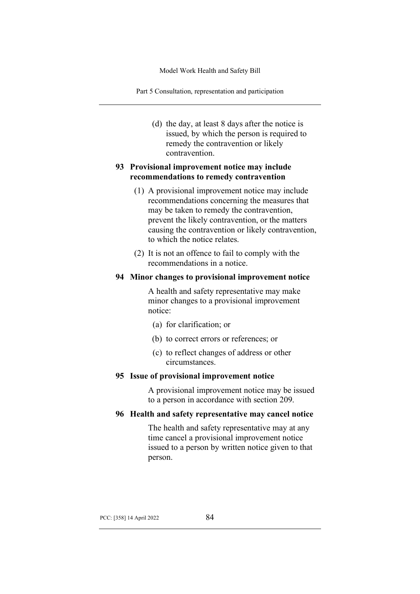Part 5 Consultation, representation and participation

(d) the day, at least 8 days after the notice is issued, by which the person is required to remedy the contravention or likely contravention.

## **93 Provisional improvement notice may include recommendations to remedy contravention**

- (1) A provisional improvement notice may include recommendations concerning the measures that may be taken to remedy the contravention, prevent the likely contravention, or the matters causing the contravention or likely contravention, to which the notice relates.
- (2) It is not an offence to fail to comply with the recommendations in a notice.

### **94 Minor changes to provisional improvement notice**

A health and safety representative may make minor changes to a provisional improvement notice:

- (a) for clarification; or
- (b) to correct errors or references; or
- (c) to reflect changes of address or other circumstances.

### **95 Issue of provisional improvement notice**

A provisional improvement notice may be issued to a person in accordance with section 209.

### **96 Health and safety representative may cancel notice**

The health and safety representative may at any time cancel a provisional improvement notice issued to a person by written notice given to that person.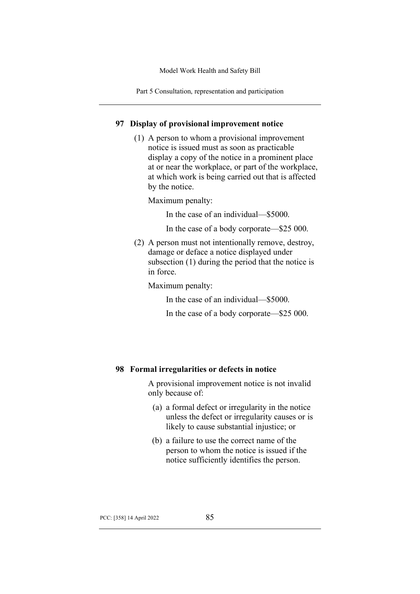Part 5 Consultation, representation and participation

### **97 Display of provisional improvement notice**

(1) A person to whom a provisional improvement notice is issued must as soon as practicable display a copy of the notice in a prominent place at or near the workplace, or part of the workplace, at which work is being carried out that is affected by the notice.

Maximum penalty:

In the case of an individual—\$5000.

In the case of a body corporate—\$25 000.

(2) A person must not intentionally remove, destroy, damage or deface a notice displayed under subsection (1) during the period that the notice is in force.

Maximum penalty:

In the case of an individual—\$5000.

In the case of a body corporate—\$25 000.

### **98 Formal irregularities or defects in notice**

A provisional improvement notice is not invalid only because of:

- (a) a formal defect or irregularity in the notice unless the defect or irregularity causes or is likely to cause substantial injustice; or
- (b) a failure to use the correct name of the person to whom the notice is issued if the notice sufficiently identifies the person.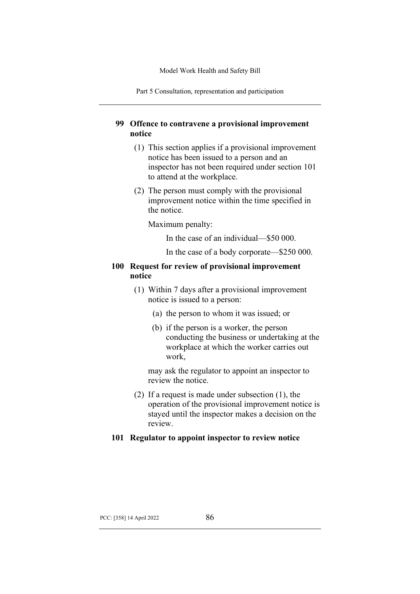Part 5 Consultation, representation and participation

# **99 Offence to contravene a provisional improvement notice**

- (1) This section applies if a provisional improvement notice has been issued to a person and an inspector has not been required under section 101 to attend at the workplace.
- (2) The person must comply with the provisional improvement notice within the time specified in the notice.

Maximum penalty:

- In the case of an individual—\$50 000.
- In the case of a body corporate—\$250 000.

### **100 Request for review of provisional improvement notice**

- (1) Within 7 days after a provisional improvement notice is issued to a person:
	- (a) the person to whom it was issued; or
	- (b) if the person is a worker, the person conducting the business or undertaking at the workplace at which the worker carries out work,

may ask the regulator to appoint an inspector to review the notice.

(2) If a request is made under subsection (1), the operation of the provisional improvement notice is stayed until the inspector makes a decision on the review.

### **101 Regulator to appoint inspector to review notice**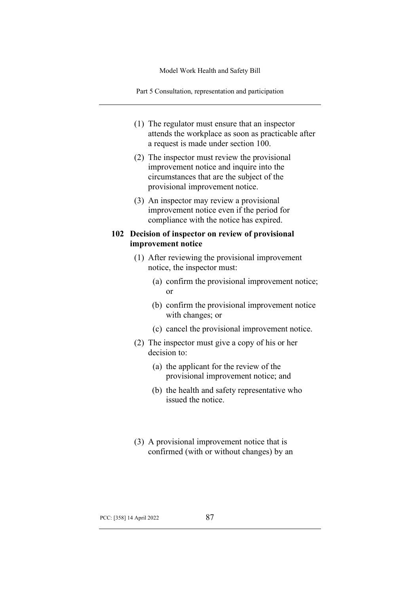Part 5 Consultation, representation and participation

- (1) The regulator must ensure that an inspector attends the workplace as soon as practicable after a request is made under section 100.
- (2) The inspector must review the provisional improvement notice and inquire into the circumstances that are the subject of the provisional improvement notice.
- (3) An inspector may review a provisional improvement notice even if the period for compliance with the notice has expired.

### **102 Decision of inspector on review of provisional improvement notice**

- (1) After reviewing the provisional improvement notice, the inspector must:
	- (a) confirm the provisional improvement notice; or
	- (b) confirm the provisional improvement notice with changes; or
	- (c) cancel the provisional improvement notice.
- (2) The inspector must give a copy of his or her decision to:
	- (a) the applicant for the review of the provisional improvement notice; and
	- (b) the health and safety representative who issued the notice.
- (3) A provisional improvement notice that is confirmed (with or without changes) by an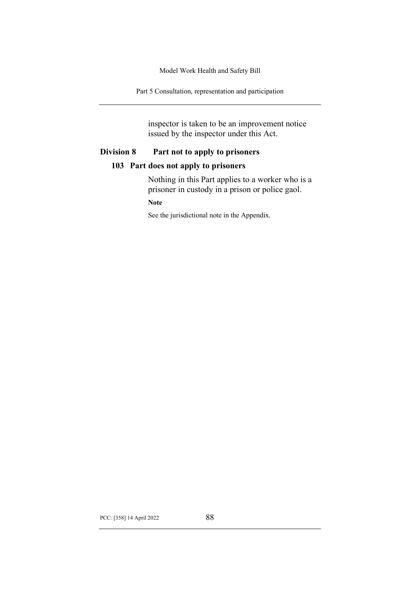Part 5 Consultation, representation and participation

inspector is taken to be an improvement notice issued by the inspector under this Act.

# **Division 8 Part not to apply to prisoners**

### **103 Part does not apply to prisoners**

Nothing in this Part applies to a worker who is a prisoner in custody in a prison or police gaol.

**Note**

See the jurisdictional note in the Appendix.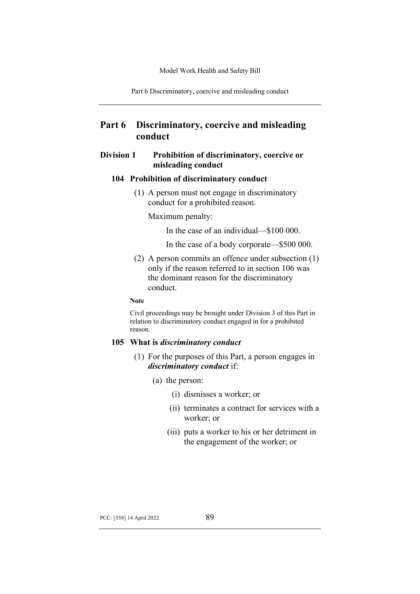Part 6 Discriminatory, coercive and misleading conduct

# **Part 6 Discriminatory, coercive and misleading conduct**

### **Division 1 Prohibition of discriminatory, coercive or misleading conduct**

#### **104 Prohibition of discriminatory conduct**

(1) A person must not engage in discriminatory conduct for a prohibited reason.

Maximum penalty:

In the case of an individual—\$100 000.

In the case of a body corporate—\$500 000.

(2) A person commits an offence under subsection (1) only if the reason referred to in section 106 was the dominant reason for the discriminatory conduct.

#### **Note**

Civil proceedings may be brought under Division 3 of this Part in relation to discriminatory conduct engaged in for a prohibited reason.

#### **105 What is** *discriminatory conduct*

- (1) For the purposes of this Part, a person engages in *discriminatory conduct* if:
	- (a) the person:
		- (i) dismisses a worker; or
		- (ii) terminates a contract for services with a worker; or
		- (iii) puts a worker to his or her detriment in the engagement of the worker; or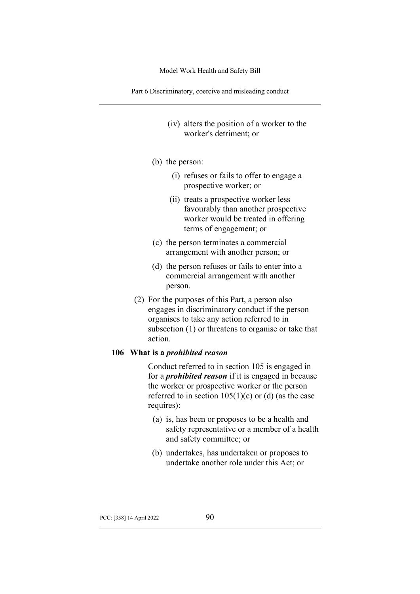Part 6 Discriminatory, coercive and misleading conduct

- (iv) alters the position of a worker to the worker's detriment; or
- (b) the person:
	- (i) refuses or fails to offer to engage a prospective worker; or
	- (ii) treats a prospective worker less favourably than another prospective worker would be treated in offering terms of engagement; or
- (c) the person terminates a commercial arrangement with another person; or
- (d) the person refuses or fails to enter into a commercial arrangement with another person.
- (2) For the purposes of this Part, a person also engages in discriminatory conduct if the person organises to take any action referred to in subsection (1) or threatens to organise or take that action.

#### **106 What is a** *prohibited reason*

Conduct referred to in section 105 is engaged in for a *prohibited reason* if it is engaged in because the worker or prospective worker or the person referred to in section  $105(1)(c)$  or (d) (as the case requires):

- (a) is, has been or proposes to be a health and safety representative or a member of a health and safety committee; or
- (b) undertakes, has undertaken or proposes to undertake another role under this Act; or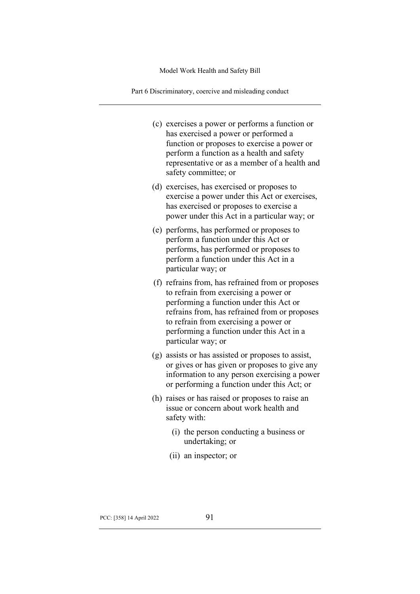Part 6 Discriminatory, coercive and misleading conduct

- (c) exercises a power or performs a function or has exercised a power or performed a function or proposes to exercise a power or perform a function as a health and safety representative or as a member of a health and safety committee; or
- (d) exercises, has exercised or proposes to exercise a power under this Act or exercises, has exercised or proposes to exercise a power under this Act in a particular way; or
- (e) performs, has performed or proposes to perform a function under this Act or performs, has performed or proposes to perform a function under this Act in a particular way; or
- (f) refrains from, has refrained from or proposes to refrain from exercising a power or performing a function under this Act or refrains from, has refrained from or proposes to refrain from exercising a power or performing a function under this Act in a particular way; or
- (g) assists or has assisted or proposes to assist, or gives or has given or proposes to give any information to any person exercising a power or performing a function under this Act; or
- (h) raises or has raised or proposes to raise an issue or concern about work health and safety with:
	- (i) the person conducting a business or undertaking; or
	- (ii) an inspector; or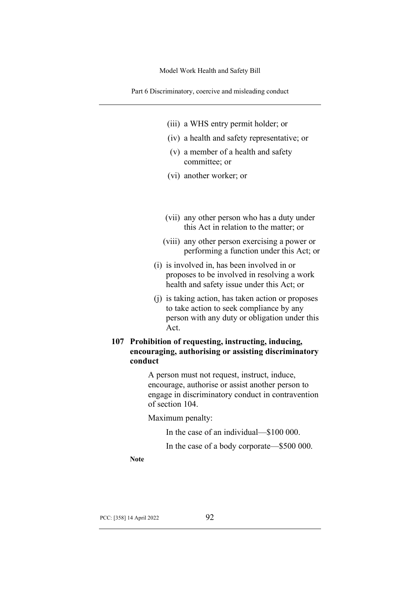Part 6 Discriminatory, coercive and misleading conduct

- (iii) a WHS entry permit holder; or
- (iv) a health and safety representative; or
- (v) a member of a health and safety committee; or
- (vi) another worker; or
- (vii) any other person who has a duty under this Act in relation to the matter; or
- (viii) any other person exercising a power or performing a function under this Act; or
- (i) is involved in, has been involved in or proposes to be involved in resolving a work health and safety issue under this Act; or
- (j) is taking action, has taken action or proposes to take action to seek compliance by any person with any duty or obligation under this Act.

# **107 Prohibition of requesting, instructing, inducing, encouraging, authorising or assisting discriminatory conduct**

A person must not request, instruct, induce, encourage, authorise or assist another person to engage in discriminatory conduct in contravention of section 104.

Maximum penalty:

In the case of an individual—\$100 000.

In the case of a body corporate—\$500 000.

**Note**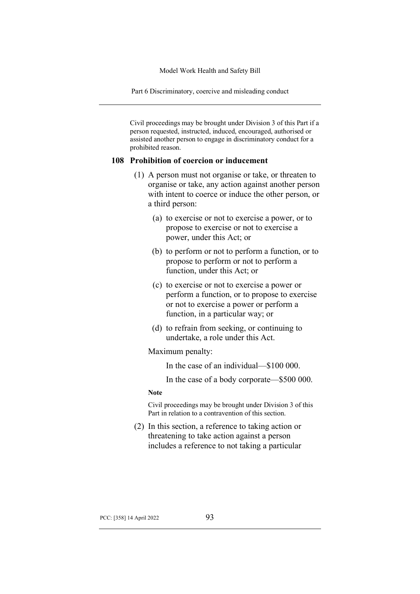Part 6 Discriminatory, coercive and misleading conduct

Civil proceedings may be brought under Division 3 of this Part if a person requested, instructed, induced, encouraged, authorised or assisted another person to engage in discriminatory conduct for a prohibited reason.

#### **108 Prohibition of coercion or inducement**

- (1) A person must not organise or take, or threaten to organise or take, any action against another person with intent to coerce or induce the other person, or a third person:
	- (a) to exercise or not to exercise a power, or to propose to exercise or not to exercise a power, under this Act; or
	- (b) to perform or not to perform a function, or to propose to perform or not to perform a function, under this Act; or
	- (c) to exercise or not to exercise a power or perform a function, or to propose to exercise or not to exercise a power or perform a function, in a particular way; or
	- (d) to refrain from seeking, or continuing to undertake, a role under this Act.

Maximum penalty:

In the case of an individual—\$100 000.

In the case of a body corporate—\$500 000.

#### **Note**

Civil proceedings may be brought under Division 3 of this Part in relation to a contravention of this section.

(2) In this section, a reference to taking action or threatening to take action against a person includes a reference to not taking a particular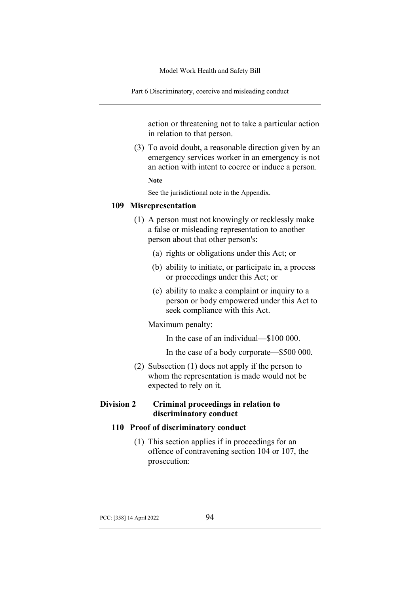Part 6 Discriminatory, coercive and misleading conduct

action or threatening not to take a particular action in relation to that person.

(3) To avoid doubt, a reasonable direction given by an emergency services worker in an emergency is not an action with intent to coerce or induce a person.

**Note**

See the jurisdictional note in the Appendix.

### **109 Misrepresentation**

- (1) A person must not knowingly or recklessly make a false or misleading representation to another person about that other person's:
	- (a) rights or obligations under this Act; or
	- (b) ability to initiate, or participate in, a process or proceedings under this Act; or
	- (c) ability to make a complaint or inquiry to a person or body empowered under this Act to seek compliance with this Act.

#### Maximum penalty:

In the case of an individual—\$100 000.

In the case of a body corporate—\$500 000.

(2) Subsection (1) does not apply if the person to whom the representation is made would not be expected to rely on it.

### **Division 2 Criminal proceedings in relation to discriminatory conduct**

### **110 Proof of discriminatory conduct**

(1) This section applies if in proceedings for an offence of contravening section 104 or 107, the prosecution: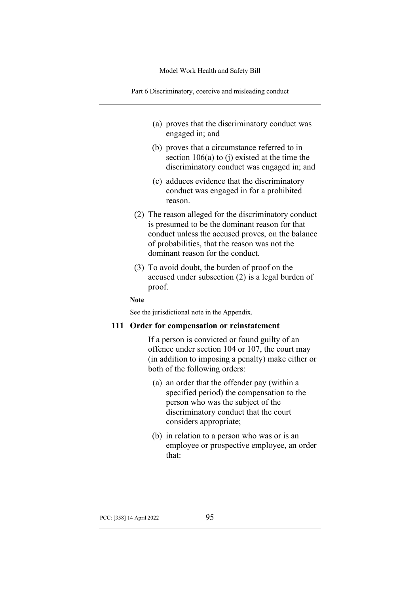Part 6 Discriminatory, coercive and misleading conduct

- (a) proves that the discriminatory conduct was engaged in; and
- (b) proves that a circumstance referred to in section 106(a) to (j) existed at the time the discriminatory conduct was engaged in; and
- (c) adduces evidence that the discriminatory conduct was engaged in for a prohibited reason.
- (2) The reason alleged for the discriminatory conduct is presumed to be the dominant reason for that conduct unless the accused proves, on the balance of probabilities, that the reason was not the dominant reason for the conduct.
- (3) To avoid doubt, the burden of proof on the accused under subsection (2) is a legal burden of proof.

**Note**

See the jurisdictional note in the Appendix.

#### **111 Order for compensation or reinstatement**

If a person is convicted or found guilty of an offence under section 104 or 107, the court may (in addition to imposing a penalty) make either or both of the following orders:

- (a) an order that the offender pay (within a specified period) the compensation to the person who was the subject of the discriminatory conduct that the court considers appropriate;
- (b) in relation to a person who was or is an employee or prospective employee, an order that: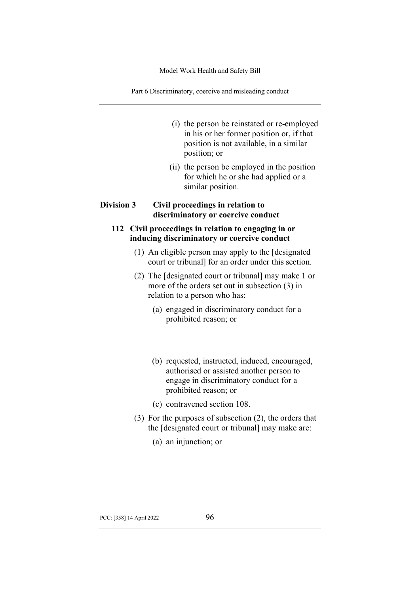Part 6 Discriminatory, coercive and misleading conduct

- (i) the person be reinstated or re-employed in his or her former position or, if that position is not available, in a similar position; or
- (ii) the person be employed in the position for which he or she had applied or a similar position.

# **Division 3 Civil proceedings in relation to discriminatory or coercive conduct**

# **112 Civil proceedings in relation to engaging in or inducing discriminatory or coercive conduct**

- (1) An eligible person may apply to the [designated court or tribunal] for an order under this section.
- (2) The [designated court or tribunal] may make 1 or more of the orders set out in subsection (3) in relation to a person who has:
	- (a) engaged in discriminatory conduct for a prohibited reason; or
	- (b) requested, instructed, induced, encouraged, authorised or assisted another person to engage in discriminatory conduct for a prohibited reason; or
	- (c) contravened section 108.
- (3) For the purposes of subsection (2), the orders that the [designated court or tribunal] may make are:
	- (a) an injunction; or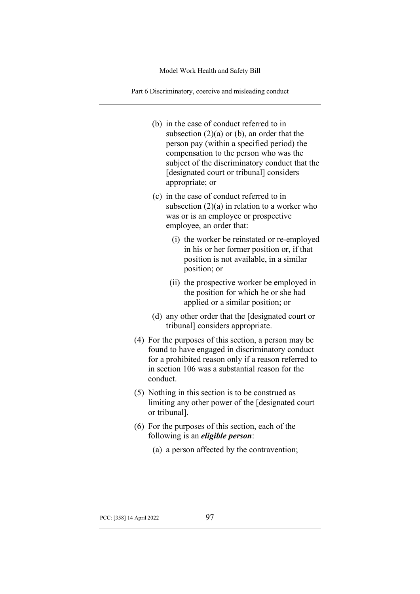Part 6 Discriminatory, coercive and misleading conduct

- (b) in the case of conduct referred to in subsection  $(2)(a)$  or  $(b)$ , an order that the person pay (within a specified period) the compensation to the person who was the subject of the discriminatory conduct that the [designated court or tribunal] considers appropriate; or
- (c) in the case of conduct referred to in subsection  $(2)(a)$  in relation to a worker who was or is an employee or prospective employee, an order that:
	- (i) the worker be reinstated or re-employed in his or her former position or, if that position is not available, in a similar position; or
	- (ii) the prospective worker be employed in the position for which he or she had applied or a similar position; or
- (d) any other order that the [designated court or tribunal] considers appropriate.
- (4) For the purposes of this section, a person may be found to have engaged in discriminatory conduct for a prohibited reason only if a reason referred to in section 106 was a substantial reason for the conduct.
- (5) Nothing in this section is to be construed as limiting any other power of the [designated court or tribunal].
- (6) For the purposes of this section, each of the following is an *eligible person*:
	- (a) a person affected by the contravention;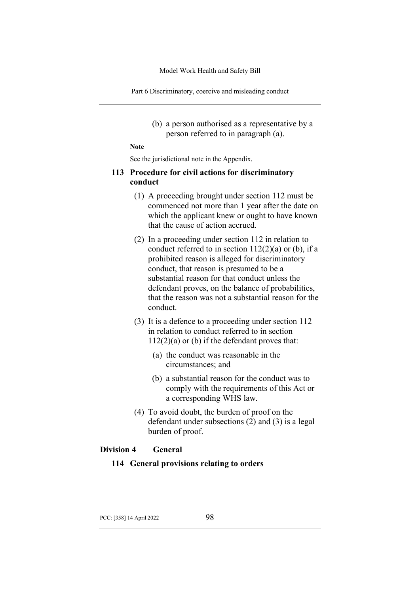Part 6 Discriminatory, coercive and misleading conduct

(b) a person authorised as a representative by a person referred to in paragraph (a).

**Note**

See the jurisdictional note in the Appendix.

### **113 Procedure for civil actions for discriminatory conduct**

- (1) A proceeding brought under section 112 must be commenced not more than 1 year after the date on which the applicant knew or ought to have known that the cause of action accrued.
- (2) In a proceeding under section 112 in relation to conduct referred to in section  $112(2)(a)$  or (b), if a prohibited reason is alleged for discriminatory conduct, that reason is presumed to be a substantial reason for that conduct unless the defendant proves, on the balance of probabilities, that the reason was not a substantial reason for the conduct.
- (3) It is a defence to a proceeding under section 112 in relation to conduct referred to in section  $112(2)(a)$  or (b) if the defendant proves that:
	- (a) the conduct was reasonable in the circumstances; and
	- (b) a substantial reason for the conduct was to comply with the requirements of this Act or a corresponding WHS law.
- (4) To avoid doubt, the burden of proof on the defendant under subsections (2) and (3) is a legal burden of proof.

### **Division 4 General**

# **114 General provisions relating to orders**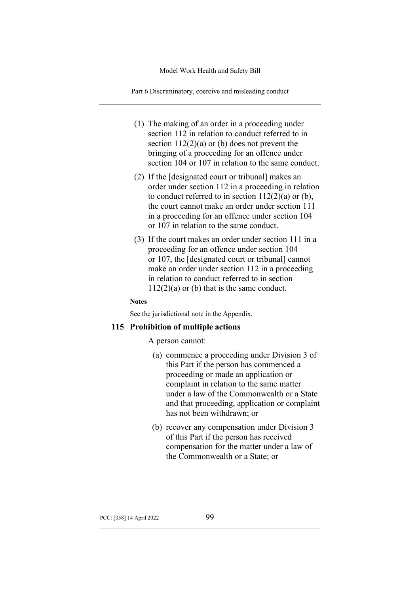Part 6 Discriminatory, coercive and misleading conduct

- (1) The making of an order in a proceeding under section 112 in relation to conduct referred to in section  $112(2)(a)$  or (b) does not prevent the bringing of a proceeding for an offence under section 104 or 107 in relation to the same conduct.
- (2) If the [designated court or tribunal] makes an order under section 112 in a proceeding in relation to conduct referred to in section  $112(2)(a)$  or (b), the court cannot make an order under section 111 in a proceeding for an offence under section 104 or 107 in relation to the same conduct.
- (3) If the court makes an order under section 111 in a proceeding for an offence under section 104 or 107, the [designated court or tribunal] cannot make an order under section 112 in a proceeding in relation to conduct referred to in section  $112(2)(a)$  or (b) that is the same conduct.

#### **Notes**

See the jurisdictional note in the Appendix.

### **115 Prohibition of multiple actions**

A person cannot:

- (a) commence a proceeding under Division 3 of this Part if the person has commenced a proceeding or made an application or complaint in relation to the same matter under a law of the Commonwealth or a State and that proceeding, application or complaint has not been withdrawn; or
- (b) recover any compensation under Division 3 of this Part if the person has received compensation for the matter under a law of the Commonwealth or a State; or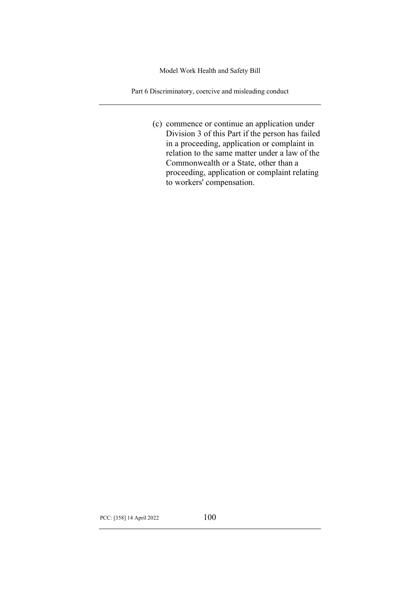Part 6 Discriminatory, coercive and misleading conduct

(c) commence or continue an application under Division 3 of this Part if the person has failed in a proceeding, application or complaint in relation to the same matter under a law of the Commonwealth or a State, other than a proceeding, application or complaint relating to workers' compensation.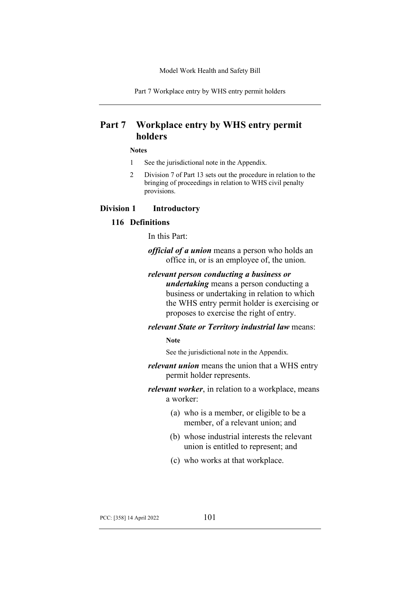Part 7 Workplace entry by WHS entry permit holders

# **Part 7 Workplace entry by WHS entry permit holders**

#### **Notes**

- 1 See the jurisdictional note in the Appendix.
- 2 Division 7 of Part 13 sets out the procedure in relation to the bringing of proceedings in relation to WHS civil penalty provisions.

### **Division 1 Introductory**

### **116 Definitions**

In this Part:

*official of a union* means a person who holds an office in, or is an employee of, the union.

### *relevant person conducting a business or*

*undertaking* means a person conducting a business or undertaking in relation to which the WHS entry permit holder is exercising or proposes to exercise the right of entry.

#### *relevant State or Territory industrial law* means:

#### **Note**

See the jurisdictional note in the Appendix.

# *relevant union* means the union that a WHS entry permit holder represents.

- *relevant worker*, in relation to a workplace, means a worker:
	- (a) who is a member, or eligible to be a member, of a relevant union; and
	- (b) whose industrial interests the relevant union is entitled to represent; and
	- (c) who works at that workplace.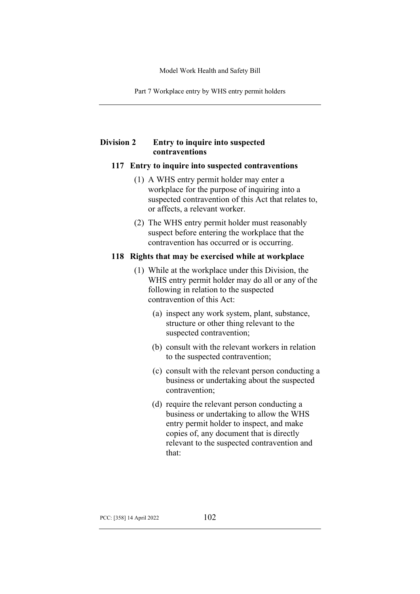Part 7 Workplace entry by WHS entry permit holders

# **Division 2 Entry to inquire into suspected contraventions**

### **117 Entry to inquire into suspected contraventions**

- (1) A WHS entry permit holder may enter a workplace for the purpose of inquiring into a suspected contravention of this Act that relates to, or affects, a relevant worker.
- (2) The WHS entry permit holder must reasonably suspect before entering the workplace that the contravention has occurred or is occurring.

### **118 Rights that may be exercised while at workplace**

- (1) While at the workplace under this Division, the WHS entry permit holder may do all or any of the following in relation to the suspected contravention of this Act:
	- (a) inspect any work system, plant, substance, structure or other thing relevant to the suspected contravention;
	- (b) consult with the relevant workers in relation to the suspected contravention;
	- (c) consult with the relevant person conducting a business or undertaking about the suspected contravention;
	- (d) require the relevant person conducting a business or undertaking to allow the WHS entry permit holder to inspect, and make copies of, any document that is directly relevant to the suspected contravention and that: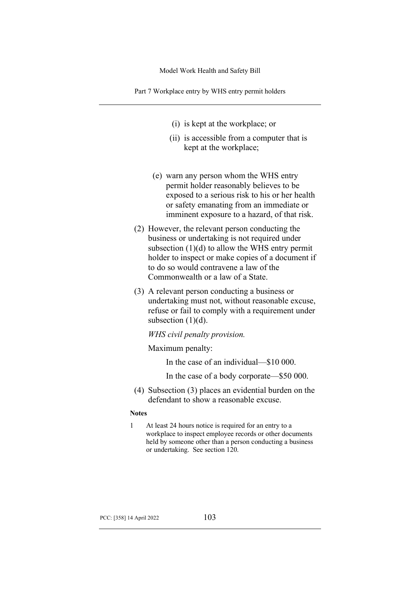Part 7 Workplace entry by WHS entry permit holders

- (i) is kept at the workplace; or
- (ii) is accessible from a computer that is kept at the workplace;
- (e) warn any person whom the WHS entry permit holder reasonably believes to be exposed to a serious risk to his or her health or safety emanating from an immediate or imminent exposure to a hazard, of that risk.
- (2) However, the relevant person conducting the business or undertaking is not required under subsection  $(1)(d)$  to allow the WHS entry permit holder to inspect or make copies of a document if to do so would contravene a law of the Commonwealth or a law of a State.
- (3) A relevant person conducting a business or undertaking must not, without reasonable excuse, refuse or fail to comply with a requirement under subsection  $(1)(d)$ .

*WHS civil penalty provision.*

Maximum penalty:

In the case of an individual—\$10 000.

In the case of a body corporate—\$50 000.

(4) Subsection (3) places an evidential burden on the defendant to show a reasonable excuse.

#### **Notes**

1 At least 24 hours notice is required for an entry to a workplace to inspect employee records or other documents held by someone other than a person conducting a business or undertaking. See section 120.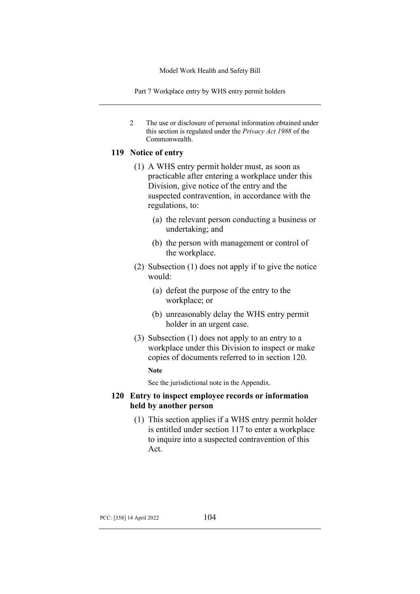Part 7 Workplace entry by WHS entry permit holders

2 The use or disclosure of personal information obtained under this section is regulated under the *Privacy Act 1988* of the Commonwealth.

## **119 Notice of entry**

- (1) A WHS entry permit holder must, as soon as practicable after entering a workplace under this Division, give notice of the entry and the suspected contravention, in accordance with the regulations, to:
	- (a) the relevant person conducting a business or undertaking; and
	- (b) the person with management or control of the workplace.
- (2) Subsection (1) does not apply if to give the notice would:
	- (a) defeat the purpose of the entry to the workplace; or
	- (b) unreasonably delay the WHS entry permit holder in an urgent case.
- (3) Subsection (1) does not apply to an entry to a workplace under this Division to inspect or make copies of documents referred to in section 120.

**Note**

See the jurisdictional note in the Appendix.

### **120 Entry to inspect employee records or information held by another person**

(1) This section applies if a WHS entry permit holder is entitled under section 117 to enter a workplace to inquire into a suspected contravention of this Act.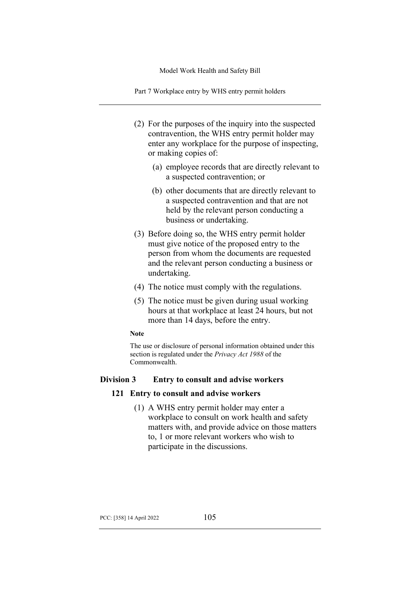Part 7 Workplace entry by WHS entry permit holders

- (2) For the purposes of the inquiry into the suspected contravention, the WHS entry permit holder may enter any workplace for the purpose of inspecting, or making copies of:
	- (a) employee records that are directly relevant to a suspected contravention; or
	- (b) other documents that are directly relevant to a suspected contravention and that are not held by the relevant person conducting a business or undertaking.
- (3) Before doing so, the WHS entry permit holder must give notice of the proposed entry to the person from whom the documents are requested and the relevant person conducting a business or undertaking.
- (4) The notice must comply with the regulations.
- (5) The notice must be given during usual working hours at that workplace at least 24 hours, but not more than 14 days, before the entry.

#### **Note**

The use or disclosure of personal information obtained under this section is regulated under the *Privacy Act 1988* of the Commonwealth.

### **Division 3 Entry to consult and advise workers**

### **121 Entry to consult and advise workers**

(1) A WHS entry permit holder may enter a workplace to consult on work health and safety matters with, and provide advice on those matters to, 1 or more relevant workers who wish to participate in the discussions.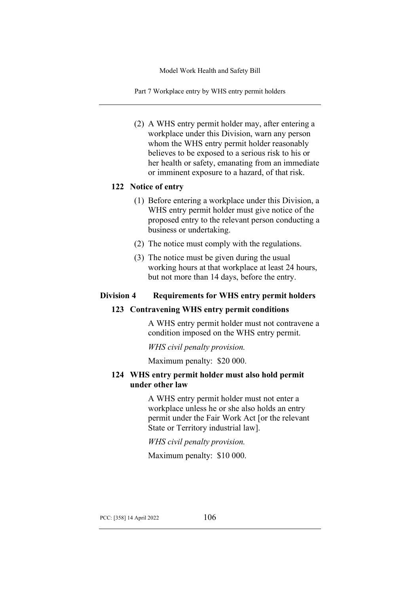Part 7 Workplace entry by WHS entry permit holders

(2) A WHS entry permit holder may, after entering a workplace under this Division, warn any person whom the WHS entry permit holder reasonably believes to be exposed to a serious risk to his or her health or safety, emanating from an immediate or imminent exposure to a hazard, of that risk.

# **122 Notice of entry**

- (1) Before entering a workplace under this Division, a WHS entry permit holder must give notice of the proposed entry to the relevant person conducting a business or undertaking.
- (2) The notice must comply with the regulations.
- (3) The notice must be given during the usual working hours at that workplace at least 24 hours, but not more than 14 days, before the entry.

# **Division 4 Requirements for WHS entry permit holders**

### **123 Contravening WHS entry permit conditions**

A WHS entry permit holder must not contravene a condition imposed on the WHS entry permit.

*WHS civil penalty provision.*

Maximum penalty: \$20 000.

# **124 WHS entry permit holder must also hold permit under other law**

A WHS entry permit holder must not enter a workplace unless he or she also holds an entry permit under the Fair Work Act [or the relevant State or Territory industrial law].

*WHS civil penalty provision.*

Maximum penalty: \$10 000.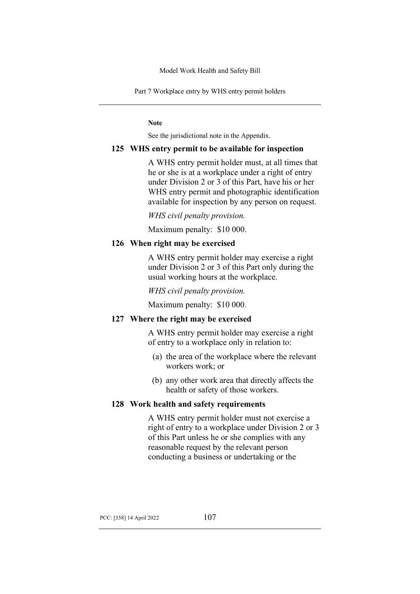Part 7 Workplace entry by WHS entry permit holders

**Note**

See the jurisdictional note in the Appendix.

#### **125 WHS entry permit to be available for inspection**

A WHS entry permit holder must, at all times that he or she is at a workplace under a right of entry under Division 2 or 3 of this Part, have his or her WHS entry permit and photographic identification available for inspection by any person on request.

*WHS civil penalty provision.*

Maximum penalty: \$10 000.

### **126 When right may be exercised**

A WHS entry permit holder may exercise a right under Division 2 or 3 of this Part only during the usual working hours at the workplace.

*WHS civil penalty provision.*

Maximum penalty: \$10 000.

### **127 Where the right may be exercised**

A WHS entry permit holder may exercise a right of entry to a workplace only in relation to:

- (a) the area of the workplace where the relevant workers work; or
- (b) any other work area that directly affects the health or safety of those workers.

#### **128 Work health and safety requirements**

A WHS entry permit holder must not exercise a right of entry to a workplace under Division 2 or 3 of this Part unless he or she complies with any reasonable request by the relevant person conducting a business or undertaking or the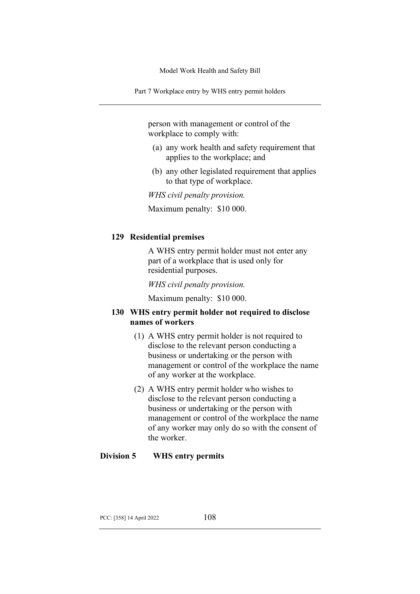Part 7 Workplace entry by WHS entry permit holders

person with management or control of the workplace to comply with:

- (a) any work health and safety requirement that applies to the workplace; and
- (b) any other legislated requirement that applies to that type of workplace.

*WHS civil penalty provision.*

Maximum penalty: \$10 000.

## **129 Residential premises**

A WHS entry permit holder must not enter any part of a workplace that is used only for residential purposes.

*WHS civil penalty provision.*

Maximum penalty: \$10 000.

# **130 WHS entry permit holder not required to disclose names of workers**

- (1) A WHS entry permit holder is not required to disclose to the relevant person conducting a business or undertaking or the person with management or control of the workplace the name of any worker at the workplace.
- (2) A WHS entry permit holder who wishes to disclose to the relevant person conducting a business or undertaking or the person with management or control of the workplace the name of any worker may only do so with the consent of the worker.

## **Division 5 WHS entry permits**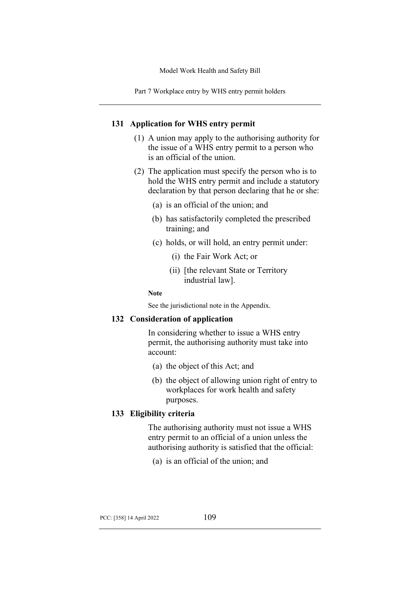Part 7 Workplace entry by WHS entry permit holders

### **131 Application for WHS entry permit**

- (1) A union may apply to the authorising authority for the issue of a WHS entry permit to a person who is an official of the union.
- (2) The application must specify the person who is to hold the WHS entry permit and include a statutory declaration by that person declaring that he or she:
	- (a) is an official of the union; and
	- (b) has satisfactorily completed the prescribed training; and
	- (c) holds, or will hold, an entry permit under:
		- (i) the Fair Work Act; or
		- (ii) [the relevant State or Territory industrial law].

#### **Note**

See the jurisdictional note in the Appendix.

### **132 Consideration of application**

In considering whether to issue a WHS entry permit, the authorising authority must take into account:

- (a) the object of this Act; and
- (b) the object of allowing union right of entry to workplaces for work health and safety purposes.

## **133 Eligibility criteria**

The authorising authority must not issue a WHS entry permit to an official of a union unless the authorising authority is satisfied that the official:

(a) is an official of the union; and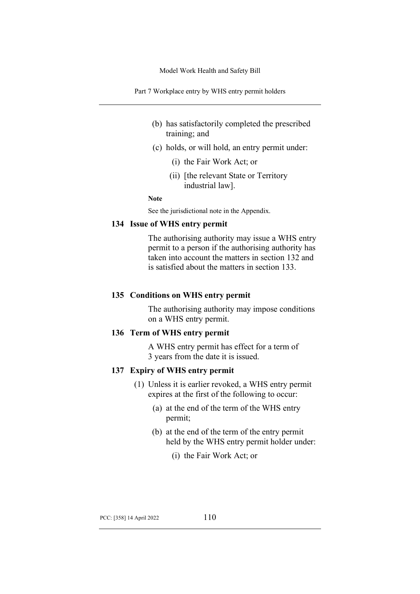Part 7 Workplace entry by WHS entry permit holders

- (b) has satisfactorily completed the prescribed training; and
- (c) holds, or will hold, an entry permit under:
	- (i) the Fair Work Act; or
	- (ii) [the relevant State or Territory industrial law].

**Note**

See the jurisdictional note in the Appendix.

# **134 Issue of WHS entry permit**

The authorising authority may issue a WHS entry permit to a person if the authorising authority has taken into account the matters in section 132 and is satisfied about the matters in section 133.

#### **135 Conditions on WHS entry permit**

The authorising authority may impose conditions on a WHS entry permit.

### **136 Term of WHS entry permit**

A WHS entry permit has effect for a term of 3 years from the date it is issued.

### **137 Expiry of WHS entry permit**

- (1) Unless it is earlier revoked, a WHS entry permit expires at the first of the following to occur:
	- (a) at the end of the term of the WHS entry permit;
	- (b) at the end of the term of the entry permit held by the WHS entry permit holder under:
		- (i) the Fair Work Act; or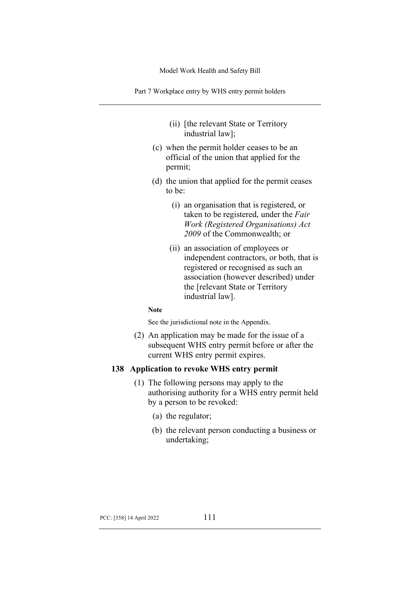Part 7 Workplace entry by WHS entry permit holders

- (ii) [the relevant State or Territory industrial law];
- (c) when the permit holder ceases to be an official of the union that applied for the permit;
- (d) the union that applied for the permit ceases to be:
	- (i) an organisation that is registered, or taken to be registered, under the *Fair Work (Registered Organisations) Act 2009* of the Commonwealth; or
	- (ii) an association of employees or independent contractors, or both, that is registered or recognised as such an association (however described) under the [relevant State or Territory industrial law].

### **Note**

See the jurisdictional note in the Appendix.

(2) An application may be made for the issue of a subsequent WHS entry permit before or after the current WHS entry permit expires.

## **138 Application to revoke WHS entry permit**

- (1) The following persons may apply to the authorising authority for a WHS entry permit held by a person to be revoked:
	- (a) the regulator;
	- (b) the relevant person conducting a business or undertaking;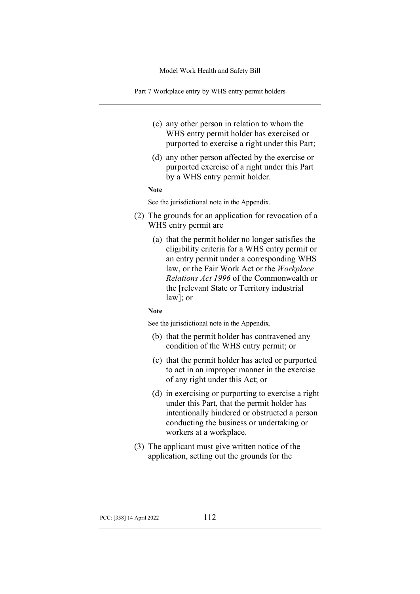Part 7 Workplace entry by WHS entry permit holders

- (c) any other person in relation to whom the WHS entry permit holder has exercised or purported to exercise a right under this Part;
- (d) any other person affected by the exercise or purported exercise of a right under this Part by a WHS entry permit holder.

#### **Note**

See the jurisdictional note in the Appendix.

- (2) The grounds for an application for revocation of a WHS entry permit are
	- (a) that the permit holder no longer satisfies the eligibility criteria for a WHS entry permit or an entry permit under a corresponding WHS law, or the Fair Work Act or the *Workplace Relations Act 1996* of the Commonwealth or the [relevant State or Territory industrial law]; or

#### **Note**

See the jurisdictional note in the Appendix.

- (b) that the permit holder has contravened any condition of the WHS entry permit; or
- (c) that the permit holder has acted or purported to act in an improper manner in the exercise of any right under this Act; or
- (d) in exercising or purporting to exercise a right under this Part, that the permit holder has intentionally hindered or obstructed a person conducting the business or undertaking or workers at a workplace.
- (3) The applicant must give written notice of the application, setting out the grounds for the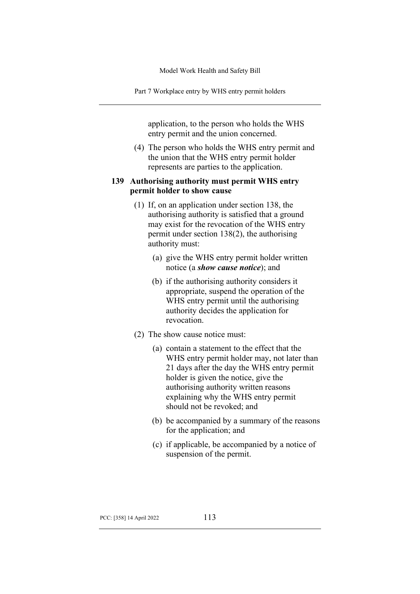Part 7 Workplace entry by WHS entry permit holders

application, to the person who holds the WHS entry permit and the union concerned.

(4) The person who holds the WHS entry permit and the union that the WHS entry permit holder represents are parties to the application.

## **139 Authorising authority must permit WHS entry permit holder to show cause**

- (1) If, on an application under section 138, the authorising authority is satisfied that a ground may exist for the revocation of the WHS entry permit under section 138(2), the authorising authority must:
	- (a) give the WHS entry permit holder written notice (a *show cause notice*); and
	- (b) if the authorising authority considers it appropriate, suspend the operation of the WHS entry permit until the authorising authority decides the application for revocation.
- (2) The show cause notice must:
	- (a) contain a statement to the effect that the WHS entry permit holder may, not later than 21 days after the day the WHS entry permit holder is given the notice, give the authorising authority written reasons explaining why the WHS entry permit should not be revoked; and
	- (b) be accompanied by a summary of the reasons for the application; and
	- (c) if applicable, be accompanied by a notice of suspension of the permit.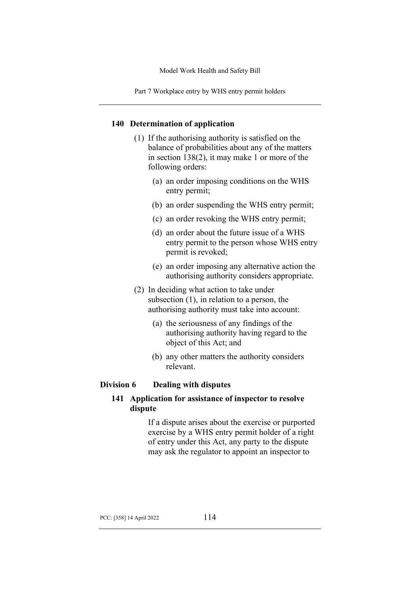Part 7 Workplace entry by WHS entry permit holders

### **140 Determination of application**

- (1) If the authorising authority is satisfied on the balance of probabilities about any of the matters in section 138(2), it may make 1 or more of the following orders:
	- (a) an order imposing conditions on the WHS entry permit;
	- (b) an order suspending the WHS entry permit;
	- (c) an order revoking the WHS entry permit;
	- (d) an order about the future issue of a WHS entry permit to the person whose WHS entry permit is revoked;
	- (e) an order imposing any alternative action the authorising authority considers appropriate.
- (2) In deciding what action to take under subsection (1), in relation to a person, the authorising authority must take into account:
	- (a) the seriousness of any findings of the authorising authority having regard to the object of this Act; and
	- (b) any other matters the authority considers relevant.

# **Division 6 Dealing with disputes**

# **141 Application for assistance of inspector to resolve dispute**

If a dispute arises about the exercise or purported exercise by a WHS entry permit holder of a right of entry under this Act, any party to the dispute may ask the regulator to appoint an inspector to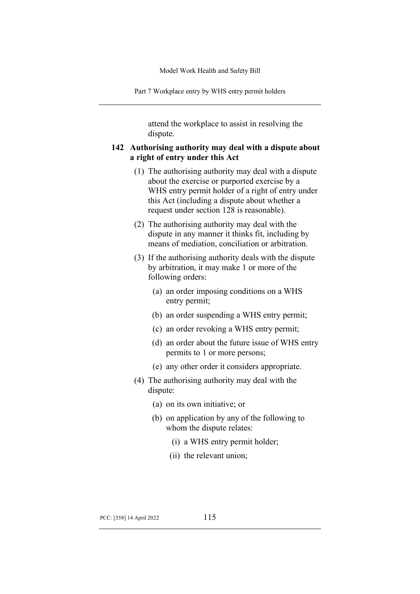Part 7 Workplace entry by WHS entry permit holders

attend the workplace to assist in resolving the dispute.

# **142 Authorising authority may deal with a dispute about a right of entry under this Act**

- (1) The authorising authority may deal with a dispute about the exercise or purported exercise by a WHS entry permit holder of a right of entry under this Act (including a dispute about whether a request under section 128 is reasonable).
- (2) The authorising authority may deal with the dispute in any manner it thinks fit, including by means of mediation, conciliation or arbitration.
- (3) If the authorising authority deals with the dispute by arbitration, it may make 1 or more of the following orders:
	- (a) an order imposing conditions on a WHS entry permit;
	- (b) an order suspending a WHS entry permit;
	- (c) an order revoking a WHS entry permit;
	- (d) an order about the future issue of WHS entry permits to 1 or more persons;
	- (e) any other order it considers appropriate.
- (4) The authorising authority may deal with the dispute:
	- (a) on its own initiative; or
	- (b) on application by any of the following to whom the dispute relates:
		- (i) a WHS entry permit holder;
		- (ii) the relevant union;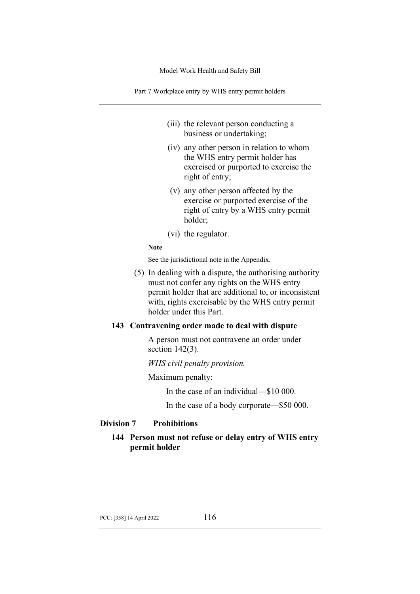Part 7 Workplace entry by WHS entry permit holders

- (iii) the relevant person conducting a business or undertaking;
- (iv) any other person in relation to whom the WHS entry permit holder has exercised or purported to exercise the right of entry;
- (v) any other person affected by the exercise or purported exercise of the right of entry by a WHS entry permit holder;
- (vi) the regulator.

#### **Note**

See the jurisdictional note in the Appendix.

(5) In dealing with a dispute, the authorising authority must not confer any rights on the WHS entry permit holder that are additional to, or inconsistent with, rights exercisable by the WHS entry permit holder under this Part.

### **143 Contravening order made to deal with dispute**

A person must not contravene an order under section 142(3).

*WHS civil penalty provision.*

Maximum penalty:

In the case of an individual—\$10 000.

In the case of a body corporate—\$50 000.

### **Division 7 Prohibitions**

# **144 Person must not refuse or delay entry of WHS entry permit holder**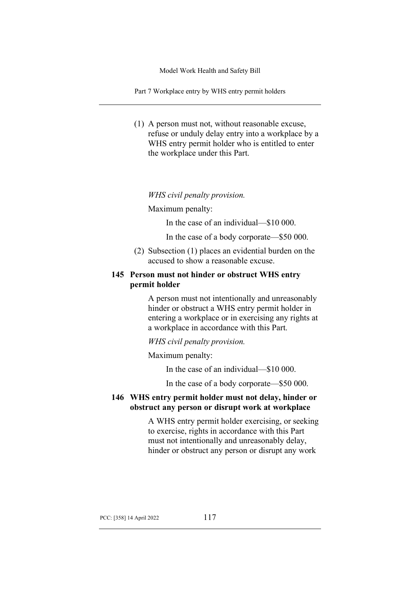Part 7 Workplace entry by WHS entry permit holders

(1) A person must not, without reasonable excuse, refuse or unduly delay entry into a workplace by a WHS entry permit holder who is entitled to enter the workplace under this Part.

*WHS civil penalty provision.*

Maximum penalty:

In the case of an individual—\$10 000.

In the case of a body corporate—\$50 000.

(2) Subsection (1) places an evidential burden on the accused to show a reasonable excuse.

# **145 Person must not hinder or obstruct WHS entry permit holder**

A person must not intentionally and unreasonably hinder or obstruct a WHS entry permit holder in entering a workplace or in exercising any rights at a workplace in accordance with this Part.

*WHS civil penalty provision.*

Maximum penalty:

In the case of an individual—\$10 000.

In the case of a body corporate—\$50 000.

# **146 WHS entry permit holder must not delay, hinder or obstruct any person or disrupt work at workplace**

A WHS entry permit holder exercising, or seeking to exercise, rights in accordance with this Part must not intentionally and unreasonably delay, hinder or obstruct any person or disrupt any work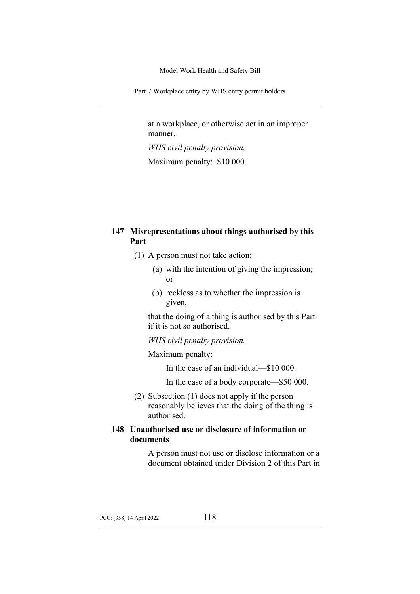Part 7 Workplace entry by WHS entry permit holders

at a workplace, or otherwise act in an improper manner.

*WHS civil penalty provision.*

Maximum penalty: \$10 000.

# **147 Misrepresentations about things authorised by this Part**

- (1) A person must not take action:
	- (a) with the intention of giving the impression; or
	- (b) reckless as to whether the impression is given,

that the doing of a thing is authorised by this Part if it is not so authorised.

*WHS civil penalty provision.*

Maximum penalty:

In the case of an individual—\$10 000.

In the case of a body corporate—\$50 000.

(2) Subsection (1) does not apply if the person reasonably believes that the doing of the thing is authorised.

# **148 Unauthorised use or disclosure of information or documents**

A person must not use or disclose information or a document obtained under Division 2 of this Part in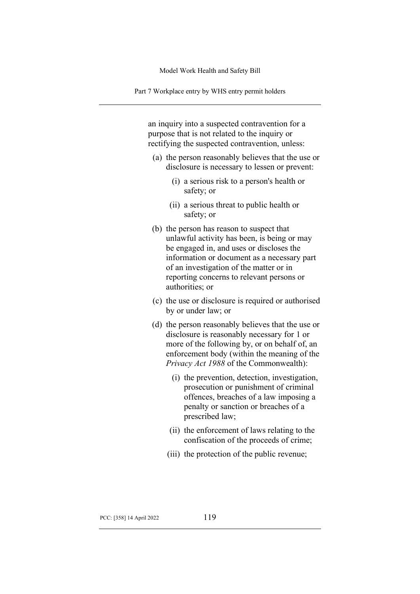Part 7 Workplace entry by WHS entry permit holders

an inquiry into a suspected contravention for a purpose that is not related to the inquiry or rectifying the suspected contravention, unless:

- (a) the person reasonably believes that the use or disclosure is necessary to lessen or prevent:
	- (i) a serious risk to a person's health or safety; or
	- (ii) a serious threat to public health or safety; or
- (b) the person has reason to suspect that unlawful activity has been, is being or may be engaged in, and uses or discloses the information or document as a necessary part of an investigation of the matter or in reporting concerns to relevant persons or authorities; or
- (c) the use or disclosure is required or authorised by or under law; or
- (d) the person reasonably believes that the use or disclosure is reasonably necessary for 1 or more of the following by, or on behalf of, an enforcement body (within the meaning of the *Privacy Act 1988* of the Commonwealth):
	- (i) the prevention, detection, investigation, prosecution or punishment of criminal offences, breaches of a law imposing a penalty or sanction or breaches of a prescribed law;
	- (ii) the enforcement of laws relating to the confiscation of the proceeds of crime;
	- (iii) the protection of the public revenue;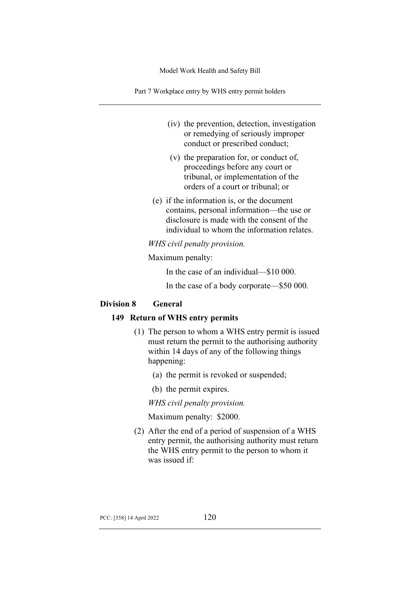Part 7 Workplace entry by WHS entry permit holders

- (iv) the prevention, detection, investigation or remedying of seriously improper conduct or prescribed conduct;
- (v) the preparation for, or conduct of, proceedings before any court or tribunal, or implementation of the orders of a court or tribunal; or
- (e) if the information is, or the document contains, personal information—the use or disclosure is made with the consent of the individual to whom the information relates.

*WHS civil penalty provision.*

Maximum penalty:

In the case of an individual—\$10 000.

In the case of a body corporate—\$50 000.

### **Division 8 General**

## **149 Return of WHS entry permits**

- (1) The person to whom a WHS entry permit is issued must return the permit to the authorising authority within 14 days of any of the following things happening:
	- (a) the permit is revoked or suspended;
	- (b) the permit expires.

*WHS civil penalty provision.*

Maximum penalty: \$2000.

(2) After the end of a period of suspension of a WHS entry permit, the authorising authority must return the WHS entry permit to the person to whom it was issued if: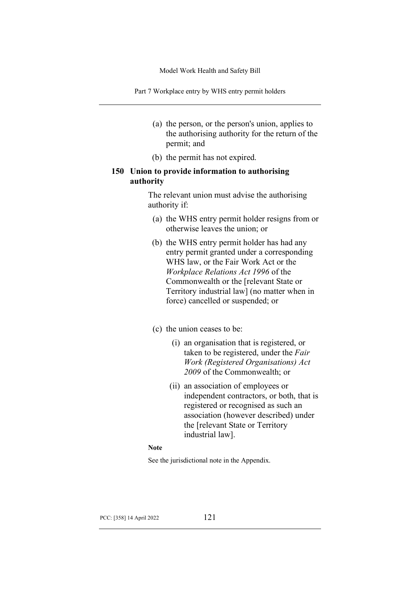Part 7 Workplace entry by WHS entry permit holders

- (a) the person, or the person's union, applies to the authorising authority for the return of the permit; and
- (b) the permit has not expired.

# **150 Union to provide information to authorising authority**

The relevant union must advise the authorising authority if:

- (a) the WHS entry permit holder resigns from or otherwise leaves the union; or
- (b) the WHS entry permit holder has had any entry permit granted under a corresponding WHS law, or the Fair Work Act or the *Workplace Relations Act 1996* of the Commonwealth or the [relevant State or Territory industrial law] (no matter when in force) cancelled or suspended; or

### (c) the union ceases to be:

- (i) an organisation that is registered, or taken to be registered, under the *Fair Work (Registered Organisations) Act 2009* of the Commonwealth; or
- (ii) an association of employees or independent contractors, or both, that is registered or recognised as such an association (however described) under the [relevant State or Territory industrial law].

### **Note**

See the jurisdictional note in the Appendix.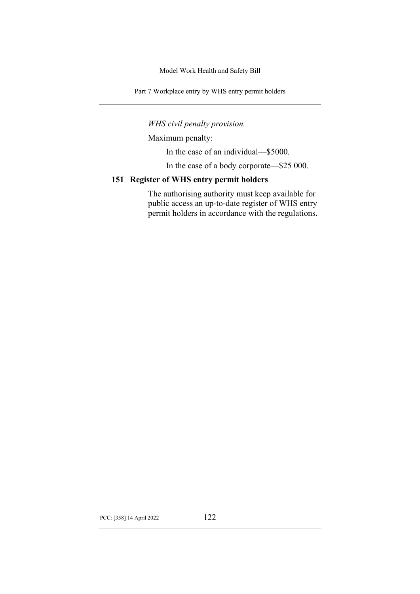Part 7 Workplace entry by WHS entry permit holders

*WHS civil penalty provision.*

Maximum penalty:

In the case of an individual—\$5000.

In the case of a body corporate—\$25 000.

## **151 Register of WHS entry permit holders**

The authorising authority must keep available for public access an up-to-date register of WHS entry permit holders in accordance with the regulations.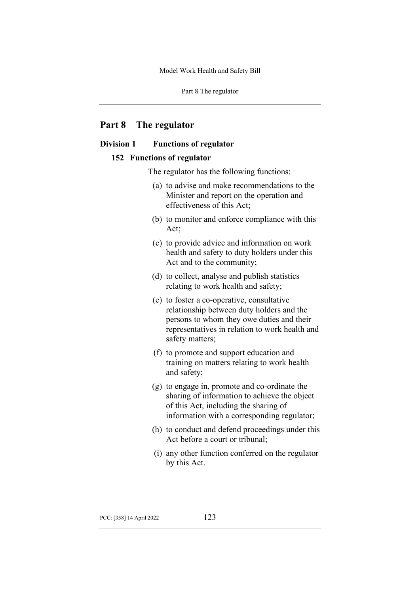Part 8 The regulator

# **Part 8 The regulator**

## **Division 1 Functions of regulator**

### **152 Functions of regulator**

The regulator has the following functions:

- (a) to advise and make recommendations to the Minister and report on the operation and effectiveness of this Act;
- (b) to monitor and enforce compliance with this Act;
- (c) to provide advice and information on work health and safety to duty holders under this Act and to the community;
- (d) to collect, analyse and publish statistics relating to work health and safety;
- (e) to foster a co-operative, consultative relationship between duty holders and the persons to whom they owe duties and their representatives in relation to work health and safety matters;
- (f) to promote and support education and training on matters relating to work health and safety;
- (g) to engage in, promote and co-ordinate the sharing of information to achieve the object of this Act, including the sharing of information with a corresponding regulator;
- (h) to conduct and defend proceedings under this Act before a court or tribunal;
- (i) any other function conferred on the regulator by this Act.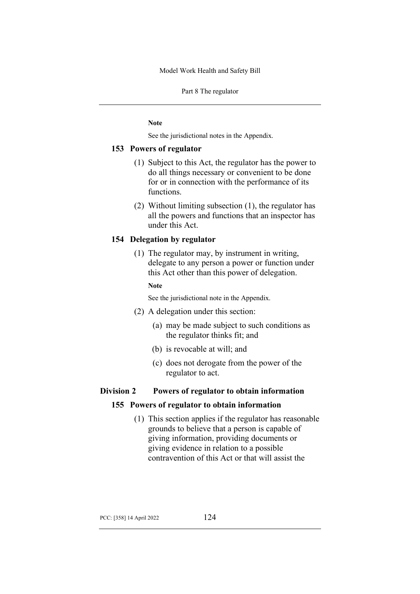Part 8 The regulator

**Note**

See the jurisdictional notes in the Appendix.

### **153 Powers of regulator**

- (1) Subject to this Act, the regulator has the power to do all things necessary or convenient to be done for or in connection with the performance of its functions.
- (2) Without limiting subsection (1), the regulator has all the powers and functions that an inspector has under this Act.

## **154 Delegation by regulator**

(1) The regulator may, by instrument in writing, delegate to any person a power or function under this Act other than this power of delegation.

### **Note**

See the jurisdictional note in the Appendix.

- (2) A delegation under this section:
	- (a) may be made subject to such conditions as the regulator thinks fit; and
	- (b) is revocable at will; and
	- (c) does not derogate from the power of the regulator to act.

# **Division 2 Powers of regulator to obtain information**

### **155 Powers of regulator to obtain information**

(1) This section applies if the regulator has reasonable grounds to believe that a person is capable of giving information, providing documents or giving evidence in relation to a possible contravention of this Act or that will assist the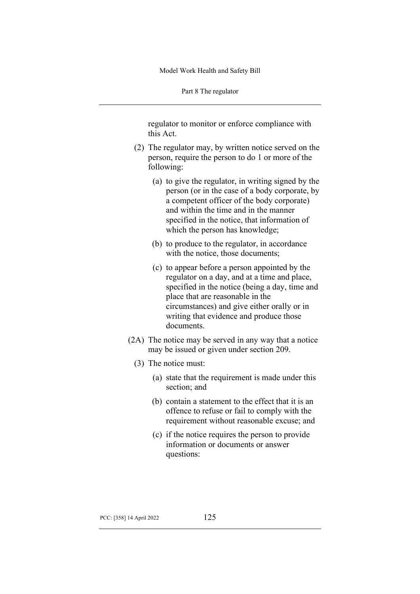Part 8 The regulator

regulator to monitor or enforce compliance with this Act.

- (2) The regulator may, by written notice served on the person, require the person to do 1 or more of the following:
	- (a) to give the regulator, in writing signed by the person (or in the case of a body corporate, by a competent officer of the body corporate) and within the time and in the manner specified in the notice, that information of which the person has knowledge;
	- (b) to produce to the regulator, in accordance with the notice, those documents;
	- (c) to appear before a person appointed by the regulator on a day, and at a time and place, specified in the notice (being a day, time and place that are reasonable in the circumstances) and give either orally or in writing that evidence and produce those documents.
- (2A) The notice may be served in any way that a notice may be issued or given under section 209.
	- (3) The notice must:
		- (a) state that the requirement is made under this section; and
		- (b) contain a statement to the effect that it is an offence to refuse or fail to comply with the requirement without reasonable excuse; and
		- (c) if the notice requires the person to provide information or documents or answer questions: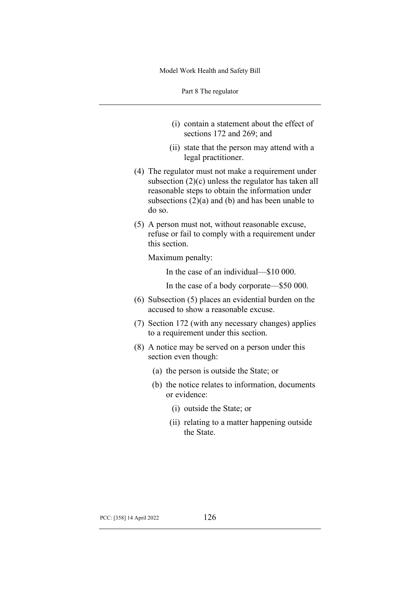Part 8 The regulator

- (i) contain a statement about the effect of sections 172 and 269; and
- (ii) state that the person may attend with a legal practitioner.
- (4) The regulator must not make a requirement under subsection (2)(c) unless the regulator has taken all reasonable steps to obtain the information under subsections  $(2)(a)$  and  $(b)$  and has been unable to do so.
- (5) A person must not, without reasonable excuse, refuse or fail to comply with a requirement under this section.

Maximum penalty:

In the case of an individual—\$10 000.

In the case of a body corporate—\$50 000.

- (6) Subsection (5) places an evidential burden on the accused to show a reasonable excuse.
- (7) Section 172 (with any necessary changes) applies to a requirement under this section.
- (8) A notice may be served on a person under this section even though:
	- (a) the person is outside the State; or
	- (b) the notice relates to information, documents or evidence:
		- (i) outside the State; or
		- (ii) relating to a matter happening outside the State.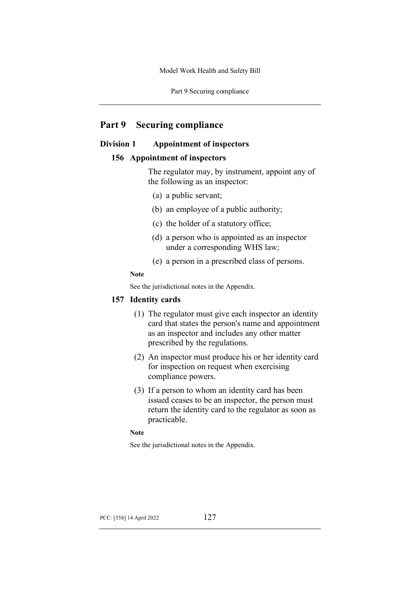Part 9 Securing compliance

# **Part 9 Securing compliance**

## **Division 1 Appointment of inspectors**

### **156 Appointment of inspectors**

The regulator may, by instrument, appoint any of the following as an inspector:

- (a) a public servant;
- (b) an employee of a public authority;
- (c) the holder of a statutory office;
- (d) a person who is appointed as an inspector under a corresponding WHS law;
- (e) a person in a prescribed class of persons.

### **Note**

See the jurisdictional notes in the Appendix.

### **157 Identity cards**

- (1) The regulator must give each inspector an identity card that states the person's name and appointment as an inspector and includes any other matter prescribed by the regulations.
- (2) An inspector must produce his or her identity card for inspection on request when exercising compliance powers.
- (3) If a person to whom an identity card has been issued ceases to be an inspector, the person must return the identity card to the regulator as soon as practicable.

**Note**

See the jurisdictional notes in the Appendix.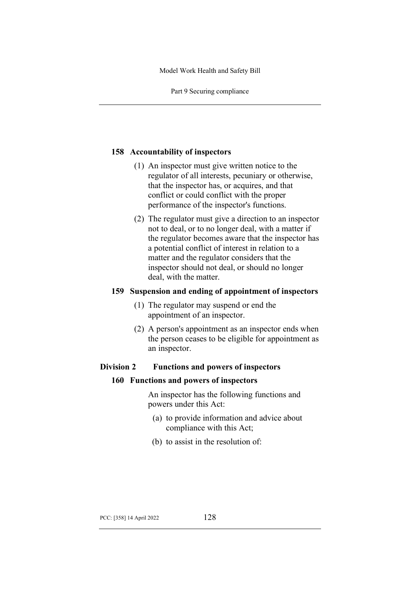Part 9 Securing compliance

# **158 Accountability of inspectors**

- (1) An inspector must give written notice to the regulator of all interests, pecuniary or otherwise, that the inspector has, or acquires, and that conflict or could conflict with the proper performance of the inspector's functions.
- (2) The regulator must give a direction to an inspector not to deal, or to no longer deal, with a matter if the regulator becomes aware that the inspector has a potential conflict of interest in relation to a matter and the regulator considers that the inspector should not deal, or should no longer deal, with the matter.

### **159 Suspension and ending of appointment of inspectors**

- (1) The regulator may suspend or end the appointment of an inspector.
- (2) A person's appointment as an inspector ends when the person ceases to be eligible for appointment as an inspector.

# **Division 2 Functions and powers of inspectors**

### **160 Functions and powers of inspectors**

An inspector has the following functions and powers under this Act:

- (a) to provide information and advice about compliance with this Act;
- (b) to assist in the resolution of: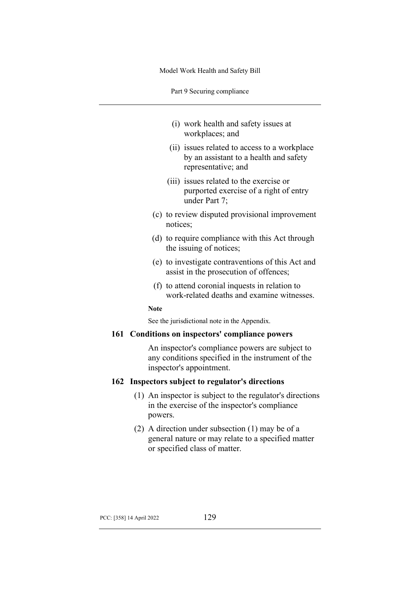Part 9 Securing compliance

- (i) work health and safety issues at workplaces; and
- (ii) issues related to access to a workplace by an assistant to a health and safety representative; and
- (iii) issues related to the exercise or purported exercise of a right of entry under Part 7;
- (c) to review disputed provisional improvement notices;
- (d) to require compliance with this Act through the issuing of notices;
- (e) to investigate contraventions of this Act and assist in the prosecution of offences;
- (f) to attend coronial inquests in relation to work-related deaths and examine witnesses.

**Note**

See the jurisdictional note in the Appendix.

#### **161 Conditions on inspectors' compliance powers**

An inspector's compliance powers are subject to any conditions specified in the instrument of the inspector's appointment.

## **162 Inspectors subject to regulator's directions**

- (1) An inspector is subject to the regulator's directions in the exercise of the inspector's compliance powers.
- (2) A direction under subsection (1) may be of a general nature or may relate to a specified matter or specified class of matter.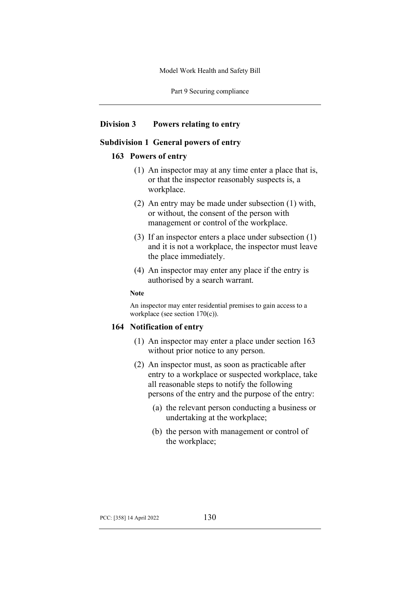Part 9 Securing compliance

### **Division 3 Powers relating to entry**

## **Subdivision 1 General powers of entry**

#### **163 Powers of entry**

- (1) An inspector may at any time enter a place that is, or that the inspector reasonably suspects is, a workplace.
- (2) An entry may be made under subsection (1) with, or without, the consent of the person with management or control of the workplace.
- (3) If an inspector enters a place under subsection (1) and it is not a workplace, the inspector must leave the place immediately.
- (4) An inspector may enter any place if the entry is authorised by a search warrant.

#### **Note**

An inspector may enter residential premises to gain access to a workplace (see section 170(c)).

### **164 Notification of entry**

- (1) An inspector may enter a place under section 163 without prior notice to any person.
- (2) An inspector must, as soon as practicable after entry to a workplace or suspected workplace, take all reasonable steps to notify the following persons of the entry and the purpose of the entry:
	- (a) the relevant person conducting a business or undertaking at the workplace;
	- (b) the person with management or control of the workplace;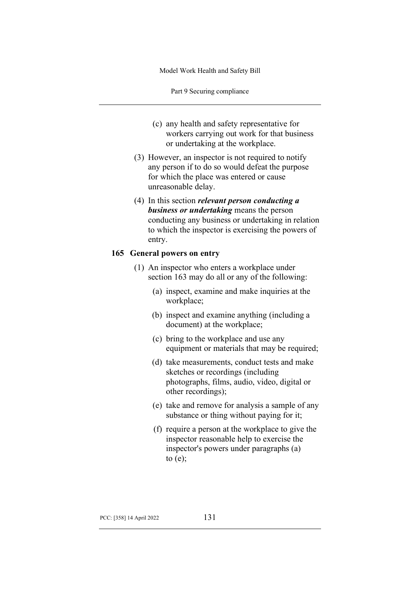Part 9 Securing compliance

- (c) any health and safety representative for workers carrying out work for that business or undertaking at the workplace.
- (3) However, an inspector is not required to notify any person if to do so would defeat the purpose for which the place was entered or cause unreasonable delay.
- (4) In this section *relevant person conducting a business or undertaking* means the person conducting any business or undertaking in relation to which the inspector is exercising the powers of entry.

#### **165 General powers on entry**

- (1) An inspector who enters a workplace under section 163 may do all or any of the following:
	- (a) inspect, examine and make inquiries at the workplace;
	- (b) inspect and examine anything (including a document) at the workplace;
	- (c) bring to the workplace and use any equipment or materials that may be required;
	- (d) take measurements, conduct tests and make sketches or recordings (including photographs, films, audio, video, digital or other recordings);
	- (e) take and remove for analysis a sample of any substance or thing without paying for it;
	- (f) require a person at the workplace to give the inspector reasonable help to exercise the inspector's powers under paragraphs (a) to  $(e)$ ;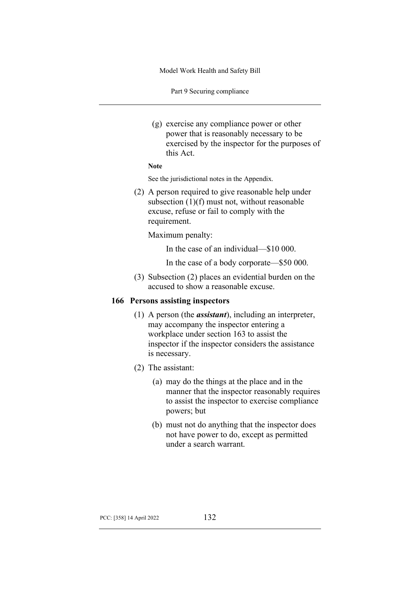Part 9 Securing compliance

(g) exercise any compliance power or other power that is reasonably necessary to be exercised by the inspector for the purposes of this Act.

```
Note
```
See the jurisdictional notes in the Appendix.

(2) A person required to give reasonable help under subsection (1)(f) must not, without reasonable excuse, refuse or fail to comply with the requirement.

Maximum penalty:

In the case of an individual—\$10 000.

In the case of a body corporate—\$50 000.

(3) Subsection (2) places an evidential burden on the accused to show a reasonable excuse.

### **166 Persons assisting inspectors**

- (1) A person (the *assistant*), including an interpreter, may accompany the inspector entering a workplace under section 163 to assist the inspector if the inspector considers the assistance is necessary.
- (2) The assistant:
	- (a) may do the things at the place and in the manner that the inspector reasonably requires to assist the inspector to exercise compliance powers; but
	- (b) must not do anything that the inspector does not have power to do, except as permitted under a search warrant.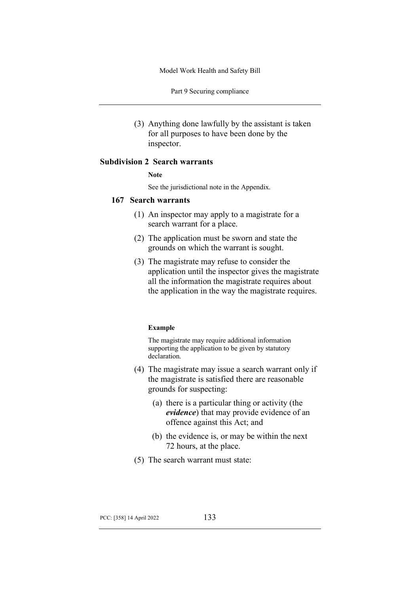Part 9 Securing compliance

(3) Anything done lawfully by the assistant is taken for all purposes to have been done by the inspector.

# **Subdivision 2 Search warrants**

#### **Note**

See the jurisdictional note in the Appendix.

#### **167 Search warrants**

- (1) An inspector may apply to a magistrate for a search warrant for a place.
- (2) The application must be sworn and state the grounds on which the warrant is sought.
- (3) The magistrate may refuse to consider the application until the inspector gives the magistrate all the information the magistrate requires about the application in the way the magistrate requires.

#### **Example**

The magistrate may require additional information supporting the application to be given by statutory declaration.

- (4) The magistrate may issue a search warrant only if the magistrate is satisfied there are reasonable grounds for suspecting:
	- (a) there is a particular thing or activity (the *evidence*) that may provide evidence of an offence against this Act; and
	- (b) the evidence is, or may be within the next 72 hours, at the place.
- (5) The search warrant must state: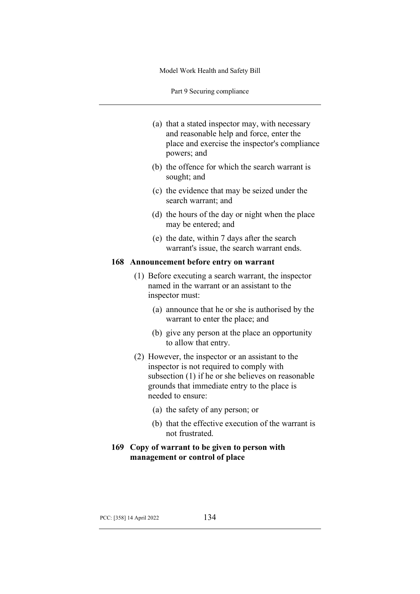Part 9 Securing compliance

- (a) that a stated inspector may, with necessary and reasonable help and force, enter the place and exercise the inspector's compliance powers; and
- (b) the offence for which the search warrant is sought; and
- (c) the evidence that may be seized under the search warrant; and
- (d) the hours of the day or night when the place may be entered; and
- (e) the date, within 7 days after the search warrant's issue, the search warrant ends.

### **168 Announcement before entry on warrant**

- (1) Before executing a search warrant, the inspector named in the warrant or an assistant to the inspector must:
	- (a) announce that he or she is authorised by the warrant to enter the place; and
	- (b) give any person at the place an opportunity to allow that entry.
- (2) However, the inspector or an assistant to the inspector is not required to comply with subsection (1) if he or she believes on reasonable grounds that immediate entry to the place is needed to ensure:
	- (a) the safety of any person; or
	- (b) that the effective execution of the warrant is not frustrated.
- **169 Copy of warrant to be given to person with management or control of place**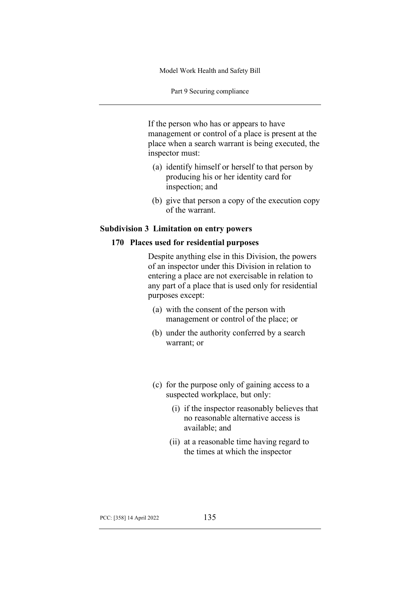Part 9 Securing compliance

If the person who has or appears to have management or control of a place is present at the place when a search warrant is being executed, the inspector must:

- (a) identify himself or herself to that person by producing his or her identity card for inspection; and
- (b) give that person a copy of the execution copy of the warrant.

### **Subdivision 3 Limitation on entry powers**

# **170 Places used for residential purposes**

Despite anything else in this Division, the powers of an inspector under this Division in relation to entering a place are not exercisable in relation to any part of a place that is used only for residential purposes except:

- (a) with the consent of the person with management or control of the place; or
- (b) under the authority conferred by a search warrant; or
- (c) for the purpose only of gaining access to a suspected workplace, but only:
	- (i) if the inspector reasonably believes that no reasonable alternative access is available; and
	- (ii) at a reasonable time having regard to the times at which the inspector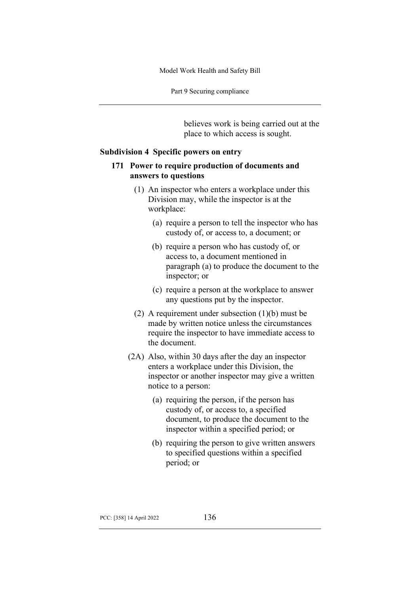Part 9 Securing compliance

believes work is being carried out at the place to which access is sought.

### **Subdivision 4 Specific powers on entry**

# **171 Power to require production of documents and answers to questions**

- (1) An inspector who enters a workplace under this Division may, while the inspector is at the workplace:
	- (a) require a person to tell the inspector who has custody of, or access to, a document; or
	- (b) require a person who has custody of, or access to, a document mentioned in paragraph (a) to produce the document to the inspector; or
	- (c) require a person at the workplace to answer any questions put by the inspector.
- (2) A requirement under subsection (1)(b) must be made by written notice unless the circumstances require the inspector to have immediate access to the document.
- (2A) Also, within 30 days after the day an inspector enters a workplace under this Division, the inspector or another inspector may give a written notice to a person:
	- (a) requiring the person, if the person has custody of, or access to, a specified document, to produce the document to the inspector within a specified period; or
	- (b) requiring the person to give written answers to specified questions within a specified period; or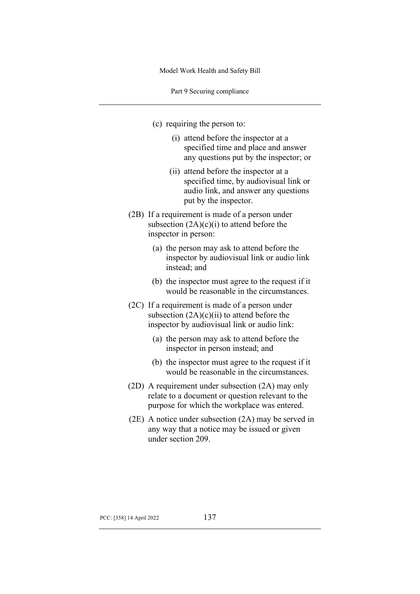Part 9 Securing compliance

- (c) requiring the person to:
	- (i) attend before the inspector at a specified time and place and answer any questions put by the inspector; or
	- (ii) attend before the inspector at a specified time, by audiovisual link or audio link, and answer any questions put by the inspector.
- (2B) If a requirement is made of a person under subsection  $(2A)(c)(i)$  to attend before the inspector in person:
	- (a) the person may ask to attend before the inspector by audiovisual link or audio link instead; and
	- (b) the inspector must agree to the request if it would be reasonable in the circumstances.
- (2C) If a requirement is made of a person under subsection  $(2A)(c)(ii)$  to attend before the inspector by audiovisual link or audio link:
	- (a) the person may ask to attend before the inspector in person instead; and
	- (b) the inspector must agree to the request if it would be reasonable in the circumstances.
- (2D) A requirement under subsection (2A) may only relate to a document or question relevant to the purpose for which the workplace was entered.
- (2E) A notice under subsection (2A) may be served in any way that a notice may be issued or given under section 209.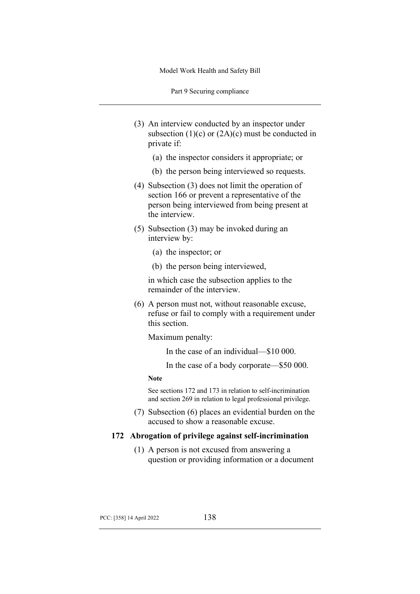Part 9 Securing compliance

- (3) An interview conducted by an inspector under subsection  $(1)(c)$  or  $(2A)(c)$  must be conducted in private if:
	- (a) the inspector considers it appropriate; or
	- (b) the person being interviewed so requests.
- (4) Subsection (3) does not limit the operation of section 166 or prevent a representative of the person being interviewed from being present at the interview.
- (5) Subsection (3) may be invoked during an interview by:
	- (a) the inspector; or
	- (b) the person being interviewed,

in which case the subsection applies to the remainder of the interview.

(6) A person must not, without reasonable excuse, refuse or fail to comply with a requirement under this section.

Maximum penalty:

In the case of an individual—\$10 000.

In the case of a body corporate—\$50 000.

#### **Note**

See sections 172 and 173 in relation to self-incrimination and section 269 in relation to legal professional privilege.

(7) Subsection (6) places an evidential burden on the accused to show a reasonable excuse.

### **172 Abrogation of privilege against self-incrimination**

(1) A person is not excused from answering a question or providing information or a document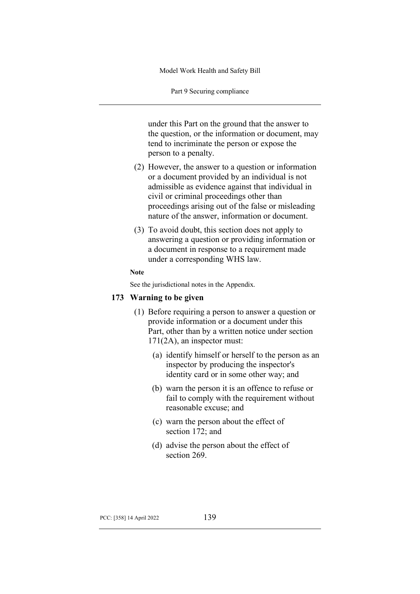Part 9 Securing compliance

under this Part on the ground that the answer to the question, or the information or document, may tend to incriminate the person or expose the person to a penalty.

- (2) However, the answer to a question or information or a document provided by an individual is not admissible as evidence against that individual in civil or criminal proceedings other than proceedings arising out of the false or misleading nature of the answer, information or document.
- (3) To avoid doubt, this section does not apply to answering a question or providing information or a document in response to a requirement made under a corresponding WHS law.

#### **Note**

See the jurisdictional notes in the Appendix.

## **173 Warning to be given**

- (1) Before requiring a person to answer a question or provide information or a document under this Part, other than by a written notice under section 171(2A), an inspector must:
	- (a) identify himself or herself to the person as an inspector by producing the inspector's identity card or in some other way; and
	- (b) warn the person it is an offence to refuse or fail to comply with the requirement without reasonable excuse; and
	- (c) warn the person about the effect of section 172; and
	- (d) advise the person about the effect of section 269.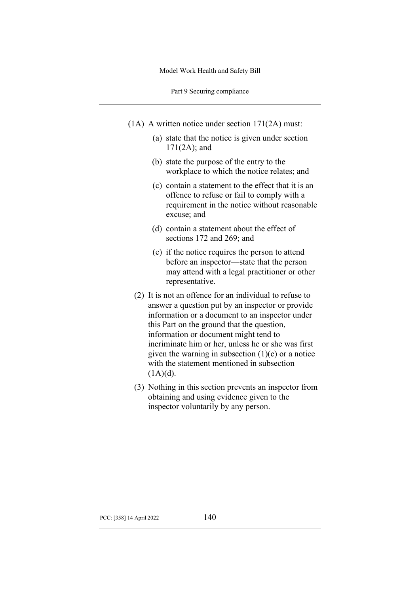Part 9 Securing compliance

- (1A) A written notice under section 171(2A) must:
	- (a) state that the notice is given under section 171(2A); and
	- (b) state the purpose of the entry to the workplace to which the notice relates; and
	- (c) contain a statement to the effect that it is an offence to refuse or fail to comply with a requirement in the notice without reasonable excuse; and
	- (d) contain a statement about the effect of sections 172 and 269; and
	- (e) if the notice requires the person to attend before an inspector—state that the person may attend with a legal practitioner or other representative.
	- (2) It is not an offence for an individual to refuse to answer a question put by an inspector or provide information or a document to an inspector under this Part on the ground that the question, information or document might tend to incriminate him or her, unless he or she was first given the warning in subsection  $(1)(c)$  or a notice with the statement mentioned in subsection  $(1A)(d)$ .
	- (3) Nothing in this section prevents an inspector from obtaining and using evidence given to the inspector voluntarily by any person.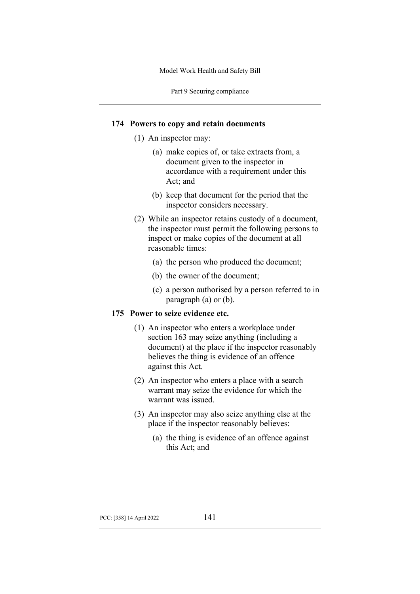Part 9 Securing compliance

### **174 Powers to copy and retain documents**

- (1) An inspector may:
	- (a) make copies of, or take extracts from, a document given to the inspector in accordance with a requirement under this Act; and
	- (b) keep that document for the period that the inspector considers necessary.
- (2) While an inspector retains custody of a document, the inspector must permit the following persons to inspect or make copies of the document at all reasonable times:
	- (a) the person who produced the document;
	- (b) the owner of the document;
	- (c) a person authorised by a person referred to in paragraph (a) or (b).

# **175 Power to seize evidence etc.**

- (1) An inspector who enters a workplace under section 163 may seize anything (including a document) at the place if the inspector reasonably believes the thing is evidence of an offence against this Act.
- (2) An inspector who enters a place with a search warrant may seize the evidence for which the warrant was issued.
- (3) An inspector may also seize anything else at the place if the inspector reasonably believes:
	- (a) the thing is evidence of an offence against this Act; and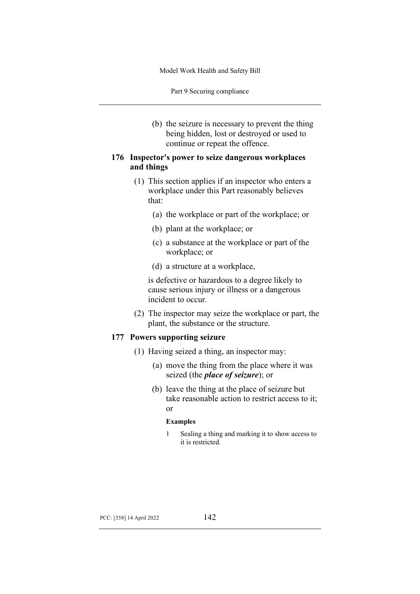Part 9 Securing compliance

(b) the seizure is necessary to prevent the thing being hidden, lost or destroyed or used to continue or repeat the offence.

# **176 Inspector's power to seize dangerous workplaces and things**

- (1) This section applies if an inspector who enters a workplace under this Part reasonably believes that:
	- (a) the workplace or part of the workplace; or
	- (b) plant at the workplace; or
	- (c) a substance at the workplace or part of the workplace; or
	- (d) a structure at a workplace,

is defective or hazardous to a degree likely to cause serious injury or illness or a dangerous incident to occur.

(2) The inspector may seize the workplace or part, the plant, the substance or the structure.

# **177 Powers supporting seizure**

- (1) Having seized a thing, an inspector may:
	- (a) move the thing from the place where it was seized (the *place of seizure*); or
	- (b) leave the thing at the place of seizure but take reasonable action to restrict access to it; or

#### **Examples**

1 Sealing a thing and marking it to show access to it is restricted.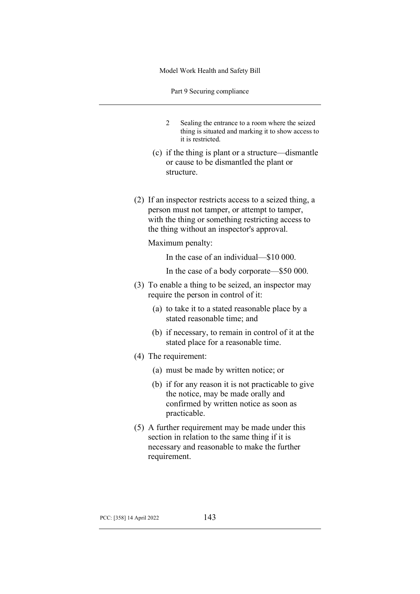Part 9 Securing compliance

- 2 Sealing the entrance to a room where the seized thing is situated and marking it to show access to it is restricted.
- (c) if the thing is plant or a structure—dismantle or cause to be dismantled the plant or structure.
- (2) If an inspector restricts access to a seized thing, a person must not tamper, or attempt to tamper, with the thing or something restricting access to the thing without an inspector's approval.

Maximum penalty:

In the case of an individual—\$10 000.

- In the case of a body corporate—\$50 000.
- (3) To enable a thing to be seized, an inspector may require the person in control of it:
	- (a) to take it to a stated reasonable place by a stated reasonable time; and
	- (b) if necessary, to remain in control of it at the stated place for a reasonable time.
- (4) The requirement:
	- (a) must be made by written notice; or
	- (b) if for any reason it is not practicable to give the notice, may be made orally and confirmed by written notice as soon as practicable.
- (5) A further requirement may be made under this section in relation to the same thing if it is necessary and reasonable to make the further requirement.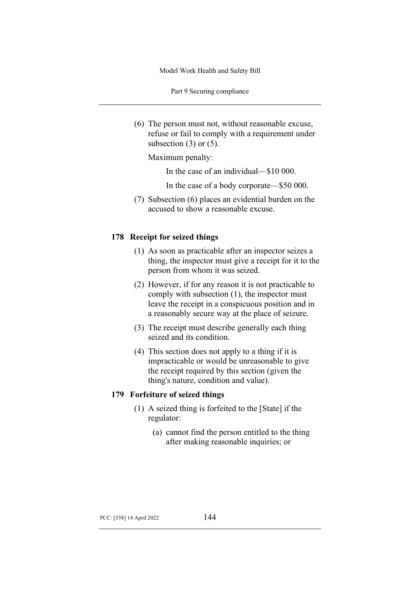Part 9 Securing compliance

(6) The person must not, without reasonable excuse, refuse or fail to comply with a requirement under subsection  $(3)$  or  $(5)$ .

Maximum penalty:

In the case of an individual—\$10 000.

In the case of a body corporate—\$50 000.

(7) Subsection (6) places an evidential burden on the accused to show a reasonable excuse.

### **178 Receipt for seized things**

- (1) As soon as practicable after an inspector seizes a thing, the inspector must give a receipt for it to the person from whom it was seized.
- (2) However, if for any reason it is not practicable to comply with subsection (1), the inspector must leave the receipt in a conspicuous position and in a reasonably secure way at the place of seizure.
- (3) The receipt must describe generally each thing seized and its condition.
- (4) This section does not apply to a thing if it is impracticable or would be unreasonable to give the receipt required by this section (given the thing's nature, condition and value).

# **179 Forfeiture of seized things**

- (1) A seized thing is forfeited to the [State] if the regulator:
	- (a) cannot find the person entitled to the thing after making reasonable inquiries; or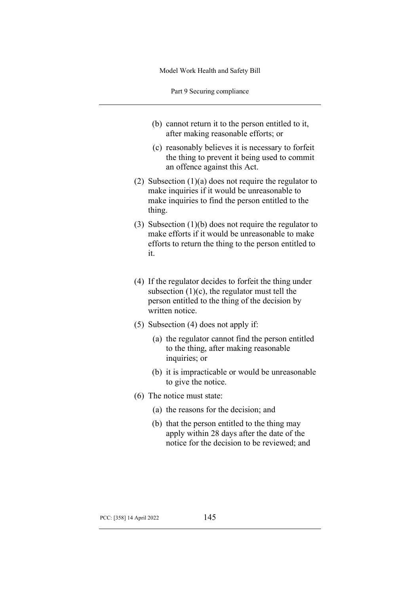Part 9 Securing compliance

- (b) cannot return it to the person entitled to it, after making reasonable efforts; or
- (c) reasonably believes it is necessary to forfeit the thing to prevent it being used to commit an offence against this Act.
- (2) Subsection (1)(a) does not require the regulator to make inquiries if it would be unreasonable to make inquiries to find the person entitled to the thing.
- (3) Subsection (1)(b) does not require the regulator to make efforts if it would be unreasonable to make efforts to return the thing to the person entitled to it.
- (4) If the regulator decides to forfeit the thing under subsection  $(1)(c)$ , the regulator must tell the person entitled to the thing of the decision by written notice.
- (5) Subsection (4) does not apply if:
	- (a) the regulator cannot find the person entitled to the thing, after making reasonable inquiries; or
	- (b) it is impracticable or would be unreasonable to give the notice.
- (6) The notice must state:
	- (a) the reasons for the decision; and
	- (b) that the person entitled to the thing may apply within 28 days after the date of the notice for the decision to be reviewed; and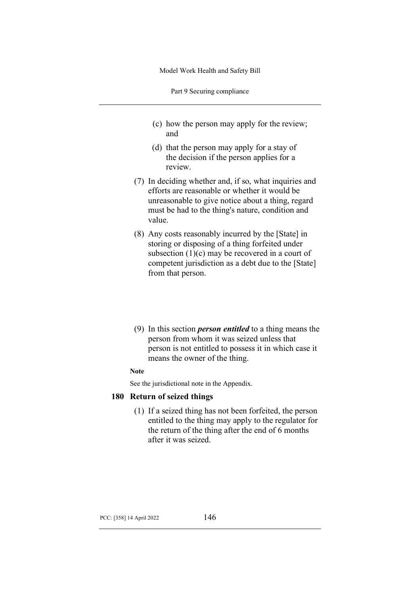Part 9 Securing compliance

- (c) how the person may apply for the review; and
- (d) that the person may apply for a stay of the decision if the person applies for a review.
- (7) In deciding whether and, if so, what inquiries and efforts are reasonable or whether it would be unreasonable to give notice about a thing, regard must be had to the thing's nature, condition and value.
- (8) Any costs reasonably incurred by the [State] in storing or disposing of a thing forfeited under subsection  $(1)(c)$  may be recovered in a court of competent jurisdiction as a debt due to the [State] from that person.
- (9) In this section *person entitled* to a thing means the person from whom it was seized unless that person is not entitled to possess it in which case it means the owner of the thing.

# **Note**

See the jurisdictional note in the Appendix.

## **180 Return of seized things**

(1) If a seized thing has not been forfeited, the person entitled to the thing may apply to the regulator for the return of the thing after the end of 6 months after it was seized.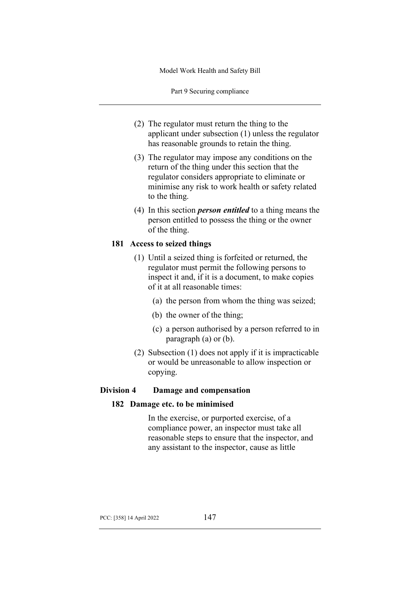Part 9 Securing compliance

- (2) The regulator must return the thing to the applicant under subsection (1) unless the regulator has reasonable grounds to retain the thing.
- (3) The regulator may impose any conditions on the return of the thing under this section that the regulator considers appropriate to eliminate or minimise any risk to work health or safety related to the thing.
- (4) In this section *person entitled* to a thing means the person entitled to possess the thing or the owner of the thing.

# **181 Access to seized things**

- (1) Until a seized thing is forfeited or returned, the regulator must permit the following persons to inspect it and, if it is a document, to make copies of it at all reasonable times:
	- (a) the person from whom the thing was seized;
	- (b) the owner of the thing;
	- (c) a person authorised by a person referred to in paragraph (a) or (b).
- (2) Subsection (1) does not apply if it is impracticable or would be unreasonable to allow inspection or copying.

# **Division 4 Damage and compensation**

### **182 Damage etc. to be minimised**

In the exercise, or purported exercise, of a compliance power, an inspector must take all reasonable steps to ensure that the inspector, and any assistant to the inspector, cause as little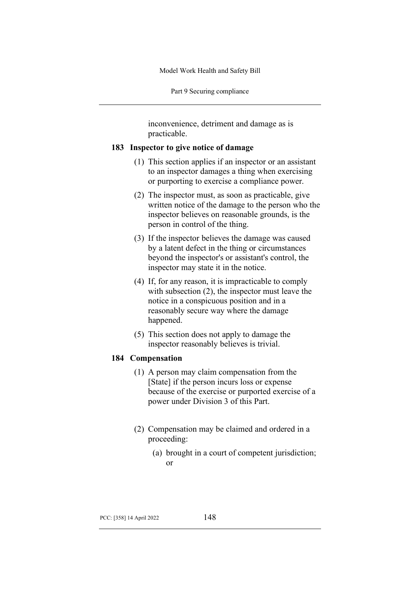Part 9 Securing compliance

inconvenience, detriment and damage as is practicable.

### **183 Inspector to give notice of damage**

- (1) This section applies if an inspector or an assistant to an inspector damages a thing when exercising or purporting to exercise a compliance power.
- (2) The inspector must, as soon as practicable, give written notice of the damage to the person who the inspector believes on reasonable grounds, is the person in control of the thing.
- (3) If the inspector believes the damage was caused by a latent defect in the thing or circumstances beyond the inspector's or assistant's control, the inspector may state it in the notice.
- (4) If, for any reason, it is impracticable to comply with subsection (2), the inspector must leave the notice in a conspicuous position and in a reasonably secure way where the damage happened.
- (5) This section does not apply to damage the inspector reasonably believes is trivial.

## **184 Compensation**

- (1) A person may claim compensation from the [State] if the person incurs loss or expense because of the exercise or purported exercise of a power under Division 3 of this Part.
- (2) Compensation may be claimed and ordered in a proceeding:
	- (a) brought in a court of competent jurisdiction; or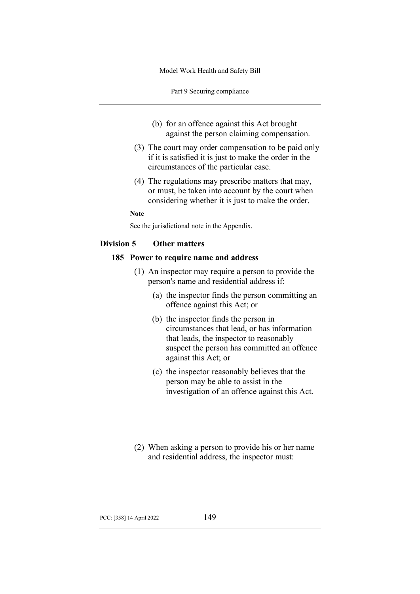Part 9 Securing compliance

- (b) for an offence against this Act brought against the person claiming compensation.
- (3) The court may order compensation to be paid only if it is satisfied it is just to make the order in the circumstances of the particular case.
- (4) The regulations may prescribe matters that may, or must, be taken into account by the court when considering whether it is just to make the order.

**Note**

See the jurisdictional note in the Appendix.

# **Division 5 Other matters**

#### **185 Power to require name and address**

- (1) An inspector may require a person to provide the person's name and residential address if:
	- (a) the inspector finds the person committing an offence against this Act; or
	- (b) the inspector finds the person in circumstances that lead, or has information that leads, the inspector to reasonably suspect the person has committed an offence against this Act; or
	- (c) the inspector reasonably believes that the person may be able to assist in the investigation of an offence against this Act.
- (2) When asking a person to provide his or her name and residential address, the inspector must: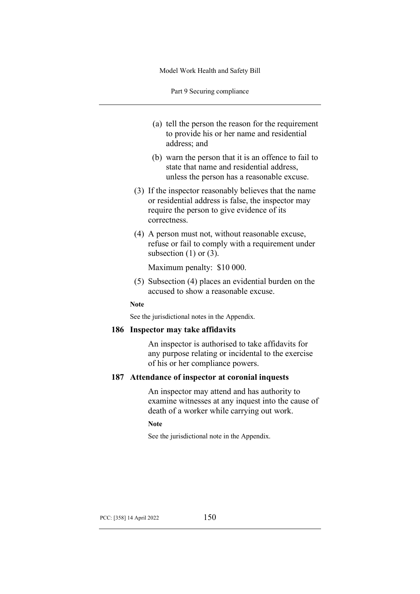Part 9 Securing compliance

- (a) tell the person the reason for the requirement to provide his or her name and residential address; and
- (b) warn the person that it is an offence to fail to state that name and residential address, unless the person has a reasonable excuse.
- (3) If the inspector reasonably believes that the name or residential address is false, the inspector may require the person to give evidence of its correctness.
- (4) A person must not, without reasonable excuse, refuse or fail to comply with a requirement under subsection  $(1)$  or  $(3)$ .

Maximum penalty: \$10 000.

(5) Subsection (4) places an evidential burden on the accused to show a reasonable excuse.

#### **Note**

See the jurisdictional notes in the Appendix.

#### **186 Inspector may take affidavits**

An inspector is authorised to take affidavits for any purpose relating or incidental to the exercise of his or her compliance powers.

# **187 Attendance of inspector at coronial inquests**

An inspector may attend and has authority to examine witnesses at any inquest into the cause of death of a worker while carrying out work.

### **Note**

See the jurisdictional note in the Appendix.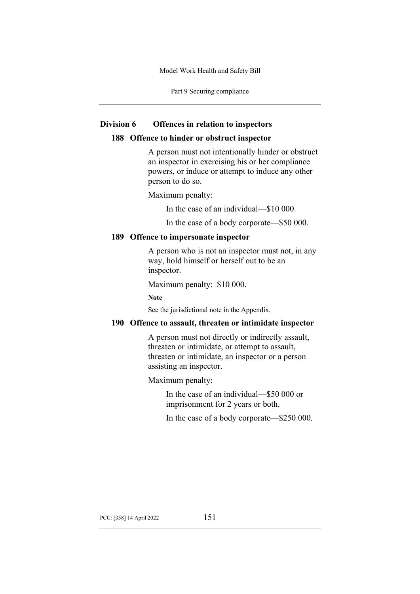Part 9 Securing compliance

#### **Division 6 Offences in relation to inspectors**

### **188 Offence to hinder or obstruct inspector**

A person must not intentionally hinder or obstruct an inspector in exercising his or her compliance powers, or induce or attempt to induce any other person to do so.

Maximum penalty:

In the case of an individual—\$10 000.

In the case of a body corporate—\$50 000.

### **189 Offence to impersonate inspector**

A person who is not an inspector must not, in any way, hold himself or herself out to be an inspector.

Maximum penalty: \$10 000.

**Note**

See the jurisdictional note in the Appendix.

### **190 Offence to assault, threaten or intimidate inspector**

A person must not directly or indirectly assault, threaten or intimidate, or attempt to assault, threaten or intimidate, an inspector or a person assisting an inspector.

Maximum penalty:

In the case of an individual—\$50 000 or imprisonment for 2 years or both.

In the case of a body corporate—\$250 000.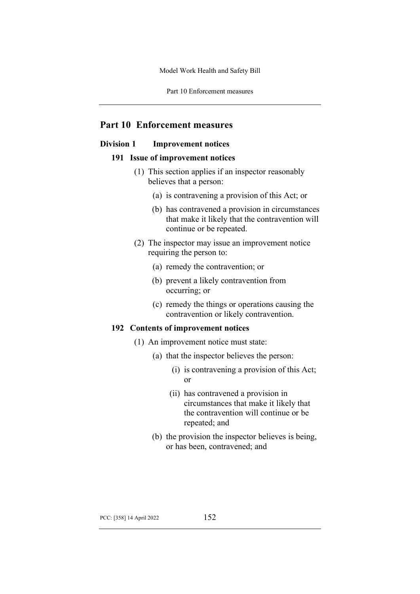Part 10 Enforcement measures

# **Part 10 Enforcement measures**

# **Division 1 Improvement notices**

#### **191 Issue of improvement notices**

- (1) This section applies if an inspector reasonably believes that a person:
	- (a) is contravening a provision of this Act; or
	- (b) has contravened a provision in circumstances that make it likely that the contravention will continue or be repeated.
- (2) The inspector may issue an improvement notice requiring the person to:
	- (a) remedy the contravention; or
	- (b) prevent a likely contravention from occurring; or
	- (c) remedy the things or operations causing the contravention or likely contravention.

### **192 Contents of improvement notices**

- (1) An improvement notice must state:
	- (a) that the inspector believes the person:
		- (i) is contravening a provision of this Act; or
		- (ii) has contravened a provision in circumstances that make it likely that the contravention will continue or be repeated; and
	- (b) the provision the inspector believes is being, or has been, contravened; and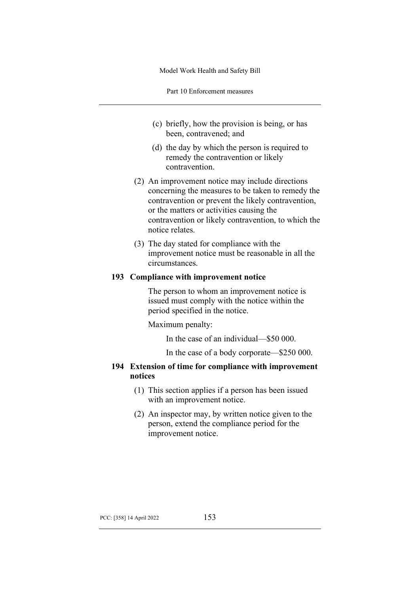Part 10 Enforcement measures

- (c) briefly, how the provision is being, or has been, contravened; and
- (d) the day by which the person is required to remedy the contravention or likely contravention.
- (2) An improvement notice may include directions concerning the measures to be taken to remedy the contravention or prevent the likely contravention, or the matters or activities causing the contravention or likely contravention, to which the notice relates.
- (3) The day stated for compliance with the improvement notice must be reasonable in all the circumstances.

## **193 Compliance with improvement notice**

The person to whom an improvement notice is issued must comply with the notice within the period specified in the notice.

Maximum penalty:

In the case of an individual—\$50 000.

In the case of a body corporate—\$250 000.

# **194 Extension of time for compliance with improvement notices**

- (1) This section applies if a person has been issued with an improvement notice.
- (2) An inspector may, by written notice given to the person, extend the compliance period for the improvement notice.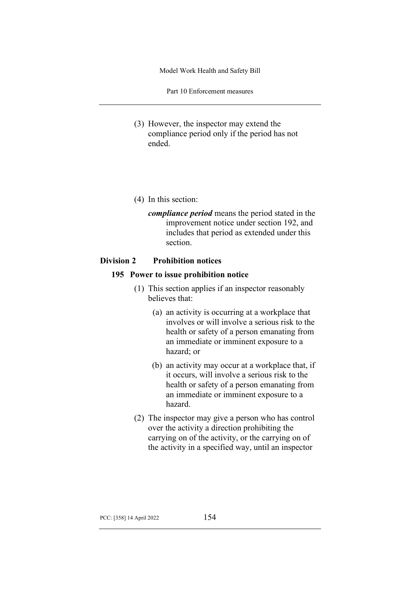Part 10 Enforcement measures

- (3) However, the inspector may extend the compliance period only if the period has not ended.
- (4) In this section:
	- *compliance period* means the period stated in the improvement notice under section 192, and includes that period as extended under this section.

# **Division 2 Prohibition notices**

# **195 Power to issue prohibition notice**

- (1) This section applies if an inspector reasonably believes that:
	- (a) an activity is occurring at a workplace that involves or will involve a serious risk to the health or safety of a person emanating from an immediate or imminent exposure to a hazard; or
	- (b) an activity may occur at a workplace that, if it occurs, will involve a serious risk to the health or safety of a person emanating from an immediate or imminent exposure to a hazard.
- (2) The inspector may give a person who has control over the activity a direction prohibiting the carrying on of the activity, or the carrying on of the activity in a specified way, until an inspector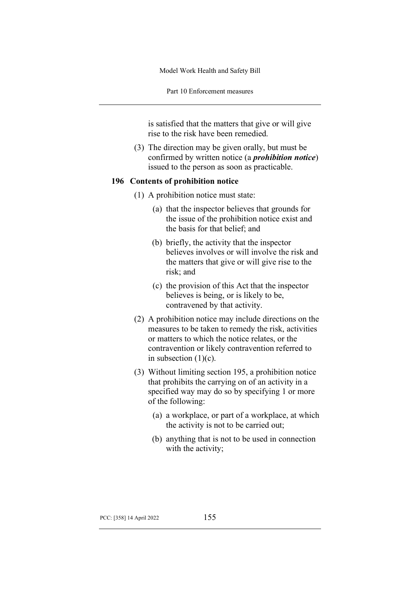Part 10 Enforcement measures

is satisfied that the matters that give or will give rise to the risk have been remedied.

(3) The direction may be given orally, but must be confirmed by written notice (a *prohibition notice*) issued to the person as soon as practicable.

### **196 Contents of prohibition notice**

- (1) A prohibition notice must state:
	- (a) that the inspector believes that grounds for the issue of the prohibition notice exist and the basis for that belief; and
	- (b) briefly, the activity that the inspector believes involves or will involve the risk and the matters that give or will give rise to the risk; and
	- (c) the provision of this Act that the inspector believes is being, or is likely to be, contravened by that activity.
- (2) A prohibition notice may include directions on the measures to be taken to remedy the risk, activities or matters to which the notice relates, or the contravention or likely contravention referred to in subsection  $(1)(c)$ .
- (3) Without limiting section 195, a prohibition notice that prohibits the carrying on of an activity in a specified way may do so by specifying 1 or more of the following:
	- (a) a workplace, or part of a workplace, at which the activity is not to be carried out;
	- (b) anything that is not to be used in connection with the activity;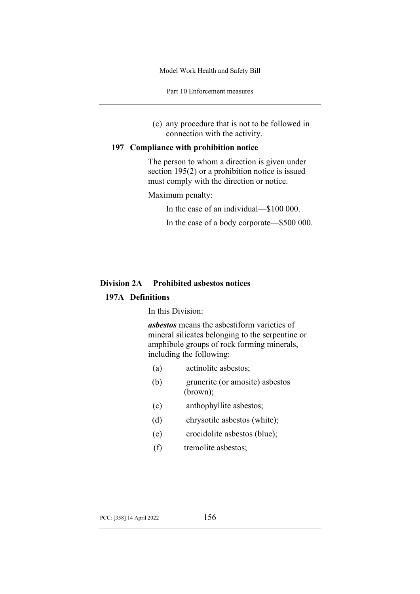Part 10 Enforcement measures

(c) any procedure that is not to be followed in connection with the activity.

## **197 Compliance with prohibition notice**

The person to whom a direction is given under section 195(2) or a prohibition notice is issued must comply with the direction or notice.

Maximum penalty:

In the case of an individual—\$100 000.

In the case of a body corporate—\$500 000.

# **Division 2A Prohibited asbestos notices**

# **197A Definitions**

In this Division:

*asbestos* means the asbestiform varieties of mineral silicates belonging to the serpentine or amphibole groups of rock forming minerals, including the following:

- (a) actinolite asbestos;
- (b) grunerite (or amosite) asbestos (brown);
- (c) anthophyllite asbestos;
- (d) chrysotile asbestos (white);
- (e) crocidolite asbestos (blue);
- (f) tremolite asbestos;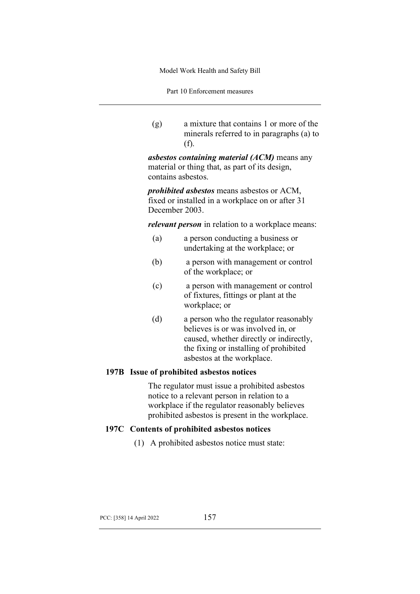Part 10 Enforcement measures

(g) a mixture that contains 1 or more of the minerals referred to in paragraphs (a) to (f).

*asbestos containing material (ACM)* means any material or thing that, as part of its design, contains asbestos.

*prohibited asbestos* means asbestos or ACM, fixed or installed in a workplace on or after 31 December 2003.

*relevant person* in relation to a workplace means:

- (a) a person conducting a business or undertaking at the workplace; or
- (b) a person with management or control of the workplace; or
- (c) a person with management or control of fixtures, fittings or plant at the workplace; or
- (d) a person who the regulator reasonably believes is or was involved in, or caused, whether directly or indirectly, the fixing or installing of prohibited asbestos at the workplace.

### **197B Issue of prohibited asbestos notices**

The regulator must issue a prohibited asbestos notice to a relevant person in relation to a workplace if the regulator reasonably believes prohibited asbestos is present in the workplace.

### **197C Contents of prohibited asbestos notices**

(1) A prohibited asbestos notice must state: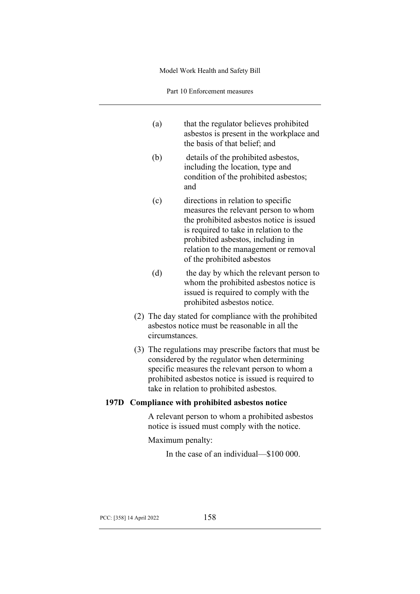Part 10 Enforcement measures

|  | (a)                                                                                                                                                                                                                                                          | that the regulator believes prohibited<br>asbestos is present in the workplace and<br>the basis of that belief; and                                                                                                                                                          |  |
|--|--------------------------------------------------------------------------------------------------------------------------------------------------------------------------------------------------------------------------------------------------------------|------------------------------------------------------------------------------------------------------------------------------------------------------------------------------------------------------------------------------------------------------------------------------|--|
|  | (b)                                                                                                                                                                                                                                                          | details of the prohibited asbestos,<br>including the location, type and<br>condition of the prohibited asbestos;<br>and                                                                                                                                                      |  |
|  | (c)                                                                                                                                                                                                                                                          | directions in relation to specific<br>measures the relevant person to whom<br>the prohibited asbestos notice is issued<br>is required to take in relation to the<br>prohibited asbestos, including in<br>relation to the management or removal<br>of the prohibited asbestos |  |
|  | (d)                                                                                                                                                                                                                                                          | the day by which the relevant person to<br>whom the prohibited asbestos notice is<br>issued is required to comply with the<br>prohibited asbestos notice.                                                                                                                    |  |
|  | (2) The day stated for compliance with the prohibited<br>asbestos notice must be reasonable in all the<br>circumstances.                                                                                                                                     |                                                                                                                                                                                                                                                                              |  |
|  | (3) The regulations may prescribe factors that must be<br>considered by the regulator when determining<br>specific measures the relevant person to whom a<br>prohibited asbestos notice is issued is required to<br>take in relation to prohibited asbestos. |                                                                                                                                                                                                                                                                              |  |
|  | 197D Compliance with prohibited asbestos notice                                                                                                                                                                                                              |                                                                                                                                                                                                                                                                              |  |
|  | A relevant person to whom a prohibited asbestos<br>notice is issued must comply with the notice.                                                                                                                                                             |                                                                                                                                                                                                                                                                              |  |
|  | Maximum penalty:                                                                                                                                                                                                                                             |                                                                                                                                                                                                                                                                              |  |
|  |                                                                                                                                                                                                                                                              | In the case of an individual—\$100 000.                                                                                                                                                                                                                                      |  |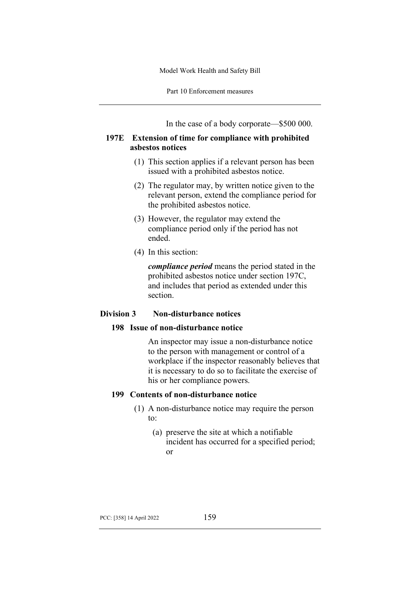Part 10 Enforcement measures

In the case of a body corporate—\$500 000.

# **197E Extension of time for compliance with prohibited asbestos notices**

- (1) This section applies if a relevant person has been issued with a prohibited asbestos notice.
- (2) The regulator may, by written notice given to the relevant person, extend the compliance period for the prohibited asbestos notice.
- (3) However, the regulator may extend the compliance period only if the period has not ended.
- (4) In this section:

*compliance period* means the period stated in the prohibited asbestos notice under section 197C, and includes that period as extended under this section.

# **Division 3 Non-disturbance notices**

# **198 Issue of non-disturbance notice**

An inspector may issue a non-disturbance notice to the person with management or control of a workplace if the inspector reasonably believes that it is necessary to do so to facilitate the exercise of his or her compliance powers.

# **199 Contents of non-disturbance notice**

- (1) A non-disturbance notice may require the person to:
	- (a) preserve the site at which a notifiable incident has occurred for a specified period; or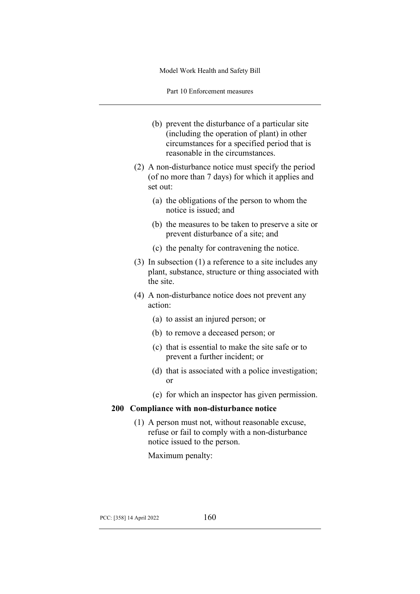Part 10 Enforcement measures

- (b) prevent the disturbance of a particular site (including the operation of plant) in other circumstances for a specified period that is reasonable in the circumstances.
- (2) A non-disturbance notice must specify the period (of no more than 7 days) for which it applies and set out:
	- (a) the obligations of the person to whom the notice is issued; and
	- (b) the measures to be taken to preserve a site or prevent disturbance of a site; and
	- (c) the penalty for contravening the notice.
- (3) In subsection (1) a reference to a site includes any plant, substance, structure or thing associated with the site.
- (4) A non-disturbance notice does not prevent any action:
	- (a) to assist an injured person; or
	- (b) to remove a deceased person; or
	- (c) that is essential to make the site safe or to prevent a further incident; or
	- (d) that is associated with a police investigation; or
	- (e) for which an inspector has given permission.

# **200 Compliance with non-disturbance notice**

(1) A person must not, without reasonable excuse, refuse or fail to comply with a non-disturbance notice issued to the person.

Maximum penalty: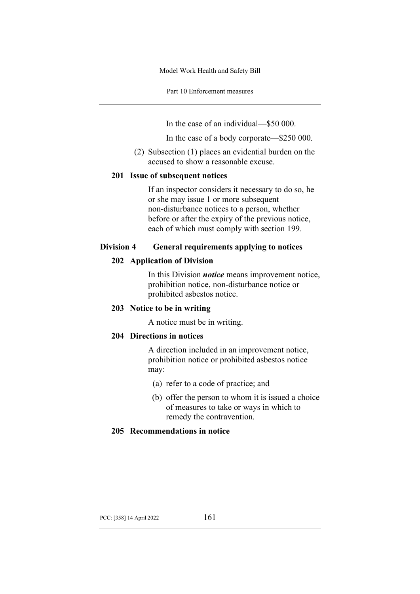Part 10 Enforcement measures

In the case of an individual—\$50 000.

In the case of a body corporate—\$250 000.

(2) Subsection (1) places an evidential burden on the accused to show a reasonable excuse.

# **201 Issue of subsequent notices**

If an inspector considers it necessary to do so, he or she may issue 1 or more subsequent non-disturbance notices to a person, whether before or after the expiry of the previous notice, each of which must comply with section 199.

# **Division 4 General requirements applying to notices**

# **202 Application of Division**

In this Division *notice* means improvement notice, prohibition notice, non-disturbance notice or prohibited asbestos notice.

# **203 Notice to be in writing**

A notice must be in writing.

# **204 Directions in notices**

A direction included in an improvement notice, prohibition notice or prohibited asbestos notice may:

- (a) refer to a code of practice; and
- (b) offer the person to whom it is issued a choice of measures to take or ways in which to remedy the contravention.

# **205 Recommendations in notice**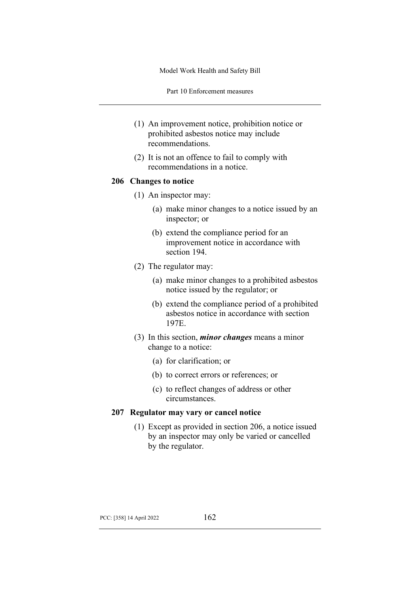Part 10 Enforcement measures

- (1) An improvement notice, prohibition notice or prohibited asbestos notice may include recommendations.
- (2) It is not an offence to fail to comply with recommendations in a notice.

### **206 Changes to notice**

- (1) An inspector may:
	- (a) make minor changes to a notice issued by an inspector; or
	- (b) extend the compliance period for an improvement notice in accordance with section 194.
- (2) The regulator may:
	- (a) make minor changes to a prohibited asbestos notice issued by the regulator; or
	- (b) extend the compliance period of a prohibited asbestos notice in accordance with section 197E.
- (3) In this section, *minor changes* means a minor change to a notice:
	- (a) for clarification; or
	- (b) to correct errors or references; or
	- (c) to reflect changes of address or other circumstances.

### **207 Regulator may vary or cancel notice**

(1) Except as provided in section 206, a notice issued by an inspector may only be varied or cancelled by the regulator.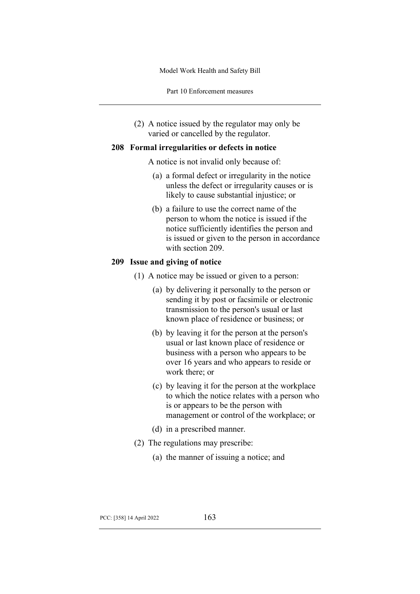Part 10 Enforcement measures

(2) A notice issued by the regulator may only be varied or cancelled by the regulator.

### **208 Formal irregularities or defects in notice**

A notice is not invalid only because of:

- (a) a formal defect or irregularity in the notice unless the defect or irregularity causes or is likely to cause substantial injustice; or
- (b) a failure to use the correct name of the person to whom the notice is issued if the notice sufficiently identifies the person and is issued or given to the person in accordance with section 209.

### **209 Issue and giving of notice**

- (1) A notice may be issued or given to a person:
	- (a) by delivering it personally to the person or sending it by post or facsimile or electronic transmission to the person's usual or last known place of residence or business; or
	- (b) by leaving it for the person at the person's usual or last known place of residence or business with a person who appears to be over 16 years and who appears to reside or work there; or
	- (c) by leaving it for the person at the workplace to which the notice relates with a person who is or appears to be the person with management or control of the workplace; or
	- (d) in a prescribed manner.
- (2) The regulations may prescribe:
	- (a) the manner of issuing a notice; and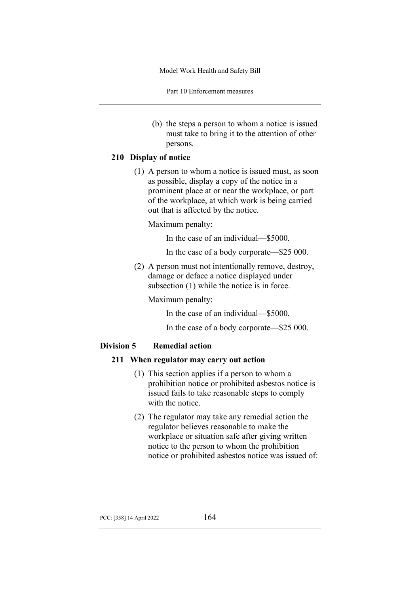Part 10 Enforcement measures

(b) the steps a person to whom a notice is issued must take to bring it to the attention of other persons.

# **210 Display of notice**

(1) A person to whom a notice is issued must, as soon as possible, display a copy of the notice in a prominent place at or near the workplace, or part of the workplace, at which work is being carried out that is affected by the notice.

Maximum penalty:

In the case of an individual—\$5000.

In the case of a body corporate—\$25 000.

(2) A person must not intentionally remove, destroy, damage or deface a notice displayed under subsection (1) while the notice is in force.

Maximum penalty:

In the case of an individual—\$5000.

In the case of a body corporate—\$25 000.

# **Division 5 Remedial action**

### **211 When regulator may carry out action**

- (1) This section applies if a person to whom a prohibition notice or prohibited asbestos notice is issued fails to take reasonable steps to comply with the notice.
- (2) The regulator may take any remedial action the regulator believes reasonable to make the workplace or situation safe after giving written notice to the person to whom the prohibition notice or prohibited asbestos notice was issued of: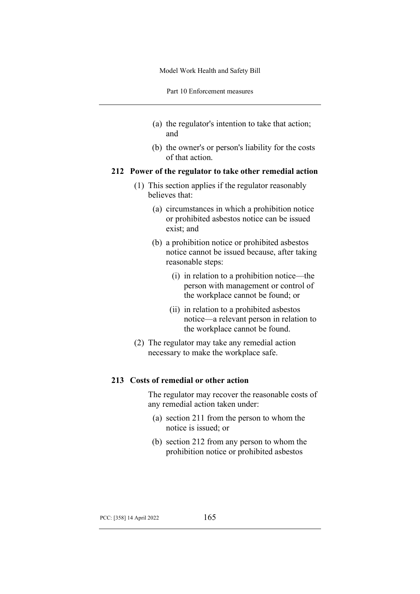Part 10 Enforcement measures

- (a) the regulator's intention to take that action; and
- (b) the owner's or person's liability for the costs of that action.

## **212 Power of the regulator to take other remedial action**

- (1) This section applies if the regulator reasonably believes that:
	- (a) circumstances in which a prohibition notice or prohibited asbestos notice can be issued exist; and
	- (b) a prohibition notice or prohibited asbestos notice cannot be issued because, after taking reasonable steps:
		- (i) in relation to a prohibition notice—the person with management or control of the workplace cannot be found; or
		- (ii) in relation to a prohibited asbestos notice—a relevant person in relation to the workplace cannot be found.
- (2) The regulator may take any remedial action necessary to make the workplace safe.

### **213 Costs of remedial or other action**

The regulator may recover the reasonable costs of any remedial action taken under:

- (a) section 211 from the person to whom the notice is issued; or
- (b) section 212 from any person to whom the prohibition notice or prohibited asbestos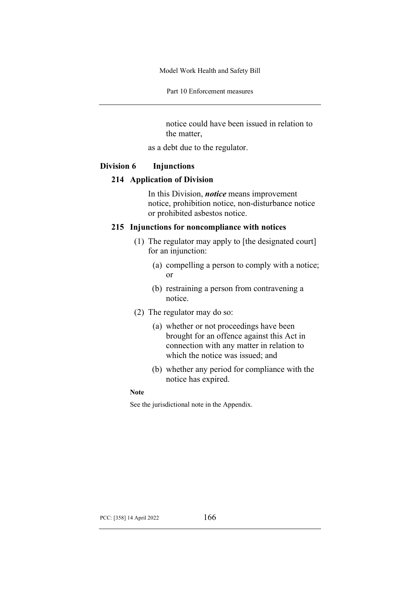Part 10 Enforcement measures

notice could have been issued in relation to the matter,

as a debt due to the regulator.

### **Division 6 Injunctions**

#### **214 Application of Division**

In this Division, *notice* means improvement notice, prohibition notice, non-disturbance notice or prohibited asbestos notice.

### **215 Injunctions for noncompliance with notices**

- (1) The regulator may apply to [the designated court] for an injunction:
	- (a) compelling a person to comply with a notice; or
	- (b) restraining a person from contravening a notice.
- (2) The regulator may do so:
	- (a) whether or not proceedings have been brought for an offence against this Act in connection with any matter in relation to which the notice was issued; and
	- (b) whether any period for compliance with the notice has expired.

#### **Note**

See the jurisdictional note in the Appendix.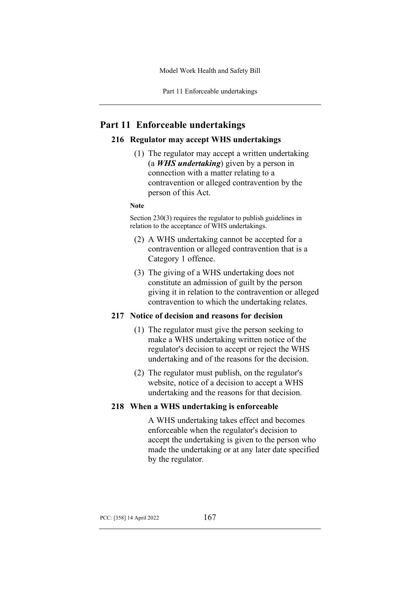# **Part 11 Enforceable undertakings**

### **216 Regulator may accept WHS undertakings**

(1) The regulator may accept a written undertaking (a *WHS undertaking*) given by a person in connection with a matter relating to a contravention or alleged contravention by the person of this Act.

#### **Note**

Section 230(3) requires the regulator to publish guidelines in relation to the acceptance of WHS undertakings.

- (2) A WHS undertaking cannot be accepted for a contravention or alleged contravention that is a Category 1 offence.
- (3) The giving of a WHS undertaking does not constitute an admission of guilt by the person giving it in relation to the contravention or alleged contravention to which the undertaking relates.

### **217 Notice of decision and reasons for decision**

- (1) The regulator must give the person seeking to make a WHS undertaking written notice of the regulator's decision to accept or reject the WHS undertaking and of the reasons for the decision.
- (2) The regulator must publish, on the regulator's website, notice of a decision to accept a WHS undertaking and the reasons for that decision.

### **218 When a WHS undertaking is enforceable**

A WHS undertaking takes effect and becomes enforceable when the regulator's decision to accept the undertaking is given to the person who made the undertaking or at any later date specified by the regulator.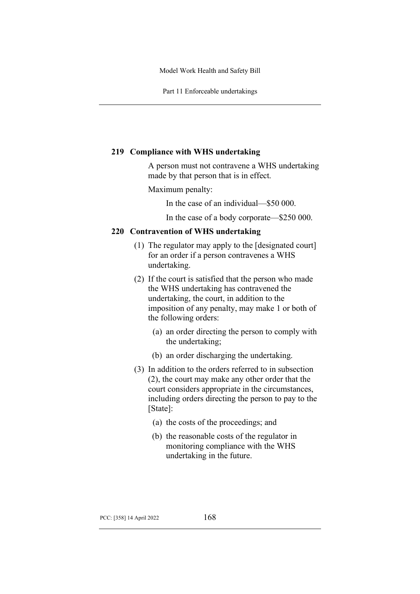Part 11 Enforceable undertakings

### **219 Compliance with WHS undertaking**

A person must not contravene a WHS undertaking made by that person that is in effect.

### Maximum penalty:

In the case of an individual—\$50 000.

In the case of a body corporate—\$250 000.

### **220 Contravention of WHS undertaking**

- (1) The regulator may apply to the [designated court] for an order if a person contravenes a WHS undertaking.
- (2) If the court is satisfied that the person who made the WHS undertaking has contravened the undertaking, the court, in addition to the imposition of any penalty, may make 1 or both of the following orders:
	- (a) an order directing the person to comply with the undertaking;
	- (b) an order discharging the undertaking.
- (3) In addition to the orders referred to in subsection (2), the court may make any other order that the court considers appropriate in the circumstances, including orders directing the person to pay to the [State]:
	- (a) the costs of the proceedings; and
	- (b) the reasonable costs of the regulator in monitoring compliance with the WHS undertaking in the future.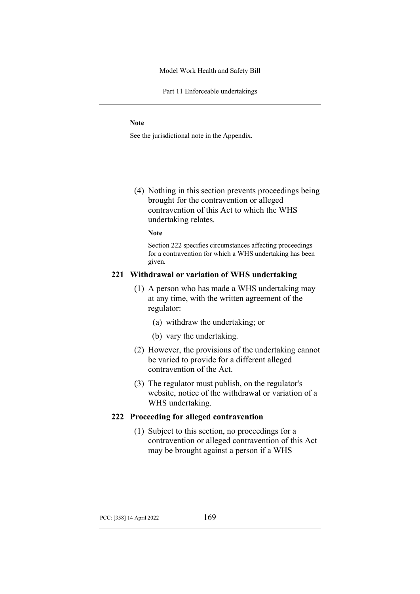Part 11 Enforceable undertakings

#### **Note**

See the jurisdictional note in the Appendix.

(4) Nothing in this section prevents proceedings being brought for the contravention or alleged contravention of this Act to which the WHS undertaking relates.

#### **Note**

Section 222 specifies circumstances affecting proceedings for a contravention for which a WHS undertaking has been given.

# **221 Withdrawal or variation of WHS undertaking**

- (1) A person who has made a WHS undertaking may at any time, with the written agreement of the regulator:
	- (a) withdraw the undertaking; or
	- (b) vary the undertaking.
- (2) However, the provisions of the undertaking cannot be varied to provide for a different alleged contravention of the Act.
- (3) The regulator must publish, on the regulator's website, notice of the withdrawal or variation of a WHS undertaking.

#### **222 Proceeding for alleged contravention**

(1) Subject to this section, no proceedings for a contravention or alleged contravention of this Act may be brought against a person if a WHS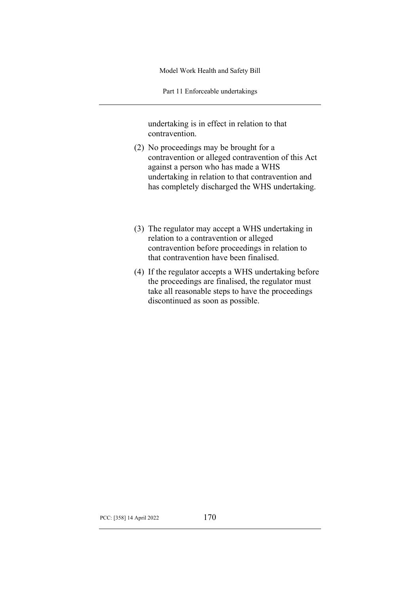Part 11 Enforceable undertakings

undertaking is in effect in relation to that contravention.

- (2) No proceedings may be brought for a contravention or alleged contravention of this Act against a person who has made a WHS undertaking in relation to that contravention and has completely discharged the WHS undertaking.
- (3) The regulator may accept a WHS undertaking in relation to a contravention or alleged contravention before proceedings in relation to that contravention have been finalised.
- (4) If the regulator accepts a WHS undertaking before the proceedings are finalised, the regulator must take all reasonable steps to have the proceedings discontinued as soon as possible.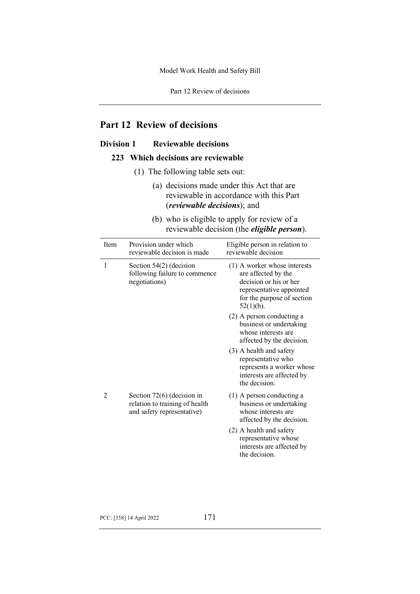Part 12 Review of decisions

# **Part 12 Review of decisions**

# **Division 1 Reviewable decisions**

## **223 Which decisions are reviewable**

- (1) The following table sets out:
	- (a) decisions made under this Act that are reviewable in accordance with this Part (*reviewable decisions*); and
	- (b) who is eligible to apply for review of a reviewable decision (the *eligible person*).

| Item | Provision under which<br>reviewable decision is made                                         | Eligible person in relation to<br>reviewable decision                                                                                                     |
|------|----------------------------------------------------------------------------------------------|-----------------------------------------------------------------------------------------------------------------------------------------------------------|
| 1    | Section $54(2)$ (decision<br>following failure to commence<br>negotiations)                  | $(1)$ A worker whose interests<br>are affected by the<br>decision or his or her<br>representative appointed<br>for the purpose of section<br>$52(1)(b)$ . |
|      |                                                                                              | (2) A person conducting a<br>business or undertaking<br>whose interests are<br>affected by the decision.                                                  |
|      |                                                                                              | (3) A health and safety<br>representative who<br>represents a worker whose<br>interests are affected by<br>the decision.                                  |
| 2    | Section $72(6)$ (decision in<br>relation to training of health<br>and safety representative) | $(1)$ A person conducting a<br>business or undertaking<br>whose interests are<br>affected by the decision.                                                |
|      |                                                                                              | (2) A health and safety<br>representative whose<br>interests are affected by<br>the decision.                                                             |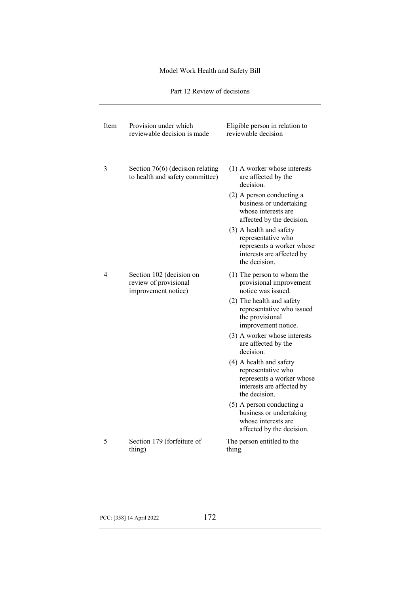Part 12 Review of decisions

| Item | Provision under which<br>reviewable decision is made                     | Eligible person in relation to<br>reviewable decision                                                                    |
|------|--------------------------------------------------------------------------|--------------------------------------------------------------------------------------------------------------------------|
| 3    | Section $76(6)$ (decision relating<br>to health and safety committee)    | $(1)$ A worker whose interests<br>are affected by the<br>decision.                                                       |
|      |                                                                          | (2) A person conducting a<br>business or undertaking<br>whose interests are<br>affected by the decision.                 |
|      |                                                                          | (3) A health and safety<br>representative who<br>represents a worker whose<br>interests are affected by<br>the decision. |
| 4    | Section 102 (decision on<br>review of provisional<br>improvement notice) | $(1)$ The person to whom the<br>provisional improvement<br>notice was issued.                                            |
|      |                                                                          | (2) The health and safety<br>representative who issued<br>the provisional<br>improvement notice.                         |
|      |                                                                          | (3) A worker whose interests<br>are affected by the<br>decision.                                                         |
|      |                                                                          | (4) A health and safety<br>representative who<br>represents a worker whose<br>interests are affected by<br>the decision. |
|      |                                                                          | (5) A person conducting a<br>business or undertaking<br>whose interests are<br>affected by the decision.                 |
| 5    | Section 179 (forfeiture of<br>thing)                                     | The person entitled to the<br>thing.                                                                                     |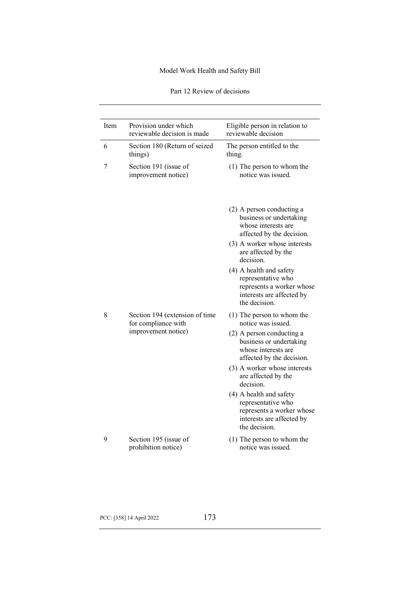Part 12 Review of decisions

| Item | Provision under which<br>reviewable decision is made  | Eligible person in relation to<br>reviewable decision                                                                    |
|------|-------------------------------------------------------|--------------------------------------------------------------------------------------------------------------------------|
| 6    | Section 180 (Return of seized<br>things)              | The person entitled to the<br>thing.                                                                                     |
| 7    | Section 191 (issue of<br>improvement notice)          | (1) The person to whom the<br>notice was issued.                                                                         |
|      |                                                       | (2) A person conducting a<br>business or undertaking<br>whose interests are<br>affected by the decision.                 |
|      |                                                       | (3) A worker whose interests<br>are affected by the<br>decision.                                                         |
|      |                                                       | (4) A health and safety<br>representative who<br>represents a worker whose<br>interests are affected by<br>the decision. |
| 8    | Section 194 (extension of time<br>for compliance with | $(1)$ The person to whom the<br>notice was issued.                                                                       |
|      | improvement notice)                                   | (2) A person conducting a<br>business or undertaking<br>whose interests are<br>affected by the decision.                 |
|      |                                                       | (3) A worker whose interests<br>are affected by the<br>decision.                                                         |
|      |                                                       | (4) A health and safety<br>representative who<br>represents a worker whose<br>interests are affected by<br>the decision. |
| 9    | Section 195 (issue of<br>prohibition notice)          | $(1)$ The person to whom the<br>notice was issued.                                                                       |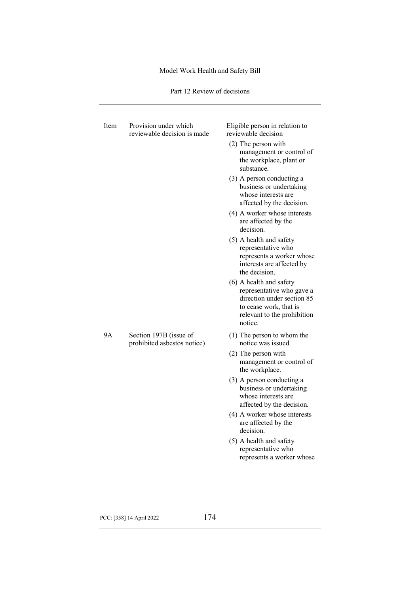| Part 12 Review of decisions |  |
|-----------------------------|--|
|-----------------------------|--|

| Item | Provision under which<br>reviewable decision is made  | Eligible person in relation to<br>reviewable decision                                                                                                  |
|------|-------------------------------------------------------|--------------------------------------------------------------------------------------------------------------------------------------------------------|
|      |                                                       | $(2)$ The person with<br>management or control of<br>the workplace, plant or<br>substance.                                                             |
|      |                                                       | (3) A person conducting a<br>business or undertaking<br>whose interests are<br>affected by the decision.                                               |
|      |                                                       | (4) A worker whose interests<br>are affected by the<br>decision.                                                                                       |
|      |                                                       | (5) A health and safety<br>representative who<br>represents a worker whose<br>interests are affected by<br>the decision.                               |
|      |                                                       | (6) A health and safety<br>representative who gave a<br>direction under section 85<br>to cease work, that is<br>relevant to the prohibition<br>notice. |
| 9Α   | Section 197B (issue of<br>prohibited asbestos notice) | $(1)$ The person to whom the<br>notice was issued.                                                                                                     |
|      |                                                       | $(2)$ The person with<br>management or control of<br>the workplace.                                                                                    |
|      |                                                       | (3) A person conducting a<br>business or undertaking<br>whose interests are<br>affected by the decision.                                               |
|      |                                                       | (4) A worker whose interests<br>are affected by the<br>decision.                                                                                       |
|      |                                                       | (5) A health and safety<br>representative who<br>represents a worker whose                                                                             |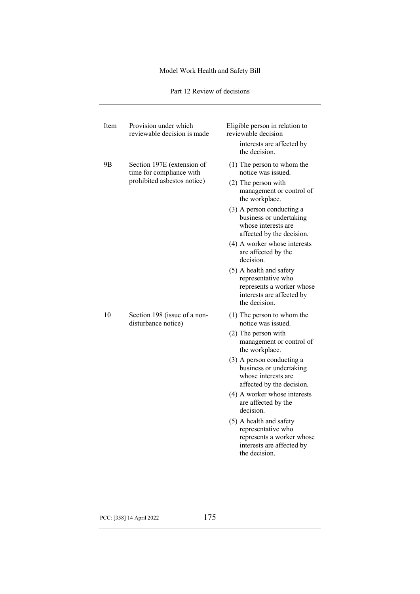| Part 12 Review of decisions |  |
|-----------------------------|--|
|-----------------------------|--|

| Item | Provision under which<br>reviewable decision is made   | Eligible person in relation to<br>reviewable decision                                                                    |
|------|--------------------------------------------------------|--------------------------------------------------------------------------------------------------------------------------|
|      |                                                        | interests are affected by<br>the decision.                                                                               |
| 9B   | Section 197E (extension of<br>time for compliance with | $(1)$ The person to whom the<br>notice was issued.                                                                       |
|      | prohibited asbestos notice)                            | $(2)$ The person with<br>management or control of<br>the workplace.                                                      |
|      |                                                        | (3) A person conducting a<br>business or undertaking<br>whose interests are<br>affected by the decision.                 |
|      |                                                        | (4) A worker whose interests<br>are affected by the<br>decision.                                                         |
|      |                                                        | (5) A health and safety<br>representative who<br>represents a worker whose<br>interests are affected by<br>the decision. |
| 10   | Section 198 (issue of a non-<br>disturbance notice)    | (1) The person to whom the<br>notice was issued.                                                                         |
|      |                                                        | $(2)$ The person with<br>management or control of<br>the workplace.                                                      |
|      |                                                        | (3) A person conducting a<br>business or undertaking<br>whose interests are<br>affected by the decision.                 |
|      |                                                        | (4) A worker whose interests<br>are affected by the<br>decision.                                                         |
|      |                                                        | (5) A health and safety<br>representative who<br>represents a worker whose<br>interests are affected by<br>the decision. |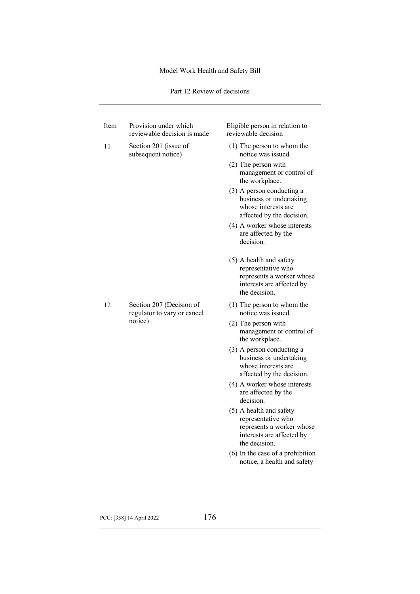| Part 12 Review of decisions |  |
|-----------------------------|--|
|-----------------------------|--|

| Item | Provision under which<br>reviewable decision is made    | Eligible person in relation to<br>reviewable decision                                                                    |
|------|---------------------------------------------------------|--------------------------------------------------------------------------------------------------------------------------|
| 11   | Section 201 (issue of<br>subsequent notice)             | $(1)$ The person to whom the<br>notice was issued.                                                                       |
|      |                                                         | $(2)$ The person with<br>management or control of<br>the workplace.                                                      |
|      |                                                         | (3) A person conducting a<br>business or undertaking<br>whose interests are<br>affected by the decision.                 |
|      |                                                         | (4) A worker whose interests<br>are affected by the<br>decision.                                                         |
|      |                                                         | (5) A health and safety<br>representative who<br>represents a worker whose<br>interests are affected by<br>the decision. |
| 12   | Section 207 (Decision of<br>regulator to vary or cancel | $(1)$ The person to whom the<br>notice was issued.                                                                       |
|      | notice)                                                 | $(2)$ The person with<br>management or control of<br>the workplace.                                                      |
|      |                                                         | (3) A person conducting a<br>business or undertaking<br>whose interests are<br>affected by the decision.                 |
|      |                                                         | (4) A worker whose interests<br>are affected by the<br>decision.                                                         |
|      |                                                         | (5) A health and safety<br>representative who<br>represents a worker whose<br>interests are affected by<br>the decision. |
|      |                                                         | (6) In the case of a prohibition<br>notice, a health and safety                                                          |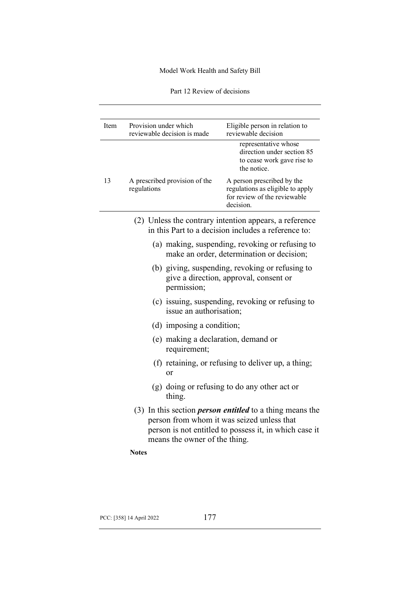Part 12 Review of decisions

| Provision under which<br>reviewable decision is made                        | Eligible person in relation to<br>reviewable decision                                                                       |
|-----------------------------------------------------------------------------|-----------------------------------------------------------------------------------------------------------------------------|
|                                                                             | representative whose<br>direction under section 85<br>to cease work gave rise to<br>the notice.                             |
| A prescribed provision of the<br>regulations                                | A person prescribed by the<br>regulations as eligible to apply<br>for review of the reviewable<br>decision.                 |
|                                                                             | (2) Unless the contrary intention appears, a reference<br>in this Part to a decision includes a reference to:               |
|                                                                             | (a) making, suspending, revoking or refusing to<br>make an order, determination or decision;                                |
| permission;                                                                 | (b) giving, suspending, revoking or refusing to<br>give a direction, approval, consent or                                   |
| issue an authorisation;                                                     | (c) issuing, suspending, revoking or refusing to                                                                            |
| (d) imposing a condition;                                                   |                                                                                                                             |
| (e) making a declaration, demand or<br>requirement;                         |                                                                                                                             |
| or                                                                          | (f) retaining, or refusing to deliver up, a thing;                                                                          |
| thing.                                                                      | (g) doing or refusing to do any other act or                                                                                |
| person from whom it was seized unless that<br>means the owner of the thing. | $(3)$ In this section <i>person entitled</i> to a thing means the<br>person is not entitled to possess it, in which case it |
| <b>Notes</b>                                                                |                                                                                                                             |
|                                                                             |                                                                                                                             |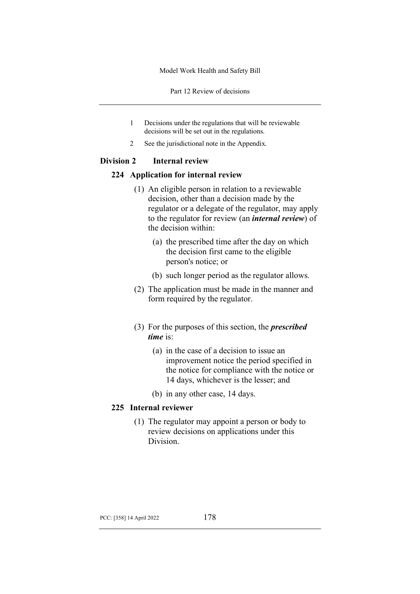Part 12 Review of decisions

- 1 Decisions under the regulations that will be reviewable decisions will be set out in the regulations.
- 2 See the jurisdictional note in the Appendix.

### **Division 2 Internal review**

#### **224 Application for internal review**

- (1) An eligible person in relation to a reviewable decision, other than a decision made by the regulator or a delegate of the regulator, may apply to the regulator for review (an *internal review*) of the decision within:
	- (a) the prescribed time after the day on which the decision first came to the eligible person's notice; or
	- (b) such longer period as the regulator allows.
- (2) The application must be made in the manner and form required by the regulator.
- (3) For the purposes of this section, the *prescribed time* is:
	- (a) in the case of a decision to issue an improvement notice the period specified in the notice for compliance with the notice or 14 days, whichever is the lesser; and
	- (b) in any other case, 14 days.

## **225 Internal reviewer**

(1) The regulator may appoint a person or body to review decisions on applications under this Division.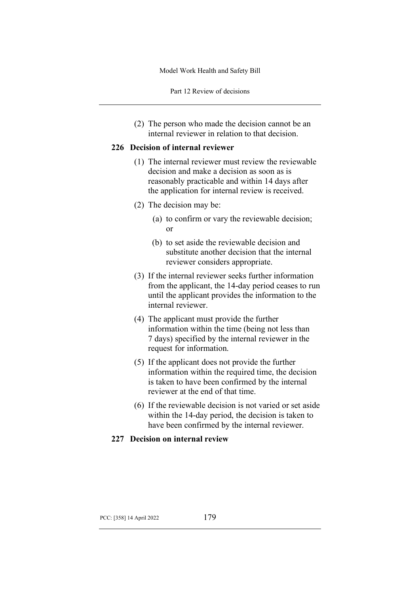Part 12 Review of decisions

(2) The person who made the decision cannot be an internal reviewer in relation to that decision.

#### **226 Decision of internal reviewer**

- (1) The internal reviewer must review the reviewable decision and make a decision as soon as is reasonably practicable and within 14 days after the application for internal review is received.
- (2) The decision may be:
	- (a) to confirm or vary the reviewable decision; or
	- (b) to set aside the reviewable decision and substitute another decision that the internal reviewer considers appropriate.
- (3) If the internal reviewer seeks further information from the applicant, the 14-day period ceases to run until the applicant provides the information to the internal reviewer.
- (4) The applicant must provide the further information within the time (being not less than 7 days) specified by the internal reviewer in the request for information.
- (5) If the applicant does not provide the further information within the required time, the decision is taken to have been confirmed by the internal reviewer at the end of that time.
- (6) If the reviewable decision is not varied or set aside within the 14-day period, the decision is taken to have been confirmed by the internal reviewer.

#### **227 Decision on internal review**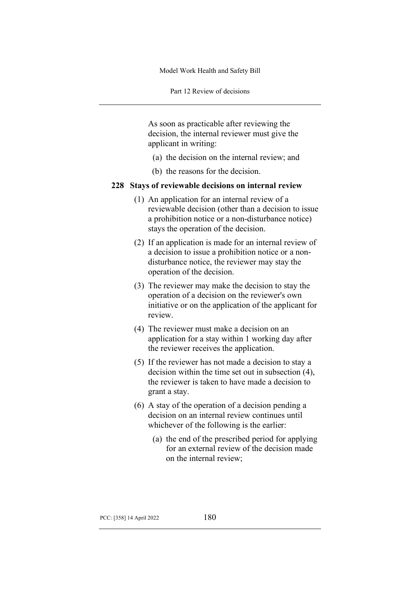Part 12 Review of decisions

As soon as practicable after reviewing the decision, the internal reviewer must give the applicant in writing:

- (a) the decision on the internal review; and
- (b) the reasons for the decision.

#### **228 Stays of reviewable decisions on internal review**

- (1) An application for an internal review of a reviewable decision (other than a decision to issue a prohibition notice or a non-disturbance notice) stays the operation of the decision.
- (2) If an application is made for an internal review of a decision to issue a prohibition notice or a nondisturbance notice, the reviewer may stay the operation of the decision.
- (3) The reviewer may make the decision to stay the operation of a decision on the reviewer's own initiative or on the application of the applicant for review.
- (4) The reviewer must make a decision on an application for a stay within 1 working day after the reviewer receives the application.
- (5) If the reviewer has not made a decision to stay a decision within the time set out in subsection (4), the reviewer is taken to have made a decision to grant a stay.
- (6) A stay of the operation of a decision pending a decision on an internal review continues until whichever of the following is the earlier:
	- (a) the end of the prescribed period for applying for an external review of the decision made on the internal review;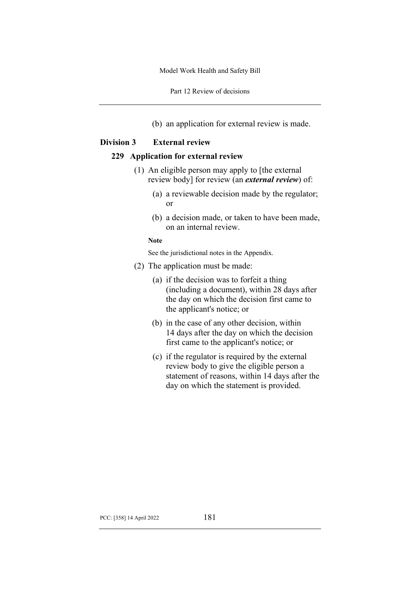Part 12 Review of decisions

(b) an application for external review is made.

#### **Division 3 External review**

#### **229 Application for external review**

- (1) An eligible person may apply to [the external review body] for review (an *external review*) of:
	- (a) a reviewable decision made by the regulator; or
	- (b) a decision made, or taken to have been made, on an internal review.

#### **Note**

See the jurisdictional notes in the Appendix.

- (2) The application must be made:
	- (a) if the decision was to forfeit a thing (including a document), within 28 days after the day on which the decision first came to the applicant's notice; or
	- (b) in the case of any other decision, within 14 days after the day on which the decision first came to the applicant's notice; or
	- (c) if the regulator is required by the external review body to give the eligible person a statement of reasons, within 14 days after the day on which the statement is provided.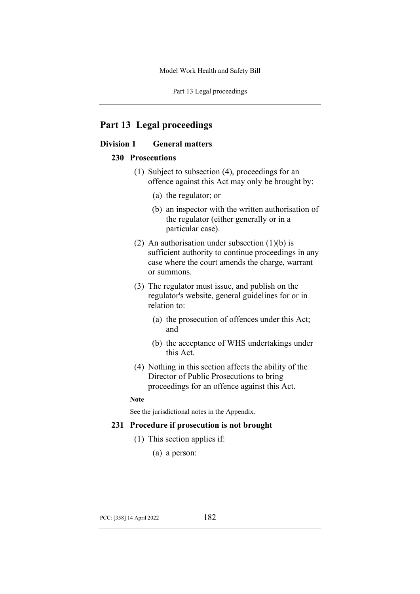Part 13 Legal proceedings

# **Part 13 Legal proceedings**

# **Division 1 General matters**

#### **230 Prosecutions**

- (1) Subject to subsection (4), proceedings for an offence against this Act may only be brought by:
	- (a) the regulator; or
	- (b) an inspector with the written authorisation of the regulator (either generally or in a particular case).
- (2) An authorisation under subsection  $(1)(b)$  is sufficient authority to continue proceedings in any case where the court amends the charge, warrant or summons.
- (3) The regulator must issue, and publish on the regulator's website, general guidelines for or in relation to:
	- (a) the prosecution of offences under this Act; and
	- (b) the acceptance of WHS undertakings under this Act.
- (4) Nothing in this section affects the ability of the Director of Public Prosecutions to bring proceedings for an offence against this Act.

#### **Note**

See the jurisdictional notes in the Appendix.

#### **231 Procedure if prosecution is not brought**

- (1) This section applies if:
	- (a) a person: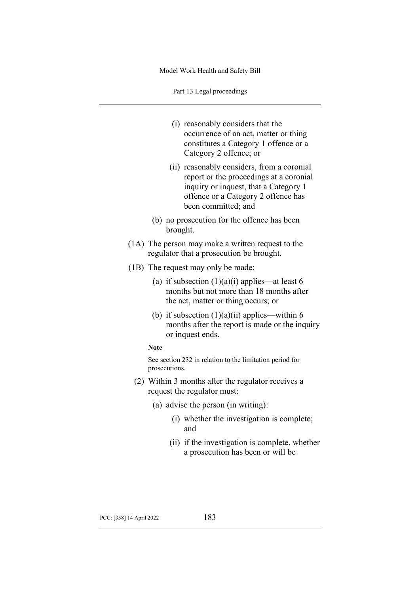Part 13 Legal proceedings

(i) reasonably considers that the occurrence of an act, matter or thing constitutes a Category 1 offence or a Category 2 offence; or (ii) reasonably considers, from a coronial report or the proceedings at a coronial inquiry or inquest, that a Category 1 offence or a Category 2 offence has been committed; and (b) no prosecution for the offence has been brought. (1A) The person may make a written request to the regulator that a prosecution be brought. (1B) The request may only be made: (a) if subsection  $(1)(a)(i)$  applies—at least 6 months but not more than 18 months after the act, matter or thing occurs; or (b) if subsection  $(1)(a)(ii)$  applies—within 6 months after the report is made or the inquiry or inquest ends. **Note** See section 232 in relation to the limitation period for prosecutions. (2) Within 3 months after the regulator receives a request the regulator must: (a) advise the person (in writing): (i) whether the investigation is complete; and (ii) if the investigation is complete, whether a prosecution has been or will be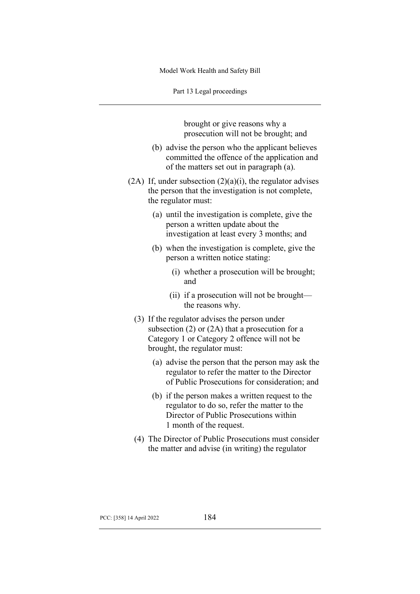Part 13 Legal proceedings

brought or give reasons why a prosecution will not be brought; and

- (b) advise the person who the applicant believes committed the offence of the application and of the matters set out in paragraph (a).
- (2A) If, under subsection  $(2)(a)(i)$ , the regulator advises the person that the investigation is not complete, the regulator must:
	- (a) until the investigation is complete, give the person a written update about the investigation at least every 3 months; and
	- (b) when the investigation is complete, give the person a written notice stating:
		- (i) whether a prosecution will be brought; and
		- (ii) if a prosecution will not be brought the reasons why.
	- (3) If the regulator advises the person under subsection  $(2)$  or  $(2A)$  that a prosecution for a Category 1 or Category 2 offence will not be brought, the regulator must:
		- (a) advise the person that the person may ask the regulator to refer the matter to the Director of Public Prosecutions for consideration; and
		- (b) if the person makes a written request to the regulator to do so, refer the matter to the Director of Public Prosecutions within 1 month of the request.
	- (4) The Director of Public Prosecutions must consider the matter and advise (in writing) the regulator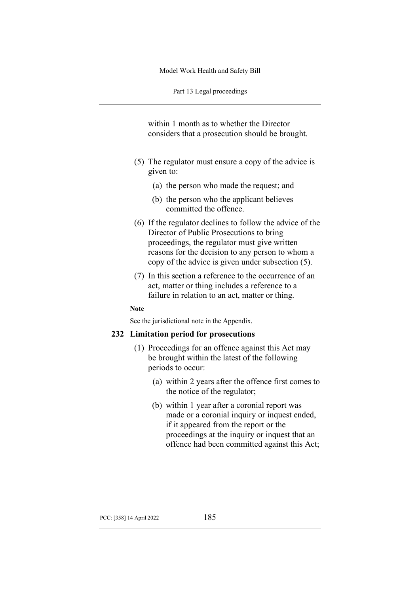Part 13 Legal proceedings

within 1 month as to whether the Director considers that a prosecution should be brought.

- (5) The regulator must ensure a copy of the advice is given to:
	- (a) the person who made the request; and
	- (b) the person who the applicant believes committed the offence.
- (6) If the regulator declines to follow the advice of the Director of Public Prosecutions to bring proceedings, the regulator must give written reasons for the decision to any person to whom a copy of the advice is given under subsection (5).
- (7) In this section a reference to the occurrence of an act, matter or thing includes a reference to a failure in relation to an act, matter or thing.

#### **Note**

See the jurisdictional note in the Appendix.

#### **232 Limitation period for prosecutions**

- (1) Proceedings for an offence against this Act may be brought within the latest of the following periods to occur:
	- (a) within 2 years after the offence first comes to the notice of the regulator;
	- (b) within 1 year after a coronial report was made or a coronial inquiry or inquest ended, if it appeared from the report or the proceedings at the inquiry or inquest that an offence had been committed against this Act;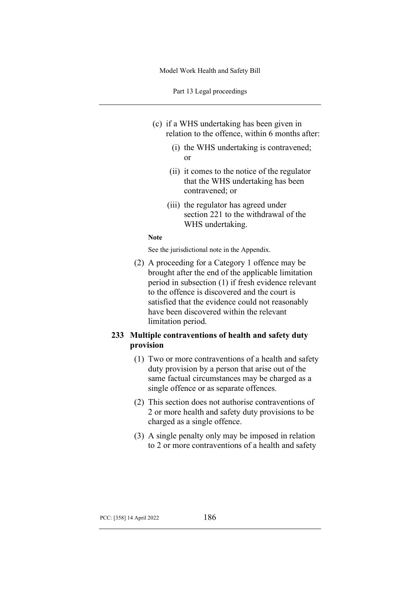Part 13 Legal proceedings

- (c) if a WHS undertaking has been given in relation to the offence, within 6 months after:
	- (i) the WHS undertaking is contravened; or
	- (ii) it comes to the notice of the regulator that the WHS undertaking has been contravened; or
	- (iii) the regulator has agreed under section 221 to the withdrawal of the WHS undertaking.

#### **Note**

See the jurisdictional note in the Appendix.

(2) A proceeding for a Category 1 offence may be brought after the end of the applicable limitation period in subsection (1) if fresh evidence relevant to the offence is discovered and the court is satisfied that the evidence could not reasonably have been discovered within the relevant limitation period.

# **233 Multiple contraventions of health and safety duty provision**

- (1) Two or more contraventions of a health and safety duty provision by a person that arise out of the same factual circumstances may be charged as a single offence or as separate offences.
- (2) This section does not authorise contraventions of 2 or more health and safety duty provisions to be charged as a single offence.
- (3) A single penalty only may be imposed in relation to 2 or more contraventions of a health and safety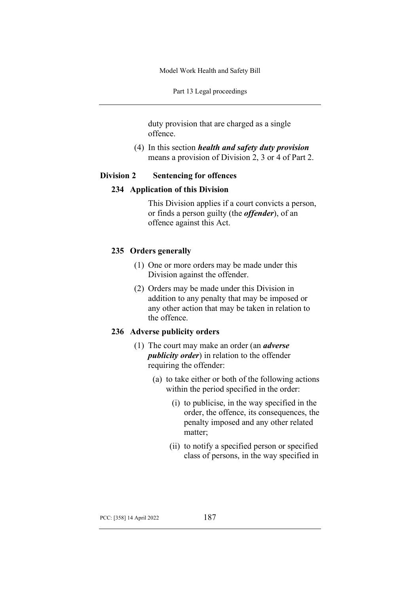Part 13 Legal proceedings

duty provision that are charged as a single offence.

(4) In this section *health and safety duty provision* means a provision of Division 2, 3 or 4 of Part 2.

## **Division 2 Sentencing for offences**

#### **234 Application of this Division**

This Division applies if a court convicts a person, or finds a person guilty (the *offender*), of an offence against this Act.

## **235 Orders generally**

- (1) One or more orders may be made under this Division against the offender.
- (2) Orders may be made under this Division in addition to any penalty that may be imposed or any other action that may be taken in relation to the offence.

### **236 Adverse publicity orders**

- (1) The court may make an order (an *adverse publicity order*) in relation to the offender requiring the offender:
	- (a) to take either or both of the following actions within the period specified in the order:
		- (i) to publicise, in the way specified in the order, the offence, its consequences, the penalty imposed and any other related matter;
		- (ii) to notify a specified person or specified class of persons, in the way specified in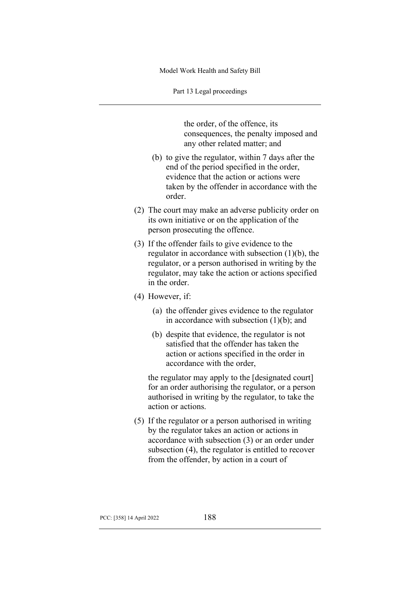Part 13 Legal proceedings

the order, of the offence, its consequences, the penalty imposed and any other related matter; and

- (b) to give the regulator, within 7 days after the end of the period specified in the order, evidence that the action or actions were taken by the offender in accordance with the order.
- (2) The court may make an adverse publicity order on its own initiative or on the application of the person prosecuting the offence.
- (3) If the offender fails to give evidence to the regulator in accordance with subsection (1)(b), the regulator, or a person authorised in writing by the regulator, may take the action or actions specified in the order.
- (4) However, if:
	- (a) the offender gives evidence to the regulator in accordance with subsection (1)(b); and
	- (b) despite that evidence, the regulator is not satisfied that the offender has taken the action or actions specified in the order in accordance with the order,

the regulator may apply to the [designated court] for an order authorising the regulator, or a person authorised in writing by the regulator, to take the action or actions.

(5) If the regulator or a person authorised in writing by the regulator takes an action or actions in accordance with subsection (3) or an order under subsection (4), the regulator is entitled to recover from the offender, by action in a court of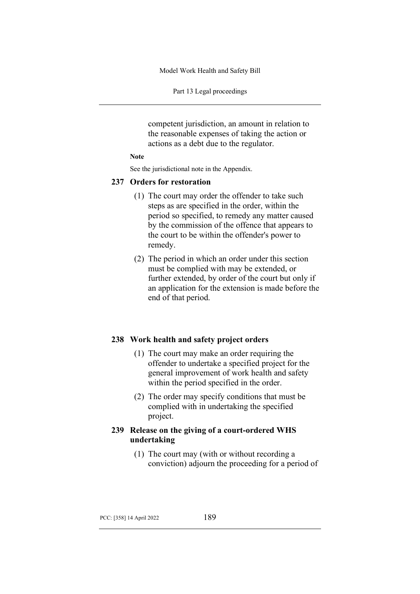Part 13 Legal proceedings

competent jurisdiction, an amount in relation to the reasonable expenses of taking the action or actions as a debt due to the regulator.

#### **Note**

See the jurisdictional note in the Appendix.

#### **237 Orders for restoration**

- (1) The court may order the offender to take such steps as are specified in the order, within the period so specified, to remedy any matter caused by the commission of the offence that appears to the court to be within the offender's power to remedy.
- (2) The period in which an order under this section must be complied with may be extended, or further extended, by order of the court but only if an application for the extension is made before the end of that period.

#### **238 Work health and safety project orders**

- (1) The court may make an order requiring the offender to undertake a specified project for the general improvement of work health and safety within the period specified in the order.
- (2) The order may specify conditions that must be complied with in undertaking the specified project.

# **239 Release on the giving of a court-ordered WHS undertaking**

(1) The court may (with or without recording a conviction) adjourn the proceeding for a period of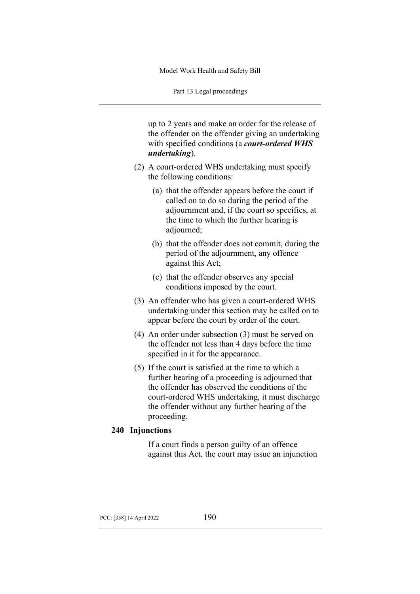Part 13 Legal proceedings

up to 2 years and make an order for the release of the offender on the offender giving an undertaking with specified conditions (a *court-ordered WHS undertaking*).

- (2) A court-ordered WHS undertaking must specify the following conditions:
	- (a) that the offender appears before the court if called on to do so during the period of the adjournment and, if the court so specifies, at the time to which the further hearing is adjourned;
	- (b) that the offender does not commit, during the period of the adjournment, any offence against this Act;
	- (c) that the offender observes any special conditions imposed by the court.
- (3) An offender who has given a court-ordered WHS undertaking under this section may be called on to appear before the court by order of the court.
- (4) An order under subsection (3) must be served on the offender not less than 4 days before the time specified in it for the appearance.
- (5) If the court is satisfied at the time to which a further hearing of a proceeding is adjourned that the offender has observed the conditions of the court-ordered WHS undertaking, it must discharge the offender without any further hearing of the proceeding.

## **240 Injunctions**

If a court finds a person guilty of an offence against this Act, the court may issue an injunction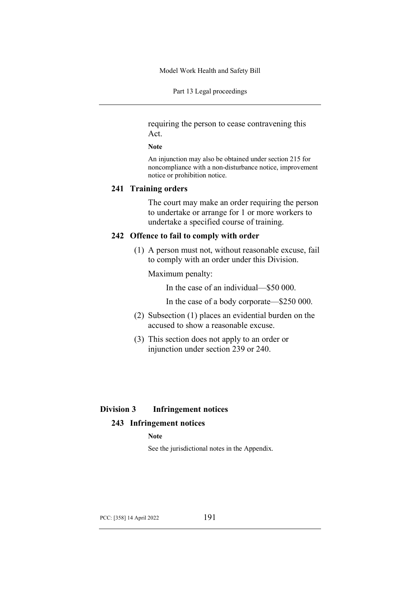Part 13 Legal proceedings

requiring the person to cease contravening this Act.

#### **Note**

An injunction may also be obtained under section 215 for noncompliance with a non-disturbance notice, improvement notice or prohibition notice.

### **241 Training orders**

The court may make an order requiring the person to undertake or arrange for 1 or more workers to undertake a specified course of training.

### **242 Offence to fail to comply with order**

(1) A person must not, without reasonable excuse, fail to comply with an order under this Division.

Maximum penalty:

In the case of an individual—\$50 000.

In the case of a body corporate—\$250 000.

- (2) Subsection (1) places an evidential burden on the accused to show a reasonable excuse.
- (3) This section does not apply to an order or injunction under section 239 or 240.

## **Division 3 Infringement notices**

## **243 Infringement notices**

**Note**

See the jurisdictional notes in the Appendix.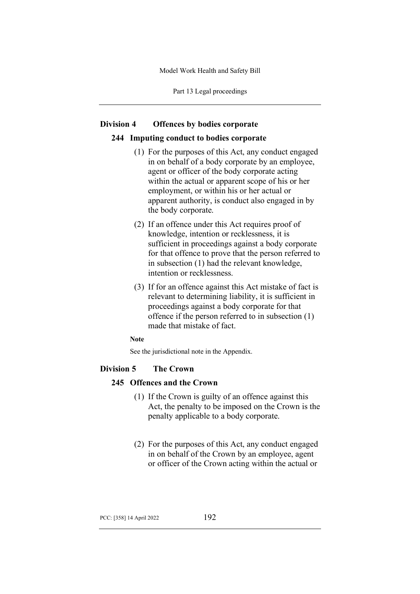Part 13 Legal proceedings

#### **Division 4 Offences by bodies corporate**

#### **244 Imputing conduct to bodies corporate**

- (1) For the purposes of this Act, any conduct engaged in on behalf of a body corporate by an employee, agent or officer of the body corporate acting within the actual or apparent scope of his or her employment, or within his or her actual or apparent authority, is conduct also engaged in by the body corporate.
- (2) If an offence under this Act requires proof of knowledge, intention or recklessness, it is sufficient in proceedings against a body corporate for that offence to prove that the person referred to in subsection (1) had the relevant knowledge, intention or recklessness.
- (3) If for an offence against this Act mistake of fact is relevant to determining liability, it is sufficient in proceedings against a body corporate for that offence if the person referred to in subsection (1) made that mistake of fact.

#### **Note**

See the jurisdictional note in the Appendix.

## **Division 5 The Crown**

# **245 Offences and the Crown**

- (1) If the Crown is guilty of an offence against this Act, the penalty to be imposed on the Crown is the penalty applicable to a body corporate.
- (2) For the purposes of this Act, any conduct engaged in on behalf of the Crown by an employee, agent or officer of the Crown acting within the actual or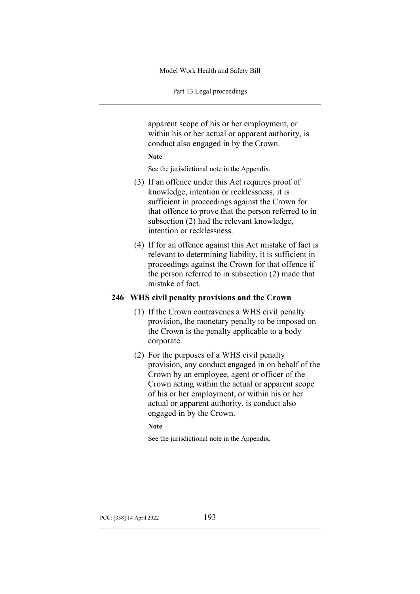Part 13 Legal proceedings

apparent scope of his or her employment, or within his or her actual or apparent authority, is conduct also engaged in by the Crown.

#### **Note**

See the jurisdictional note in the Appendix.

- (3) If an offence under this Act requires proof of knowledge, intention or recklessness, it is sufficient in proceedings against the Crown for that offence to prove that the person referred to in subsection (2) had the relevant knowledge, intention or recklessness.
- (4) If for an offence against this Act mistake of fact is relevant to determining liability, it is sufficient in proceedings against the Crown for that offence if the person referred to in subsection (2) made that mistake of fact.

## **246 WHS civil penalty provisions and the Crown**

- (1) If the Crown contravenes a WHS civil penalty provision, the monetary penalty to be imposed on the Crown is the penalty applicable to a body corporate.
- (2) For the purposes of a WHS civil penalty provision, any conduct engaged in on behalf of the Crown by an employee, agent or officer of the Crown acting within the actual or apparent scope of his or her employment, or within his or her actual or apparent authority, is conduct also engaged in by the Crown.

#### **Note**

See the jurisdictional note in the Appendix.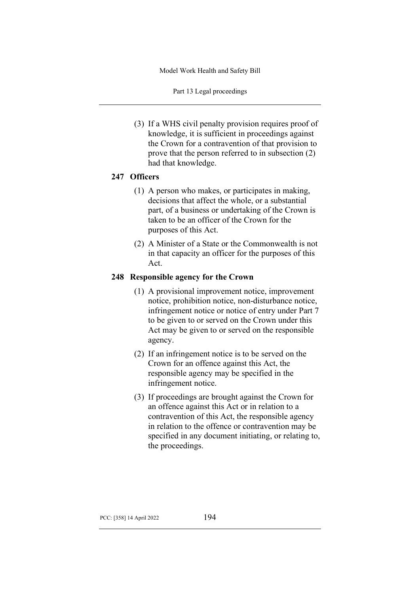Part 13 Legal proceedings

(3) If a WHS civil penalty provision requires proof of knowledge, it is sufficient in proceedings against the Crown for a contravention of that provision to prove that the person referred to in subsection (2) had that knowledge.

# **247 Officers**

- (1) A person who makes, or participates in making, decisions that affect the whole, or a substantial part, of a business or undertaking of the Crown is taken to be an officer of the Crown for the purposes of this Act.
- (2) A Minister of a State or the Commonwealth is not in that capacity an officer for the purposes of this Act.

# **248 Responsible agency for the Crown**

- (1) A provisional improvement notice, improvement notice, prohibition notice, non-disturbance notice, infringement notice or notice of entry under Part 7 to be given to or served on the Crown under this Act may be given to or served on the responsible agency.
- (2) If an infringement notice is to be served on the Crown for an offence against this Act, the responsible agency may be specified in the infringement notice.
- (3) If proceedings are brought against the Crown for an offence against this Act or in relation to a contravention of this Act, the responsible agency in relation to the offence or contravention may be specified in any document initiating, or relating to, the proceedings.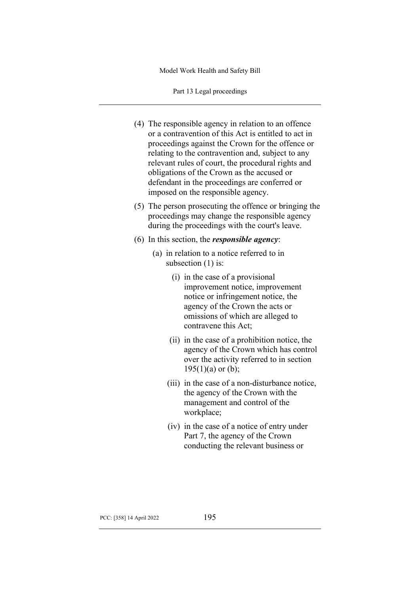Part 13 Legal proceedings

- (4) The responsible agency in relation to an offence or a contravention of this Act is entitled to act in proceedings against the Crown for the offence or relating to the contravention and, subject to any relevant rules of court, the procedural rights and obligations of the Crown as the accused or defendant in the proceedings are conferred or imposed on the responsible agency.
- (5) The person prosecuting the offence or bringing the proceedings may change the responsible agency during the proceedings with the court's leave.
- (6) In this section, the *responsible agency*:
	- (a) in relation to a notice referred to in subsection (1) is:
		- (i) in the case of a provisional improvement notice, improvement notice or infringement notice, the agency of the Crown the acts or omissions of which are alleged to contravene this Act;
		- (ii) in the case of a prohibition notice, the agency of the Crown which has control over the activity referred to in section  $195(1)(a)$  or (b);
		- (iii) in the case of a non-disturbance notice, the agency of the Crown with the management and control of the workplace;
		- (iv) in the case of a notice of entry under Part 7, the agency of the Crown conducting the relevant business or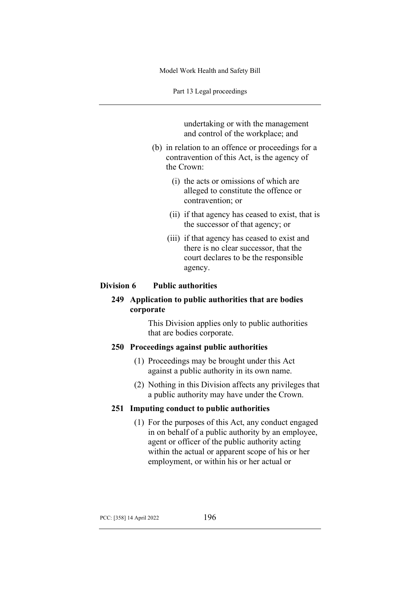Part 13 Legal proceedings

undertaking or with the management and control of the workplace; and

- (b) in relation to an offence or proceedings for a contravention of this Act, is the agency of the Crown:
	- (i) the acts or omissions of which are alleged to constitute the offence or contravention; or
	- (ii) if that agency has ceased to exist, that is the successor of that agency; or
	- (iii) if that agency has ceased to exist and there is no clear successor, that the court declares to be the responsible agency.

## **Division 6 Public authorities**

# **249 Application to public authorities that are bodies corporate**

This Division applies only to public authorities that are bodies corporate.

## **250 Proceedings against public authorities**

- (1) Proceedings may be brought under this Act against a public authority in its own name.
- (2) Nothing in this Division affects any privileges that a public authority may have under the Crown.

#### **251 Imputing conduct to public authorities**

(1) For the purposes of this Act, any conduct engaged in on behalf of a public authority by an employee, agent or officer of the public authority acting within the actual or apparent scope of his or her employment, or within his or her actual or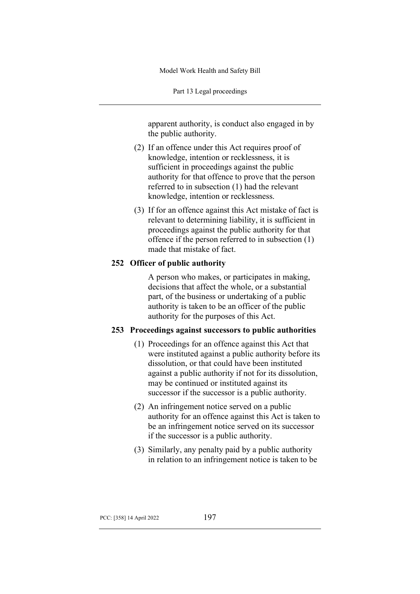Part 13 Legal proceedings

apparent authority, is conduct also engaged in by the public authority.

- (2) If an offence under this Act requires proof of knowledge, intention or recklessness, it is sufficient in proceedings against the public authority for that offence to prove that the person referred to in subsection (1) had the relevant knowledge, intention or recklessness.
- (3) If for an offence against this Act mistake of fact is relevant to determining liability, it is sufficient in proceedings against the public authority for that offence if the person referred to in subsection (1) made that mistake of fact.

## **252 Officer of public authority**

A person who makes, or participates in making, decisions that affect the whole, or a substantial part, of the business or undertaking of a public authority is taken to be an officer of the public authority for the purposes of this Act.

## **253 Proceedings against successors to public authorities**

- (1) Proceedings for an offence against this Act that were instituted against a public authority before its dissolution, or that could have been instituted against a public authority if not for its dissolution, may be continued or instituted against its successor if the successor is a public authority.
- (2) An infringement notice served on a public authority for an offence against this Act is taken to be an infringement notice served on its successor if the successor is a public authority.
- (3) Similarly, any penalty paid by a public authority in relation to an infringement notice is taken to be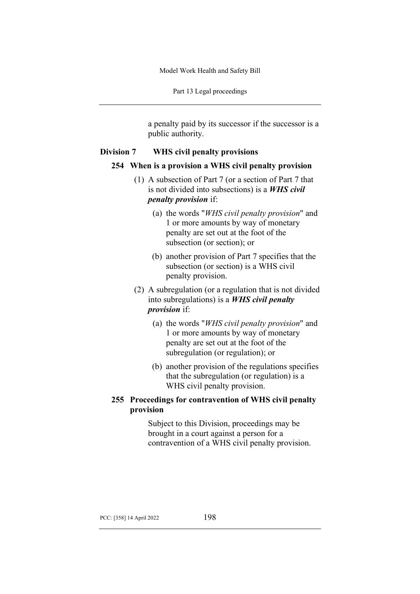Part 13 Legal proceedings

a penalty paid by its successor if the successor is a public authority.

## **Division 7 WHS civil penalty provisions**

#### **254 When is a provision a WHS civil penalty provision**

- (1) A subsection of Part 7 (or a section of Part 7 that is not divided into subsections) is a *WHS civil penalty provision* if:
	- (a) the words "*WHS civil penalty provision*" and 1 or more amounts by way of monetary penalty are set out at the foot of the subsection (or section); or
	- (b) another provision of Part 7 specifies that the subsection (or section) is a WHS civil penalty provision.
- (2) A subregulation (or a regulation that is not divided into subregulations) is a *WHS civil penalty provision* if:
	- (a) the words "*WHS civil penalty provision*" and 1 or more amounts by way of monetary penalty are set out at the foot of the subregulation (or regulation); or
	- (b) another provision of the regulations specifies that the subregulation (or regulation) is a WHS civil penalty provision.

# **255 Proceedings for contravention of WHS civil penalty provision**

Subject to this Division, proceedings may be brought in a court against a person for a contravention of a WHS civil penalty provision.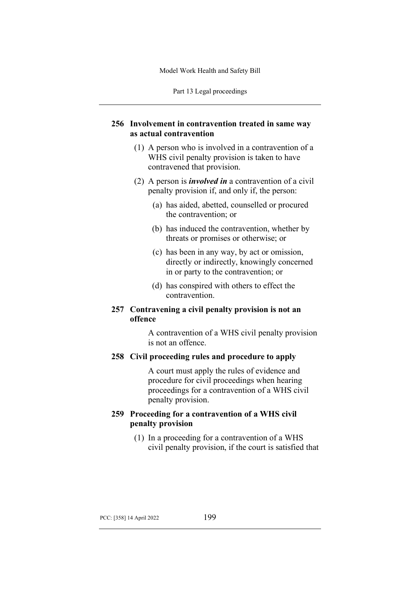Part 13 Legal proceedings

# **256 Involvement in contravention treated in same way as actual contravention**

- (1) A person who is involved in a contravention of a WHS civil penalty provision is taken to have contravened that provision.
- (2) A person is *involved in* a contravention of a civil penalty provision if, and only if, the person:
	- (a) has aided, abetted, counselled or procured the contravention; or
	- (b) has induced the contravention, whether by threats or promises or otherwise; or
	- (c) has been in any way, by act or omission, directly or indirectly, knowingly concerned in or party to the contravention; or
	- (d) has conspired with others to effect the contravention.

# **257 Contravening a civil penalty provision is not an offence**

A contravention of a WHS civil penalty provision is not an offence.

## **258 Civil proceeding rules and procedure to apply**

A court must apply the rules of evidence and procedure for civil proceedings when hearing proceedings for a contravention of a WHS civil penalty provision.

# **259 Proceeding for a contravention of a WHS civil penalty provision**

(1) In a proceeding for a contravention of a WHS civil penalty provision, if the court is satisfied that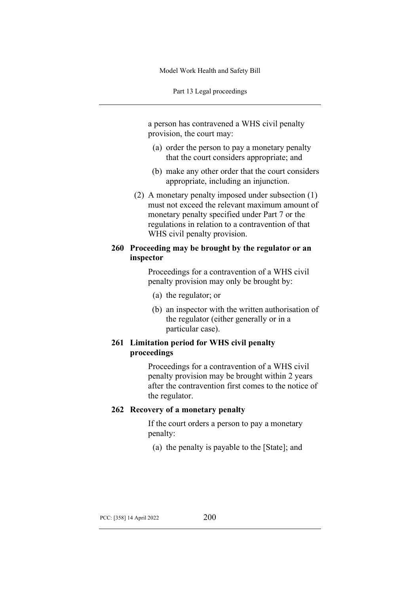Part 13 Legal proceedings

a person has contravened a WHS civil penalty provision, the court may:

- (a) order the person to pay a monetary penalty that the court considers appropriate; and
- (b) make any other order that the court considers appropriate, including an injunction.
- (2) A monetary penalty imposed under subsection (1) must not exceed the relevant maximum amount of monetary penalty specified under Part 7 or the regulations in relation to a contravention of that WHS civil penalty provision.

## **260 Proceeding may be brought by the regulator or an inspector**

Proceedings for a contravention of a WHS civil penalty provision may only be brought by:

- (a) the regulator; or
- (b) an inspector with the written authorisation of the regulator (either generally or in a particular case).

# **261 Limitation period for WHS civil penalty proceedings**

Proceedings for a contravention of a WHS civil penalty provision may be brought within 2 years after the contravention first comes to the notice of the regulator.

#### **262 Recovery of a monetary penalty**

If the court orders a person to pay a monetary penalty:

(a) the penalty is payable to the [State]; and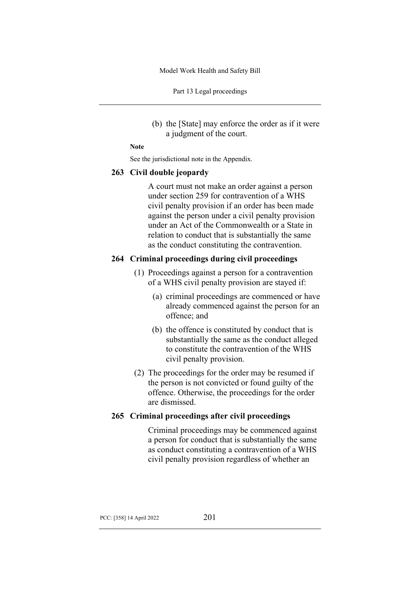Part 13 Legal proceedings

(b) the [State] may enforce the order as if it were a judgment of the court.

#### **Note**

See the jurisdictional note in the Appendix.

#### **263 Civil double jeopardy**

A court must not make an order against a person under section 259 for contravention of a WHS civil penalty provision if an order has been made against the person under a civil penalty provision under an Act of the Commonwealth or a State in relation to conduct that is substantially the same as the conduct constituting the contravention.

## **264 Criminal proceedings during civil proceedings**

- (1) Proceedings against a person for a contravention of a WHS civil penalty provision are stayed if:
	- (a) criminal proceedings are commenced or have already commenced against the person for an offence; and
	- (b) the offence is constituted by conduct that is substantially the same as the conduct alleged to constitute the contravention of the WHS civil penalty provision.
- (2) The proceedings for the order may be resumed if the person is not convicted or found guilty of the offence. Otherwise, the proceedings for the order are dismissed.

### **265 Criminal proceedings after civil proceedings**

Criminal proceedings may be commenced against a person for conduct that is substantially the same as conduct constituting a contravention of a WHS civil penalty provision regardless of whether an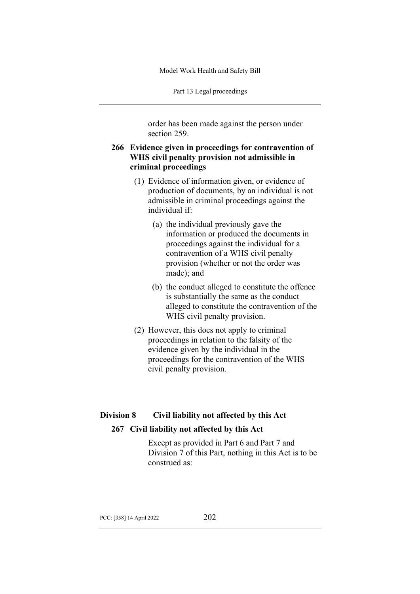Part 13 Legal proceedings

order has been made against the person under section 259.

# **266 Evidence given in proceedings for contravention of WHS civil penalty provision not admissible in criminal proceedings**

- (1) Evidence of information given, or evidence of production of documents, by an individual is not admissible in criminal proceedings against the individual if:
	- (a) the individual previously gave the information or produced the documents in proceedings against the individual for a contravention of a WHS civil penalty provision (whether or not the order was made); and
	- (b) the conduct alleged to constitute the offence is substantially the same as the conduct alleged to constitute the contravention of the WHS civil penalty provision.
- (2) However, this does not apply to criminal proceedings in relation to the falsity of the evidence given by the individual in the proceedings for the contravention of the WHS civil penalty provision.

# **Division 8 Civil liability not affected by this Act**

# **267 Civil liability not affected by this Act**

Except as provided in Part 6 and Part 7 and Division 7 of this Part, nothing in this Act is to be construed as: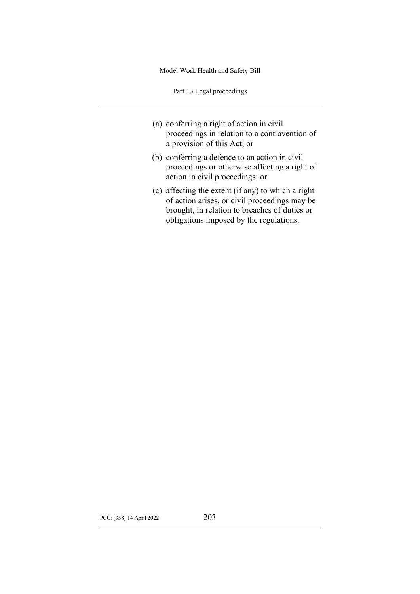Part 13 Legal proceedings

- (a) conferring a right of action in civil proceedings in relation to a contravention of a provision of this Act; or
- (b) conferring a defence to an action in civil proceedings or otherwise affecting a right of action in civil proceedings; or
- (c) affecting the extent (if any) to which a right of action arises, or civil proceedings may be brought, in relation to breaches of duties or obligations imposed by the regulations.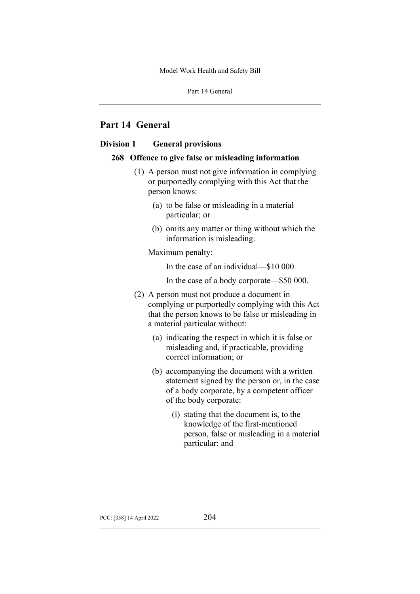# **Part 14 General**

## **Division 1 General provisions**

### **268 Offence to give false or misleading information**

- (1) A person must not give information in complying or purportedly complying with this Act that the person knows:
	- (a) to be false or misleading in a material particular; or
	- (b) omits any matter or thing without which the information is misleading.

Maximum penalty:

In the case of an individual—\$10 000.

In the case of a body corporate—\$50 000.

- (2) A person must not produce a document in complying or purportedly complying with this Act that the person knows to be false or misleading in a material particular without:
	- (a) indicating the respect in which it is false or misleading and, if practicable, providing correct information; or
	- (b) accompanying the document with a written statement signed by the person or, in the case of a body corporate, by a competent officer of the body corporate:
		- (i) stating that the document is, to the knowledge of the first-mentioned person, false or misleading in a material particular; and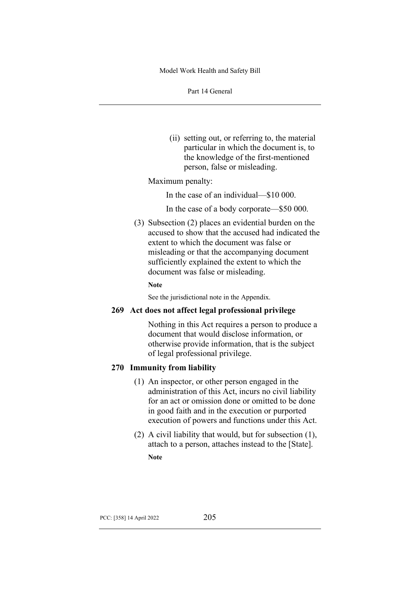Part 14 General

(ii) setting out, or referring to, the material particular in which the document is, to the knowledge of the first-mentioned person, false or misleading.

Maximum penalty:

In the case of an individual—\$10 000.

In the case of a body corporate—\$50 000.

(3) Subsection (2) places an evidential burden on the accused to show that the accused had indicated the extent to which the document was false or misleading or that the accompanying document sufficiently explained the extent to which the document was false or misleading.

#### **Note**

See the jurisdictional note in the Appendix.

### **269 Act does not affect legal professional privilege**

Nothing in this Act requires a person to produce a document that would disclose information, or otherwise provide information, that is the subject of legal professional privilege.

## **270 Immunity from liability**

- (1) An inspector, or other person engaged in the administration of this Act, incurs no civil liability for an act or omission done or omitted to be done in good faith and in the execution or purported execution of powers and functions under this Act.
- (2) A civil liability that would, but for subsection (1), attach to a person, attaches instead to the [State]. **Note**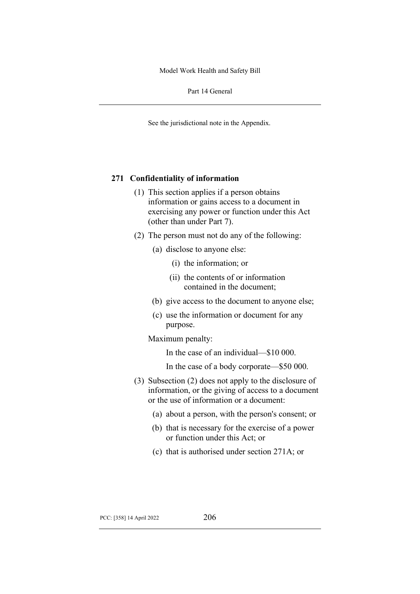Part 14 General

See the jurisdictional note in the Appendix.

### **271 Confidentiality of information**

- (1) This section applies if a person obtains information or gains access to a document in exercising any power or function under this Act (other than under Part 7).
- (2) The person must not do any of the following:
	- (a) disclose to anyone else:
		- (i) the information; or
		- (ii) the contents of or information contained in the document;
	- (b) give access to the document to anyone else;
	- (c) use the information or document for any purpose.

### Maximum penalty:

In the case of an individual—\$10 000.

- In the case of a body corporate—\$50 000.
- (3) Subsection (2) does not apply to the disclosure of information, or the giving of access to a document or the use of information or a document:
	- (a) about a person, with the person's consent; or
	- (b) that is necessary for the exercise of a power or function under this Act; or
	- (c) that is authorised under section 271A; or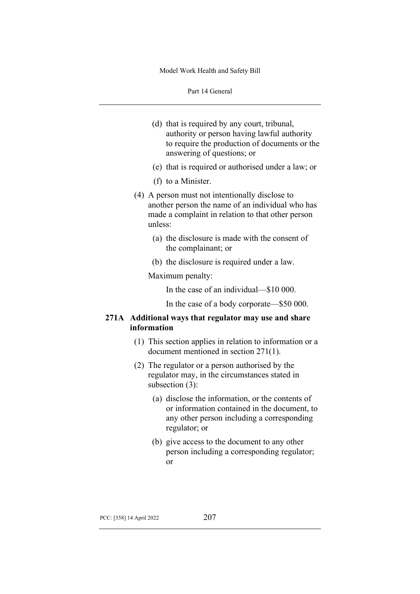- (d) that is required by any court, tribunal, authority or person having lawful authority to require the production of documents or the answering of questions; or
- (e) that is required or authorised under a law; or
- (f) to a Minister.
- (4) A person must not intentionally disclose to another person the name of an individual who has made a complaint in relation to that other person unless:
	- (a) the disclosure is made with the consent of the complainant; or
	- (b) the disclosure is required under a law.

Maximum penalty:

In the case of an individual—\$10 000.

In the case of a body corporate—\$50 000.

## **271A Additional ways that regulator may use and share information**

- (1) This section applies in relation to information or a document mentioned in section 271(1).
- (2) The regulator or a person authorised by the regulator may, in the circumstances stated in subsection (3):
	- (a) disclose the information, or the contents of or information contained in the document, to any other person including a corresponding regulator; or
	- (b) give access to the document to any other person including a corresponding regulator; or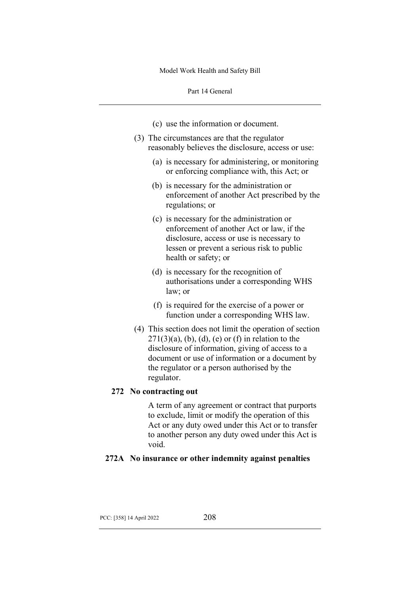- (c) use the information or document.
- (3) The circumstances are that the regulator reasonably believes the disclosure, access or use:
	- (a) is necessary for administering, or monitoring or enforcing compliance with, this Act; or
	- (b) is necessary for the administration or enforcement of another Act prescribed by the regulations; or
	- (c) is necessary for the administration or enforcement of another Act or law, if the disclosure, access or use is necessary to lessen or prevent a serious risk to public health or safety; or
	- (d) is necessary for the recognition of authorisations under a corresponding WHS law; or
	- (f) is required for the exercise of a power or function under a corresponding WHS law.
- (4) This section does not limit the operation of section  $271(3)(a)$ , (b), (d), (e) or (f) in relation to the disclosure of information, giving of access to a document or use of information or a document by the regulator or a person authorised by the regulator.

#### **272 No contracting out**

A term of any agreement or contract that purports to exclude, limit or modify the operation of this Act or any duty owed under this Act or to transfer to another person any duty owed under this Act is void.

## **272A No insurance or other indemnity against penalties**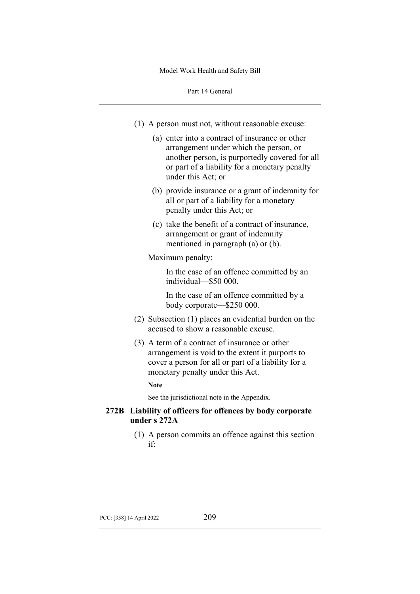- (1) A person must not, without reasonable excuse:
	- (a) enter into a contract of insurance or other arrangement under which the person, or another person, is purportedly covered for all or part of a liability for a monetary penalty under this Act; or
	- (b) provide insurance or a grant of indemnity for all or part of a liability for a monetary penalty under this Act; or
	- (c) take the benefit of a contract of insurance, arrangement or grant of indemnity mentioned in paragraph (a) or (b).

#### Maximum penalty:

In the case of an offence committed by an individual—\$50 000.

In the case of an offence committed by a body corporate—\$250 000.

- (2) Subsection (1) places an evidential burden on the accused to show a reasonable excuse.
- (3) A term of a contract of insurance or other arrangement is void to the extent it purports to cover a person for all or part of a liability for a monetary penalty under this Act.

### **Note**

See the jurisdictional note in the Appendix.

## **272B Liability of officers for offences by body corporate under s 272A**

(1) A person commits an offence against this section if: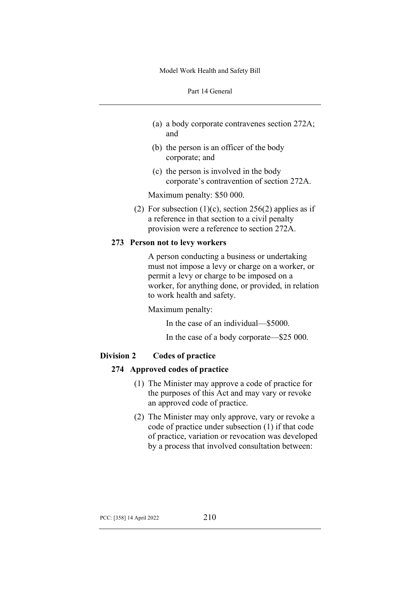- (a) a body corporate contravenes section 272A; and
- (b) the person is an officer of the body corporate; and
- (c) the person is involved in the body corporate's contravention of section 272A.

Maximum penalty: \$50 000.

(2) For subsection  $(1)(c)$ , section 256(2) applies as if a reference in that section to a civil penalty provision were a reference to section 272A.

### **273 Person not to levy workers**

A person conducting a business or undertaking must not impose a levy or charge on a worker, or permit a levy or charge to be imposed on a worker, for anything done, or provided, in relation to work health and safety.

Maximum penalty:

In the case of an individual—\$5000.

In the case of a body corporate—\$25 000.

### **Division 2 Codes of practice**

### **274 Approved codes of practice**

- (1) The Minister may approve a code of practice for the purposes of this Act and may vary or revoke an approved code of practice.
- (2) The Minister may only approve, vary or revoke a code of practice under subsection (1) if that code of practice, variation or revocation was developed by a process that involved consultation between: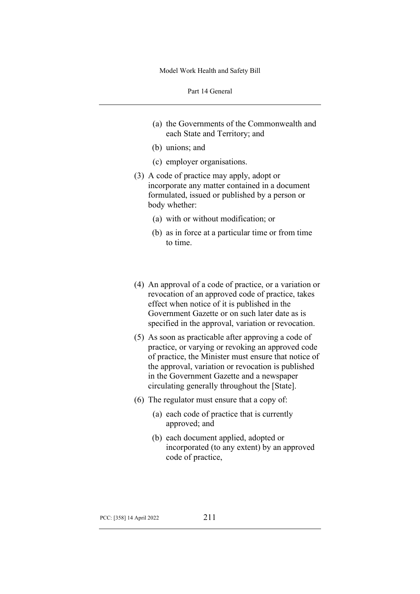- (a) the Governments of the Commonwealth and each State and Territory; and
- (b) unions; and
- (c) employer organisations.
- (3) A code of practice may apply, adopt or incorporate any matter contained in a document formulated, issued or published by a person or body whether:
	- (a) with or without modification; or
	- (b) as in force at a particular time or from time to time.
- (4) An approval of a code of practice, or a variation or revocation of an approved code of practice, takes effect when notice of it is published in the Government Gazette or on such later date as is specified in the approval, variation or revocation.
- (5) As soon as practicable after approving a code of practice, or varying or revoking an approved code of practice, the Minister must ensure that notice of the approval, variation or revocation is published in the Government Gazette and a newspaper circulating generally throughout the [State].
- (6) The regulator must ensure that a copy of:
	- (a) each code of practice that is currently approved; and
	- (b) each document applied, adopted or incorporated (to any extent) by an approved code of practice,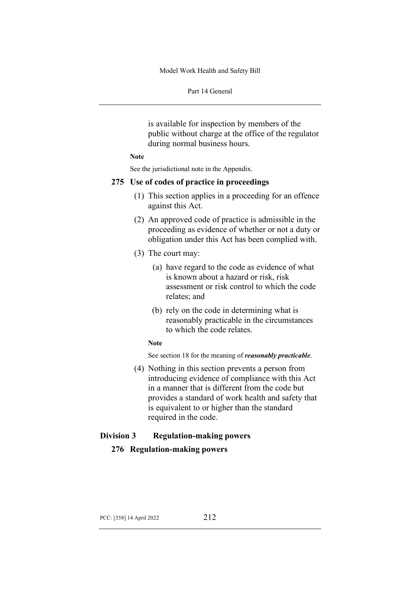Part 14 General

is available for inspection by members of the public without charge at the office of the regulator during normal business hours.

#### **Note**

See the jurisdictional note in the Appendix.

### **275 Use of codes of practice in proceedings**

- (1) This section applies in a proceeding for an offence against this Act.
- (2) An approved code of practice is admissible in the proceeding as evidence of whether or not a duty or obligation under this Act has been complied with.
- (3) The court may:
	- (a) have regard to the code as evidence of what is known about a hazard or risk, risk assessment or risk control to which the code relates; and
	- (b) rely on the code in determining what is reasonably practicable in the circumstances to which the code relates.

#### **Note**

See section 18 for the meaning of *reasonably practicable*.

(4) Nothing in this section prevents a person from introducing evidence of compliance with this Act in a manner that is different from the code but provides a standard of work health and safety that is equivalent to or higher than the standard required in the code.

## **Division 3 Regulation-making powers**

### **276 Regulation-making powers**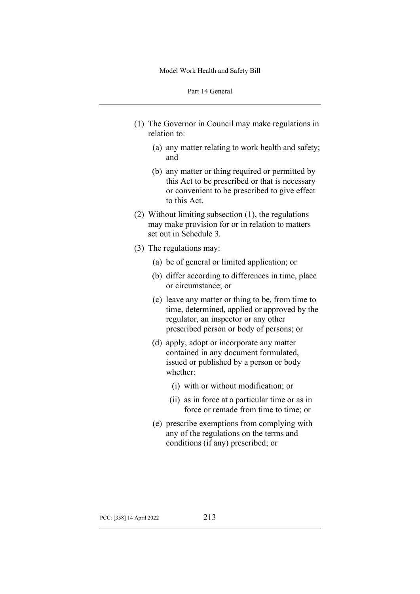- (1) The Governor in Council may make regulations in relation to:
	- (a) any matter relating to work health and safety; and
	- (b) any matter or thing required or permitted by this Act to be prescribed or that is necessary or convenient to be prescribed to give effect to this Act.
- (2) Without limiting subsection (1), the regulations may make provision for or in relation to matters set out in Schedule 3.
- (3) The regulations may:
	- (a) be of general or limited application; or
	- (b) differ according to differences in time, place or circumstance; or
	- (c) leave any matter or thing to be, from time to time, determined, applied or approved by the regulator, an inspector or any other prescribed person or body of persons; or
	- (d) apply, adopt or incorporate any matter contained in any document formulated, issued or published by a person or body whether:
		- (i) with or without modification; or
		- (ii) as in force at a particular time or as in force or remade from time to time; or
	- (e) prescribe exemptions from complying with any of the regulations on the terms and conditions (if any) prescribed; or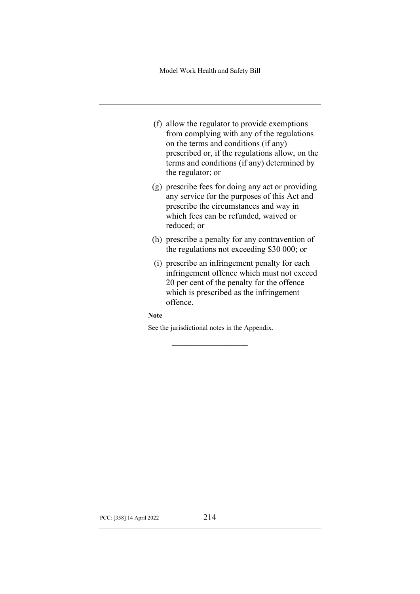- (f) allow the regulator to provide exemptions from complying with any of the regulations on the terms and conditions (if any) prescribed or, if the regulations allow, on the terms and conditions (if any) determined by the regulator; or
- (g) prescribe fees for doing any act or providing any service for the purposes of this Act and prescribe the circumstances and way in which fees can be refunded, waived or reduced; or
- (h) prescribe a penalty for any contravention of the regulations not exceeding \$30 000; or
- (i) prescribe an infringement penalty for each infringement offence which must not exceed 20 per cent of the penalty for the offence which is prescribed as the infringement offence.

**Note**

See the jurisdictional notes in the Appendix.

 $\mathcal{L}$  , we have the set of the set of the set of the set of the set of the set of the set of the set of the set of the set of the set of the set of the set of the set of the set of the set of the set of the set of the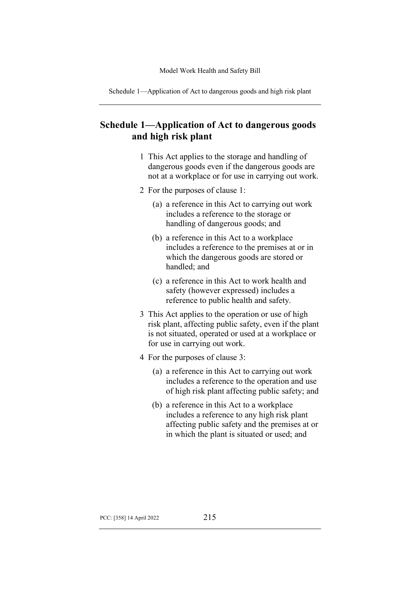Schedule 1—Application of Act to dangerous goods and high risk plant

# **Schedule 1—Application of Act to dangerous goods and high risk plant**

- 1 This Act applies to the storage and handling of dangerous goods even if the dangerous goods are not at a workplace or for use in carrying out work.
- 2 For the purposes of clause 1:
	- (a) a reference in this Act to carrying out work includes a reference to the storage or handling of dangerous goods; and
	- (b) a reference in this Act to a workplace includes a reference to the premises at or in which the dangerous goods are stored or handled; and
	- (c) a reference in this Act to work health and safety (however expressed) includes a reference to public health and safety.
- 3 This Act applies to the operation or use of high risk plant, affecting public safety, even if the plant is not situated, operated or used at a workplace or for use in carrying out work.
- 4 For the purposes of clause 3:
	- (a) a reference in this Act to carrying out work includes a reference to the operation and use of high risk plant affecting public safety; and
	- (b) a reference in this Act to a workplace includes a reference to any high risk plant affecting public safety and the premises at or in which the plant is situated or used; and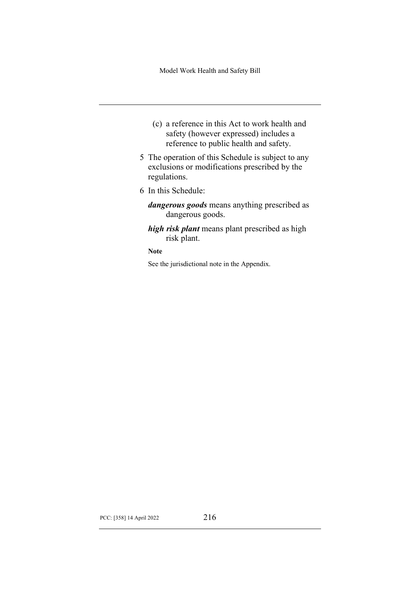- (c) a reference in this Act to work health and safety (however expressed) includes a reference to public health and safety.
- 5 The operation of this Schedule is subject to any exclusions or modifications prescribed by the regulations.
- 6 In this Schedule:
	- *dangerous goods* means anything prescribed as dangerous goods.
	- *high risk plant* means plant prescribed as high risk plant.

**Note**

See the jurisdictional note in the Appendix.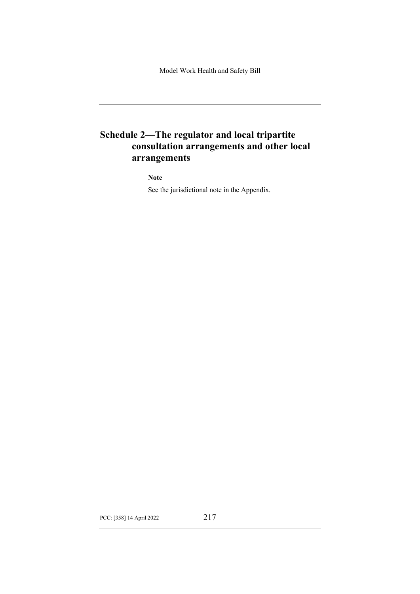# **Schedule 2—The regulator and local tripartite consultation arrangements and other local arrangements**

**Note**

See the jurisdictional note in the Appendix.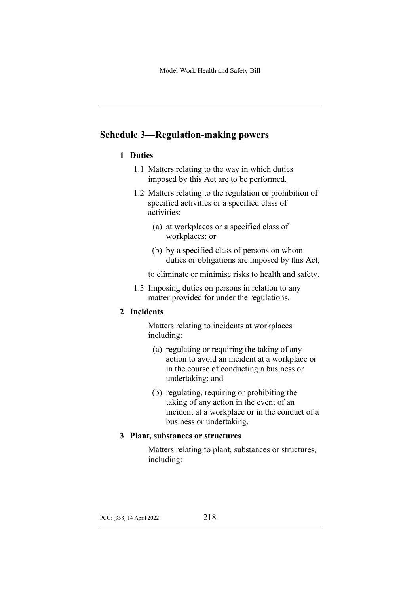# **Schedule 3—Regulation-making powers**

## **1 Duties**

- 1.1 Matters relating to the way in which duties imposed by this Act are to be performed.
- 1.2 Matters relating to the regulation or prohibition of specified activities or a specified class of activities:
	- (a) at workplaces or a specified class of workplaces; or
	- (b) by a specified class of persons on whom duties or obligations are imposed by this Act,

to eliminate or minimise risks to health and safety.

1.3 Imposing duties on persons in relation to any matter provided for under the regulations.

## **2 Incidents**

Matters relating to incidents at workplaces including:

- (a) regulating or requiring the taking of any action to avoid an incident at a workplace or in the course of conducting a business or undertaking; and
- (b) regulating, requiring or prohibiting the taking of any action in the event of an incident at a workplace or in the conduct of a business or undertaking.

## **3 Plant, substances or structures**

Matters relating to plant, substances or structures, including: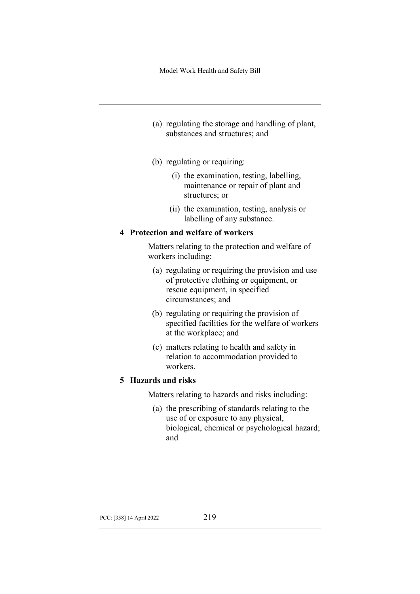- (a) regulating the storage and handling of plant, substances and structures; and
- (b) regulating or requiring:
	- (i) the examination, testing, labelling, maintenance or repair of plant and structures; or
	- (ii) the examination, testing, analysis or labelling of any substance.

### **4 Protection and welfare of workers**

Matters relating to the protection and welfare of workers including:

- (a) regulating or requiring the provision and use of protective clothing or equipment, or rescue equipment, in specified circumstances; and
- (b) regulating or requiring the provision of specified facilities for the welfare of workers at the workplace; and
- (c) matters relating to health and safety in relation to accommodation provided to workers.

### **5 Hazards and risks**

Matters relating to hazards and risks including:

(a) the prescribing of standards relating to the use of or exposure to any physical, biological, chemical or psychological hazard; and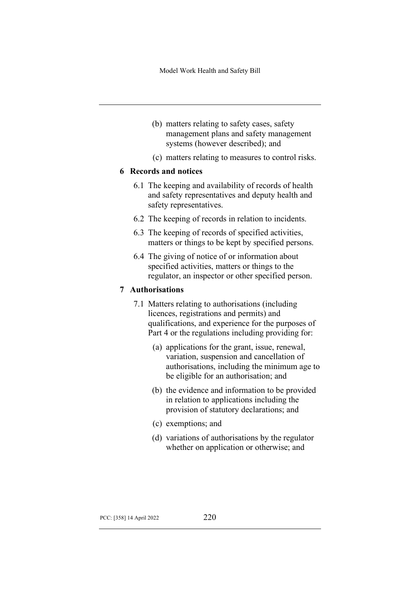- (b) matters relating to safety cases, safety management plans and safety management systems (however described); and
- (c) matters relating to measures to control risks.

### **6 Records and notices**

- 6.1 The keeping and availability of records of health and safety representatives and deputy health and safety representatives.
- 6.2 The keeping of records in relation to incidents.
- 6.3 The keeping of records of specified activities, matters or things to be kept by specified persons.
- 6.4 The giving of notice of or information about specified activities, matters or things to the regulator, an inspector or other specified person.

## **7 Authorisations**

- 7.1 Matters relating to authorisations (including licences, registrations and permits) and qualifications, and experience for the purposes of Part 4 or the regulations including providing for:
	- (a) applications for the grant, issue, renewal, variation, suspension and cancellation of authorisations, including the minimum age to be eligible for an authorisation; and
	- (b) the evidence and information to be provided in relation to applications including the provision of statutory declarations; and
	- (c) exemptions; and
	- (d) variations of authorisations by the regulator whether on application or otherwise; and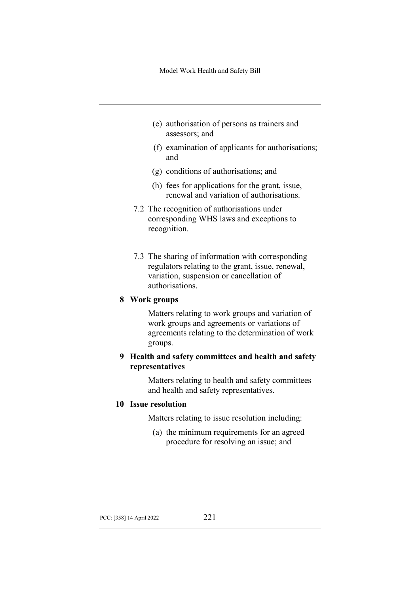- (e) authorisation of persons as trainers and assessors; and
- (f) examination of applicants for authorisations; and
- (g) conditions of authorisations; and
- (h) fees for applications for the grant, issue, renewal and variation of authorisations.
- 7.2 The recognition of authorisations under corresponding WHS laws and exceptions to recognition.
- 7.3 The sharing of information with corresponding regulators relating to the grant, issue, renewal, variation, suspension or cancellation of authorisations.

### **8 Work groups**

Matters relating to work groups and variation of work groups and agreements or variations of agreements relating to the determination of work groups.

## **9 Health and safety committees and health and safety representatives**

Matters relating to health and safety committees and health and safety representatives.

### **10 Issue resolution**

Matters relating to issue resolution including:

(a) the minimum requirements for an agreed procedure for resolving an issue; and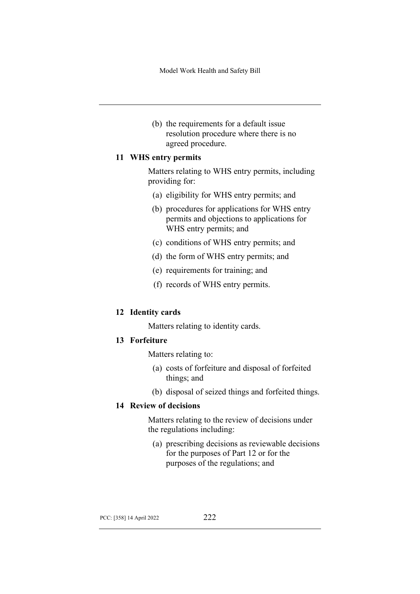(b) the requirements for a default issue resolution procedure where there is no agreed procedure.

### **11 WHS entry permits**

Matters relating to WHS entry permits, including providing for:

- (a) eligibility for WHS entry permits; and
- (b) procedures for applications for WHS entry permits and objections to applications for WHS entry permits; and
- (c) conditions of WHS entry permits; and
- (d) the form of WHS entry permits; and
- (e) requirements for training; and
- (f) records of WHS entry permits.

## **12 Identity cards**

Matters relating to identity cards.

### **13 Forfeiture**

Matters relating to:

- (a) costs of forfeiture and disposal of forfeited things; and
- (b) disposal of seized things and forfeited things.

## **14 Review of decisions**

Matters relating to the review of decisions under the regulations including:

(a) prescribing decisions as reviewable decisions for the purposes of Part 12 or for the purposes of the regulations; and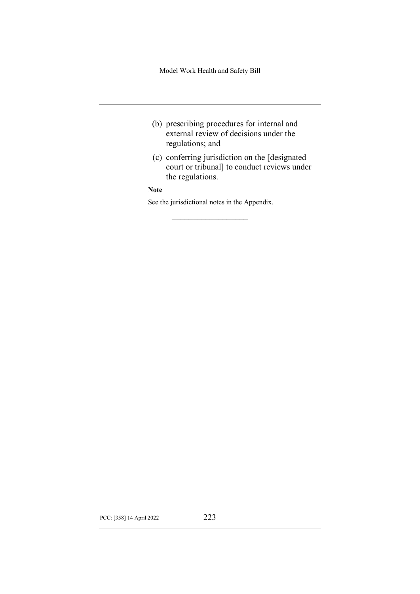- (b) prescribing procedures for internal and external review of decisions under the regulations; and
- (c) conferring jurisdiction on the [designated court or tribunal] to conduct reviews under the regulations.

### **Note**

See the jurisdictional notes in the Appendix.  $\mathcal{L}$  , we have the set of the set of the set of the set of the set of the set of the set of the set of the set of the set of the set of the set of the set of the set of the set of the set of the set of the set of the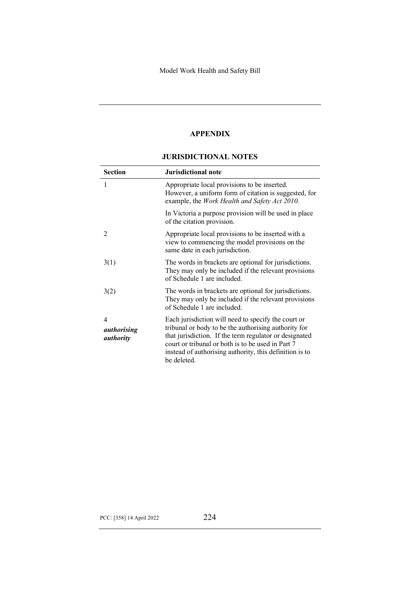## **APPENDIX**

### **JURISDICTIONAL NOTES**

| <b>Section</b>                              | Jurisdictional note                                                                                                                                                                                                                                                                                  |
|---------------------------------------------|------------------------------------------------------------------------------------------------------------------------------------------------------------------------------------------------------------------------------------------------------------------------------------------------------|
| 1                                           | Appropriate local provisions to be inserted.<br>However, a uniform form of citation is suggested, for<br>example, the Work Health and Safety Act 2010.                                                                                                                                               |
|                                             | In Victoria a purpose provision will be used in place<br>of the citation provision.                                                                                                                                                                                                                  |
| $\mathcal{D}_{\mathcal{L}}$                 | Appropriate local provisions to be inserted with a<br>view to commencing the model provisions on the<br>same date in each jurisdiction.                                                                                                                                                              |
| 3(1)                                        | The words in brackets are optional for jurisdictions.<br>They may only be included if the relevant provisions<br>of Schedule 1 are included.                                                                                                                                                         |
| 3(2)                                        | The words in brackets are optional for jurisdictions.<br>They may only be included if the relevant provisions<br>of Schedule 1 are included.                                                                                                                                                         |
| 4<br><i>authorising</i><br><i>authority</i> | Each jurisdiction will need to specify the court or<br>tribunal or body to be the authorising authority for<br>that jurisdiction. If the term regulator or designated<br>court or tribunal or both is to be used in Part 7<br>instead of authorising authority, this definition is to<br>be deleted. |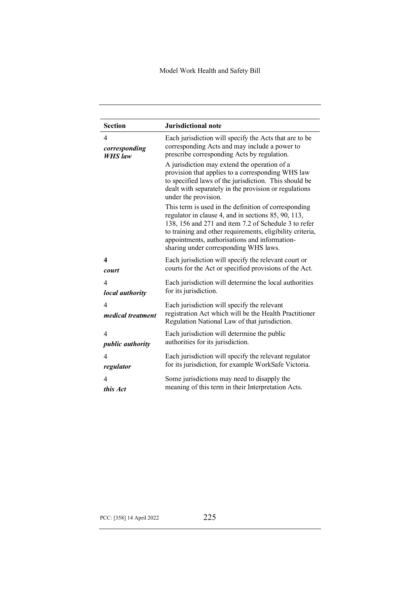| <b>Section</b>                | <b>Jurisdictional note</b>                                                                                                                                                                                                                                                                                                 |
|-------------------------------|----------------------------------------------------------------------------------------------------------------------------------------------------------------------------------------------------------------------------------------------------------------------------------------------------------------------------|
| 4                             | Each jurisdiction will specify the Acts that are to be                                                                                                                                                                                                                                                                     |
| corresponding                 | corresponding Acts and may include a power to                                                                                                                                                                                                                                                                              |
| <b>WHS</b> law                | prescribe corresponding Acts by regulation.                                                                                                                                                                                                                                                                                |
|                               | A jurisdiction may extend the operation of a<br>provision that applies to a corresponding WHS law<br>to specified laws of the jurisdiction. This should be<br>dealt with separately in the provision or regulations<br>under the provision.                                                                                |
|                               | This term is used in the definition of corresponding<br>regulator in clause 4, and in sections 85, 90, 113,<br>138, 156 and 271 and item 7.2 of Schedule 3 to refer<br>to training and other requirements, eligibility criteria,<br>appointments, authorisations and information-<br>sharing under corresponding WHS laws. |
| 4                             | Each jurisdiction will specify the relevant court or                                                                                                                                                                                                                                                                       |
| court                         | courts for the Act or specified provisions of the Act.                                                                                                                                                                                                                                                                     |
| $\overline{\mathcal{A}}$      | Each jurisdiction will determine the local authorities                                                                                                                                                                                                                                                                     |
| local authority               | for its jurisdiction.                                                                                                                                                                                                                                                                                                      |
| 4<br><i>medical treatment</i> | Each jurisdiction will specify the relevant<br>registration Act which will be the Health Practitioner<br>Regulation National Law of that jurisdiction.                                                                                                                                                                     |
| $\overline{4}$                | Each jurisdiction will determine the public                                                                                                                                                                                                                                                                                |
| <i>public authority</i>       | authorities for its jurisdiction.                                                                                                                                                                                                                                                                                          |
| $\overline{4}$                | Each jurisdiction will specify the relevant regulator                                                                                                                                                                                                                                                                      |
| regulator                     | for its jurisdiction, for example WorkSafe Victoria.                                                                                                                                                                                                                                                                       |
| 4                             | Some jurisdictions may need to disapply the                                                                                                                                                                                                                                                                                |
| this Act                      | meaning of this term in their Interpretation Acts.                                                                                                                                                                                                                                                                         |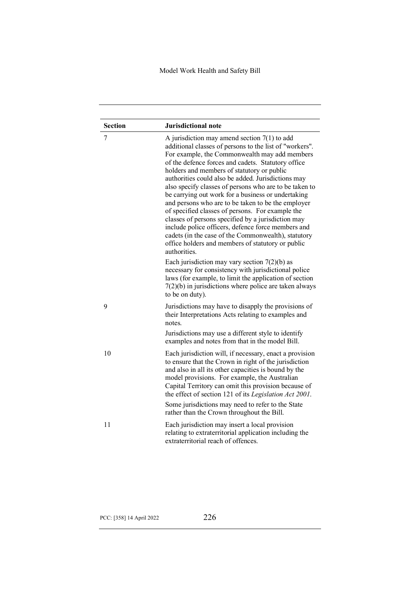| <b>Section</b> | <b>Jurisdictional note</b>                                                                                                                                                                                                                                                                                                                                                                                                                                                                                                                                                                                                                                                                                                                                                             |
|----------------|----------------------------------------------------------------------------------------------------------------------------------------------------------------------------------------------------------------------------------------------------------------------------------------------------------------------------------------------------------------------------------------------------------------------------------------------------------------------------------------------------------------------------------------------------------------------------------------------------------------------------------------------------------------------------------------------------------------------------------------------------------------------------------------|
| 7              | A jurisdiction may amend section $7(1)$ to add<br>additional classes of persons to the list of "workers".<br>For example, the Commonwealth may add members<br>of the defence forces and cadets. Statutory office<br>holders and members of statutory or public<br>authorities could also be added. Jurisdictions may<br>also specify classes of persons who are to be taken to<br>be carrying out work for a business or undertaking<br>and persons who are to be taken to be the employer<br>of specified classes of persons. For example the<br>classes of persons specified by a jurisdiction may<br>include police officers, defence force members and<br>cadets (in the case of the Commonwealth), statutory<br>office holders and members of statutory or public<br>authorities. |
|                | Each jurisdiction may vary section $7(2)(b)$ as<br>necessary for consistency with jurisdictional police<br>laws (for example, to limit the application of section<br>$7(2)(b)$ in jurisdictions where police are taken always<br>to be on duty).                                                                                                                                                                                                                                                                                                                                                                                                                                                                                                                                       |
| 9              | Jurisdictions may have to disapply the provisions of<br>their Interpretations Acts relating to examples and<br>notes.                                                                                                                                                                                                                                                                                                                                                                                                                                                                                                                                                                                                                                                                  |
|                | Jurisdictions may use a different style to identify<br>examples and notes from that in the model Bill.                                                                                                                                                                                                                                                                                                                                                                                                                                                                                                                                                                                                                                                                                 |
| 10             | Each jurisdiction will, if necessary, enact a provision<br>to ensure that the Crown in right of the jurisdiction<br>and also in all its other capacities is bound by the<br>model provisions. For example, the Australian<br>Capital Territory can omit this provision because of<br>the effect of section 121 of its Legislation Act 2001.                                                                                                                                                                                                                                                                                                                                                                                                                                            |
|                | Some jurisdictions may need to refer to the State<br>rather than the Crown throughout the Bill.                                                                                                                                                                                                                                                                                                                                                                                                                                                                                                                                                                                                                                                                                        |
| 11             | Each jurisdiction may insert a local provision<br>relating to extraterritorial application including the<br>extraterritorial reach of offences.                                                                                                                                                                                                                                                                                                                                                                                                                                                                                                                                                                                                                                        |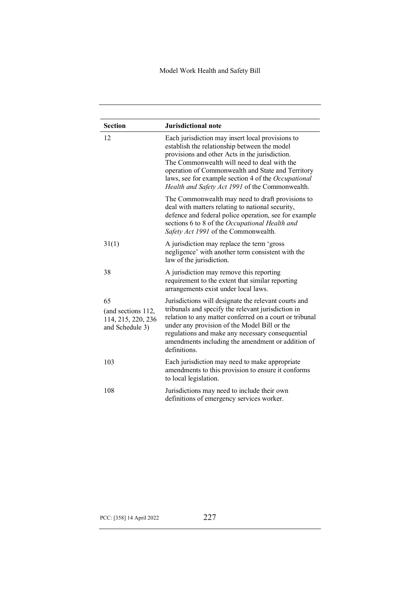| <b>Section</b>                                                    | <b>Jurisdictional note</b>                                                                                                                                                                                                                                                                                                                                       |
|-------------------------------------------------------------------|------------------------------------------------------------------------------------------------------------------------------------------------------------------------------------------------------------------------------------------------------------------------------------------------------------------------------------------------------------------|
| 12                                                                | Each jurisdiction may insert local provisions to<br>establish the relationship between the model<br>provisions and other Acts in the jurisdiction.<br>The Commonwealth will need to deal with the<br>operation of Commonwealth and State and Territory<br>laws, see for example section 4 of the Occupational<br>Health and Safety Act 1991 of the Commonwealth. |
|                                                                   | The Commonwealth may need to draft provisions to<br>deal with matters relating to national security,<br>defence and federal police operation, see for example<br>sections 6 to 8 of the Occupational Health and<br>Safety Act 1991 of the Commonwealth.                                                                                                          |
| 31(1)                                                             | A jurisdiction may replace the term 'gross<br>negligence' with another term consistent with the<br>law of the jurisdiction.                                                                                                                                                                                                                                      |
| 38                                                                | A jurisdiction may remove this reporting<br>requirement to the extent that similar reporting<br>arrangements exist under local laws.                                                                                                                                                                                                                             |
| 65<br>(and sections 112,<br>114, 215, 220, 236<br>and Schedule 3) | Jurisdictions will designate the relevant courts and<br>tribunals and specify the relevant jurisdiction in<br>relation to any matter conferred on a court or tribunal<br>under any provision of the Model Bill or the<br>regulations and make any necessary consequential<br>amendments including the amendment or addition of<br>definitions.                   |
| 103                                                               | Each jurisdiction may need to make appropriate<br>amendments to this provision to ensure it conforms<br>to local legislation.                                                                                                                                                                                                                                    |
| 108                                                               | Jurisdictions may need to include their own<br>definitions of emergency services worker.                                                                                                                                                                                                                                                                         |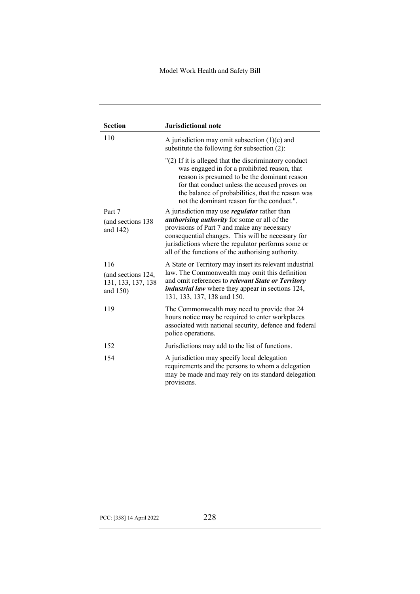| <b>Section</b>                                              | <b>Jurisdictional note</b>                                                                                                                                                                                                                                                                                                 |
|-------------------------------------------------------------|----------------------------------------------------------------------------------------------------------------------------------------------------------------------------------------------------------------------------------------------------------------------------------------------------------------------------|
| 110                                                         | A jurisdiction may omit subsection $(1)(c)$ and<br>substitute the following for subsection (2):                                                                                                                                                                                                                            |
|                                                             | "(2) If it is alleged that the discriminatory conduct<br>was engaged in for a prohibited reason, that<br>reason is presumed to be the dominant reason<br>for that conduct unless the accused proves on<br>the balance of probabilities, that the reason was<br>not the dominant reason for the conduct.".                  |
| Part 7<br>(and sections 138)<br>and 142)                    | A jurisdiction may use <i>regulator</i> rather than<br><i>authorising authority</i> for some or all of the<br>provisions of Part 7 and make any necessary<br>consequential changes. This will be necessary for<br>jurisdictions where the regulator performs some or<br>all of the functions of the authorising authority. |
| 116<br>(and sections 124,<br>131, 133, 137, 138<br>and 150) | A State or Territory may insert its relevant industrial<br>law. The Commonwealth may omit this definition<br>and omit references to <i>relevant State or Territory</i><br><i>industrial law</i> where they appear in sections 124,<br>131, 133, 137, 138 and 150.                                                          |
| 119                                                         | The Commonwealth may need to provide that 24<br>hours notice may be required to enter workplaces<br>associated with national security, defence and federal<br>police operations.                                                                                                                                           |
| 152                                                         | Jurisdictions may add to the list of functions.                                                                                                                                                                                                                                                                            |
| 154                                                         | A jurisdiction may specify local delegation<br>requirements and the persons to whom a delegation<br>may be made and may rely on its standard delegation<br>provisions.                                                                                                                                                     |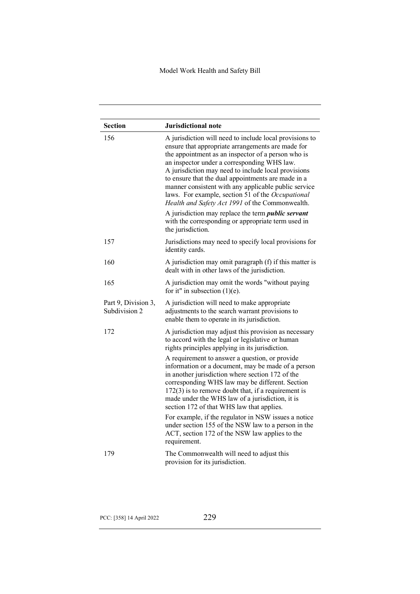| <b>Section</b>                       | <b>Jurisdictional note</b>                                                                                                                                                                                                                                                                                                                                                                                                                                                                                                                                                                                                             |
|--------------------------------------|----------------------------------------------------------------------------------------------------------------------------------------------------------------------------------------------------------------------------------------------------------------------------------------------------------------------------------------------------------------------------------------------------------------------------------------------------------------------------------------------------------------------------------------------------------------------------------------------------------------------------------------|
| 156                                  | A jurisdiction will need to include local provisions to<br>ensure that appropriate arrangements are made for<br>the appointment as an inspector of a person who is<br>an inspector under a corresponding WHS law.<br>A jurisdiction may need to include local provisions<br>to ensure that the dual appointments are made in a<br>manner consistent with any applicable public service<br>laws. For example, section 51 of the Occupational<br>Health and Safety Act 1991 of the Commonwealth.<br>A jurisdiction may replace the term <i>public servant</i><br>with the corresponding or appropriate term used in<br>the jurisdiction. |
| 157                                  | Jurisdictions may need to specify local provisions for<br>identity cards.                                                                                                                                                                                                                                                                                                                                                                                                                                                                                                                                                              |
| 160                                  | A jurisdiction may omit paragraph (f) if this matter is<br>dealt with in other laws of the jurisdiction.                                                                                                                                                                                                                                                                                                                                                                                                                                                                                                                               |
| 165                                  | A jurisdiction may omit the words "without paying<br>for it" in subsection $(1)(e)$ .                                                                                                                                                                                                                                                                                                                                                                                                                                                                                                                                                  |
| Part 9, Division 3,<br>Subdivision 2 | A jurisdiction will need to make appropriate<br>adjustments to the search warrant provisions to<br>enable them to operate in its jurisdiction.                                                                                                                                                                                                                                                                                                                                                                                                                                                                                         |
| 172                                  | A jurisdiction may adjust this provision as necessary<br>to accord with the legal or legislative or human<br>rights principles applying in its jurisdiction.                                                                                                                                                                                                                                                                                                                                                                                                                                                                           |
|                                      | A requirement to answer a question, or provide<br>information or a document, may be made of a person<br>in another jurisdiction where section 172 of the<br>corresponding WHS law may be different. Section<br>$172(3)$ is to remove doubt that, if a requirement is<br>made under the WHS law of a jurisdiction, it is<br>section 172 of that WHS law that applies.                                                                                                                                                                                                                                                                   |
|                                      | For example, if the regulator in NSW issues a notice<br>under section 155 of the NSW law to a person in the<br>ACT, section 172 of the NSW law applies to the<br>requirement.                                                                                                                                                                                                                                                                                                                                                                                                                                                          |
| 179                                  | The Commonwealth will need to adjust this<br>provision for its jurisdiction.                                                                                                                                                                                                                                                                                                                                                                                                                                                                                                                                                           |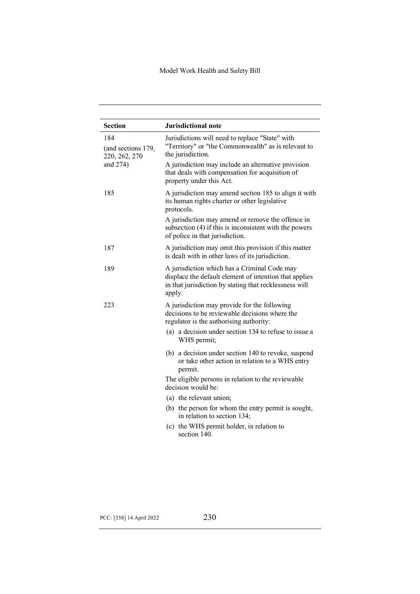| <b>Section</b>                             | <b>Jurisdictional note</b>                                                                                                                                                 |
|--------------------------------------------|----------------------------------------------------------------------------------------------------------------------------------------------------------------------------|
| 184<br>(and sections 179,<br>220, 262, 270 | Jurisdictions will need to replace "State" with<br>"Territory" or "the Commonwealth" as is relevant to<br>the jurisdiction.                                                |
| and 274)                                   | A jurisdiction may include an alternative provision<br>that deals with compensation for acquisition of<br>property under this Act.                                         |
| 185                                        | A jurisdiction may amend section 185 to align it with<br>its human rights charter or other legislative<br>protocols.                                                       |
|                                            | A jurisdiction may amend or remove the offence in<br>subsection (4) if this is inconsistent with the powers<br>of police in that jurisdiction.                             |
| 187                                        | A jurisdiction may omit this provision if this matter<br>is dealt with in other laws of its jurisdiction.                                                                  |
| 189                                        | A jurisdiction which has a Criminal Code may<br>displace the default element of intention that applies<br>in that jurisdiction by stating that recklessness will<br>apply. |
| 223                                        | A jurisdiction may provide for the following<br>decisions to be reviewable decisions where the<br>regulator is the authorising authority:                                  |
|                                            | (a) a decision under section 134 to refuse to issue a<br>WHS permit;                                                                                                       |
|                                            | (b) a decision under section 140 to revoke, suspend<br>or take other action in relation to a WHS entry<br>permit.                                                          |
|                                            | The eligible persons in relation to the reviewable<br>decision would be:                                                                                                   |
|                                            | (a) the relevant union;                                                                                                                                                    |
|                                            | (b) the person for whom the entry permit is sought,<br>in relation to section 134;                                                                                         |
|                                            | (c) the WHS permit holder, in relation to                                                                                                                                  |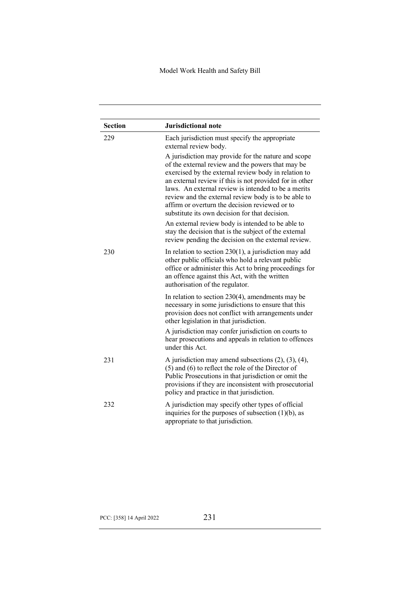| <b>Section</b> | <b>Jurisdictional note</b>                                                                                                                                                                                                                                                                                                                                                                                                                     |
|----------------|------------------------------------------------------------------------------------------------------------------------------------------------------------------------------------------------------------------------------------------------------------------------------------------------------------------------------------------------------------------------------------------------------------------------------------------------|
| 229            | Each jurisdiction must specify the appropriate<br>external review body.                                                                                                                                                                                                                                                                                                                                                                        |
|                | A jurisdiction may provide for the nature and scope<br>of the external review and the powers that may be<br>exercised by the external review body in relation to<br>an external review if this is not provided for in other<br>laws. An external review is intended to be a merits<br>review and the external review body is to be able to<br>affirm or overturn the decision reviewed or to<br>substitute its own decision for that decision. |
|                | An external review body is intended to be able to<br>stay the decision that is the subject of the external<br>review pending the decision on the external review.                                                                                                                                                                                                                                                                              |
| 230            | In relation to section $230(1)$ , a jurisdiction may add<br>other public officials who hold a relevant public<br>office or administer this Act to bring proceedings for<br>an offence against this Act, with the written<br>authorisation of the regulator.                                                                                                                                                                                    |
|                | In relation to section $230(4)$ , amendments may be<br>necessary in some jurisdictions to ensure that this<br>provision does not conflict with arrangements under<br>other legislation in that jurisdiction.                                                                                                                                                                                                                                   |
|                | A jurisdiction may confer jurisdiction on courts to<br>hear prosecutions and appeals in relation to offences<br>under this Act.                                                                                                                                                                                                                                                                                                                |
| 231            | A jurisdiction may amend subsections $(2)$ , $(3)$ , $(4)$ ,<br>$(5)$ and $(6)$ to reflect the role of the Director of<br>Public Prosecutions in that jurisdiction or omit the<br>provisions if they are inconsistent with prosecutorial<br>policy and practice in that jurisdiction.                                                                                                                                                          |
| 232            | A jurisdiction may specify other types of official<br>inquiries for the purposes of subsection $(1)(b)$ , as<br>appropriate to that jurisdiction.                                                                                                                                                                                                                                                                                              |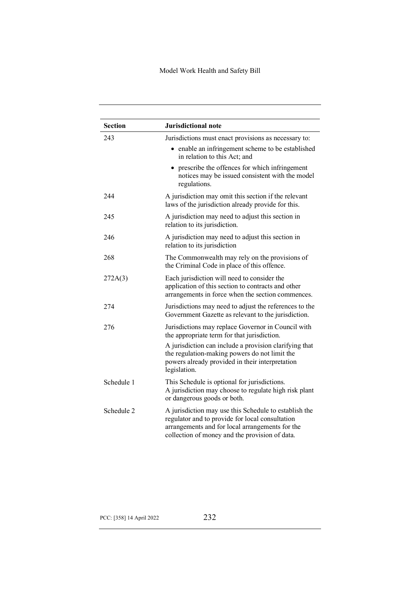| <b>Section</b> | Jurisdictional note                                                                                                                                                                                                                                             |
|----------------|-----------------------------------------------------------------------------------------------------------------------------------------------------------------------------------------------------------------------------------------------------------------|
| 243            | Jurisdictions must enact provisions as necessary to:                                                                                                                                                                                                            |
|                | • enable an infringement scheme to be established<br>in relation to this Act; and                                                                                                                                                                               |
|                | prescribe the offences for which infringement<br>notices may be issued consistent with the model<br>regulations.                                                                                                                                                |
| 244            | A jurisdiction may omit this section if the relevant<br>laws of the jurisdiction already provide for this.                                                                                                                                                      |
| 245            | A jurisdiction may need to adjust this section in<br>relation to its jurisdiction.                                                                                                                                                                              |
| 246            | A jurisdiction may need to adjust this section in<br>relation to its jurisdiction                                                                                                                                                                               |
| 268            | The Commonwealth may rely on the provisions of<br>the Criminal Code in place of this offence.                                                                                                                                                                   |
| 272A(3)        | Each jurisdiction will need to consider the<br>application of this section to contracts and other<br>arrangements in force when the section commences.                                                                                                          |
| 274            | Jurisdictions may need to adjust the references to the<br>Government Gazette as relevant to the jurisdiction.                                                                                                                                                   |
| 276            | Jurisdictions may replace Governor in Council with<br>the appropriate term for that jurisdiction.<br>A jurisdiction can include a provision clarifying that<br>the regulation-making powers do not limit the<br>powers already provided in their interpretation |
|                | legislation.                                                                                                                                                                                                                                                    |
| Schedule 1     | This Schedule is optional for jurisdictions.<br>A jurisdiction may choose to regulate high risk plant<br>or dangerous goods or both.                                                                                                                            |
| Schedule 2     | A jurisdiction may use this Schedule to establish the<br>regulator and to provide for local consultation<br>arrangements and for local arrangements for the<br>collection of money and the provision of data.                                                   |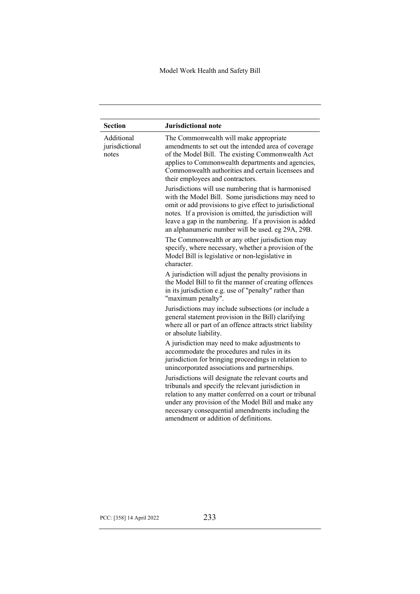| <b>Section</b>                        | <b>Jurisdictional note</b>                                                                                                                                                                                                                                                                                                                     |
|---------------------------------------|------------------------------------------------------------------------------------------------------------------------------------------------------------------------------------------------------------------------------------------------------------------------------------------------------------------------------------------------|
| Additional<br>jurisdictional<br>notes | The Commonwealth will make appropriate<br>amendments to set out the intended area of coverage<br>of the Model Bill. The existing Commonwealth Act<br>applies to Commonwealth departments and agencies,<br>Commonwealth authorities and certain licensees and<br>their employees and contractors.                                               |
|                                       | Jurisdictions will use numbering that is harmonised<br>with the Model Bill. Some jurisdictions may need to<br>omit or add provisions to give effect to jurisdictional<br>notes. If a provision is omitted, the jurisdiction will<br>leave a gap in the numbering. If a provision is added<br>an alphanumeric number will be used. eg 29A, 29B. |
|                                       | The Commonwealth or any other jurisdiction may<br>specify, where necessary, whether a provision of the<br>Model Bill is legislative or non-legislative in<br>character.                                                                                                                                                                        |
|                                       | A jurisdiction will adjust the penalty provisions in<br>the Model Bill to fit the manner of creating offences<br>in its jurisdiction e.g. use of "penalty" rather than<br>"maximum penalty".                                                                                                                                                   |
|                                       | Jurisdictions may include subsections (or include a<br>general statement provision in the Bill) clarifying<br>where all or part of an offence attracts strict liability<br>or absolute liability.                                                                                                                                              |
|                                       | A jurisdiction may need to make adjustments to<br>accommodate the procedures and rules in its<br>jurisdiction for bringing proceedings in relation to<br>unincorporated associations and partnerships.                                                                                                                                         |
|                                       | Jurisdictions will designate the relevant courts and<br>tribunals and specify the relevant jurisdiction in<br>relation to any matter conferred on a court or tribunal<br>under any provision of the Model Bill and make any<br>necessary consequential amendments including the<br>amendment or addition of definitions.                       |